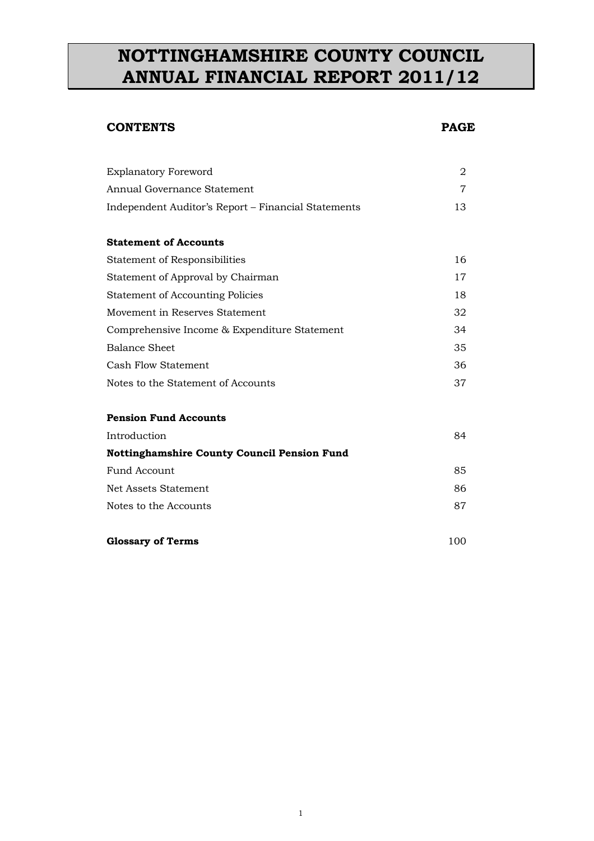# **NOTTINGHAMSHIRE COUNTY COUNCIL ANNUAL FINANCIAL REPORT 2011/12**

# **CONTENTS PAGE**

| <b>Explanatory Foreword</b>                         | 2  |
|-----------------------------------------------------|----|
| Annual Governance Statement                         | 7  |
| Independent Auditor's Report – Financial Statements | 13 |
|                                                     |    |
| <b>Statement of Accounts</b>                        |    |
| <b>Statement of Responsibilities</b>                | 16 |
| Statement of Approval by Chairman                   | 17 |
| <b>Statement of Accounting Policies</b>             | 18 |
| Movement in Reserves Statement                      | 32 |
| Comprehensive Income & Expenditure Statement        | 34 |
| <b>Balance Sheet</b>                                | 35 |
| <b>Cash Flow Statement</b>                          | 36 |
| Notes to the Statement of Accounts                  | 37 |
|                                                     |    |
| <b>Pension Fund Accounts</b>                        |    |
| Introduction                                        | 84 |
| <b>Nottinghamshire County Council Pension Fund</b>  |    |
| Fund Account                                        | 85 |
| Net Assets Statement                                | 86 |
| Notes to the Accounts                               | 87 |
|                                                     |    |

# **Glossary of Terms** 100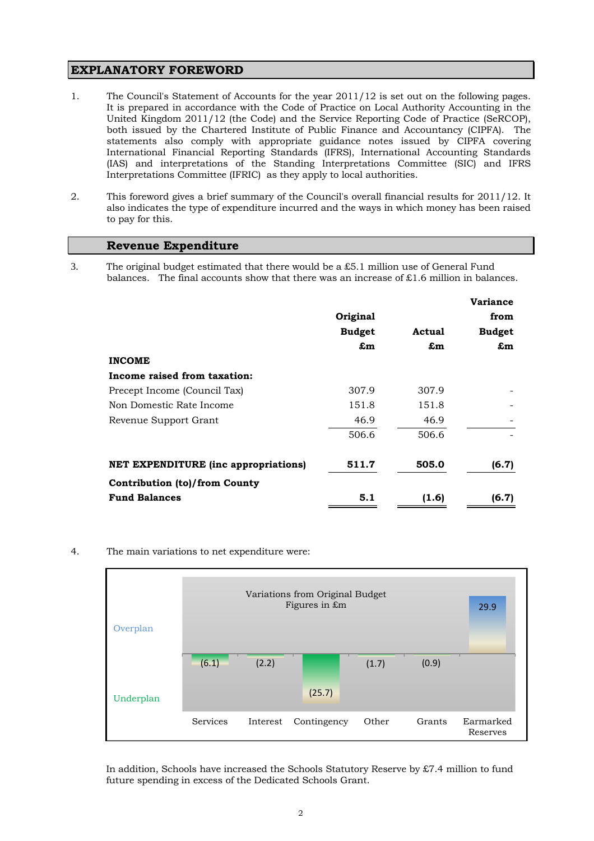# **EXPLANATORY FOREWORD**

- 1. The Council's Statement of Accounts for the year 2011/12 is set out on the following pages. It is prepared in accordance with the Code of Practice on Local Authority Accounting in the United Kingdom 2011/12 (the Code) and the Service Reporting Code of Practice (SeRCOP), both issued by the Chartered Institute of Public Finance and Accountancy (CIPFA). The statements also comply with appropriate guidance notes issued by CIPFA covering International Financial Reporting Standards (IFRS), International Accounting Standards (IAS) and interpretations of the Standing Interpretations Committee (SIC) and IFRS Interpretations Committee (IFRIC) as they apply to local authorities.
- 2. This foreword gives a brief summary of the Council's overall financial results for 2011/12. It also indicates the type of expenditure incurred and the ways in which money has been raised to pay for this.

# **Revenue Expenditure**

3. The original budget estimated that there would be a £5.1 million use of General Fund balances. The final accounts show that there was an increase of £1.6 million in balances.

|                                             |               |        | <b>Variance</b> |
|---------------------------------------------|---------------|--------|-----------------|
|                                             | Original      |        | from            |
|                                             | <b>Budget</b> | Actual | <b>Budget</b>   |
|                                             | £m            | £m     | £m              |
| <b>INCOME</b>                               |               |        |                 |
| Income raised from taxation:                |               |        |                 |
| Precept Income (Council Tax)                | 307.9         | 307.9  |                 |
| Non Domestic Rate Income                    | 151.8         | 151.8  |                 |
| Revenue Support Grant                       | 46.9          | 46.9   |                 |
|                                             | 506.6         | 506.6  |                 |
| <b>NET EXPENDITURE (inc appropriations)</b> | 511.7         | 505.0  | (6.7)           |
| <b>Contribution (to)/from County</b>        |               |        |                 |
| <b>Fund Balances</b>                        | 5.1           | (1.6)  | (6.7)           |

4. The main variations to net expenditure were:



In addition, Schools have increased the Schools Statutory Reserve by £7.4 million to fund future spending in excess of the Dedicated Schools Grant.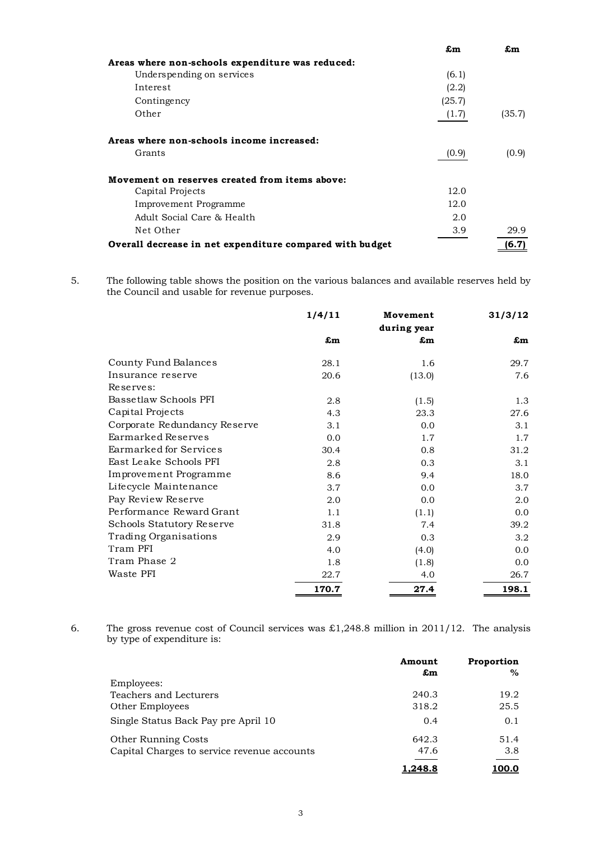|                                                          | £m     | £m     |
|----------------------------------------------------------|--------|--------|
| Areas where non-schools expenditure was reduced:         |        |        |
| Underspending on services                                | (6.1)  |        |
| Interest                                                 | (2.2)  |        |
| Contingency                                              | (25.7) |        |
| Other                                                    | (1.7)  | (35.7) |
| Areas where non-schools income increased:                |        |        |
| Grants                                                   | (0.9)  | (0.9)  |
| Movement on reserves created from items above:           |        |        |
| Capital Projects                                         | 12.0   |        |
| Improvement Programme                                    | 12.0   |        |
| Adult Social Care & Health                               | 2.0    |        |
| Net Other                                                | 3.9    | 29.9   |
| Overall decrease in net expenditure compared with budget |        | (6.7)  |

5. The following table shows the position on the various balances and available reserves held by the Council and usable for revenue purposes.

|                              | 1/4/11                      | Movement<br>during year | 31/3/12 |
|------------------------------|-----------------------------|-------------------------|---------|
|                              | $\mathbf{\pmb{\epsilon}}$ m | £m                      | £m      |
| County Fund Balances         | 28.1                        | 1.6                     | 29.7    |
| Insurance reserve            | 20.6                        | (13.0)                  | 7.6     |
| Reserves:                    |                             |                         |         |
| Bassetlaw Schools PFI        | 2.8                         | (1.5)                   | 1.3     |
| Capital Projects             | 4.3                         | 23.3                    | 27.6    |
| Corporate Redundancy Reserve | 3.1                         | 0.0                     | 3.1     |
| Earmarked Reserves           | 0.0                         | 1.7                     | 1.7     |
| Earmarked for Services       | 30.4                        | 0.8                     | 31.2    |
| East Leake Schools PFI       | 2.8                         | 0.3                     | 3.1     |
| Improvement Programme        | 8.6                         | 9.4                     | 18.0    |
| Lifecycle Maintenance        | 3.7                         | 0.0                     | 3.7     |
| Pay Review Reserve           | 2.0                         | 0.0                     | 2.0     |
| Performance Reward Grant     | 1.1                         | (1.1)                   | 0.0     |
| Schools Statutory Reserve    | 31.8                        | 7.4                     | 39.2    |
| Trading Organisations        | 2.9                         | 0.3                     | 3.2     |
| Tram PFI                     | 4.0                         | (4.0)                   | 0.0     |
| Tram Phase 2                 | 1.8                         | (1.8)                   | 0.0     |
| Waste PFI                    | 22.7                        | 4.0                     | 26.7    |
|                              | 170.7                       | 27.4                    | 198.1   |

6. The gross revenue cost of Council services was  $\pounds$ 1,248.8 million in 2011/12. The analysis by type of expenditure is:

|                                             | Amount<br>£m | Proportion<br>$\%$ |
|---------------------------------------------|--------------|--------------------|
| Employees:                                  |              |                    |
| Teachers and Lecturers                      | 240.3        | 19.2               |
| Other Employees                             | 318.2        | 25.5               |
| Single Status Back Pay pre April 10         | 0.4          | 0.1                |
| Other Running Costs                         | 642.3        | 51.4               |
| Capital Charges to service revenue accounts | 47.6         | 3.8                |
|                                             | l.248.8      | <u> 100.0</u>      |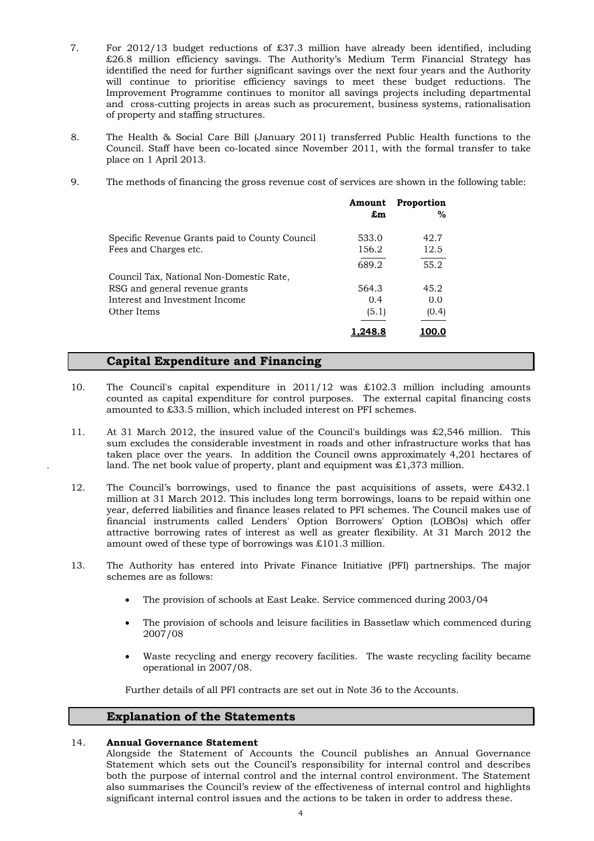- 7. For 2012/13 budget reductions of £37.3 million have already been identified, including £26.8 million efficiency savings. The Authority's Medium Term Financial Strategy has identified the need for further significant savings over the next four years and the Authority will continue to prioritise efficiency savings to meet these budget reductions. The Improvement Programme continues to monitor all savings projects including departmental and cross-cutting projects in areas such as procurement, business systems, rationalisation of property and staffing structures.
- 8. The Health & Social Care Bill (January 2011) transferred Public Health functions to the Council. Staff have been co-located since November 2011, with the formal transfer to take place on 1 April 2013.
- 9. The methods of financing the gross revenue cost of services are shown in the following table:

|                                                | Amount<br>£m | Proportion<br>$\%$ |
|------------------------------------------------|--------------|--------------------|
| Specific Revenue Grants paid to County Council | 533.0        | 42.7               |
| Fees and Charges etc.                          | 156.2        | 12.5               |
|                                                | 689.2        | 55.2               |
| Council Tax, National Non-Domestic Rate,       |              |                    |
| RSG and general revenue grants                 | 564.3        | 45.2               |
| Interest and Investment Income                 | 0.4          | 0.0                |
| Other Items                                    | (5.1)        | (0.4)              |
|                                                |              |                    |

# **Capital Expenditure and Financing**

- 10. The Council's capital expenditure in 2011/12 was £102.3 million including amounts counted as capital expenditure for control purposes. The external capital financing costs amounted to £33.5 million, which included interest on PFI schemes.
- 11. At 31 March 2012, the insured value of the Council's buildings was £2,546 million. This sum excludes the considerable investment in roads and other infrastructure works that has taken place over the years. In addition the Council owns approximately 4,201 hectares of land. The net book value of property, plant and equipment was  $\pounds1,373$  million.
- 12. The Council's borrowings, used to finance the past acquisitions of assets, were £432.1 million at 31 March 2012. This includes long term borrowings, loans to be repaid within one year, deferred liabilities and finance leases related to PFI schemes. The Council makes use of financial instruments called Lenders' Option Borrowers' Option (LOBOs) which offer attractive borrowing rates of interest as well as greater flexibility. At 31 March 2012 the amount owed of these type of borrowings was £101.3 million.
- 13. The Authority has entered into Private Finance Initiative (PFI) partnerships. The major schemes are as follows:
	- The provision of schools at East Leake. Service commenced during 2003/04
	- The provision of schools and leisure facilities in Bassetlaw which commenced during 2007/08
	- Waste recycling and energy recovery facilities. The waste recycling facility became operational in 2007/08.

Further details of all PFI contracts are set out in Note 36 to the Accounts.

# **Explanation of the Statements**

### 14. **Annual Governance Statement**

Alongside the Statement of Accounts the Council publishes an Annual Governance Statement which sets out the Council's responsibility for internal control and describes both the purpose of internal control and the internal control environment. The Statement also summarises the Council's review of the effectiveness of internal control and highlights significant internal control issues and the actions to be taken in order to address these.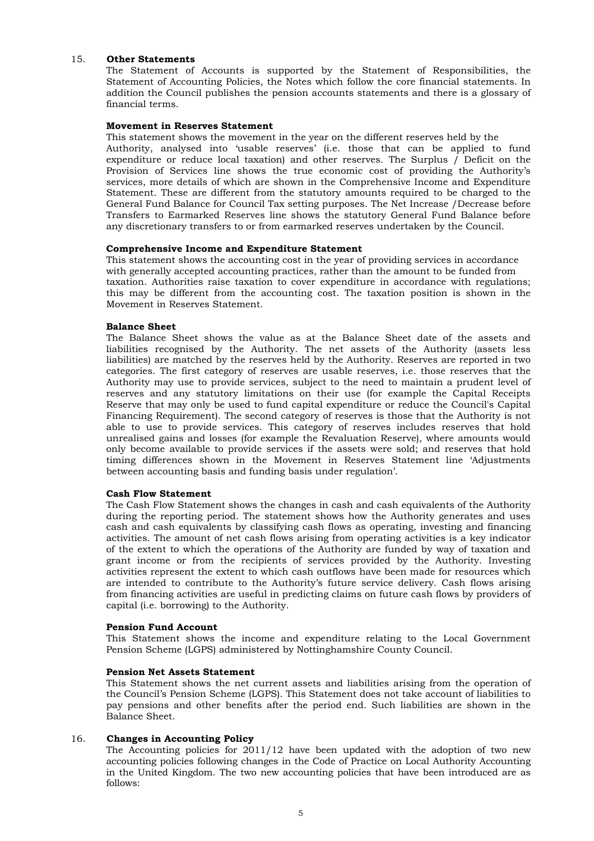#### 15. **Other Statements**

The Statement of Accounts is supported by the Statement of Responsibilities, the Statement of Accounting Policies, the Notes which follow the core financial statements. In addition the Council publishes the pension accounts statements and there is a glossary of financial terms.

#### **Movement in Reserves Statement**

This statement shows the movement in the year on the different reserves held by the Authority, analysed into 'usable reserves' (i.e. those that can be applied to fund expenditure or reduce local taxation) and other reserves. The Surplus / Deficit on the Provision of Services line shows the true economic cost of providing the Authority's services, more details of which are shown in the Comprehensive Income and Expenditure Statement. These are different from the statutory amounts required to be charged to the General Fund Balance for Council Tax setting purposes. The Net Increase /Decrease before Transfers to Earmarked Reserves line shows the statutory General Fund Balance before any discretionary transfers to or from earmarked reserves undertaken by the Council.

#### **Comprehensive Income and Expenditure Statement**

This statement shows the accounting cost in the year of providing services in accordance with generally accepted accounting practices, rather than the amount to be funded from taxation. Authorities raise taxation to cover expenditure in accordance with regulations; this may be different from the accounting cost. The taxation position is shown in the Movement in Reserves Statement.

#### **Balance Sheet**

The Balance Sheet shows the value as at the Balance Sheet date of the assets and liabilities recognised by the Authority. The net assets of the Authority (assets less liabilities) are matched by the reserves held by the Authority. Reserves are reported in two categories. The first category of reserves are usable reserves, i.e. those reserves that the Authority may use to provide services, subject to the need to maintain a prudent level of reserves and any statutory limitations on their use (for example the Capital Receipts Reserve that may only be used to fund capital expenditure or reduce the Council's Capital Financing Requirement). The second category of reserves is those that the Authority is not able to use to provide services. This category of reserves includes reserves that hold unrealised gains and losses (for example the Revaluation Reserve), where amounts would only become available to provide services if the assets were sold; and reserves that hold timing differences shown in the Movement in Reserves Statement line 'Adjustments between accounting basis and funding basis under regulation'.

#### **Cash Flow Statement**

The Cash Flow Statement shows the changes in cash and cash equivalents of the Authority during the reporting period. The statement shows how the Authority generates and uses cash and cash equivalents by classifying cash flows as operating, investing and financing activities. The amount of net cash flows arising from operating activities is a key indicator of the extent to which the operations of the Authority are funded by way of taxation and grant income or from the recipients of services provided by the Authority. Investing activities represent the extent to which cash outflows have been made for resources which are intended to contribute to the Authority's future service delivery. Cash flows arising from financing activities are useful in predicting claims on future cash flows by providers of capital (i.e. borrowing) to the Authority.

#### **Pension Fund Account**

This Statement shows the income and expenditure relating to the Local Government Pension Scheme (LGPS) administered by Nottinghamshire County Council.

#### **Pension Net Assets Statement**

This Statement shows the net current assets and liabilities arising from the operation of the Council's Pension Scheme (LGPS). This Statement does not take account of liabilities to pay pensions and other benefits after the period end. Such liabilities are shown in the Balance Sheet.

#### 16. **Changes in Accounting Policy**

The Accounting policies for 2011/12 have been updated with the adoption of two new accounting policies following changes in the Code of Practice on Local Authority Accounting in the United Kingdom. The two new accounting policies that have been introduced are as follows: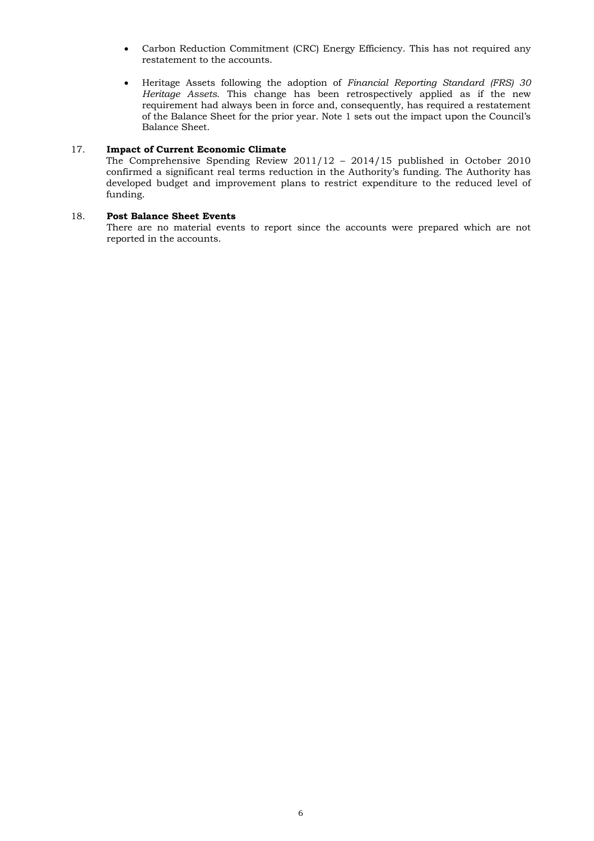- Carbon Reduction Commitment (CRC) Energy Efficiency. This has not required any restatement to the accounts.
- Heritage Assets following the adoption of *Financial Reporting Standard (FRS) 30 Heritage Assets*. This change has been retrospectively applied as if the new requirement had always been in force and, consequently, has required a restatement of the Balance Sheet for the prior year. Note 1 sets out the impact upon the Council's Balance Sheet.

#### 17. **Impact of Current Economic Climate**

The Comprehensive Spending Review 2011/12 – 2014/15 published in October 2010 confirmed a significant real terms reduction in the Authority's funding. The Authority has developed budget and improvement plans to restrict expenditure to the reduced level of funding.

#### 18. **Post Balance Sheet Events**

There are no material events to report since the accounts were prepared which are not reported in the accounts.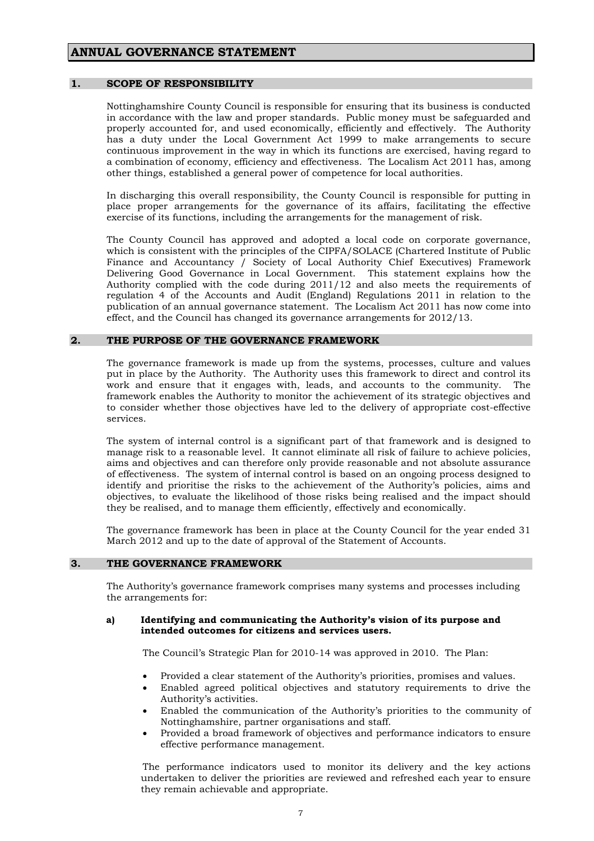### **ANNUAL GOVERNANCE STATEMENT**

#### **1. SCOPE OF RESPONSIBILITY**

 Nottinghamshire County Council is responsible for ensuring that its business is conducted in accordance with the law and proper standards. Public money must be safeguarded and properly accounted for, and used economically, efficiently and effectively. The Authority has a duty under the Local Government Act 1999 to make arrangements to secure continuous improvement in the way in which its functions are exercised, having regard to a combination of economy, efficiency and effectiveness. The Localism Act 2011 has, among other things, established a general power of competence for local authorities.

 In discharging this overall responsibility, the County Council is responsible for putting in place proper arrangements for the governance of its affairs, facilitating the effective exercise of its functions, including the arrangements for the management of risk.

 The County Council has approved and adopted a local code on corporate governance, which is consistent with the principles of the CIPFA/SOLACE (Chartered Institute of Public Finance and Accountancy / Society of Local Authority Chief Executives) Framework Delivering Good Governance in Local Government. This statement explains how the Authority complied with the code during 2011/12 and also meets the requirements of regulation 4 of the Accounts and Audit (England) Regulations 2011 in relation to the publication of an annual governance statement. The Localism Act 2011 has now come into effect, and the Council has changed its governance arrangements for 2012/13.

#### **2. THE PURPOSE OF THE GOVERNANCE FRAMEWORK**

 The governance framework is made up from the systems, processes, culture and values put in place by the Authority. The Authority uses this framework to direct and control its work and ensure that it engages with, leads, and accounts to the community. The framework enables the Authority to monitor the achievement of its strategic objectives and to consider whether those objectives have led to the delivery of appropriate cost-effective services.

 The system of internal control is a significant part of that framework and is designed to manage risk to a reasonable level. It cannot eliminate all risk of failure to achieve policies, aims and objectives and can therefore only provide reasonable and not absolute assurance of effectiveness. The system of internal control is based on an ongoing process designed to identify and prioritise the risks to the achievement of the Authority's policies, aims and objectives, to evaluate the likelihood of those risks being realised and the impact should they be realised, and to manage them efficiently, effectively and economically.

 The governance framework has been in place at the County Council for the year ended 31 March 2012 and up to the date of approval of the Statement of Accounts.

#### **3. THE GOVERNANCE FRAMEWORK**

 The Authority's governance framework comprises many systems and processes including the arrangements for:

#### **a) Identifying and communicating the Authority's vision of its purpose and intended outcomes for citizens and services users.**

The Council's Strategic Plan for 2010-14 was approved in 2010. The Plan:

- Provided a clear statement of the Authority's priorities, promises and values.
- Enabled agreed political objectives and statutory requirements to drive the Authority's activities.
- Enabled the communication of the Authority's priorities to the community of Nottinghamshire, partner organisations and staff.
- Provided a broad framework of objectives and performance indicators to ensure effective performance management.

 The performance indicators used to monitor its delivery and the key actions undertaken to deliver the priorities are reviewed and refreshed each year to ensure they remain achievable and appropriate.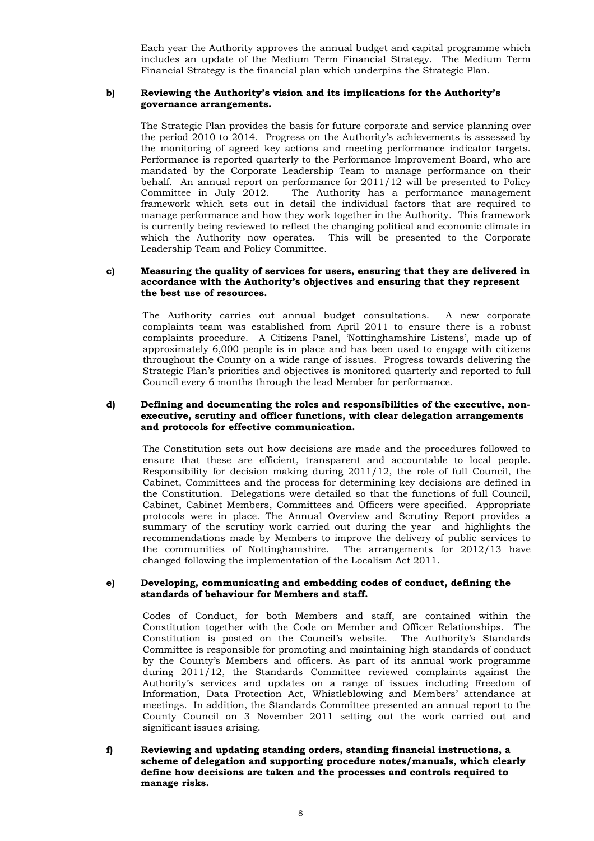Each year the Authority approves the annual budget and capital programme which includes an update of the Medium Term Financial Strategy. The Medium Term Financial Strategy is the financial plan which underpins the Strategic Plan.

#### **b) Reviewing the Authority's vision and its implications for the Authority's governance arrangements.**

 The Strategic Plan provides the basis for future corporate and service planning over the period 2010 to 2014. Progress on the Authority's achievements is assessed by the monitoring of agreed key actions and meeting performance indicator targets. Performance is reported quarterly to the Performance Improvement Board, who are mandated by the Corporate Leadership Team to manage performance on their behalf. An annual report on performance for 2011/12 will be presented to Policy Committee in July 2012. The Authority has a performance management framework which sets out in detail the individual factors that are required to manage performance and how they work together in the Authority. This framework is currently being reviewed to reflect the changing political and economic climate in which the Authority now operates. This will be presented to the Corporate Leadership Team and Policy Committee.

#### **c) Measuring the quality of services for users, ensuring that they are delivered in accordance with the Authority's objectives and ensuring that they represent the best use of resources.**

 The Authority carries out annual budget consultations. A new corporate complaints team was established from April 2011 to ensure there is a robust complaints procedure. A Citizens Panel, 'Nottinghamshire Listens', made up of approximately 6,000 people is in place and has been used to engage with citizens throughout the County on a wide range of issues. Progress towards delivering the Strategic Plan's priorities and objectives is monitored quarterly and reported to full Council every 6 months through the lead Member for performance.

#### **d) Defining and documenting the roles and responsibilities of the executive, nonexecutive, scrutiny and officer functions, with clear delegation arrangements and protocols for effective communication.**

 The Constitution sets out how decisions are made and the procedures followed to ensure that these are efficient, transparent and accountable to local people. Responsibility for decision making during 2011/12, the role of full Council, the Cabinet, Committees and the process for determining key decisions are defined in the Constitution. Delegations were detailed so that the functions of full Council, Cabinet, Cabinet Members, Committees and Officers were specified. Appropriate protocols were in place. The Annual Overview and Scrutiny Report provides a summary of the scrutiny work carried out during the year and highlights the recommendations made by Members to improve the delivery of public services to the communities of Nottinghamshire. The arrangements for 2012/13 have changed following the implementation of the Localism Act 2011.

#### **e) Developing, communicating and embedding codes of conduct, defining the standards of behaviour for Members and staff.**

 Codes of Conduct, for both Members and staff, are contained within the Constitution together with the Code on Member and Officer Relationships. The Constitution is posted on the Council's website. The Authority's Standards Committee is responsible for promoting and maintaining high standards of conduct by the County's Members and officers. As part of its annual work programme during 2011/12, the Standards Committee reviewed complaints against the Authority's services and updates on a range of issues including Freedom of Information, Data Protection Act, Whistleblowing and Members' attendance at meetings. In addition, the Standards Committee presented an annual report to the County Council on 3 November 2011 setting out the work carried out and significant issues arising.

**f) Reviewing and updating standing orders, standing financial instructions, a scheme of delegation and supporting procedure notes/manuals, which clearly define how decisions are taken and the processes and controls required to manage risks.**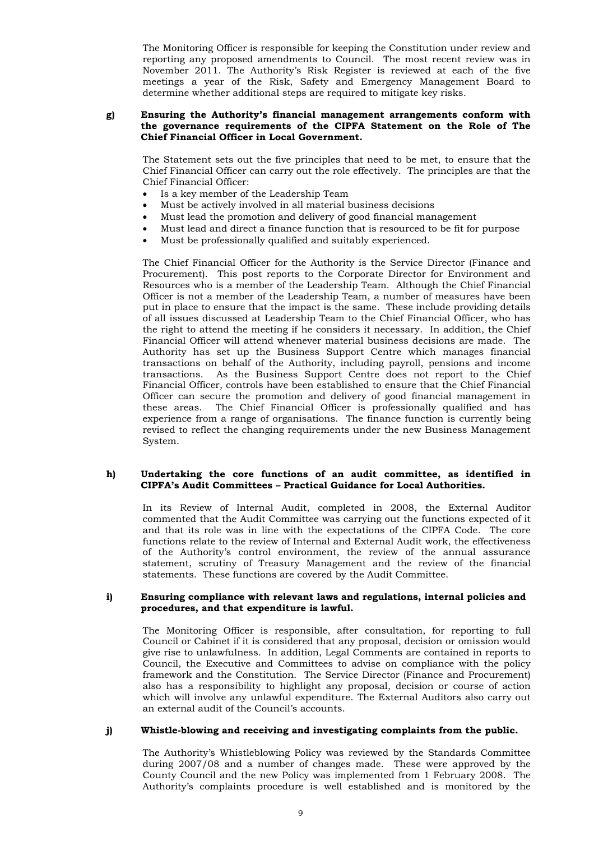The Monitoring Officer is responsible for keeping the Constitution under review and reporting any proposed amendments to Council. The most recent review was in November 2011. The Authority's Risk Register is reviewed at each of the five meetings a year of the Risk, Safety and Emergency Management Board to determine whether additional steps are required to mitigate key risks.

#### **g) Ensuring the Authority's financial management arrangements conform with the governance requirements of the CIPFA Statement on the Role of The Chief Financial Officer in Local Government.**

The Statement sets out the five principles that need to be met, to ensure that the Chief Financial Officer can carry out the role effectively. The principles are that the Chief Financial Officer:

- Is a key member of the Leadership Team
- Must be actively involved in all material business decisions
- Must lead the promotion and delivery of good financial management
- Must lead and direct a finance function that is resourced to be fit for purpose
- Must be professionally qualified and suitably experienced.

The Chief Financial Officer for the Authority is the Service Director (Finance and Procurement). This post reports to the Corporate Director for Environment and Resources who is a member of the Leadership Team. Although the Chief Financial Officer is not a member of the Leadership Team, a number of measures have been put in place to ensure that the impact is the same. These include providing details of all issues discussed at Leadership Team to the Chief Financial Officer, who has the right to attend the meeting if he considers it necessary. In addition, the Chief Financial Officer will attend whenever material business decisions are made. The Authority has set up the Business Support Centre which manages financial transactions on behalf of the Authority, including payroll, pensions and income transactions. As the Business Support Centre does not report to the Chief Financial Officer, controls have been established to ensure that the Chief Financial Officer can secure the promotion and delivery of good financial management in these areas. The Chief Financial Officer is professionally qualified and has experience from a range of organisations. The finance function is currently being revised to reflect the changing requirements under the new Business Management System.

#### **h) Undertaking the core functions of an audit committee, as identified in CIPFA's Audit Committees – Practical Guidance for Local Authorities.**

In its Review of Internal Audit, completed in 2008, the External Auditor commented that the Audit Committee was carrying out the functions expected of it and that its role was in line with the expectations of the CIPFA Code. The core functions relate to the review of Internal and External Audit work, the effectiveness of the Authority's control environment, the review of the annual assurance statement, scrutiny of Treasury Management and the review of the financial statements. These functions are covered by the Audit Committee.

#### **i) Ensuring compliance with relevant laws and regulations, internal policies and procedures, and that expenditure is lawful.**

 The Monitoring Officer is responsible, after consultation, for reporting to full Council or Cabinet if it is considered that any proposal, decision or omission would give rise to unlawfulness. In addition, Legal Comments are contained in reports to Council, the Executive and Committees to advise on compliance with the policy framework and the Constitution. The Service Director (Finance and Procurement) also has a responsibility to highlight any proposal, decision or course of action which will involve any unlawful expenditure. The External Auditors also carry out an external audit of the Council's accounts.

#### **j) Whistle-blowing and receiving and investigating complaints from the public.**

 The Authority's Whistleblowing Policy was reviewed by the Standards Committee during 2007/08 and a number of changes made. These were approved by the County Council and the new Policy was implemented from 1 February 2008. The Authority's complaints procedure is well established and is monitored by the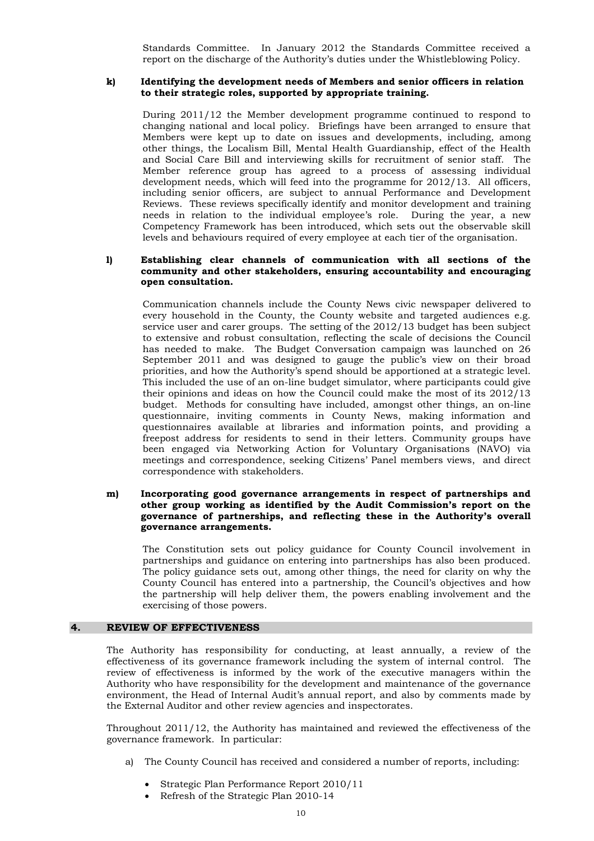Standards Committee. In January 2012 the Standards Committee received a report on the discharge of the Authority's duties under the Whistleblowing Policy.

#### **k) Identifying the development needs of Members and senior officers in relation to their strategic roles, supported by appropriate training.**

 During 2011/12 the Member development programme continued to respond to changing national and local policy. Briefings have been arranged to ensure that Members were kept up to date on issues and developments, including, among other things, the Localism Bill, Mental Health Guardianship, effect of the Health and Social Care Bill and interviewing skills for recruitment of senior staff. The Member reference group has agreed to a process of assessing individual development needs, which will feed into the programme for 2012/13. All officers, including senior officers, are subject to annual Performance and Development Reviews. These reviews specifically identify and monitor development and training needs in relation to the individual employee's role. During the year, a new Competency Framework has been introduced, which sets out the observable skill levels and behaviours required of every employee at each tier of the organisation.

#### **l) Establishing clear channels of communication with all sections of the community and other stakeholders, ensuring accountability and encouraging open consultation.**

 Communication channels include the County News civic newspaper delivered to every household in the County, the County website and targeted audiences e.g. service user and carer groups. The setting of the 2012/13 budget has been subject to extensive and robust consultation, reflecting the scale of decisions the Council has needed to make. The Budget Conversation campaign was launched on 26 September 2011 and was designed to gauge the public's view on their broad priorities, and how the Authority's spend should be apportioned at a strategic level. This included the use of an on-line budget simulator, where participants could give their opinions and ideas on how the Council could make the most of its 2012/13 budget. Methods for consulting have included, amongst other things, an on-line questionnaire, inviting comments in County News, making information and questionnaires available at libraries and information points, and providing a freepost address for residents to send in their letters. Community groups have been engaged via Networking Action for Voluntary Organisations (NAVO) via meetings and correspondence, seeking Citizens' Panel members views, and direct correspondence with stakeholders.

#### **m) Incorporating good governance arrangements in respect of partnerships and other group working as identified by the Audit Commission's report on the governance of partnerships, and reflecting these in the Authority's overall governance arrangements.**

 The Constitution sets out policy guidance for County Council involvement in partnerships and guidance on entering into partnerships has also been produced. The policy guidance sets out, among other things, the need for clarity on why the County Council has entered into a partnership, the Council's objectives and how the partnership will help deliver them, the powers enabling involvement and the exercising of those powers.

#### **4. REVIEW OF EFFECTIVENESS**

 The Authority has responsibility for conducting, at least annually, a review of the effectiveness of its governance framework including the system of internal control. The review of effectiveness is informed by the work of the executive managers within the Authority who have responsibility for the development and maintenance of the governance environment, the Head of Internal Audit's annual report, and also by comments made by the External Auditor and other review agencies and inspectorates.

 Throughout 2011/12, the Authority has maintained and reviewed the effectiveness of the governance framework. In particular:

- a) The County Council has received and considered a number of reports, including:
	- Strategic Plan Performance Report 2010/11
	- Refresh of the Strategic Plan 2010-14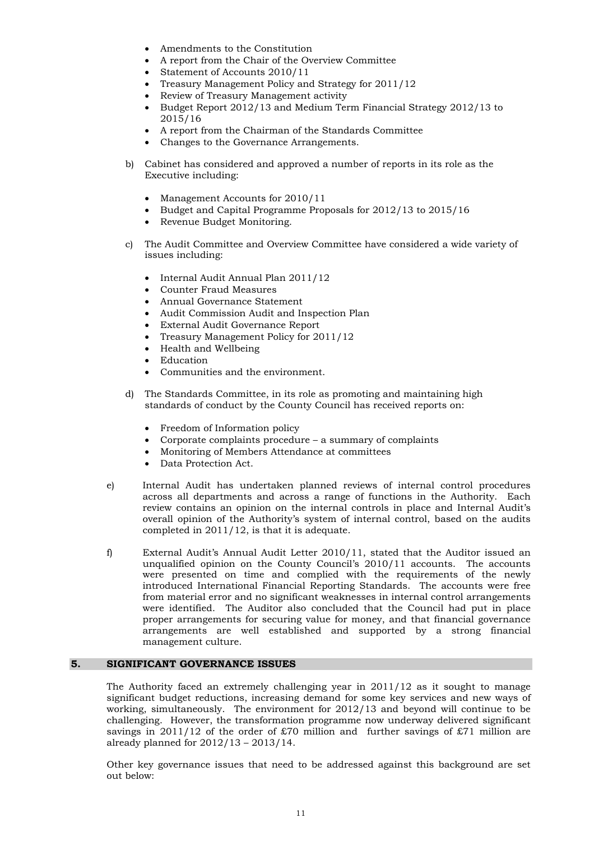- Amendments to the Constitution
- A report from the Chair of the Overview Committee
- Statement of Accounts 2010/11
- Treasury Management Policy and Strategy for 2011/12
- Review of Treasury Management activity
- Budget Report 2012/13 and Medium Term Financial Strategy 2012/13 to 2015/16
- A report from the Chairman of the Standards Committee
- Changes to the Governance Arrangements.
- b) Cabinet has considered and approved a number of reports in its role as the Executive including:
	- Management Accounts for 2010/11
	- Budget and Capital Programme Proposals for 2012/13 to 2015/16
	- Revenue Budget Monitoring.
- c) The Audit Committee and Overview Committee have considered a wide variety of issues including:
	- Internal Audit Annual Plan 2011/12
	- Counter Fraud Measures
	- Annual Governance Statement
	- Audit Commission Audit and Inspection Plan
	- External Audit Governance Report
	- Treasury Management Policy for 2011/12
	- Health and Wellbeing
	- Education
	- Communities and the environment.
- d) The Standards Committee, in its role as promoting and maintaining high standards of conduct by the County Council has received reports on:
	- Freedom of Information policy
	- Corporate complaints procedure a summary of complaints
	- Monitoring of Members Attendance at committees
	- Data Protection Act.
- e) Internal Audit has undertaken planned reviews of internal control procedures across all departments and across a range of functions in the Authority. Each review contains an opinion on the internal controls in place and Internal Audit's overall opinion of the Authority's system of internal control, based on the audits completed in 2011/12, is that it is adequate.
- f) External Audit's Annual Audit Letter 2010/11, stated that the Auditor issued an unqualified opinion on the County Council's 2010/11 accounts. The accounts were presented on time and complied with the requirements of the newly introduced International Financial Reporting Standards. The accounts were free from material error and no significant weaknesses in internal control arrangements were identified. The Auditor also concluded that the Council had put in place proper arrangements for securing value for money, and that financial governance arrangements are well established and supported by a strong financial management culture.

#### **5. SIGNIFICANT GOVERNANCE ISSUES**

 The Authority faced an extremely challenging year in 2011/12 as it sought to manage significant budget reductions, increasing demand for some key services and new ways of working, simultaneously. The environment for 2012/13 and beyond will continue to be challenging. However, the transformation programme now underway delivered significant savings in 2011/12 of the order of £70 million and further savings of £71 million are already planned for 2012/13 – 2013/14.

 Other key governance issues that need to be addressed against this background are set out below: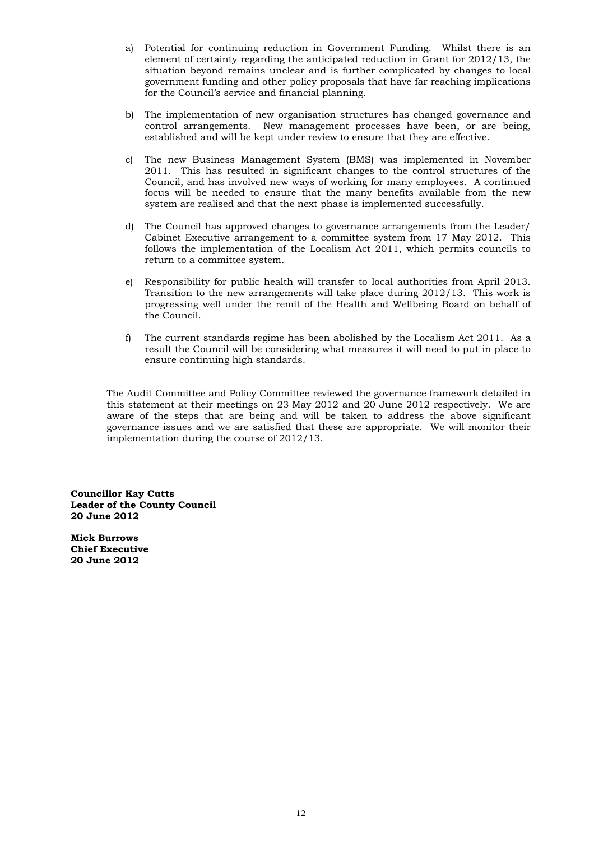- a) Potential for continuing reduction in Government Funding. Whilst there is an element of certainty regarding the anticipated reduction in Grant for 2012/13, the situation beyond remains unclear and is further complicated by changes to local government funding and other policy proposals that have far reaching implications for the Council's service and financial planning.
- b) The implementation of new organisation structures has changed governance and control arrangements. New management processes have been, or are being, established and will be kept under review to ensure that they are effective.
- c) The new Business Management System (BMS) was implemented in November 2011. This has resulted in significant changes to the control structures of the Council, and has involved new ways of working for many employees. A continued focus will be needed to ensure that the many benefits available from the new system are realised and that the next phase is implemented successfully.
- d) The Council has approved changes to governance arrangements from the Leader/ Cabinet Executive arrangement to a committee system from 17 May 2012. This follows the implementation of the Localism Act 2011, which permits councils to return to a committee system.
- e) Responsibility for public health will transfer to local authorities from April 2013. Transition to the new arrangements will take place during 2012/13. This work is progressing well under the remit of the Health and Wellbeing Board on behalf of the Council.
- f) The current standards regime has been abolished by the Localism Act 2011. As a result the Council will be considering what measures it will need to put in place to ensure continuing high standards.

 The Audit Committee and Policy Committee reviewed the governance framework detailed in this statement at their meetings on 23 May 2012 and 20 June 2012 respectively. We are aware of the steps that are being and will be taken to address the above significant governance issues and we are satisfied that these are appropriate. We will monitor their implementation during the course of 2012/13.

**Councillor Kay Cutts Leader of the County Council 20 June 2012** 

**Mick Burrows Chief Executive 20 June 2012**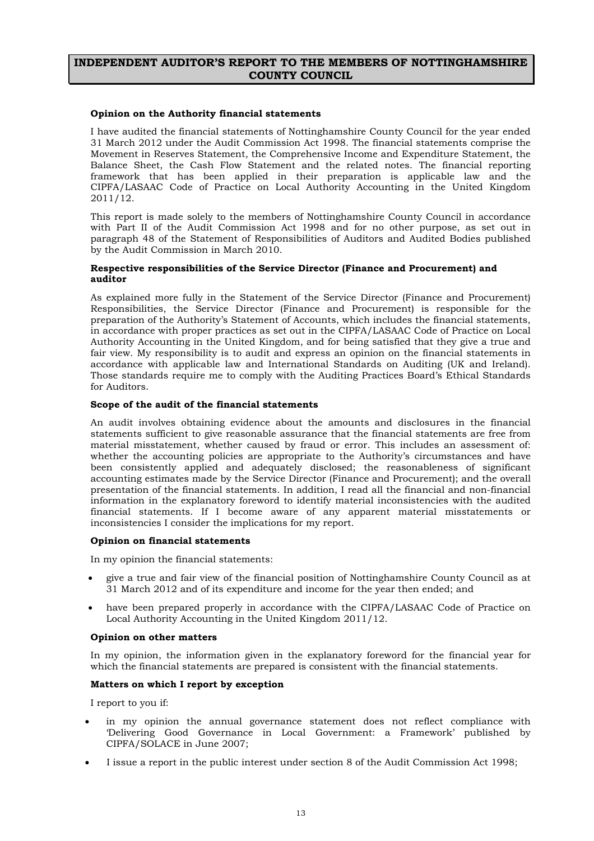#### **INDEPENDENT AUDITOR'S REPORT TO THE MEMBERS OF NOTTINGHAMSHIRE COUNTY COUNCIL**

#### **Opinion on the Authority financial statements**

I have audited the financial statements of Nottinghamshire County Council for the year ended 31 March 2012 under the Audit Commission Act 1998. The financial statements comprise the Movement in Reserves Statement, the Comprehensive Income and Expenditure Statement, the Balance Sheet, the Cash Flow Statement and the related notes. The financial reporting framework that has been applied in their preparation is applicable law and the CIPFA/LASAAC Code of Practice on Local Authority Accounting in the United Kingdom 2011/12.

This report is made solely to the members of Nottinghamshire County Council in accordance with Part II of the Audit Commission Act 1998 and for no other purpose, as set out in paragraph 48 of the Statement of Responsibilities of Auditors and Audited Bodies published by the Audit Commission in March 2010.

#### **Respective responsibilities of the Service Director (Finance and Procurement) and auditor**

As explained more fully in the Statement of the Service Director (Finance and Procurement) Responsibilities, the Service Director (Finance and Procurement) is responsible for the preparation of the Authority's Statement of Accounts, which includes the financial statements, in accordance with proper practices as set out in the CIPFA/LASAAC Code of Practice on Local Authority Accounting in the United Kingdom, and for being satisfied that they give a true and fair view. My responsibility is to audit and express an opinion on the financial statements in accordance with applicable law and International Standards on Auditing (UK and Ireland). Those standards require me to comply with the Auditing Practices Board's Ethical Standards for Auditors.

#### **Scope of the audit of the financial statements**

An audit involves obtaining evidence about the amounts and disclosures in the financial statements sufficient to give reasonable assurance that the financial statements are free from material misstatement, whether caused by fraud or error. This includes an assessment of: whether the accounting policies are appropriate to the Authority's circumstances and have been consistently applied and adequately disclosed; the reasonableness of significant accounting estimates made by the Service Director (Finance and Procurement); and the overall presentation of the financial statements. In addition, I read all the financial and non-financial information in the explanatory foreword to identify material inconsistencies with the audited financial statements. If I become aware of any apparent material misstatements or inconsistencies I consider the implications for my report.

#### **Opinion on financial statements**

In my opinion the financial statements:

- give a true and fair view of the financial position of Nottinghamshire County Council as at 31 March 2012 and of its expenditure and income for the year then ended; and
- have been prepared properly in accordance with the CIPFA/LASAAC Code of Practice on Local Authority Accounting in the United Kingdom 2011/12.

#### **Opinion on other matters**

In my opinion, the information given in the explanatory foreword for the financial year for which the financial statements are prepared is consistent with the financial statements.

#### **Matters on which I report by exception**

I report to you if:

- in my opinion the annual governance statement does not reflect compliance with 'Delivering Good Governance in Local Government: a Framework' published by CIPFA/SOLACE in June 2007;
- I issue a report in the public interest under section 8 of the Audit Commission Act 1998;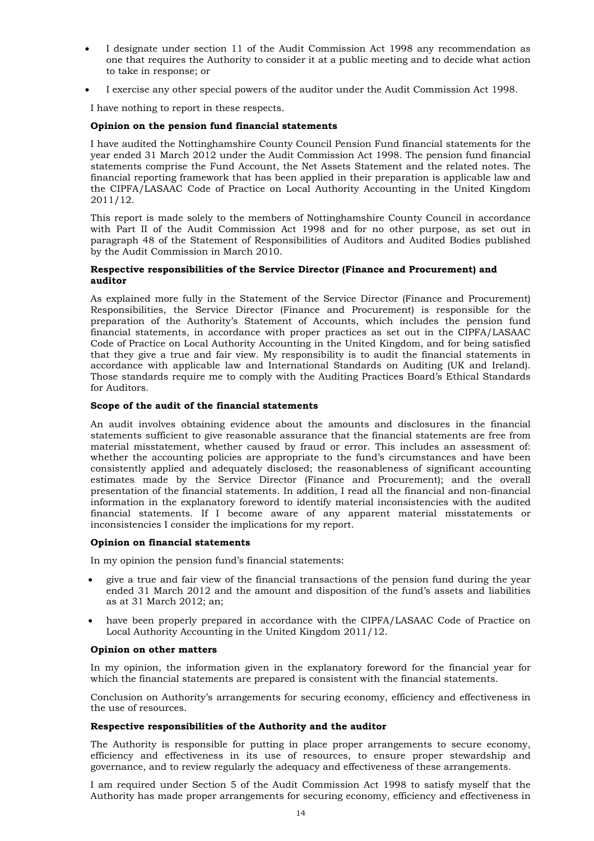- I designate under section 11 of the Audit Commission Act 1998 any recommendation as one that requires the Authority to consider it at a public meeting and to decide what action to take in response; or
- I exercise any other special powers of the auditor under the Audit Commission Act 1998.

I have nothing to report in these respects.

#### **Opinion on the pension fund financial statements**

I have audited the Nottinghamshire County Council Pension Fund financial statements for the year ended 31 March 2012 under the Audit Commission Act 1998. The pension fund financial statements comprise the Fund Account, the Net Assets Statement and the related notes. The financial reporting framework that has been applied in their preparation is applicable law and the CIPFA/LASAAC Code of Practice on Local Authority Accounting in the United Kingdom 2011/12.

This report is made solely to the members of Nottinghamshire County Council in accordance with Part II of the Audit Commission Act 1998 and for no other purpose, as set out in paragraph 48 of the Statement of Responsibilities of Auditors and Audited Bodies published by the Audit Commission in March 2010.

#### **Respective responsibilities of the Service Director (Finance and Procurement) and auditor**

As explained more fully in the Statement of the Service Director (Finance and Procurement) Responsibilities, the Service Director (Finance and Procurement) is responsible for the preparation of the Authority's Statement of Accounts, which includes the pension fund financial statements, in accordance with proper practices as set out in the CIPFA/LASAAC Code of Practice on Local Authority Accounting in the United Kingdom, and for being satisfied that they give a true and fair view. My responsibility is to audit the financial statements in accordance with applicable law and International Standards on Auditing (UK and Ireland). Those standards require me to comply with the Auditing Practices Board's Ethical Standards for Auditors.

#### **Scope of the audit of the financial statements**

An audit involves obtaining evidence about the amounts and disclosures in the financial statements sufficient to give reasonable assurance that the financial statements are free from material misstatement, whether caused by fraud or error. This includes an assessment of: whether the accounting policies are appropriate to the fund's circumstances and have been consistently applied and adequately disclosed; the reasonableness of significant accounting estimates made by the Service Director (Finance and Procurement); and the overall presentation of the financial statements. In addition, I read all the financial and non-financial information in the explanatory foreword to identify material inconsistencies with the audited financial statements. If I become aware of any apparent material misstatements or inconsistencies I consider the implications for my report.

#### **Opinion on financial statements**

In my opinion the pension fund's financial statements:

- give a true and fair view of the financial transactions of the pension fund during the year ended 31 March 2012 and the amount and disposition of the fund's assets and liabilities as at 31 March 2012; an;
- have been properly prepared in accordance with the CIPFA/LASAAC Code of Practice on Local Authority Accounting in the United Kingdom 2011/12.

#### **Opinion on other matters**

In my opinion, the information given in the explanatory foreword for the financial year for which the financial statements are prepared is consistent with the financial statements.

Conclusion on Authority's arrangements for securing economy, efficiency and effectiveness in the use of resources.

#### **Respective responsibilities of the Authority and the auditor**

The Authority is responsible for putting in place proper arrangements to secure economy, efficiency and effectiveness in its use of resources, to ensure proper stewardship and governance, and to review regularly the adequacy and effectiveness of these arrangements.

I am required under Section 5 of the Audit Commission Act 1998 to satisfy myself that the Authority has made proper arrangements for securing economy, efficiency and effectiveness in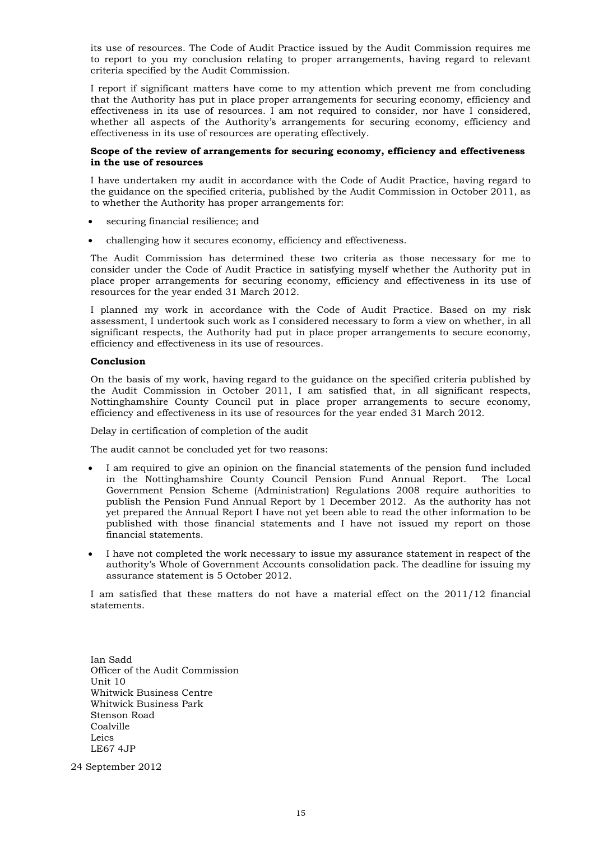its use of resources. The Code of Audit Practice issued by the Audit Commission requires me to report to you my conclusion relating to proper arrangements, having regard to relevant criteria specified by the Audit Commission.

I report if significant matters have come to my attention which prevent me from concluding that the Authority has put in place proper arrangements for securing economy, efficiency and effectiveness in its use of resources. I am not required to consider, nor have I considered, whether all aspects of the Authority's arrangements for securing economy, efficiency and effectiveness in its use of resources are operating effectively.

#### **Scope of the review of arrangements for securing economy, efficiency and effectiveness in the use of resources**

I have undertaken my audit in accordance with the Code of Audit Practice, having regard to the guidance on the specified criteria, published by the Audit Commission in October 2011, as to whether the Authority has proper arrangements for:

- securing financial resilience; and
- challenging how it secures economy, efficiency and effectiveness.

The Audit Commission has determined these two criteria as those necessary for me to consider under the Code of Audit Practice in satisfying myself whether the Authority put in place proper arrangements for securing economy, efficiency and effectiveness in its use of resources for the year ended 31 March 2012.

I planned my work in accordance with the Code of Audit Practice. Based on my risk assessment, I undertook such work as I considered necessary to form a view on whether, in all significant respects, the Authority had put in place proper arrangements to secure economy, efficiency and effectiveness in its use of resources.

#### **Conclusion**

On the basis of my work, having regard to the guidance on the specified criteria published by the Audit Commission in October 2011, I am satisfied that, in all significant respects, Nottinghamshire County Council put in place proper arrangements to secure economy, efficiency and effectiveness in its use of resources for the year ended 31 March 2012.

Delay in certification of completion of the audit

The audit cannot be concluded yet for two reasons:

- I am required to give an opinion on the financial statements of the pension fund included in the Nottinghamshire County Council Pension Fund Annual Report. The Local Government Pension Scheme (Administration) Regulations 2008 require authorities to publish the Pension Fund Annual Report by 1 December 2012. As the authority has not yet prepared the Annual Report I have not yet been able to read the other information to be published with those financial statements and I have not issued my report on those financial statements.
- I have not completed the work necessary to issue my assurance statement in respect of the authority's Whole of Government Accounts consolidation pack. The deadline for issuing my assurance statement is 5 October 2012.

I am satisfied that these matters do not have a material effect on the 2011/12 financial statements.

Ian Sadd Officer of the Audit Commission Unit 10 Whitwick Business Centre Whitwick Business Park Stenson Road Coalville Leics LE67 4JP

24 September 2012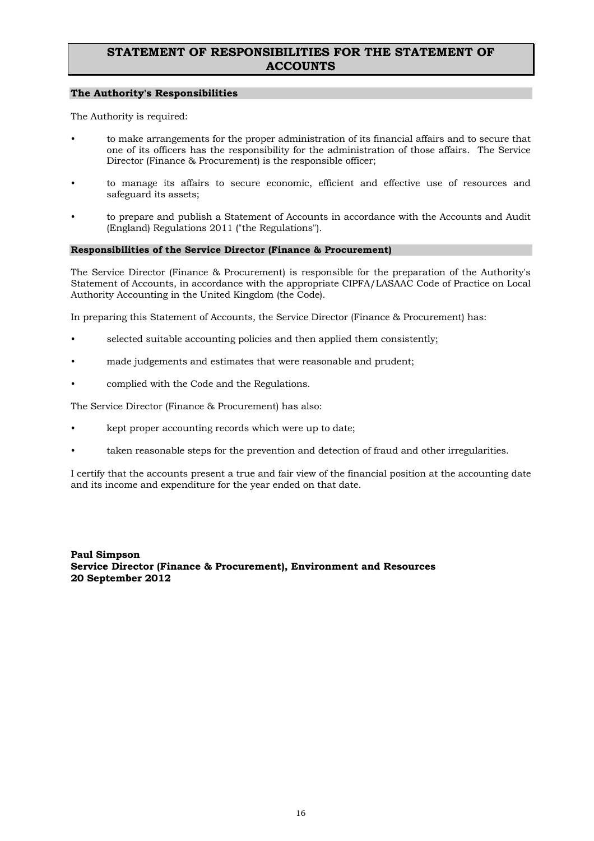# **STATEMENT OF RESPONSIBILITIES FOR THE STATEMENT OF ACCOUNTS**

#### **The Authority's Responsibilities**

The Authority is required:

- to make arrangements for the proper administration of its financial affairs and to secure that one of its officers has the responsibility for the administration of those affairs. The Service Director (Finance & Procurement) is the responsible officer;
- to manage its affairs to secure economic, efficient and effective use of resources and safeguard its assets;
- to prepare and publish a Statement of Accounts in accordance with the Accounts and Audit (England) Regulations 2011 ("the Regulations").

#### **Responsibilities of the Service Director (Finance & Procurement)**

The Service Director (Finance & Procurement) is responsible for the preparation of the Authority's Statement of Accounts, in accordance with the appropriate CIPFA/LASAAC Code of Practice on Local Authority Accounting in the United Kingdom (the Code).

In preparing this Statement of Accounts, the Service Director (Finance & Procurement) has:

- selected suitable accounting policies and then applied them consistently;
- made judgements and estimates that were reasonable and prudent;
- complied with the Code and the Regulations.

The Service Director (Finance & Procurement) has also:

- kept proper accounting records which were up to date;
- taken reasonable steps for the prevention and detection of fraud and other irregularities.

I certify that the accounts present a true and fair view of the financial position at the accounting date and its income and expenditure for the year ended on that date.

**Paul Simpson Service Director (Finance & Procurement), Environment and Resources 20 September 2012**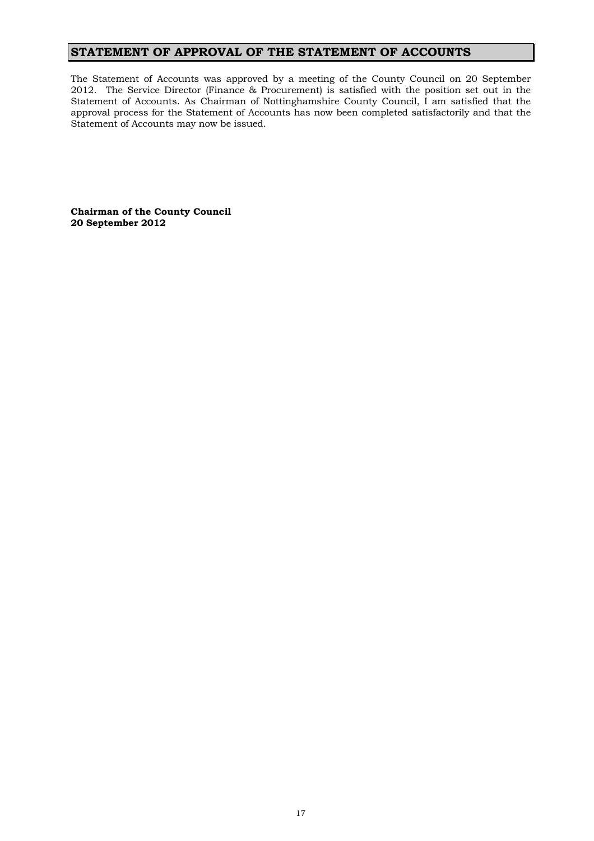# **STATEMENT OF APPROVAL OF THE STATEMENT OF ACCOUNTS**

The Statement of Accounts was approved by a meeting of the County Council on 20 September 2012. The Service Director (Finance & Procurement) is satisfied with the position set out in the Statement of Accounts. As Chairman of Nottinghamshire County Council, I am satisfied that the approval process for the Statement of Accounts has now been completed satisfactorily and that the Statement of Accounts may now be issued.

**Chairman of the County Council 20 September 2012**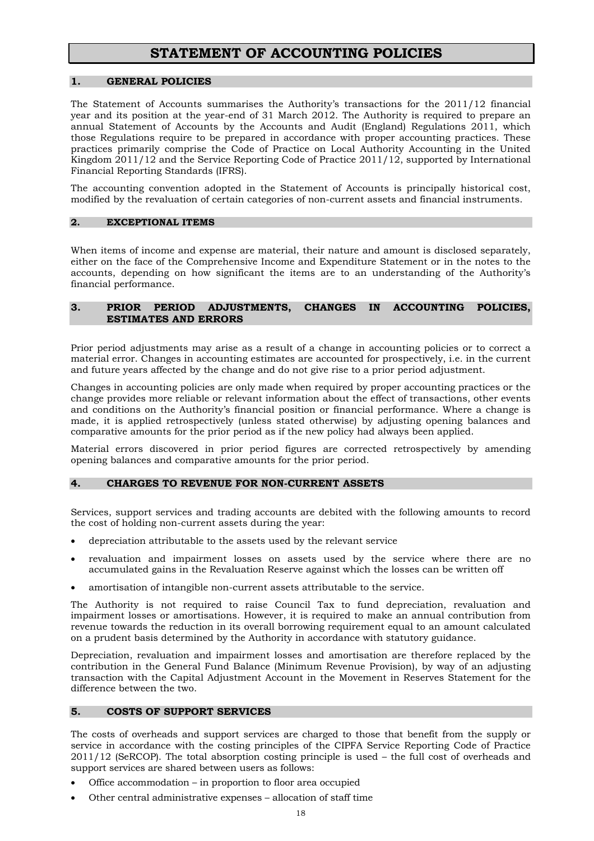# **STATEMENT OF ACCOUNTING POLICIES**

#### **1. GENERAL POLICIES**

The Statement of Accounts summarises the Authority's transactions for the 2011/12 financial year and its position at the year-end of 31 March 2012. The Authority is required to prepare an annual Statement of Accounts by the Accounts and Audit (England) Regulations 2011, which those Regulations require to be prepared in accordance with proper accounting practices. These practices primarily comprise the Code of Practice on Local Authority Accounting in the United Kingdom 2011/12 and the Service Reporting Code of Practice 2011/12, supported by International Financial Reporting Standards (IFRS).

The accounting convention adopted in the Statement of Accounts is principally historical cost, modified by the revaluation of certain categories of non-current assets and financial instruments.

#### **2. EXCEPTIONAL ITEMS**

When items of income and expense are material, their nature and amount is disclosed separately, either on the face of the Comprehensive Income and Expenditure Statement or in the notes to the accounts, depending on how significant the items are to an understanding of the Authority's financial performance.

#### **3. PRIOR PERIOD ADJUSTMENTS, CHANGES IN ACCOUNTING POLICIES, ESTIMATES AND ERRORS**

Prior period adjustments may arise as a result of a change in accounting policies or to correct a material error. Changes in accounting estimates are accounted for prospectively, i.e. in the current and future years affected by the change and do not give rise to a prior period adjustment.

Changes in accounting policies are only made when required by proper accounting practices or the change provides more reliable or relevant information about the effect of transactions, other events and conditions on the Authority's financial position or financial performance. Where a change is made, it is applied retrospectively (unless stated otherwise) by adjusting opening balances and comparative amounts for the prior period as if the new policy had always been applied.

Material errors discovered in prior period figures are corrected retrospectively by amending opening balances and comparative amounts for the prior period.

#### **4. CHARGES TO REVENUE FOR NON-CURRENT ASSETS**

Services, support services and trading accounts are debited with the following amounts to record the cost of holding non-current assets during the year:

- depreciation attributable to the assets used by the relevant service
- revaluation and impairment losses on assets used by the service where there are no accumulated gains in the Revaluation Reserve against which the losses can be written off
- amortisation of intangible non-current assets attributable to the service.

The Authority is not required to raise Council Tax to fund depreciation, revaluation and impairment losses or amortisations. However, it is required to make an annual contribution from revenue towards the reduction in its overall borrowing requirement equal to an amount calculated on a prudent basis determined by the Authority in accordance with statutory guidance.

Depreciation, revaluation and impairment losses and amortisation are therefore replaced by the contribution in the General Fund Balance (Minimum Revenue Provision), by way of an adjusting transaction with the Capital Adjustment Account in the Movement in Reserves Statement for the difference between the two.

#### **5. COSTS OF SUPPORT SERVICES**

The costs of overheads and support services are charged to those that benefit from the supply or service in accordance with the costing principles of the CIPFA Service Reporting Code of Practice 2011/12 (SeRCOP). The total absorption costing principle is used – the full cost of overheads and support services are shared between users as follows:

- Office accommodation in proportion to floor area occupied
- Other central administrative expenses allocation of staff time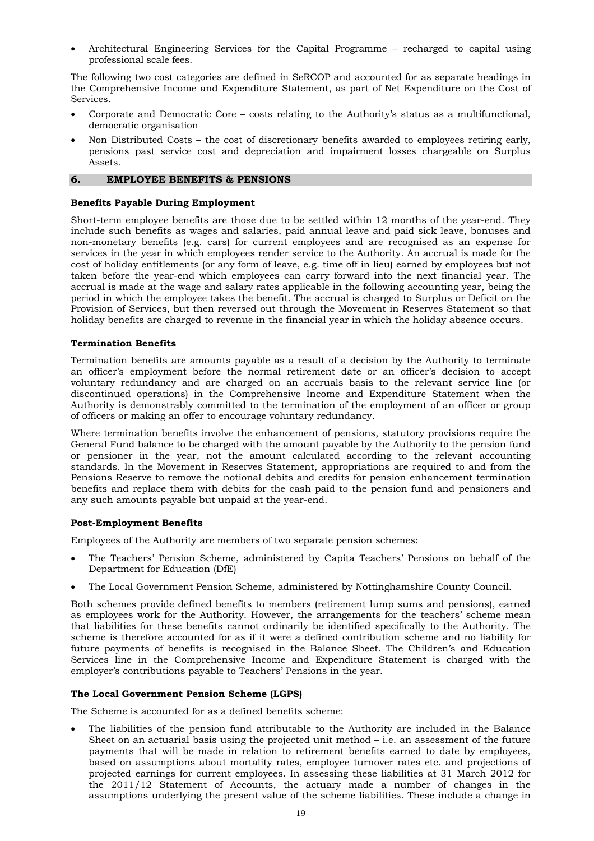• Architectural Engineering Services for the Capital Programme – recharged to capital using professional scale fees.

The following two cost categories are defined in SeRCOP and accounted for as separate headings in the Comprehensive Income and Expenditure Statement, as part of Net Expenditure on the Cost of Services.

- Corporate and Democratic Core costs relating to the Authority's status as a multifunctional, democratic organisation
- Non Distributed Costs the cost of discretionary benefits awarded to employees retiring early, pensions past service cost and depreciation and impairment losses chargeable on Surplus Assets.

#### **6. EMPLOYEE BENEFITS & PENSIONS**

#### **Benefits Payable During Employment**

Short-term employee benefits are those due to be settled within 12 months of the year-end. They include such benefits as wages and salaries, paid annual leave and paid sick leave, bonuses and non-monetary benefits (e.g. cars) for current employees and are recognised as an expense for services in the year in which employees render service to the Authority. An accrual is made for the cost of holiday entitlements (or any form of leave, e.g. time off in lieu) earned by employees but not taken before the year-end which employees can carry forward into the next financial year. The accrual is made at the wage and salary rates applicable in the following accounting year, being the period in which the employee takes the benefit. The accrual is charged to Surplus or Deficit on the Provision of Services, but then reversed out through the Movement in Reserves Statement so that holiday benefits are charged to revenue in the financial year in which the holiday absence occurs.

#### **Termination Benefits**

Termination benefits are amounts payable as a result of a decision by the Authority to terminate an officer's employment before the normal retirement date or an officer's decision to accept voluntary redundancy and are charged on an accruals basis to the relevant service line (or discontinued operations) in the Comprehensive Income and Expenditure Statement when the Authority is demonstrably committed to the termination of the employment of an officer or group of officers or making an offer to encourage voluntary redundancy.

Where termination benefits involve the enhancement of pensions, statutory provisions require the General Fund balance to be charged with the amount payable by the Authority to the pension fund or pensioner in the year, not the amount calculated according to the relevant accounting standards. In the Movement in Reserves Statement, appropriations are required to and from the Pensions Reserve to remove the notional debits and credits for pension enhancement termination benefits and replace them with debits for the cash paid to the pension fund and pensioners and any such amounts payable but unpaid at the year-end.

#### **Post-Employment Benefits**

Employees of the Authority are members of two separate pension schemes:

- The Teachers' Pension Scheme, administered by Capita Teachers' Pensions on behalf of the Department for Education (DfE)
- The Local Government Pension Scheme, administered by Nottinghamshire County Council.

Both schemes provide defined benefits to members (retirement lump sums and pensions), earned as employees work for the Authority. However, the arrangements for the teachers' scheme mean that liabilities for these benefits cannot ordinarily be identified specifically to the Authority. The scheme is therefore accounted for as if it were a defined contribution scheme and no liability for future payments of benefits is recognised in the Balance Sheet. The Children's and Education Services line in the Comprehensive Income and Expenditure Statement is charged with the employer's contributions payable to Teachers' Pensions in the year.

#### **The Local Government Pension Scheme (LGPS)**

The Scheme is accounted for as a defined benefits scheme:

• The liabilities of the pension fund attributable to the Authority are included in the Balance Sheet on an actuarial basis using the projected unit method  $-$  i.e. an assessment of the future payments that will be made in relation to retirement benefits earned to date by employees, based on assumptions about mortality rates, employee turnover rates etc. and projections of projected earnings for current employees. In assessing these liabilities at 31 March 2012 for the 2011/12 Statement of Accounts, the actuary made a number of changes in the assumptions underlying the present value of the scheme liabilities. These include a change in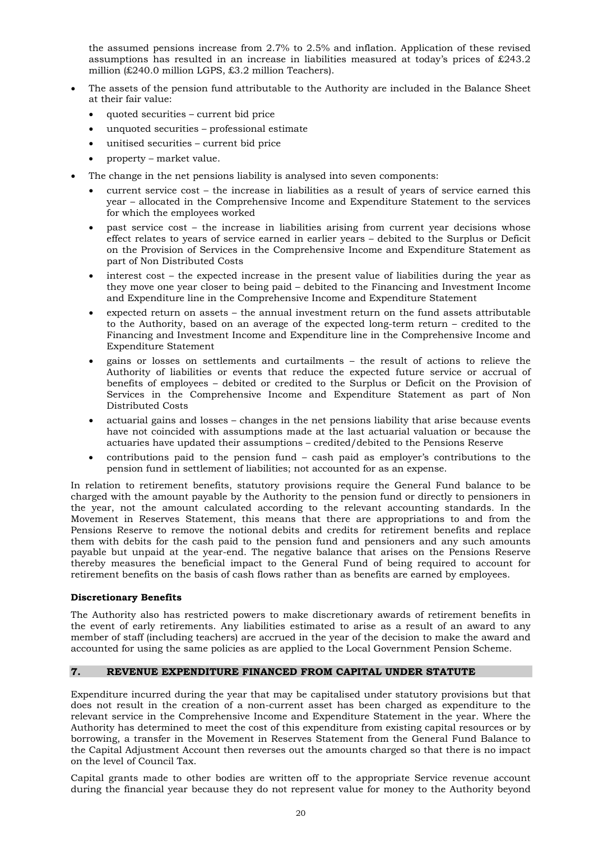the assumed pensions increase from 2.7% to 2.5% and inflation. Application of these revised assumptions has resulted in an increase in liabilities measured at today's prices of £243.2 million (£240.0 million LGPS, £3.2 million Teachers).

- The assets of the pension fund attributable to the Authority are included in the Balance Sheet at their fair value:
	- quoted securities current bid price
	- unquoted securities professional estimate
	- unitised securities current bid price
	- property market value.
- The change in the net pensions liability is analysed into seven components:
	- current service cost the increase in liabilities as a result of years of service earned this year – allocated in the Comprehensive Income and Expenditure Statement to the services for which the employees worked
	- past service cost the increase in liabilities arising from current year decisions whose effect relates to years of service earned in earlier years – debited to the Surplus or Deficit on the Provision of Services in the Comprehensive Income and Expenditure Statement as part of Non Distributed Costs
	- interest cost the expected increase in the present value of liabilities during the year as they move one year closer to being paid – debited to the Financing and Investment Income and Expenditure line in the Comprehensive Income and Expenditure Statement
	- expected return on assets the annual investment return on the fund assets attributable to the Authority, based on an average of the expected long-term return – credited to the Financing and Investment Income and Expenditure line in the Comprehensive Income and Expenditure Statement
	- gains or losses on settlements and curtailments the result of actions to relieve the Authority of liabilities or events that reduce the expected future service or accrual of benefits of employees – debited or credited to the Surplus or Deficit on the Provision of Services in the Comprehensive Income and Expenditure Statement as part of Non Distributed Costs
	- actuarial gains and losses changes in the net pensions liability that arise because events have not coincided with assumptions made at the last actuarial valuation or because the actuaries have updated their assumptions – credited/debited to the Pensions Reserve
	- contributions paid to the pension fund cash paid as employer's contributions to the pension fund in settlement of liabilities; not accounted for as an expense.

In relation to retirement benefits, statutory provisions require the General Fund balance to be charged with the amount payable by the Authority to the pension fund or directly to pensioners in the year, not the amount calculated according to the relevant accounting standards. In the Movement in Reserves Statement, this means that there are appropriations to and from the Pensions Reserve to remove the notional debits and credits for retirement benefits and replace them with debits for the cash paid to the pension fund and pensioners and any such amounts payable but unpaid at the year-end. The negative balance that arises on the Pensions Reserve thereby measures the beneficial impact to the General Fund of being required to account for retirement benefits on the basis of cash flows rather than as benefits are earned by employees.

#### **Discretionary Benefits**

The Authority also has restricted powers to make discretionary awards of retirement benefits in the event of early retirements. Any liabilities estimated to arise as a result of an award to any member of staff (including teachers) are accrued in the year of the decision to make the award and accounted for using the same policies as are applied to the Local Government Pension Scheme.

#### **7. REVENUE EXPENDITURE FINANCED FROM CAPITAL UNDER STATUTE**

Expenditure incurred during the year that may be capitalised under statutory provisions but that does not result in the creation of a non-current asset has been charged as expenditure to the relevant service in the Comprehensive Income and Expenditure Statement in the year. Where the Authority has determined to meet the cost of this expenditure from existing capital resources or by borrowing, a transfer in the Movement in Reserves Statement from the General Fund Balance to the Capital Adjustment Account then reverses out the amounts charged so that there is no impact on the level of Council Tax.

Capital grants made to other bodies are written off to the appropriate Service revenue account during the financial year because they do not represent value for money to the Authority beyond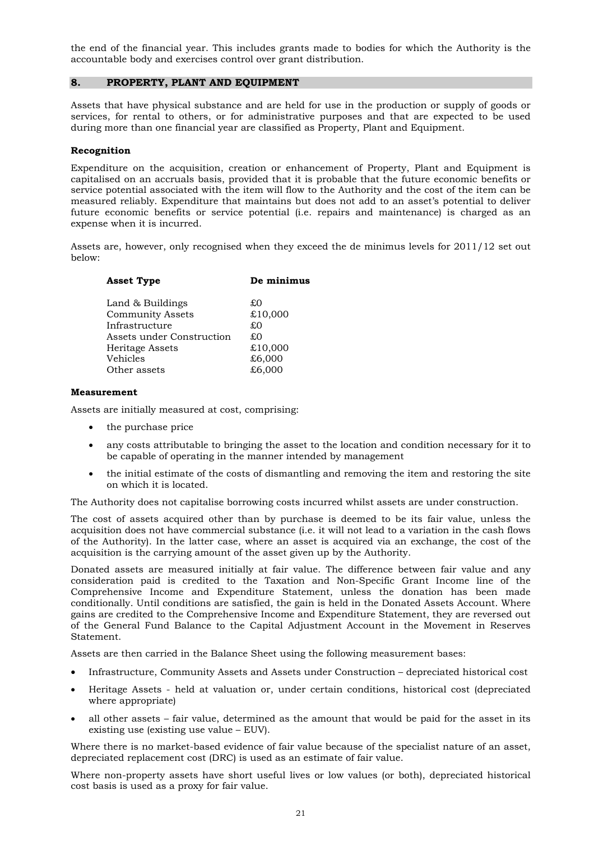the end of the financial year. This includes grants made to bodies for which the Authority is the accountable body and exercises control over grant distribution.

#### **8. PROPERTY, PLANT AND EQUIPMENT**

Assets that have physical substance and are held for use in the production or supply of goods or services, for rental to others, or for administrative purposes and that are expected to be used during more than one financial year are classified as Property, Plant and Equipment.

#### **Recognition**

Expenditure on the acquisition, creation or enhancement of Property, Plant and Equipment is capitalised on an accruals basis, provided that it is probable that the future economic benefits or service potential associated with the item will flow to the Authority and the cost of the item can be measured reliably. Expenditure that maintains but does not add to an asset's potential to deliver future economic benefits or service potential (i.e. repairs and maintenance) is charged as an expense when it is incurred.

Assets are, however, only recognised when they exceed the de minimus levels for 2011/12 set out below:

| <b>Asset Type</b>         | De minimus |
|---------------------------|------------|
| Land & Buildings          | £Ω         |
| <b>Community Assets</b>   | £10,000    |
| Infrastructure            | £О         |
| Assets under Construction | £О         |
| Heritage Assets           | £10,000    |
| Vehicles                  | £6,000     |
| Other assets              | £6,000     |
|                           |            |

#### **Measurement**

Assets are initially measured at cost, comprising:

- the purchase price
- any costs attributable to bringing the asset to the location and condition necessary for it to be capable of operating in the manner intended by management
- the initial estimate of the costs of dismantling and removing the item and restoring the site on which it is located.

The Authority does not capitalise borrowing costs incurred whilst assets are under construction.

The cost of assets acquired other than by purchase is deemed to be its fair value, unless the acquisition does not have commercial substance (i.e. it will not lead to a variation in the cash flows of the Authority). In the latter case, where an asset is acquired via an exchange, the cost of the acquisition is the carrying amount of the asset given up by the Authority.

Donated assets are measured initially at fair value. The difference between fair value and any consideration paid is credited to the Taxation and Non-Specific Grant Income line of the Comprehensive Income and Expenditure Statement, unless the donation has been made conditionally. Until conditions are satisfied, the gain is held in the Donated Assets Account. Where gains are credited to the Comprehensive Income and Expenditure Statement, they are reversed out of the General Fund Balance to the Capital Adjustment Account in the Movement in Reserves Statement.

Assets are then carried in the Balance Sheet using the following measurement bases:

- Infrastructure, Community Assets and Assets under Construction depreciated historical cost
- Heritage Assets held at valuation or, under certain conditions, historical cost (depreciated where appropriate)
- all other assets fair value, determined as the amount that would be paid for the asset in its existing use (existing use value – EUV).

Where there is no market-based evidence of fair value because of the specialist nature of an asset, depreciated replacement cost (DRC) is used as an estimate of fair value.

Where non-property assets have short useful lives or low values (or both), depreciated historical cost basis is used as a proxy for fair value.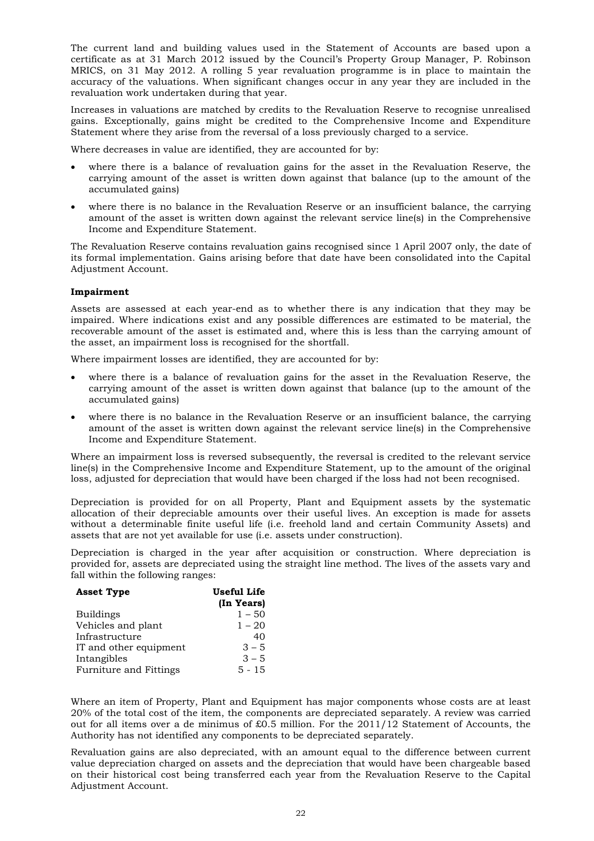The current land and building values used in the Statement of Accounts are based upon a certificate as at 31 March 2012 issued by the Council's Property Group Manager, P. Robinson MRICS, on 31 May 2012. A rolling 5 year revaluation programme is in place to maintain the accuracy of the valuations. When significant changes occur in any year they are included in the revaluation work undertaken during that year.

Increases in valuations are matched by credits to the Revaluation Reserve to recognise unrealised gains. Exceptionally, gains might be credited to the Comprehensive Income and Expenditure Statement where they arise from the reversal of a loss previously charged to a service.

Where decreases in value are identified, they are accounted for by:

- where there is a balance of revaluation gains for the asset in the Revaluation Reserve, the carrying amount of the asset is written down against that balance (up to the amount of the accumulated gains)
- where there is no balance in the Revaluation Reserve or an insufficient balance, the carrying amount of the asset is written down against the relevant service line(s) in the Comprehensive Income and Expenditure Statement.

The Revaluation Reserve contains revaluation gains recognised since 1 April 2007 only, the date of its formal implementation. Gains arising before that date have been consolidated into the Capital Adjustment Account.

#### **Impairment**

Assets are assessed at each year-end as to whether there is any indication that they may be impaired. Where indications exist and any possible differences are estimated to be material, the recoverable amount of the asset is estimated and, where this is less than the carrying amount of the asset, an impairment loss is recognised for the shortfall.

Where impairment losses are identified, they are accounted for by:

- where there is a balance of revaluation gains for the asset in the Revaluation Reserve, the carrying amount of the asset is written down against that balance (up to the amount of the accumulated gains)
- where there is no balance in the Revaluation Reserve or an insufficient balance, the carrying amount of the asset is written down against the relevant service line(s) in the Comprehensive Income and Expenditure Statement.

Where an impairment loss is reversed subsequently, the reversal is credited to the relevant service line(s) in the Comprehensive Income and Expenditure Statement, up to the amount of the original loss, adjusted for depreciation that would have been charged if the loss had not been recognised.

Depreciation is provided for on all Property, Plant and Equipment assets by the systematic allocation of their depreciable amounts over their useful lives. An exception is made for assets without a determinable finite useful life (i.e. freehold land and certain Community Assets) and assets that are not yet available for use (i.e. assets under construction).

Depreciation is charged in the year after acquisition or construction. Where depreciation is provided for, assets are depreciated using the straight line method. The lives of the assets vary and fall within the following ranges:

| <b>Asset Type</b>      | Useful Life |
|------------------------|-------------|
|                        | (In Years)  |
| <b>Buildings</b>       | $1 - 50$    |
| Vehicles and plant     | $1 - 20$    |
| Infrastructure         | 40          |
| IT and other equipment | $3 - 5$     |
| Intangibles            | $3 - 5$     |
| Furniture and Fittings | $5 - 15$    |

Where an item of Property, Plant and Equipment has major components whose costs are at least 20% of the total cost of the item, the components are depreciated separately. A review was carried out for all items over a de minimus of £0.5 million. For the 2011/12 Statement of Accounts, the Authority has not identified any components to be depreciated separately.

Revaluation gains are also depreciated, with an amount equal to the difference between current value depreciation charged on assets and the depreciation that would have been chargeable based on their historical cost being transferred each year from the Revaluation Reserve to the Capital Adjustment Account.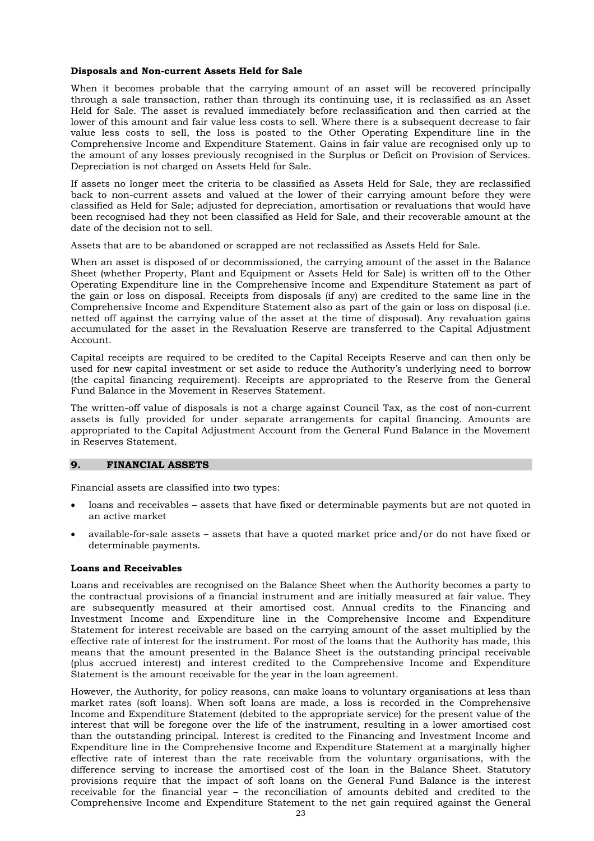#### **Disposals and Non-current Assets Held for Sale**

When it becomes probable that the carrying amount of an asset will be recovered principally through a sale transaction, rather than through its continuing use, it is reclassified as an Asset Held for Sale. The asset is revalued immediately before reclassification and then carried at the lower of this amount and fair value less costs to sell. Where there is a subsequent decrease to fair value less costs to sell, the loss is posted to the Other Operating Expenditure line in the Comprehensive Income and Expenditure Statement. Gains in fair value are recognised only up to the amount of any losses previously recognised in the Surplus or Deficit on Provision of Services. Depreciation is not charged on Assets Held for Sale.

If assets no longer meet the criteria to be classified as Assets Held for Sale, they are reclassified back to non-current assets and valued at the lower of their carrying amount before they were classified as Held for Sale; adjusted for depreciation, amortisation or revaluations that would have been recognised had they not been classified as Held for Sale, and their recoverable amount at the date of the decision not to sell.

Assets that are to be abandoned or scrapped are not reclassified as Assets Held for Sale.

When an asset is disposed of or decommissioned, the carrying amount of the asset in the Balance Sheet (whether Property, Plant and Equipment or Assets Held for Sale) is written off to the Other Operating Expenditure line in the Comprehensive Income and Expenditure Statement as part of the gain or loss on disposal. Receipts from disposals (if any) are credited to the same line in the Comprehensive Income and Expenditure Statement also as part of the gain or loss on disposal (i.e. netted off against the carrying value of the asset at the time of disposal). Any revaluation gains accumulated for the asset in the Revaluation Reserve are transferred to the Capital Adjustment Account.

Capital receipts are required to be credited to the Capital Receipts Reserve and can then only be used for new capital investment or set aside to reduce the Authority's underlying need to borrow (the capital financing requirement). Receipts are appropriated to the Reserve from the General Fund Balance in the Movement in Reserves Statement.

The written-off value of disposals is not a charge against Council Tax, as the cost of non-current assets is fully provided for under separate arrangements for capital financing. Amounts are appropriated to the Capital Adjustment Account from the General Fund Balance in the Movement in Reserves Statement.

#### **9. FINANCIAL ASSETS**

Financial assets are classified into two types:

- loans and receivables assets that have fixed or determinable payments but are not quoted in an active market
- available-for-sale assets assets that have a quoted market price and/or do not have fixed or determinable payments.

#### **Loans and Receivables**

Loans and receivables are recognised on the Balance Sheet when the Authority becomes a party to the contractual provisions of a financial instrument and are initially measured at fair value. They are subsequently measured at their amortised cost. Annual credits to the Financing and Investment Income and Expenditure line in the Comprehensive Income and Expenditure Statement for interest receivable are based on the carrying amount of the asset multiplied by the effective rate of interest for the instrument. For most of the loans that the Authority has made, this means that the amount presented in the Balance Sheet is the outstanding principal receivable (plus accrued interest) and interest credited to the Comprehensive Income and Expenditure Statement is the amount receivable for the year in the loan agreement.

However, the Authority, for policy reasons, can make loans to voluntary organisations at less than market rates (soft loans). When soft loans are made, a loss is recorded in the Comprehensive Income and Expenditure Statement (debited to the appropriate service) for the present value of the interest that will be foregone over the life of the instrument, resulting in a lower amortised cost than the outstanding principal. Interest is credited to the Financing and Investment Income and Expenditure line in the Comprehensive Income and Expenditure Statement at a marginally higher effective rate of interest than the rate receivable from the voluntary organisations, with the difference serving to increase the amortised cost of the loan in the Balance Sheet. Statutory provisions require that the impact of soft loans on the General Fund Balance is the interest receivable for the financial year – the reconciliation of amounts debited and credited to the Comprehensive Income and Expenditure Statement to the net gain required against the General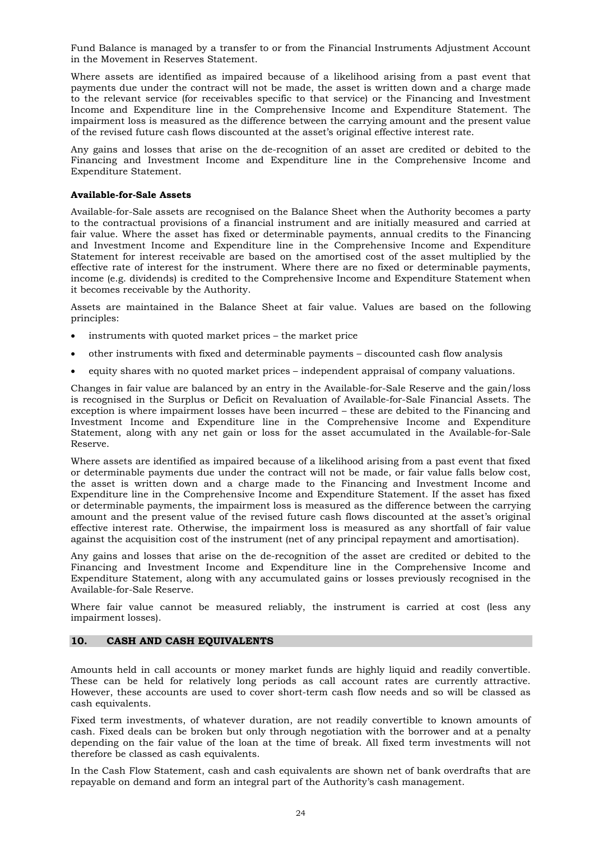Fund Balance is managed by a transfer to or from the Financial Instruments Adjustment Account in the Movement in Reserves Statement.

Where assets are identified as impaired because of a likelihood arising from a past event that payments due under the contract will not be made, the asset is written down and a charge made to the relevant service (for receivables specific to that service) or the Financing and Investment Income and Expenditure line in the Comprehensive Income and Expenditure Statement. The impairment loss is measured as the difference between the carrying amount and the present value of the revised future cash flows discounted at the asset's original effective interest rate.

Any gains and losses that arise on the de-recognition of an asset are credited or debited to the Financing and Investment Income and Expenditure line in the Comprehensive Income and Expenditure Statement.

#### **Available-for-Sale Assets**

Available-for-Sale assets are recognised on the Balance Sheet when the Authority becomes a party to the contractual provisions of a financial instrument and are initially measured and carried at fair value. Where the asset has fixed or determinable payments, annual credits to the Financing and Investment Income and Expenditure line in the Comprehensive Income and Expenditure Statement for interest receivable are based on the amortised cost of the asset multiplied by the effective rate of interest for the instrument. Where there are no fixed or determinable payments, income (e.g. dividends) is credited to the Comprehensive Income and Expenditure Statement when it becomes receivable by the Authority.

Assets are maintained in the Balance Sheet at fair value. Values are based on the following principles:

- instruments with quoted market prices the market price
- other instruments with fixed and determinable payments discounted cash flow analysis
- equity shares with no quoted market prices independent appraisal of company valuations.

Changes in fair value are balanced by an entry in the Available-for-Sale Reserve and the gain/loss is recognised in the Surplus or Deficit on Revaluation of Available-for-Sale Financial Assets. The exception is where impairment losses have been incurred – these are debited to the Financing and Investment Income and Expenditure line in the Comprehensive Income and Expenditure Statement, along with any net gain or loss for the asset accumulated in the Available-for-Sale Reserve.

Where assets are identified as impaired because of a likelihood arising from a past event that fixed or determinable payments due under the contract will not be made, or fair value falls below cost, the asset is written down and a charge made to the Financing and Investment Income and Expenditure line in the Comprehensive Income and Expenditure Statement. If the asset has fixed or determinable payments, the impairment loss is measured as the difference between the carrying amount and the present value of the revised future cash flows discounted at the asset's original effective interest rate. Otherwise, the impairment loss is measured as any shortfall of fair value against the acquisition cost of the instrument (net of any principal repayment and amortisation).

Any gains and losses that arise on the de-recognition of the asset are credited or debited to the Financing and Investment Income and Expenditure line in the Comprehensive Income and Expenditure Statement, along with any accumulated gains or losses previously recognised in the Available-for-Sale Reserve.

Where fair value cannot be measured reliably, the instrument is carried at cost (less any impairment losses).

#### **10. CASH AND CASH EQUIVALENTS**

Amounts held in call accounts or money market funds are highly liquid and readily convertible. These can be held for relatively long periods as call account rates are currently attractive. However, these accounts are used to cover short-term cash flow needs and so will be classed as cash equivalents.

Fixed term investments, of whatever duration, are not readily convertible to known amounts of cash. Fixed deals can be broken but only through negotiation with the borrower and at a penalty depending on the fair value of the loan at the time of break. All fixed term investments will not therefore be classed as cash equivalents.

In the Cash Flow Statement, cash and cash equivalents are shown net of bank overdrafts that are repayable on demand and form an integral part of the Authority's cash management.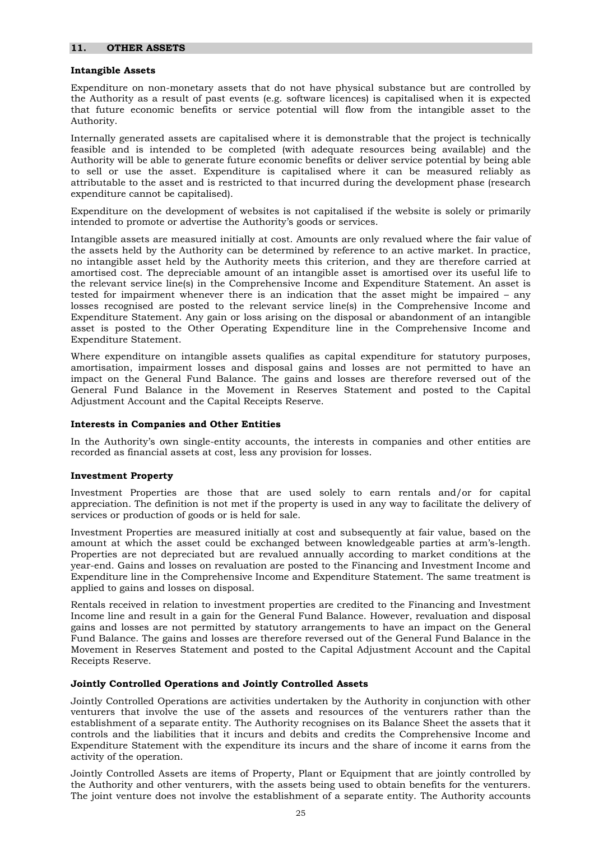#### **Intangible Assets**

Expenditure on non-monetary assets that do not have physical substance but are controlled by the Authority as a result of past events (e.g. software licences) is capitalised when it is expected that future economic benefits or service potential will flow from the intangible asset to the Authority.

Internally generated assets are capitalised where it is demonstrable that the project is technically feasible and is intended to be completed (with adequate resources being available) and the Authority will be able to generate future economic benefits or deliver service potential by being able to sell or use the asset. Expenditure is capitalised where it can be measured reliably as attributable to the asset and is restricted to that incurred during the development phase (research expenditure cannot be capitalised).

Expenditure on the development of websites is not capitalised if the website is solely or primarily intended to promote or advertise the Authority's goods or services.

Intangible assets are measured initially at cost. Amounts are only revalued where the fair value of the assets held by the Authority can be determined by reference to an active market. In practice, no intangible asset held by the Authority meets this criterion, and they are therefore carried at amortised cost. The depreciable amount of an intangible asset is amortised over its useful life to the relevant service line(s) in the Comprehensive Income and Expenditure Statement. An asset is tested for impairment whenever there is an indication that the asset might be impaired – any losses recognised are posted to the relevant service line(s) in the Comprehensive Income and Expenditure Statement. Any gain or loss arising on the disposal or abandonment of an intangible asset is posted to the Other Operating Expenditure line in the Comprehensive Income and Expenditure Statement.

Where expenditure on intangible assets qualifies as capital expenditure for statutory purposes, amortisation, impairment losses and disposal gains and losses are not permitted to have an impact on the General Fund Balance. The gains and losses are therefore reversed out of the General Fund Balance in the Movement in Reserves Statement and posted to the Capital Adjustment Account and the Capital Receipts Reserve.

#### **Interests in Companies and Other Entities**

In the Authority's own single-entity accounts, the interests in companies and other entities are recorded as financial assets at cost, less any provision for losses.

#### **Investment Property**

Investment Properties are those that are used solely to earn rentals and/or for capital appreciation. The definition is not met if the property is used in any way to facilitate the delivery of services or production of goods or is held for sale.

Investment Properties are measured initially at cost and subsequently at fair value, based on the amount at which the asset could be exchanged between knowledgeable parties at arm's-length. Properties are not depreciated but are revalued annually according to market conditions at the year-end. Gains and losses on revaluation are posted to the Financing and Investment Income and Expenditure line in the Comprehensive Income and Expenditure Statement. The same treatment is applied to gains and losses on disposal.

Rentals received in relation to investment properties are credited to the Financing and Investment Income line and result in a gain for the General Fund Balance. However, revaluation and disposal gains and losses are not permitted by statutory arrangements to have an impact on the General Fund Balance. The gains and losses are therefore reversed out of the General Fund Balance in the Movement in Reserves Statement and posted to the Capital Adjustment Account and the Capital Receipts Reserve.

#### **Jointly Controlled Operations and Jointly Controlled Assets**

Jointly Controlled Operations are activities undertaken by the Authority in conjunction with other venturers that involve the use of the assets and resources of the venturers rather than the establishment of a separate entity. The Authority recognises on its Balance Sheet the assets that it controls and the liabilities that it incurs and debits and credits the Comprehensive Income and Expenditure Statement with the expenditure its incurs and the share of income it earns from the activity of the operation.

Jointly Controlled Assets are items of Property, Plant or Equipment that are jointly controlled by the Authority and other venturers, with the assets being used to obtain benefits for the venturers. The joint venture does not involve the establishment of a separate entity. The Authority accounts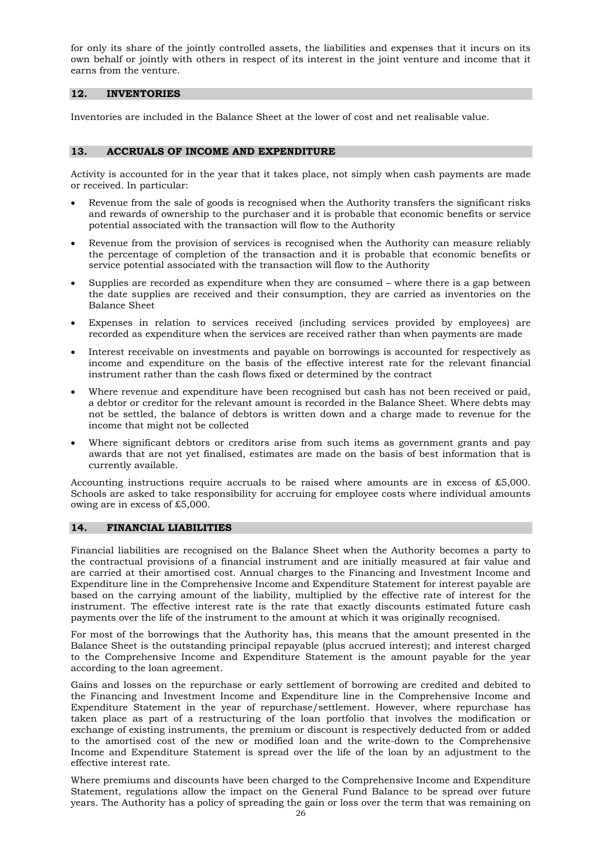for only its share of the jointly controlled assets, the liabilities and expenses that it incurs on its own behalf or jointly with others in respect of its interest in the joint venture and income that it earns from the venture.

#### **12. INVENTORIES**

Inventories are included in the Balance Sheet at the lower of cost and net realisable value.

#### **13. ACCRUALS OF INCOME AND EXPENDITURE**

Activity is accounted for in the year that it takes place, not simply when cash payments are made or received. In particular:

- Revenue from the sale of goods is recognised when the Authority transfers the significant risks and rewards of ownership to the purchaser and it is probable that economic benefits or service potential associated with the transaction will flow to the Authority
- Revenue from the provision of services is recognised when the Authority can measure reliably the percentage of completion of the transaction and it is probable that economic benefits or service potential associated with the transaction will flow to the Authority
- Supplies are recorded as expenditure when they are consumed where there is a gap between the date supplies are received and their consumption, they are carried as inventories on the Balance Sheet
- Expenses in relation to services received (including services provided by employees) are recorded as expenditure when the services are received rather than when payments are made
- Interest receivable on investments and payable on borrowings is accounted for respectively as income and expenditure on the basis of the effective interest rate for the relevant financial instrument rather than the cash flows fixed or determined by the contract
- Where revenue and expenditure have been recognised but cash has not been received or paid, a debtor or creditor for the relevant amount is recorded in the Balance Sheet. Where debts may not be settled, the balance of debtors is written down and a charge made to revenue for the income that might not be collected
- Where significant debtors or creditors arise from such items as government grants and pay awards that are not yet finalised, estimates are made on the basis of best information that is currently available.

Accounting instructions require accruals to be raised where amounts are in excess of £5,000. Schools are asked to take responsibility for accruing for employee costs where individual amounts owing are in excess of £5,000.

#### **14. FINANCIAL LIABILITIES**

Financial liabilities are recognised on the Balance Sheet when the Authority becomes a party to the contractual provisions of a financial instrument and are initially measured at fair value and are carried at their amortised cost. Annual charges to the Financing and Investment Income and Expenditure line in the Comprehensive Income and Expenditure Statement for interest payable are based on the carrying amount of the liability, multiplied by the effective rate of interest for the instrument. The effective interest rate is the rate that exactly discounts estimated future cash payments over the life of the instrument to the amount at which it was originally recognised.

For most of the borrowings that the Authority has, this means that the amount presented in the Balance Sheet is the outstanding principal repayable (plus accrued interest); and interest charged to the Comprehensive Income and Expenditure Statement is the amount payable for the year according to the loan agreement.

Gains and losses on the repurchase or early settlement of borrowing are credited and debited to the Financing and Investment Income and Expenditure line in the Comprehensive Income and Expenditure Statement in the year of repurchase/settlement. However, where repurchase has taken place as part of a restructuring of the loan portfolio that involves the modification or exchange of existing instruments, the premium or discount is respectively deducted from or added to the amortised cost of the new or modified loan and the write-down to the Comprehensive Income and Expenditure Statement is spread over the life of the loan by an adjustment to the effective interest rate.

Where premiums and discounts have been charged to the Comprehensive Income and Expenditure Statement, regulations allow the impact on the General Fund Balance to be spread over future years. The Authority has a policy of spreading the gain or loss over the term that was remaining on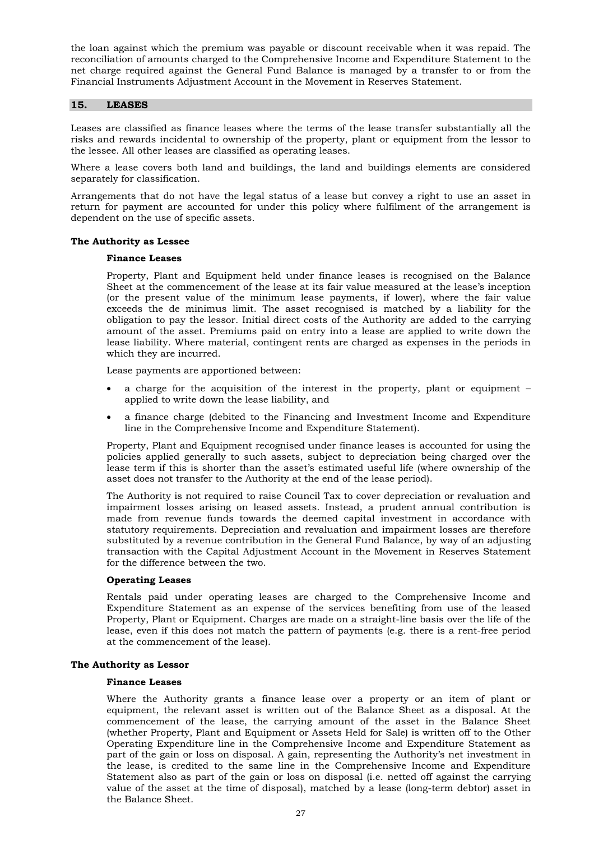the loan against which the premium was payable or discount receivable when it was repaid. The reconciliation of amounts charged to the Comprehensive Income and Expenditure Statement to the net charge required against the General Fund Balance is managed by a transfer to or from the Financial Instruments Adjustment Account in the Movement in Reserves Statement.

#### **15. LEASES**

Leases are classified as finance leases where the terms of the lease transfer substantially all the risks and rewards incidental to ownership of the property, plant or equipment from the lessor to the lessee. All other leases are classified as operating leases.

Where a lease covers both land and buildings, the land and buildings elements are considered separately for classification.

Arrangements that do not have the legal status of a lease but convey a right to use an asset in return for payment are accounted for under this policy where fulfilment of the arrangement is dependent on the use of specific assets.

#### **The Authority as Lessee**

#### **Finance Leases**

Property, Plant and Equipment held under finance leases is recognised on the Balance Sheet at the commencement of the lease at its fair value measured at the lease's inception (or the present value of the minimum lease payments, if lower), where the fair value exceeds the de minimus limit. The asset recognised is matched by a liability for the obligation to pay the lessor. Initial direct costs of the Authority are added to the carrying amount of the asset. Premiums paid on entry into a lease are applied to write down the lease liability. Where material, contingent rents are charged as expenses in the periods in which they are incurred.

Lease payments are apportioned between:

- a charge for the acquisition of the interest in the property, plant or equipment applied to write down the lease liability, and
- a finance charge (debited to the Financing and Investment Income and Expenditure line in the Comprehensive Income and Expenditure Statement).

Property, Plant and Equipment recognised under finance leases is accounted for using the policies applied generally to such assets, subject to depreciation being charged over the lease term if this is shorter than the asset's estimated useful life (where ownership of the asset does not transfer to the Authority at the end of the lease period).

The Authority is not required to raise Council Tax to cover depreciation or revaluation and impairment losses arising on leased assets. Instead, a prudent annual contribution is made from revenue funds towards the deemed capital investment in accordance with statutory requirements. Depreciation and revaluation and impairment losses are therefore substituted by a revenue contribution in the General Fund Balance, by way of an adjusting transaction with the Capital Adjustment Account in the Movement in Reserves Statement for the difference between the two.

#### **Operating Leases**

Rentals paid under operating leases are charged to the Comprehensive Income and Expenditure Statement as an expense of the services benefiting from use of the leased Property, Plant or Equipment. Charges are made on a straight-line basis over the life of the lease, even if this does not match the pattern of payments (e.g. there is a rent-free period at the commencement of the lease).

#### **The Authority as Lessor**

#### **Finance Leases**

Where the Authority grants a finance lease over a property or an item of plant or equipment, the relevant asset is written out of the Balance Sheet as a disposal. At the commencement of the lease, the carrying amount of the asset in the Balance Sheet (whether Property, Plant and Equipment or Assets Held for Sale) is written off to the Other Operating Expenditure line in the Comprehensive Income and Expenditure Statement as part of the gain or loss on disposal. A gain, representing the Authority's net investment in the lease, is credited to the same line in the Comprehensive Income and Expenditure Statement also as part of the gain or loss on disposal (i.e. netted off against the carrying value of the asset at the time of disposal), matched by a lease (long-term debtor) asset in the Balance Sheet.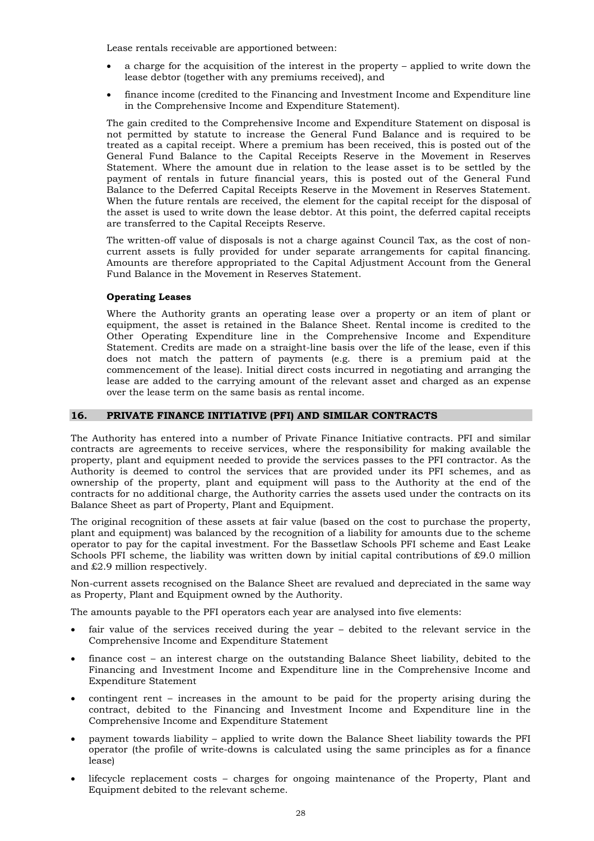Lease rentals receivable are apportioned between:

- a charge for the acquisition of the interest in the property applied to write down the lease debtor (together with any premiums received), and
- finance income (credited to the Financing and Investment Income and Expenditure line in the Comprehensive Income and Expenditure Statement).

The gain credited to the Comprehensive Income and Expenditure Statement on disposal is not permitted by statute to increase the General Fund Balance and is required to be treated as a capital receipt. Where a premium has been received, this is posted out of the General Fund Balance to the Capital Receipts Reserve in the Movement in Reserves Statement. Where the amount due in relation to the lease asset is to be settled by the payment of rentals in future financial years, this is posted out of the General Fund Balance to the Deferred Capital Receipts Reserve in the Movement in Reserves Statement. When the future rentals are received, the element for the capital receipt for the disposal of the asset is used to write down the lease debtor. At this point, the deferred capital receipts are transferred to the Capital Receipts Reserve.

The written-off value of disposals is not a charge against Council Tax, as the cost of noncurrent assets is fully provided for under separate arrangements for capital financing. Amounts are therefore appropriated to the Capital Adjustment Account from the General Fund Balance in the Movement in Reserves Statement.

#### **Operating Leases**

Where the Authority grants an operating lease over a property or an item of plant or equipment, the asset is retained in the Balance Sheet. Rental income is credited to the Other Operating Expenditure line in the Comprehensive Income and Expenditure Statement. Credits are made on a straight-line basis over the life of the lease, even if this does not match the pattern of payments (e.g. there is a premium paid at the commencement of the lease). Initial direct costs incurred in negotiating and arranging the lease are added to the carrying amount of the relevant asset and charged as an expense over the lease term on the same basis as rental income.

#### **16. PRIVATE FINANCE INITIATIVE (PFI) AND SIMILAR CONTRACTS**

The Authority has entered into a number of Private Finance Initiative contracts. PFI and similar contracts are agreements to receive services, where the responsibility for making available the property, plant and equipment needed to provide the services passes to the PFI contractor. As the Authority is deemed to control the services that are provided under its PFI schemes, and as ownership of the property, plant and equipment will pass to the Authority at the end of the contracts for no additional charge, the Authority carries the assets used under the contracts on its Balance Sheet as part of Property, Plant and Equipment.

The original recognition of these assets at fair value (based on the cost to purchase the property, plant and equipment) was balanced by the recognition of a liability for amounts due to the scheme operator to pay for the capital investment. For the Bassetlaw Schools PFI scheme and East Leake Schools PFI scheme, the liability was written down by initial capital contributions of  $\text{\pounds}9.0$  million and £2.9 million respectively.

Non-current assets recognised on the Balance Sheet are revalued and depreciated in the same way as Property, Plant and Equipment owned by the Authority.

The amounts payable to the PFI operators each year are analysed into five elements:

- fair value of the services received during the year debited to the relevant service in the Comprehensive Income and Expenditure Statement
- finance cost an interest charge on the outstanding Balance Sheet liability, debited to the Financing and Investment Income and Expenditure line in the Comprehensive Income and Expenditure Statement
- contingent rent increases in the amount to be paid for the property arising during the contract, debited to the Financing and Investment Income and Expenditure line in the Comprehensive Income and Expenditure Statement
- payment towards liability applied to write down the Balance Sheet liability towards the PFI operator (the profile of write-downs is calculated using the same principles as for a finance lease)
- lifecycle replacement costs charges for ongoing maintenance of the Property, Plant and Equipment debited to the relevant scheme.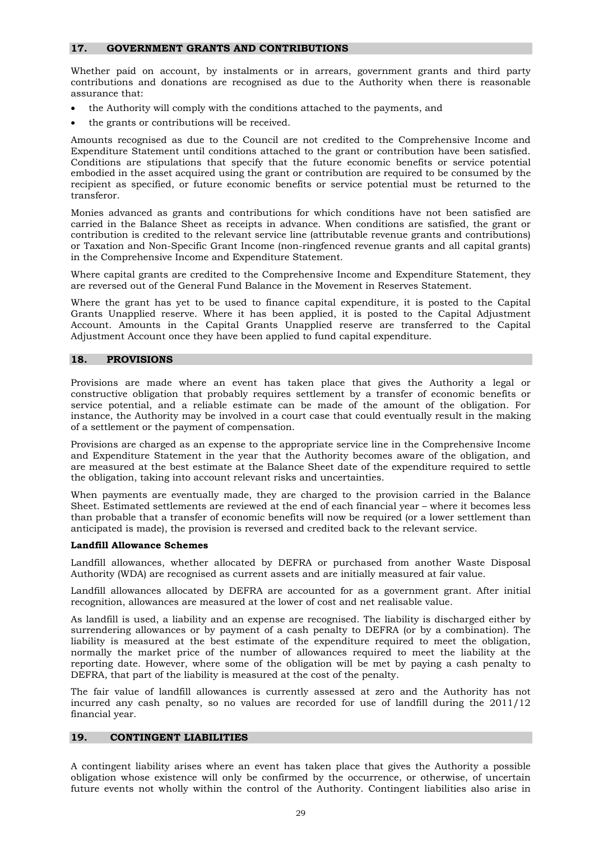#### **17. GOVERNMENT GRANTS AND CONTRIBUTIONS**

Whether paid on account, by instalments or in arrears, government grants and third party contributions and donations are recognised as due to the Authority when there is reasonable assurance that:

- the Authority will comply with the conditions attached to the payments, and
- the grants or contributions will be received.

Amounts recognised as due to the Council are not credited to the Comprehensive Income and Expenditure Statement until conditions attached to the grant or contribution have been satisfied. Conditions are stipulations that specify that the future economic benefits or service potential embodied in the asset acquired using the grant or contribution are required to be consumed by the recipient as specified, or future economic benefits or service potential must be returned to the transferor.

Monies advanced as grants and contributions for which conditions have not been satisfied are carried in the Balance Sheet as receipts in advance. When conditions are satisfied, the grant or contribution is credited to the relevant service line (attributable revenue grants and contributions) or Taxation and Non-Specific Grant Income (non-ringfenced revenue grants and all capital grants) in the Comprehensive Income and Expenditure Statement.

Where capital grants are credited to the Comprehensive Income and Expenditure Statement, they are reversed out of the General Fund Balance in the Movement in Reserves Statement.

Where the grant has yet to be used to finance capital expenditure, it is posted to the Capital Grants Unapplied reserve. Where it has been applied, it is posted to the Capital Adjustment Account. Amounts in the Capital Grants Unapplied reserve are transferred to the Capital Adjustment Account once they have been applied to fund capital expenditure.

#### **18. PROVISIONS**

Provisions are made where an event has taken place that gives the Authority a legal or constructive obligation that probably requires settlement by a transfer of economic benefits or service potential, and a reliable estimate can be made of the amount of the obligation. For instance, the Authority may be involved in a court case that could eventually result in the making of a settlement or the payment of compensation.

Provisions are charged as an expense to the appropriate service line in the Comprehensive Income and Expenditure Statement in the year that the Authority becomes aware of the obligation, and are measured at the best estimate at the Balance Sheet date of the expenditure required to settle the obligation, taking into account relevant risks and uncertainties.

When payments are eventually made, they are charged to the provision carried in the Balance Sheet. Estimated settlements are reviewed at the end of each financial year – where it becomes less than probable that a transfer of economic benefits will now be required (or a lower settlement than anticipated is made), the provision is reversed and credited back to the relevant service.

#### **Landfill Allowance Schemes**

Landfill allowances, whether allocated by DEFRA or purchased from another Waste Disposal Authority (WDA) are recognised as current assets and are initially measured at fair value.

Landfill allowances allocated by DEFRA are accounted for as a government grant. After initial recognition, allowances are measured at the lower of cost and net realisable value.

As landfill is used, a liability and an expense are recognised. The liability is discharged either by surrendering allowances or by payment of a cash penalty to DEFRA (or by a combination). The liability is measured at the best estimate of the expenditure required to meet the obligation, normally the market price of the number of allowances required to meet the liability at the reporting date. However, where some of the obligation will be met by paying a cash penalty to DEFRA, that part of the liability is measured at the cost of the penalty.

The fair value of landfill allowances is currently assessed at zero and the Authority has not incurred any cash penalty, so no values are recorded for use of landfill during the 2011/12 financial year.

#### **19. CONTINGENT LIABILITIES**

A contingent liability arises where an event has taken place that gives the Authority a possible obligation whose existence will only be confirmed by the occurrence, or otherwise, of uncertain future events not wholly within the control of the Authority. Contingent liabilities also arise in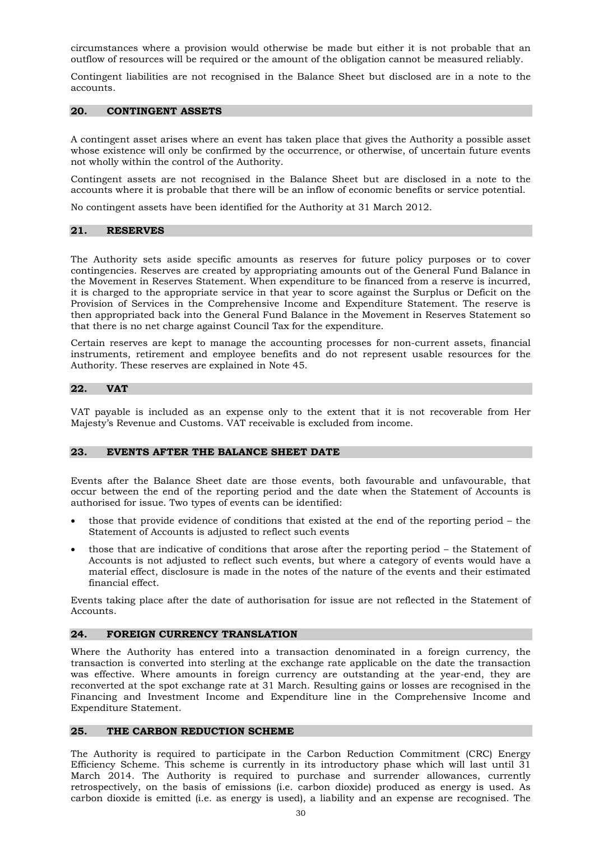circumstances where a provision would otherwise be made but either it is not probable that an outflow of resources will be required or the amount of the obligation cannot be measured reliably.

Contingent liabilities are not recognised in the Balance Sheet but disclosed are in a note to the accounts.

#### **20. CONTINGENT ASSETS**

A contingent asset arises where an event has taken place that gives the Authority a possible asset whose existence will only be confirmed by the occurrence, or otherwise, of uncertain future events not wholly within the control of the Authority.

Contingent assets are not recognised in the Balance Sheet but are disclosed in a note to the accounts where it is probable that there will be an inflow of economic benefits or service potential.

No contingent assets have been identified for the Authority at 31 March 2012.

#### **21. RESERVES**

The Authority sets aside specific amounts as reserves for future policy purposes or to cover contingencies. Reserves are created by appropriating amounts out of the General Fund Balance in the Movement in Reserves Statement. When expenditure to be financed from a reserve is incurred, it is charged to the appropriate service in that year to score against the Surplus or Deficit on the Provision of Services in the Comprehensive Income and Expenditure Statement. The reserve is then appropriated back into the General Fund Balance in the Movement in Reserves Statement so that there is no net charge against Council Tax for the expenditure.

Certain reserves are kept to manage the accounting processes for non-current assets, financial instruments, retirement and employee benefits and do not represent usable resources for the Authority. These reserves are explained in Note 45.

#### **22. VAT**

VAT payable is included as an expense only to the extent that it is not recoverable from Her Majesty's Revenue and Customs. VAT receivable is excluded from income.

#### **23. EVENTS AFTER THE BALANCE SHEET DATE**

Events after the Balance Sheet date are those events, both favourable and unfavourable, that occur between the end of the reporting period and the date when the Statement of Accounts is authorised for issue. Two types of events can be identified:

- those that provide evidence of conditions that existed at the end of the reporting period the Statement of Accounts is adjusted to reflect such events
- those that are indicative of conditions that arose after the reporting period the Statement of Accounts is not adjusted to reflect such events, but where a category of events would have a material effect, disclosure is made in the notes of the nature of the events and their estimated financial effect.

Events taking place after the date of authorisation for issue are not reflected in the Statement of Accounts.

#### **24. FOREIGN CURRENCY TRANSLATION**

Where the Authority has entered into a transaction denominated in a foreign currency, the transaction is converted into sterling at the exchange rate applicable on the date the transaction was effective. Where amounts in foreign currency are outstanding at the year-end, they are reconverted at the spot exchange rate at 31 March. Resulting gains or losses are recognised in the Financing and Investment Income and Expenditure line in the Comprehensive Income and Expenditure Statement.

#### **25. THE CARBON REDUCTION SCHEME**

The Authority is required to participate in the Carbon Reduction Commitment (CRC) Energy Efficiency Scheme. This scheme is currently in its introductory phase which will last until 31 March 2014. The Authority is required to purchase and surrender allowances, currently retrospectively, on the basis of emissions (i.e. carbon dioxide) produced as energy is used. As carbon dioxide is emitted (i.e. as energy is used), a liability and an expense are recognised. The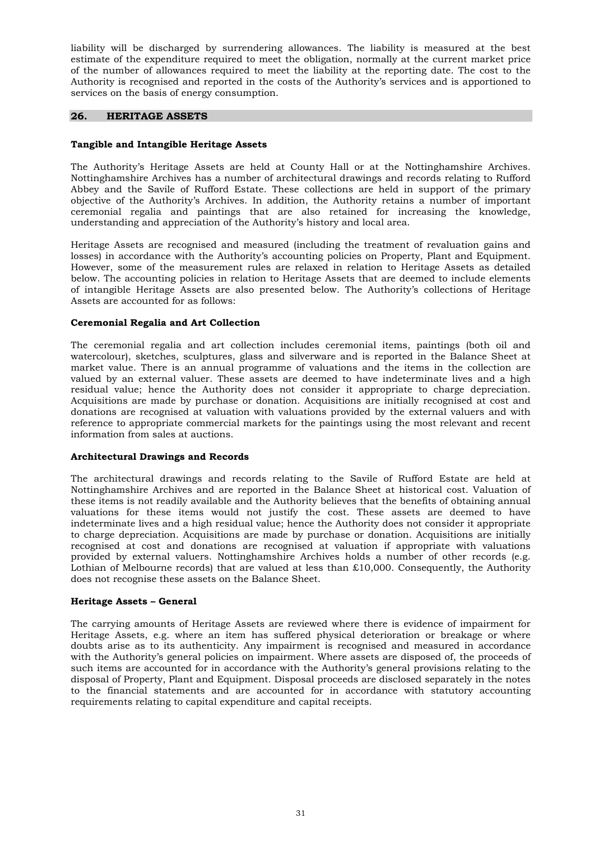liability will be discharged by surrendering allowances. The liability is measured at the best estimate of the expenditure required to meet the obligation, normally at the current market price of the number of allowances required to meet the liability at the reporting date. The cost to the Authority is recognised and reported in the costs of the Authority's services and is apportioned to services on the basis of energy consumption.

#### **26. HERITAGE ASSETS**

#### **Tangible and Intangible Heritage Assets**

The Authority's Heritage Assets are held at County Hall or at the Nottinghamshire Archives. Nottinghamshire Archives has a number of architectural drawings and records relating to Rufford Abbey and the Savile of Rufford Estate. These collections are held in support of the primary objective of the Authority's Archives. In addition, the Authority retains a number of important ceremonial regalia and paintings that are also retained for increasing the knowledge, understanding and appreciation of the Authority's history and local area.

Heritage Assets are recognised and measured (including the treatment of revaluation gains and losses) in accordance with the Authority's accounting policies on Property, Plant and Equipment. However, some of the measurement rules are relaxed in relation to Heritage Assets as detailed below. The accounting policies in relation to Heritage Assets that are deemed to include elements of intangible Heritage Assets are also presented below. The Authority's collections of Heritage Assets are accounted for as follows:

#### **Ceremonial Regalia and Art Collection**

The ceremonial regalia and art collection includes ceremonial items, paintings (both oil and watercolour), sketches, sculptures, glass and silverware and is reported in the Balance Sheet at market value. There is an annual programme of valuations and the items in the collection are valued by an external valuer. These assets are deemed to have indeterminate lives and a high residual value; hence the Authority does not consider it appropriate to charge depreciation. Acquisitions are made by purchase or donation. Acquisitions are initially recognised at cost and donations are recognised at valuation with valuations provided by the external valuers and with reference to appropriate commercial markets for the paintings using the most relevant and recent information from sales at auctions.

#### **Architectural Drawings and Records**

The architectural drawings and records relating to the Savile of Rufford Estate are held at Nottinghamshire Archives and are reported in the Balance Sheet at historical cost. Valuation of these items is not readily available and the Authority believes that the benefits of obtaining annual valuations for these items would not justify the cost. These assets are deemed to have indeterminate lives and a high residual value; hence the Authority does not consider it appropriate to charge depreciation. Acquisitions are made by purchase or donation. Acquisitions are initially recognised at cost and donations are recognised at valuation if appropriate with valuations provided by external valuers. Nottinghamshire Archives holds a number of other records (e.g. Lothian of Melbourne records) that are valued at less than  $£10,000$ . Consequently, the Authority does not recognise these assets on the Balance Sheet.

#### **Heritage Assets – General**

The carrying amounts of Heritage Assets are reviewed where there is evidence of impairment for Heritage Assets, e.g. where an item has suffered physical deterioration or breakage or where doubts arise as to its authenticity. Any impairment is recognised and measured in accordance with the Authority's general policies on impairment. Where assets are disposed of, the proceeds of such items are accounted for in accordance with the Authority's general provisions relating to the disposal of Property, Plant and Equipment. Disposal proceeds are disclosed separately in the notes to the financial statements and are accounted for in accordance with statutory accounting requirements relating to capital expenditure and capital receipts.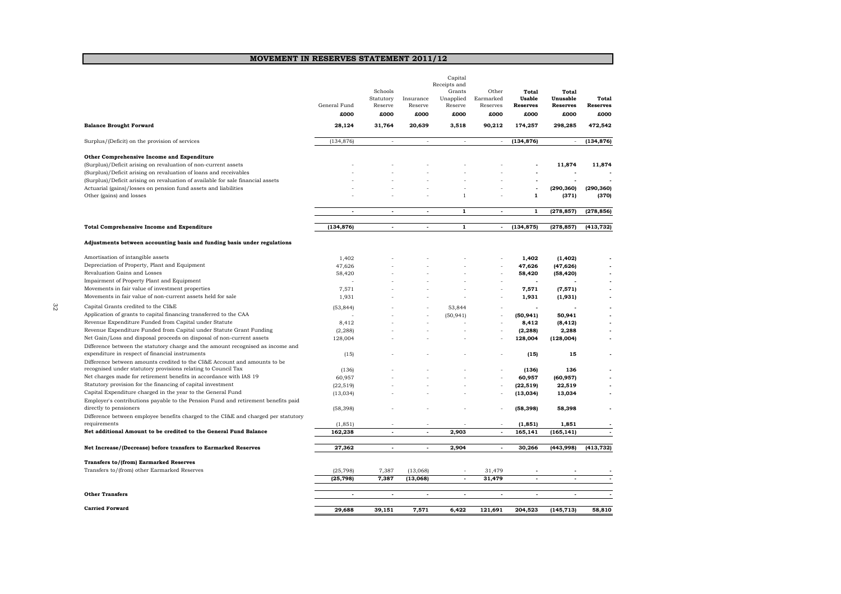#### **MOVEMENT IN RESERVES STATEMENT 2011/12**

|                                                                                                                                    | General Fund<br>£000 | Schools<br>Statutory<br>Reserve<br>£000 | Insurance<br>Reserve<br>£000 | Receipts and<br>Grants<br>Unapplied<br>Reserve<br>£000 | Other<br>Earmarked<br>Reserves<br>£000 | Total<br><b>Usable</b><br><b>Reserves</b><br>£000 | <b>Total</b><br>Unusable<br><b>Reserves</b><br>£000 | Total<br><b>Reserves</b><br>£000 |
|------------------------------------------------------------------------------------------------------------------------------------|----------------------|-----------------------------------------|------------------------------|--------------------------------------------------------|----------------------------------------|---------------------------------------------------|-----------------------------------------------------|----------------------------------|
| <b>Balance Brought Forward</b>                                                                                                     | 28,124               | 31,764                                  | 20,639                       | 3,518                                                  | 90,212                                 | 174,257                                           | 298,285                                             | 472,542                          |
| Surplus/(Deficit) on the provision of services                                                                                     | (134, 876)           | $\bar{\phantom{a}}$                     | $\sim$                       | $\overline{\phantom{a}}$                               | $\overline{\phantom{a}}$               | (134, 876)                                        | $\sim$                                              | (134, 876)                       |
| Other Comprehensive Income and Expenditure                                                                                         |                      |                                         |                              |                                                        |                                        |                                                   |                                                     |                                  |
| (Surplus)/Deficit arising on revaluation of non-current assets                                                                     |                      |                                         |                              |                                                        |                                        |                                                   | 11,874                                              | 11.874                           |
| (Surplus)/Deficit arising on revaluation of loans and receivables                                                                  |                      |                                         |                              |                                                        |                                        |                                                   |                                                     |                                  |
| (Surplus)/Deficit arising on revaluation of available for sale financial assets                                                    |                      |                                         |                              |                                                        |                                        |                                                   |                                                     |                                  |
| Actuarial (gains)/losses on pension fund assets and liabilities                                                                    |                      |                                         |                              |                                                        |                                        |                                                   | (290, 360)                                          | (290, 360)                       |
| Other (gains) and losses                                                                                                           |                      |                                         |                              | $\mathbf{1}$                                           |                                        | $\mathbf{1}$                                      | (371)                                               | (370)                            |
|                                                                                                                                    | l,                   | $\overline{a}$                          | $\overline{a}$               | $\mathbf{1}$                                           | $\overline{a}$                         | $\mathbf{1}$                                      | (278, 857)                                          | (278, 856)                       |
| <b>Total Comprehensive Income and Expenditure</b>                                                                                  | (134, 876)           | $\blacksquare$                          | $\overline{\phantom{a}}$     | $\mathbf{1}$                                           | $\blacksquare$                         | (134, 875)                                        | (278, 857)                                          | (413, 732)                       |
| Adjustments between accounting basis and funding basis under regulations                                                           |                      |                                         |                              |                                                        |                                        |                                                   |                                                     |                                  |
| Amortisation of intangible assets                                                                                                  | 1.402                |                                         |                              |                                                        |                                        | 1.402                                             | (1, 402)                                            |                                  |
| Depreciation of Property, Plant and Equipment                                                                                      | 47,626               |                                         |                              |                                                        |                                        | 47,626                                            | (47, 626)                                           |                                  |
| Revaluation Gains and Losses                                                                                                       | 58,420               |                                         |                              |                                                        |                                        | 58,420                                            | (58, 420)                                           |                                  |
| Impairment of Property Plant and Equipment                                                                                         |                      |                                         |                              |                                                        |                                        |                                                   |                                                     |                                  |
| Movements in fair value of investment properties                                                                                   | 7,571                |                                         |                              |                                                        |                                        | 7,571                                             | (7, 571)                                            |                                  |
| Movements in fair value of non-current assets held for sale                                                                        | 1,931                |                                         |                              |                                                        |                                        | 1,931                                             | (1, 931)                                            |                                  |
|                                                                                                                                    |                      |                                         |                              |                                                        |                                        |                                                   |                                                     |                                  |
| Capital Grants credited to the CI&E<br>Application of grants to capital financing transferred to the CAA                           | (53, 844)            |                                         |                              | 53,844                                                 |                                        |                                                   |                                                     |                                  |
| Revenue Expenditure Funded from Capital under Statute                                                                              |                      |                                         |                              | (50, 941)                                              |                                        | (50, 941)                                         | 50.941                                              |                                  |
| Revenue Expenditure Funded from Capital under Statute Grant Funding                                                                | 8,412                |                                         |                              |                                                        |                                        | 8,412                                             | (8, 412)                                            |                                  |
| Net Gain/Loss and disposal proceeds on disposal of non-current assets                                                              | (2, 288)             |                                         |                              |                                                        |                                        | (2, 288)                                          | 2,288                                               |                                  |
|                                                                                                                                    | 128,004              |                                         |                              |                                                        |                                        | 128,004                                           | (128,004)                                           |                                  |
| Difference between the statutory charge and the amount recognised as income and<br>expenditure in respect of financial instruments |                      |                                         |                              |                                                        |                                        |                                                   |                                                     |                                  |
| Difference between amounts credited to the CI&E Account and amounts to be                                                          | (15)                 |                                         |                              |                                                        |                                        | (15)                                              | 15                                                  |                                  |
| recognised under statutory provisions relating to Council Tax                                                                      | (136)                |                                         |                              |                                                        |                                        | (136)                                             | 136                                                 |                                  |
| Net charges made for retirement benefits in accordance with IAS 19                                                                 | 60,957               |                                         |                              |                                                        | ä,                                     | 60,957                                            | (60, 957)                                           |                                  |
| Statutory provision for the financing of capital investment                                                                        | (22, 519)            |                                         |                              |                                                        |                                        | (22, 519)                                         | 22,519                                              |                                  |
| Capital Expenditure charged in the year to the General Fund                                                                        | (13, 034)            |                                         |                              |                                                        |                                        | (13,034)                                          | 13,034                                              |                                  |
| Employer's contributions payable to the Pension Fund and retirement benefits paid                                                  |                      |                                         |                              |                                                        |                                        |                                                   |                                                     |                                  |
| directly to pensioners                                                                                                             | (58, 398)            |                                         |                              |                                                        |                                        | (58, 398)                                         | 58,398                                              |                                  |
| Difference between employee benefits charged to the CI&E and charged per statutory                                                 |                      |                                         |                              |                                                        |                                        |                                                   |                                                     |                                  |
| requirements                                                                                                                       | (1, 851)             |                                         |                              |                                                        |                                        | (1, 851)                                          | 1,851                                               |                                  |
| Net additional Amount to be credited to the General Fund Balance                                                                   | 162,238              | $\overline{a}$                          | $\sim$                       | 2,903                                                  | $\sim$                                 | 165,141                                           | (165, 141)                                          |                                  |
| Net Increase/(Decrease) before transfers to Earmarked Reserves                                                                     | 27,362               | $\overline{\phantom{a}}$                | $\overline{a}$               | 2,904                                                  | $\overline{a}$                         | 30,266                                            | (443,998)                                           | (413,732)                        |
| <b>Transfers to/(from) Earmarked Reserves</b>                                                                                      |                      |                                         |                              |                                                        |                                        |                                                   |                                                     |                                  |
| Transfers to/(from) other Earmarked Reserves                                                                                       | (25, 798)            | 7,387                                   | (13,068)                     |                                                        | 31,479                                 |                                                   |                                                     |                                  |
|                                                                                                                                    | (25, 798)            | 7,387                                   | (13,068)                     | $\blacksquare$                                         | 31,479                                 | $\blacksquare$                                    | $\overline{\phantom{a}}$                            |                                  |
| <b>Other Transfers</b>                                                                                                             | $\overline{a}$       | $\overline{a}$                          |                              |                                                        | $\overline{a}$                         | $\overline{a}$                                    | $\overline{a}$                                      |                                  |
| <b>Carried Forward</b>                                                                                                             | 29,688               | 39,151                                  | 7,571                        | 6,422                                                  | 121,691                                | 204,523                                           | (145, 713)                                          | 58,810                           |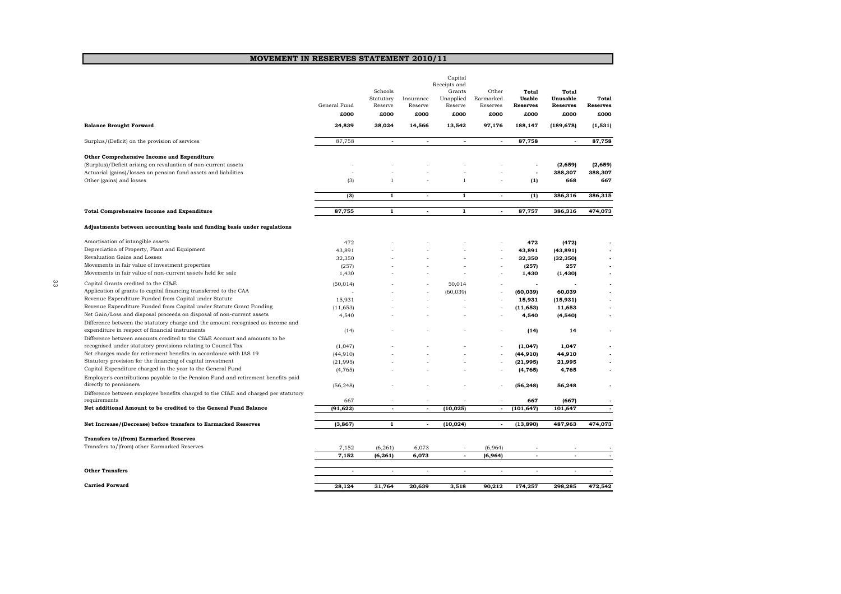#### **MOVEMENT IN RESERVES STATEMENT 2010/11**

|    |                                                                                                                                    | General Fund<br>£000 | Schools<br>Statutory<br>Reserve<br>£000 | Insurance<br>Reserve<br>£000 | Capital<br>Receipts and<br>Grants<br>Unapplied<br>Reserve<br>£000 | Other<br>Earmarked<br>Reserves<br>£000 | Total<br>Usable<br><b>Reserves</b><br>£000 | <b>Total</b><br>Unusable<br><b>Reserves</b><br>£000 | Total<br><b>Reserves</b><br>£000 |
|----|------------------------------------------------------------------------------------------------------------------------------------|----------------------|-----------------------------------------|------------------------------|-------------------------------------------------------------------|----------------------------------------|--------------------------------------------|-----------------------------------------------------|----------------------------------|
|    | <b>Balance Brought Forward</b>                                                                                                     | 24,839               | 38,024                                  | 14,566                       | 13,542                                                            | 97,176                                 | 188,147                                    | (189, 678)                                          | (1, 531)                         |
|    | Surplus/(Deficit) on the provision of services                                                                                     | 87,758               | $\sim$                                  | $\sim$                       | $\sim$                                                            | ÷,                                     | 87,758                                     | $\sim$                                              | 87,758                           |
|    | Other Comprehensive Income and Expenditure                                                                                         |                      |                                         |                              |                                                                   |                                        |                                            |                                                     |                                  |
|    | (Surplus)/Deficit arising on revaluation of non-current assets                                                                     |                      |                                         |                              |                                                                   |                                        |                                            | (2, 659)                                            | (2,659)                          |
|    | Actuarial (gains)/losses on pension fund assets and liabilities                                                                    |                      |                                         |                              |                                                                   |                                        | $\overline{\phantom{a}}$                   | 388,307                                             | 388,307                          |
|    | Other (gains) and losses                                                                                                           | (3)                  | 1                                       |                              | 1                                                                 |                                        | (1)                                        | 668                                                 | 667                              |
|    |                                                                                                                                    | (3)                  | $\mathbf{1}$                            | $\overline{a}$               | $\mathbf{1}$                                                      | $\overline{\phantom{a}}$               | (1)                                        | 386,316                                             | 386,315                          |
|    |                                                                                                                                    |                      |                                         |                              |                                                                   |                                        |                                            |                                                     |                                  |
|    | <b>Total Comprehensive Income and Expenditure</b>                                                                                  | 87,755               | $\mathbf{1}$                            | $\mathbf{r}$                 | $\mathbf{1}$                                                      | $\sim$                                 | 87,757                                     | 386,316                                             | 474,073                          |
|    | Adjustments between accounting basis and funding basis under regulations                                                           |                      |                                         |                              |                                                                   |                                        |                                            |                                                     |                                  |
|    | Amortisation of intangible assets                                                                                                  | 472                  |                                         |                              |                                                                   |                                        | 472                                        | (472)                                               |                                  |
|    | Depreciation of Property, Plant and Equipment                                                                                      | 43,891               |                                         |                              |                                                                   |                                        | 43,891                                     | (43, 891)                                           |                                  |
|    | Revaluation Gains and Losses                                                                                                       | 32,350               |                                         |                              |                                                                   |                                        | 32,350                                     | (32, 350)                                           |                                  |
|    | Movements in fair value of investment properties                                                                                   | (257)                |                                         |                              |                                                                   |                                        | (257)                                      | 257                                                 |                                  |
|    | Movements in fair value of non-current assets held for sale                                                                        | 1,430                |                                         |                              |                                                                   |                                        | 1,430                                      | (1, 430)                                            |                                  |
| 33 | Capital Grants credited to the CI&E                                                                                                | (50, 014)            |                                         |                              | 50.014                                                            |                                        |                                            |                                                     |                                  |
|    | Application of grants to capital financing transferred to the CAA                                                                  |                      |                                         |                              | (60, 039)                                                         |                                        | (60, 039)                                  | 60,039                                              |                                  |
|    | Revenue Expenditure Funded from Capital under Statute                                                                              | 15,931               |                                         |                              |                                                                   |                                        | 15,931                                     | (15, 931)                                           |                                  |
|    | Revenue Expenditure Funded from Capital under Statute Grant Funding                                                                | (11, 653)            |                                         |                              |                                                                   |                                        | (11, 653)                                  | 11,653                                              |                                  |
|    | Net Gain/Loss and disposal proceeds on disposal of non-current assets                                                              | 4,540                |                                         |                              |                                                                   |                                        | 4,540                                      | (4, 540)                                            |                                  |
|    | Difference between the statutory charge and the amount recognised as income and<br>expenditure in respect of financial instruments | (14)                 |                                         |                              |                                                                   |                                        | (14)                                       | 14                                                  |                                  |
|    | Difference between amounts credited to the CI&E Account and amounts to be                                                          |                      |                                         |                              |                                                                   |                                        |                                            |                                                     |                                  |
|    | recognised under statutory provisions relating to Council Tax                                                                      | (1,047)              |                                         |                              |                                                                   |                                        | (1,047)                                    | 1,047                                               |                                  |
|    | Net charges made for retirement benefits in accordance with IAS 19                                                                 | (44, 910)            |                                         |                              |                                                                   |                                        | (44, 910)                                  | 44,910                                              |                                  |
|    | Statutory provision for the financing of capital investment                                                                        | (21,995)             |                                         |                              |                                                                   |                                        | (21, 995)                                  | 21,995                                              |                                  |
|    | Capital Expenditure charged in the year to the General Fund                                                                        | (4, 765)             |                                         |                              |                                                                   |                                        | (4, 765)                                   | 4,765                                               |                                  |
|    | Employer's contributions payable to the Pension Fund and retirement benefits paid                                                  |                      |                                         |                              |                                                                   |                                        |                                            |                                                     |                                  |
|    | directly to pensioners                                                                                                             | (56, 248)            |                                         |                              |                                                                   |                                        | (56, 248)                                  | 56,248                                              |                                  |
|    | Difference between employee benefits charged to the CI&E and charged per statutory                                                 |                      |                                         |                              |                                                                   |                                        |                                            |                                                     |                                  |
|    | requirements                                                                                                                       | 667                  |                                         |                              |                                                                   |                                        | 667                                        | (667)                                               |                                  |
|    | Net additional Amount to be credited to the General Fund Balance                                                                   | (91, 622)            | $\blacksquare$                          | $\blacksquare$               | (10, 025)                                                         | $\overline{\phantom{a}}$               | (101, 647)                                 | 101,647                                             | $\overline{\phantom{a}}$         |
|    | Net Increase/(Decrease) before transfers to Earmarked Reserves                                                                     | (3, 867)             | $\mathbf{1}$                            | $\blacksquare$               | (10, 024)                                                         | $\overline{a}$                         | (13, 890)                                  | 487,963                                             | 474,073                          |
|    | <b>Transfers to/(from) Earmarked Reserves</b>                                                                                      |                      |                                         |                              |                                                                   |                                        |                                            |                                                     |                                  |
|    | Transfers to/(from) other Earmarked Reserves                                                                                       | 7,152                | (6, 261)                                | 6,073                        |                                                                   | (6,964)                                |                                            |                                                     |                                  |
|    |                                                                                                                                    | 7,152                | (6, 261)                                | 6,073                        | Ĭ.                                                                | (6,964)                                |                                            | $\overline{a}$                                      |                                  |
|    |                                                                                                                                    |                      |                                         |                              |                                                                   |                                        |                                            |                                                     |                                  |
|    | <b>Other Transfers</b>                                                                                                             | $\blacksquare$       | $\overline{\phantom{a}}$                | $\blacksquare$               | $\blacksquare$                                                    | $\overline{\phantom{a}}$               | $\blacksquare$                             | $\blacksquare$                                      | $\sim$                           |
|    | <b>Carried Forward</b>                                                                                                             | 28,124               | 31,764                                  | 20,639                       | 3,518                                                             | 90,212                                 | 174,257                                    | 298,285                                             | 472,542                          |
|    |                                                                                                                                    |                      |                                         |                              |                                                                   |                                        |                                            |                                                     |                                  |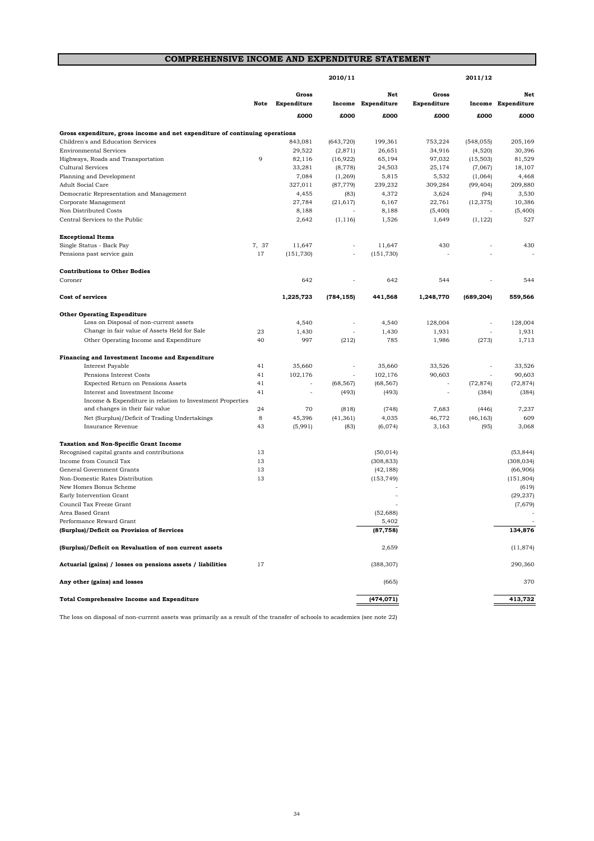# **COMPREHENSIVE INCOME AND EXPENDITURE STATEMENT**

|                                                                              |       |                          | 2010/11    |                           |                          | 2011/12    |                           |
|------------------------------------------------------------------------------|-------|--------------------------|------------|---------------------------|--------------------------|------------|---------------------------|
|                                                                              | Note  | Gross<br>Expenditure     |            | Net<br>Income Expenditure | Gross<br>Expenditure     |            | Net<br>Income Expenditure |
|                                                                              |       | £000                     | £000       | £000                      | £000                     | £000       | £000                      |
| Gross expenditure, gross income and net expenditure of continuing operations |       |                          |            |                           |                          |            |                           |
| Children's and Education Services                                            |       | 843,081                  | (643, 720) | 199,361                   | 753,224                  | (548, 055) | 205.169                   |
| <b>Environmental Services</b>                                                |       | 29,522                   | (2,871)    | 26,651                    | 34,916                   | (4,520)    | 30,396                    |
| Highways, Roads and Transportation                                           | 9     | 82,116                   | (16, 922)  | 65,194                    | 97,032                   | (15, 503)  | 81,529                    |
| Cultural Services                                                            |       | 33,281                   | (8, 778)   | 24,503                    | 25,174                   | (7,067)    | 18,107                    |
| Planning and Development                                                     |       | 7,084                    | (1, 269)   | 5,815                     | 5,532                    | (1,064)    | 4,468                     |
| <b>Adult Social Care</b>                                                     |       | 327,011                  | (87, 779)  | 239,232                   | 309,284                  | (99, 404)  | 209,880                   |
| Democratic Representation and Management                                     |       | 4,455                    | (83)       | 4,372                     | 3,624                    | (94)       | 3,530                     |
| Corporate Management                                                         |       | 27,784                   | (21, 617)  | 6,167                     | 22,761                   | (12, 375)  | 10,386                    |
| Non Distributed Costs                                                        |       | 8,188                    |            | 8,188                     | (5,400)                  |            | (5,400)                   |
| Central Services to the Public                                               |       | 2,642                    | (1, 116)   | 1,526                     | 1,649                    | (1, 122)   | 527                       |
|                                                                              |       |                          |            |                           |                          |            |                           |
| <b>Exceptional Items</b>                                                     |       |                          |            |                           |                          |            |                           |
| Single Status - Back Pay                                                     | 7, 37 | 11,647                   |            | 11,647                    | 430                      |            | 430                       |
| Pensions past service gain                                                   | 17    | (151, 730)               | ÷,         | (151, 730)                |                          |            |                           |
| <b>Contributions to Other Bodies</b>                                         |       |                          |            |                           |                          |            |                           |
| Coroner                                                                      |       | 642                      |            | 642                       | 544                      |            | 544                       |
| Cost of services                                                             |       | 1,225,723                | (784, 155) | 441,568                   | 1,248,770                | (689, 204) | 559,566                   |
| <b>Other Operating Expenditure</b>                                           |       |                          |            |                           |                          |            |                           |
| Loss on Disposal of non-current assets                                       |       | 4,540                    | ÷,         | 4,540                     | 128,004                  |            | 128,004                   |
| Change in fair value of Assets Held for Sale                                 | 23    | 1,430                    | Ĭ.         | 1,430                     | 1,931                    | ÷,         | 1,931                     |
| Other Operating Income and Expenditure                                       | 40    | 997                      | (212)      | 785                       | 1,986                    | (273)      | 1,713                     |
|                                                                              |       |                          |            |                           |                          |            |                           |
| Financing and Investment Income and Expenditure                              |       |                          |            |                           |                          |            |                           |
| Interest Payable                                                             | 41    | 35,660                   |            | 35,660                    | 33,526                   |            | 33,526                    |
| Pensions Interest Costs                                                      | 41    | 102,176                  | ÷,         | 102,176                   | 90,603                   | ٠          | 90,603                    |
| Expected Return on Pensions Assets                                           | 41    | ÷,                       | (68, 567)  | (68, 567)                 | L,                       | (72, 874)  | (72, 874)                 |
| Interest and Investment Income                                               | 41    | $\overline{\phantom{a}}$ | (493)      | (493)                     | $\overline{\phantom{a}}$ | (384)      | (384)                     |
| Income & Expenditure in relation to Investment Properties                    |       |                          |            |                           |                          |            |                           |
| and changes in their fair value                                              | 24    | 70                       | (818)      | (748)                     | 7,683                    | (446)      | 7,237                     |
| Net (Surplus)/Deficit of Trading Undertakings                                | 8     | 45,396                   | (41, 361)  | 4,035                     | 46,772                   | (46, 163)  | 609                       |
| Insurance Revenue                                                            | 43    | (5,991)                  | (83)       | (6,074)                   | 3,163                    | (95)       | 3,068                     |
| <b>Taxation and Non-Specific Grant Income</b>                                |       |                          |            |                           |                          |            |                           |
| Recognised capital grants and contributions                                  | 13    |                          |            | (50, 014)                 |                          |            | (53, 844)                 |
| Income from Council Tax                                                      | 13    |                          |            | (308, 833)                |                          |            | (308, 034)                |
| General Government Grants                                                    | 13    |                          |            | (42, 188)                 |                          |            | (66,906)                  |
| Non-Domestic Rates Distribution                                              | 13    |                          |            | (153, 749)                |                          |            | (151, 804)                |
| New Homes Bonus Scheme                                                       |       |                          |            |                           |                          |            | (619)                     |
| Early Intervention Grant                                                     |       |                          |            |                           |                          |            | (29, 237)                 |
| Council Tax Freeze Grant                                                     |       |                          |            |                           |                          |            | (7,679)                   |
| Area Based Grant                                                             |       |                          |            | (52, 688)                 |                          |            |                           |
| Performance Reward Grant                                                     |       |                          |            | 5,402                     |                          |            |                           |
| (Surplus)/Deficit on Provision of Services                                   |       |                          |            | (87, 758)                 |                          |            | 134,876                   |
| (Surplus)/Deficit on Revaluation of non current assets                       |       |                          |            | 2,659                     |                          |            | (11, 874)                 |
| Actuarial (gains) / losses on pensions assets / liabilities                  | 17    |                          |            | (388, 307)                |                          |            | 290,360                   |
| Any other (gains) and losses                                                 |       |                          |            | (665)                     |                          |            | 370                       |
| <b>Total Comprehensive Income and Expenditure</b>                            |       |                          |            | (474, 071)                |                          |            | 413,732                   |

The loss on disposal of non-current assets was primarily as a result of the transfer of schools to academies (see note 22)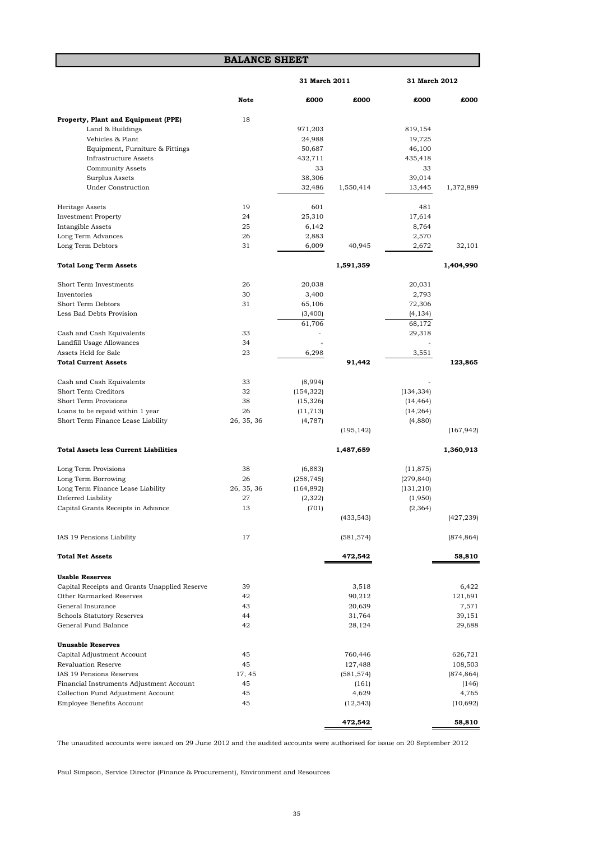#### **BALANCE SHEET**

|                                                           |             | 31 March 2011  |            | 31 March 2012  |            |  |
|-----------------------------------------------------------|-------------|----------------|------------|----------------|------------|--|
|                                                           | <b>Note</b> | £000           | £000       | £000           | £000       |  |
| Property, Plant and Equipment (PPE)                       | 18          |                |            |                |            |  |
| Land & Buildings                                          |             | 971,203        |            | 819,154        |            |  |
| Vehicles & Plant                                          |             | 24,988         |            | 19,725         |            |  |
| Equipment, Furniture & Fittings                           |             | 50,687         |            | 46,100         |            |  |
| <b>Infrastructure Assets</b>                              |             | 432,711        |            | 435,418        |            |  |
| <b>Community Assets</b>                                   |             | 33             |            | 33             |            |  |
| Surplus Assets                                            |             | 38,306         |            | 39,014         |            |  |
| <b>Under Construction</b>                                 |             | 32,486         | 1,550,414  | 13,445         | 1,372,889  |  |
| Heritage Assets                                           | 19          | 601            |            | 481            |            |  |
| <b>Investment Property</b>                                | 24          | 25,310         |            | 17,614         |            |  |
| Intangible Assets                                         | 25          | 6,142          |            | 8,764          |            |  |
|                                                           | 26          |                |            |                |            |  |
| Long Term Advances<br>Long Term Debtors                   | 31          | 2,883<br>6,009 | 40,945     | 2,570<br>2,672 | 32,101     |  |
|                                                           |             |                |            |                |            |  |
| <b>Total Long Term Assets</b>                             |             |                | 1,591,359  |                | 1,404,990  |  |
| Short Term Investments                                    | 26          | 20,038         |            | 20,031         |            |  |
| Inventories                                               | 30          | 3,400          |            | 2,793          |            |  |
| Short Term Debtors                                        | 31          | 65,106         |            | 72,306         |            |  |
| Less Bad Debts Provision                                  |             | (3,400)        |            | (4, 134)       |            |  |
|                                                           |             | 61,706         |            | 68,172         |            |  |
| Cash and Cash Equivalents                                 | 33          |                |            | 29,318         |            |  |
| Landfill Usage Allowances                                 | 34          |                |            |                |            |  |
| Assets Held for Sale                                      | 23          | 6,298          |            | 3,551          |            |  |
| <b>Total Current Assets</b>                               |             |                | 91,442     |                | 123,865    |  |
|                                                           |             |                |            |                |            |  |
| Cash and Cash Equivalents                                 | 33          | (8,994)        |            |                |            |  |
| <b>Short Term Creditors</b>                               | 32          | (154, 322)     |            | (134, 334)     |            |  |
| <b>Short Term Provisions</b>                              | 38          | (15, 326)      |            | (14, 464)      |            |  |
| Loans to be repaid within 1 year                          | 26          | (11, 713)      |            | (14, 264)      |            |  |
| Short Term Finance Lease Liability                        | 26, 35, 36  | (4,787)        |            | (4,880)        |            |  |
|                                                           |             |                | (195, 142) |                | (167, 942) |  |
| <b>Total Assets less Current Liabilities</b>              |             |                | 1,487,659  |                | 1,360,913  |  |
|                                                           |             |                |            |                |            |  |
| Long Term Provisions                                      | 38          | (6, 883)       |            | (11, 875)      |            |  |
| Long Term Borrowing                                       | 26          | (258, 745)     |            | (279, 840)     |            |  |
| Long Term Finance Lease Liability                         | 26, 35, 36  | (164, 892)     |            | (131, 210)     |            |  |
| Deferred Liability                                        | 27          | (2,322)        |            | (1,950)        |            |  |
| Capital Grants Receipts in Advance                        | 13          | (701)          |            | (2, 364)       |            |  |
|                                                           |             |                | (433, 543) |                | (427, 239) |  |
| IAS 19 Pensions Liability                                 | 17          |                | (581, 574) |                | (874, 864) |  |
| <b>Total Net Assets</b>                                   |             |                | 472,542    |                | 58,810     |  |
| <b>Usable Reserves</b>                                    |             |                |            |                |            |  |
| Capital Receipts and Grants Unapplied Reserve             | 39          |                | 3,518      |                | 6,422      |  |
| Other Earmarked Reserves                                  | 42          |                | 90,212     |                | 121,691    |  |
| General Insurance                                         | 43          |                |            |                |            |  |
|                                                           |             |                | 20,639     |                | 7,571      |  |
| <b>Schools Statutory Reserves</b><br>General Fund Balance | 44          |                | 31,764     |                | 39,151     |  |
|                                                           | 42          |                | 28,124     |                | 29,688     |  |
| <b>Unusable Reserves</b>                                  |             |                |            |                |            |  |
| Capital Adjustment Account                                | 45          |                | 760,446    |                | 626,721    |  |
| <b>Revaluation Reserve</b>                                | 45          |                | 127,488    |                | 108,503    |  |
| IAS 19 Pensions Reserves                                  | 17, 45      |                | (581, 574) |                | (874, 864) |  |
| Financial Instruments Adjustment Account                  | 45          |                | (161)      |                | (146)      |  |
| Collection Fund Adjustment Account                        | 45          |                | 4,629      |                | 4,765      |  |
| <b>Employee Benefits Account</b>                          | 45          |                | (12, 543)  |                | (10, 692)  |  |
|                                                           |             |                |            |                |            |  |
|                                                           |             |                | 472,542    |                | 58,810     |  |

The unaudited accounts were issued on 29 June 2012 and the audited accounts were authorised for issue on 20 September 2012

Paul Simpson, Service Director (Finance & Procurement), Environment and Resources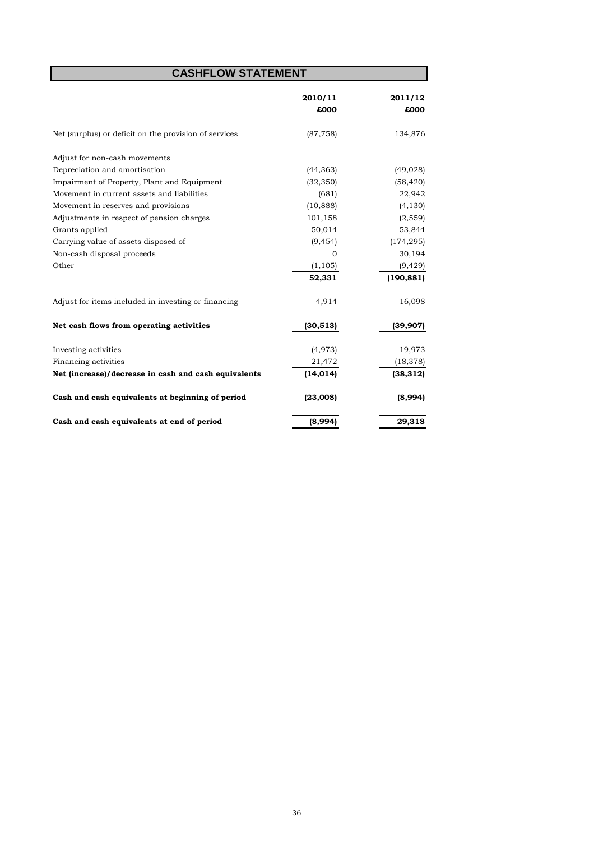# **CASHFLOW STATEMENT**

|                                                       | 2010/11   | 2011/12    |
|-------------------------------------------------------|-----------|------------|
|                                                       | £000      | £000       |
| Net (surplus) or deficit on the provision of services | (87, 758) | 134,876    |
| Adjust for non-cash movements                         |           |            |
| Depreciation and amortisation                         | (44, 363) | (49, 028)  |
| Impairment of Property, Plant and Equipment           | (32, 350) | (58, 420)  |
| Movement in current assets and liabilities            | (681)     | 22,942     |
| Movement in reserves and provisions                   | (10, 888) | (4, 130)   |
| Adjustments in respect of pension charges             | 101,158   | (2, 559)   |
| Grants applied                                        | 50,014    | 53,844     |
| Carrying value of assets disposed of                  | (9, 454)  | (174, 295) |
| Non-cash disposal proceeds                            | $\Omega$  | 30,194     |
| Other                                                 | (1, 105)  | (9, 429)   |
|                                                       | 52,331    | (190, 881) |
| Adjust for items included in investing or financing   | 4,914     | 16,098     |
| Net cash flows from operating activities              | (30, 513) | (39, 907)  |
| Investing activities                                  | (4, 973)  | 19,973     |
| Financing activities                                  | 21,472    | (18, 378)  |
| Net (increase)/decrease in cash and cash equivalents  | (14, 014) | (38, 312)  |
| Cash and cash equivalents at beginning of period      | (23,008)  | (8,994)    |
| Cash and cash equivalents at end of period            | (8,994)   | 29,318     |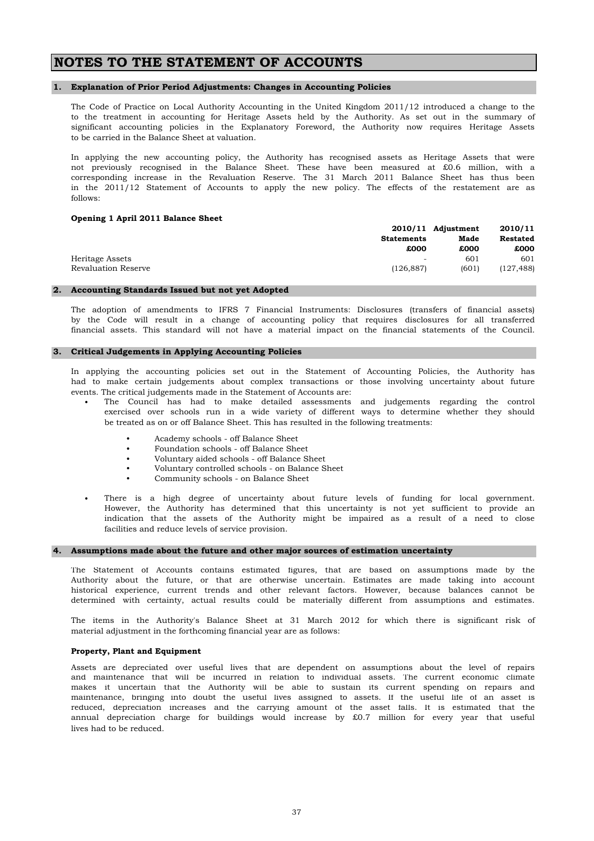# **NOTES TO THE STATEMENT OF ACCOUNTS**

### **1. Explanation of Prior Period Adjustments: Changes in Accounting Policies**

The Code of Practice on Local Authority Accounting in the United Kingdom 2011/12 introduced a change to the to the treatment in accounting for Heritage Assets held by the Authority. As set out in the summary of significant accounting policies in the Explanatory Foreword, the Authority now requires Heritage Assets to be carried in the Balance Sheet at valuation.

in the 2011/12 Statement of Accounts to apply the new policy. The effects of the restatement are as follows: In applying the new accounting policy, the Authority has recognised assets as Heritage Assets that were not previously recognised in the Balance Sheet. These have been measured at £0.6 million, with a corresponding increase in the Revaluation Reserve. The 31 March 2011 Balance Sheet has thus been

### **Opening 1 April 2011 Balance Sheet**

|                     |            | 2010/11 Adjustment | 2010/11    |
|---------------------|------------|--------------------|------------|
|                     | Statements | Made               | Restated   |
|                     | £000       | £000               | £000       |
| Heritage Assets     | -          | 601                | 601        |
| Revaluation Reserve | (126, 887) | (601)              | (127, 488) |

### **2. Accounting Standards Issued but not yet Adopted**

by the Code will result in a change of accounting policy that requires disclosures for all transferred financial assets. This standard will not have a material impact on the financial statements of the Council. The adoption of amendments to IFRS 7 Financial Instruments: Disclosures (transfers of financial assets)

### **3. Critical Judgements in Applying Accounting Policies**

events. The critical judgements made in the Statement of Accounts are: In applying the accounting policies set out in the Statement of Accounting Policies, the Authority has had to make certain judgements about complex transactions or those involving uncertainty about future

- be treated as on or off Balance Sheet. This has resulted in the following treatments: The Council has had to make detailed assessments and judgements regarding the control exercised over schools run in a wide variety of different ways to determine whether they should
	- Academy schools off Balance Sheet
	- Foundation schools off Balance Sheet
	- Voluntary aided schools off Balance Sheet
	- Voluntary controlled schools on Balance Sheet
	- Community schools on Balance Sheet

facilities and reduce levels of service provision. There is a high degree of uncertainty about future levels of funding for local government. However, the Authority has determined that this uncertainty is not yet sufficient to provide an indication that the assets of the Authority might be impaired as a result of a need to close

### **4. Assumptions made about the future and other major sources of estimation uncertainty**

Authority about the future, or that are otherwise uncertain. Estimates are made taking into account historical experience, current trends and other relevant factors. However, because balances cannot be determined with certainty, actual results could be materially different from assumptions and estimates. The Statement of Accounts contains estimated figures, that are based on assumptions made by the

material adjustment in the forthcoming financial year are as follows: The items in the Authority's Balance Sheet at 31 March 2012 for which there is significant risk of

#### **Property, Plant and Equipment**

•

lives had to be reduced. Assets are depreciated over useful lives that are dependent on assumptions about the level of repairs and maintenance that will be incurred in relation to individual assets. The current economic climate makes it uncertain that the Authority will be able to sustain its current spending on repairs and maintenance, bringing into doubt the useful lives assigned to assets. If the useful life of an asset is reduced, depreciation increases and the carrying amount of the asset falls. It is estimated that the annual depreciation charge for buildings would increase by £0.7 million for every year that useful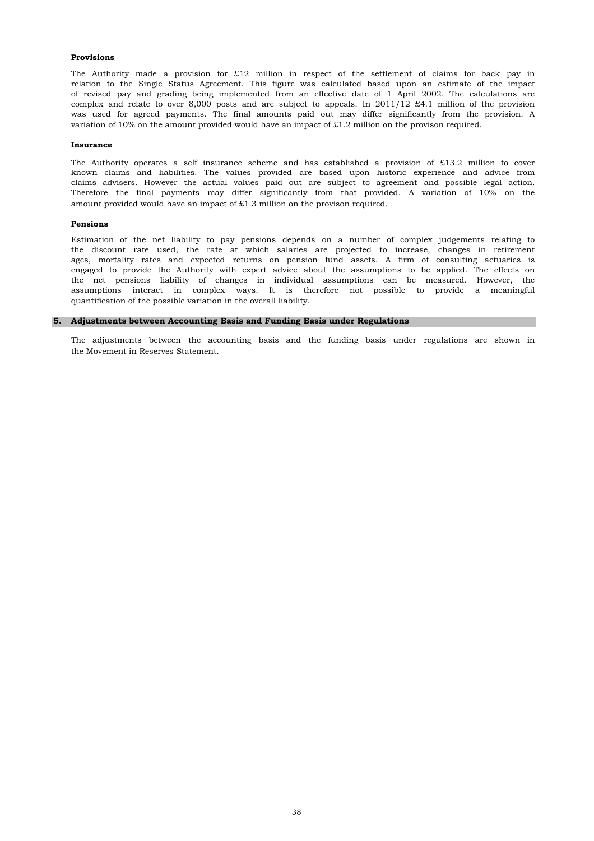### **Provisions**

variation of 10% on the amount provided would have an impact of £1.2 million on the provison required. relation to the Single Status Agreement. This figure was calculated based upon an estimate of the impact of revised pay and grading being implemented from an effective date of 1 April 2002. The calculations are The Authority made a provision for  $£12$  million in respect of the settlement of claims for back pay in complex and relate to over 8,000 posts and are subject to appeals. In  $2011/12$  £4.1 million of the provision was used for agreed payments. The final amounts paid out may differ significantly from the provision. A

#### **Insurance**

amount provided would have an impact of £1.3 million on the provison required. Therefore the final payments may differ significantly from that provided. A variation of 10% on the The Authority operates a self insurance scheme and has established a provision of £13.2 million to cover known claims and liabilities. The values provided are based upon historic experience and advice from claims advisers. However the actual values paid out are subject to agreement and possible legal action.

#### **Pensions**

quantification of the possible variation in the overall liability. Estimation of the net liability to pay pensions depends on a number of complex judgements relating to the net pensions liability of changes in individual assumptions can be measured. However, the assumptions interact in complex ways. It is therefore not possible to provide a meaningful the discount rate used, the rate at which salaries are projected to increase, changes in retirement ages, mortality rates and expected returns on pension fund assets. A firm of consulting actuaries is engaged to provide the Authority with expert advice about the assumptions to be applied. The effects on

### **5. Adjustments between Accounting Basis and Funding Basis under Regulations**

the Movement in Reserves Statement. The adjustments between the accounting basis and the funding basis under regulations are shown in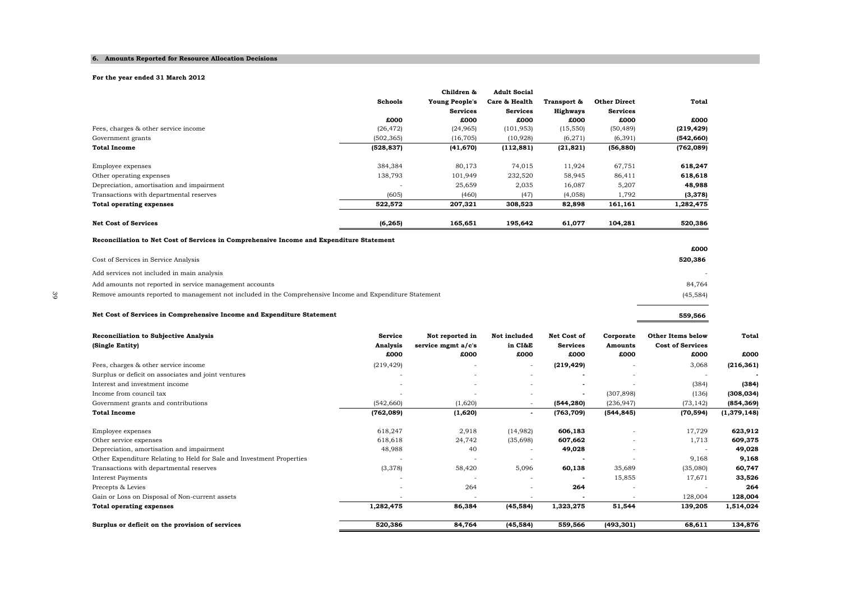#### **6. Amounts Reported for Resource Allocation Decisions**

**Net Cost of Services in Comprehensive Income and Expenditure Statement**

#### **For the year ended 31 March 2012**

|                                                                                          |                | Children &            | <b>Adult Social</b> |                 |                     |            |
|------------------------------------------------------------------------------------------|----------------|-----------------------|---------------------|-----------------|---------------------|------------|
|                                                                                          | <b>Schools</b> | <b>Young People's</b> | Care & Health       | Transport &     | <b>Other Direct</b> | Total      |
|                                                                                          |                | <b>Services</b>       | <b>Services</b>     | <b>Highways</b> | <b>Services</b>     |            |
|                                                                                          | £000           | £000                  | £000                | £000            | £000                | £000       |
| Fees, charges & other service income                                                     | (26, 472)      | (24, 965)             | (101, 953)          | (15, 550)       | (50, 489)           | (219, 429) |
| Government grants                                                                        | (502, 365)     | (16, 705)             | (10, 928)           | (6,271)         | (6, 391)            | (542, 660) |
| <b>Total Income</b>                                                                      | (528, 837)     | (41, 670)             | (112, 881)          | (21, 821)       | (56, 880)           | (762, 089) |
| Employee expenses                                                                        | 384,384        | 80,173                | 74,015              | 11,924          | 67,751              | 618,247    |
| Other operating expenses                                                                 | 138,793        | 101,949               | 232,520             | 58,945          | 86,411              | 618,618    |
| Depreciation, amortisation and impairment                                                |                | 25,659                | 2,035               | 16,087          | 5,207               | 48,988     |
| Transactions with departmental reserves                                                  | (605)          | (460)                 | (47)                | (4,058)         | 1,792               | (3,378)    |
| <b>Total operating expenses</b>                                                          | 522,572        | 207,321               | 308,523             | 82,898          | 161,161             | 1,282,475  |
| <b>Net Cost of Services</b>                                                              | (6, 265)       | 165,651               | 195,642             | 61,077          | 104,281             | 520,386    |
| Reconciliation to Net Cost of Services in Comprehensive Income and Expenditure Statement |                |                       |                     |                 |                     |            |
|                                                                                          |                |                       |                     |                 |                     | £000       |
| Cost of Services in Service Analysis                                                     |                |                       |                     |                 |                     | 520,386    |
| Add services not included in main analysis                                               |                |                       |                     |                 |                     |            |

Add amounts not reported in service management accounts 84,764

| <b>Reconciliation to Subjective Analysis</b><br>(Single Entity)       | <b>Service</b><br>Analysis<br>£000 | Not reported in<br>service mgmt a/c's<br>£000 | Not included<br>in CI&E<br>£000 | Net Cost of<br><b>Services</b><br>£000 | Corporate<br><b>Amounts</b><br>£000 | <b>Other Items below</b><br><b>Cost of Services</b><br>£000 | <b>Total</b><br>£000 |
|-----------------------------------------------------------------------|------------------------------------|-----------------------------------------------|---------------------------------|----------------------------------------|-------------------------------------|-------------------------------------------------------------|----------------------|
| Fees, charges & other service income                                  | (219, 429)                         |                                               | $\sim$                          | (219, 429)                             |                                     | 3,068                                                       | (216, 361)           |
| Surplus or deficit on associates and joint ventures                   |                                    |                                               | $\overline{\phantom{a}}$        |                                        |                                     |                                                             |                      |
| Interest and investment income                                        |                                    | $\overline{\phantom{a}}$                      |                                 |                                        |                                     | (384)                                                       | (384)                |
| Income from council tax                                               |                                    | $\overline{\phantom{a}}$                      |                                 | $\sim$                                 | (307, 898)                          | (136)                                                       | (308, 034)           |
| Government grants and contributions                                   | (542, 660)                         | (1,620)                                       |                                 | (544, 280)                             | (236, 947)                          | (73, 142)                                                   | (854, 369)           |
| <b>Total Income</b>                                                   | (762, 089)                         | (1,620)                                       | $\blacksquare$                  | (763, 709)                             | (544, 845)                          | (70, 594)                                                   | (1, 379, 148)        |
| Employee expenses<br>Other service expenses                           | 618,247<br>618,618                 | 2,918<br>24,742                               | (14,982)<br>(35,698)            | 606,183<br>607,662                     |                                     | 17,729<br>1,713                                             | 623,912<br>609,375   |
| Depreciation, amortisation and impairment                             | 48,988                             | 40                                            |                                 | 49,028                                 |                                     |                                                             | 49,028               |
| Other Expenditure Relating to Held for Sale and Investment Properties |                                    |                                               |                                 |                                        |                                     | 9,168                                                       | 9,168                |
| Transactions with departmental reserves                               | (3,378)                            | 58,420                                        | 5,096                           | 60,138                                 | 35,689                              | (35,080)                                                    | 60,747               |
| <b>Interest Payments</b>                                              |                                    |                                               |                                 |                                        | 15,855                              | 17,671                                                      | 33,526               |
| Precepts & Levies                                                     |                                    | 264                                           | $\overline{\phantom{a}}$        | 264                                    | $\overline{\phantom{a}}$            |                                                             | 264                  |
| Gain or Loss on Disposal of Non-current assets                        |                                    | $\overline{\phantom{a}}$                      |                                 |                                        |                                     | 128,004                                                     | 128,004              |
| <b>Total operating expenses</b>                                       | 1,282,475                          | 86,384                                        | (45, 584)                       | 1,323,275                              | 51,544                              | 139,205                                                     | 1,514,024            |
| Surplus or deficit on the provision of services                       | 520,386                            | 84,764                                        | (45, 584)                       | 559,566                                | (493, 301)                          | 68,611                                                      | 134,876              |

 $(45, 584)$ 

**559,566**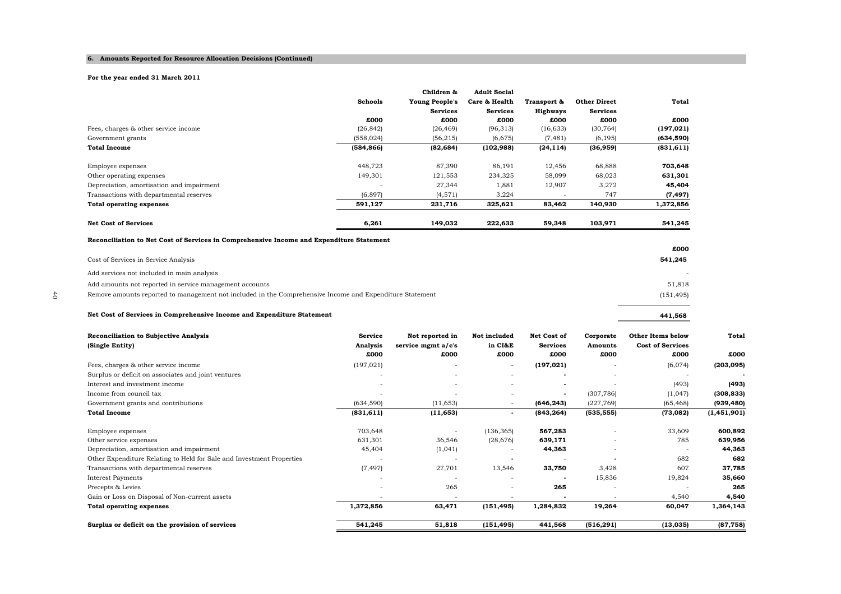#### **6. Amounts Reported for Resource Allocation Decisions (Continued)**

#### **For the year ended 31 March 2011**

Add services not included in main analysis

|                                                                                          |                | Children &            | <b>Adult Social</b> |                 |                     |            |
|------------------------------------------------------------------------------------------|----------------|-----------------------|---------------------|-----------------|---------------------|------------|
|                                                                                          | <b>Schools</b> | <b>Young People's</b> | Care & Health       | Transport &     | <b>Other Direct</b> | Total      |
|                                                                                          |                | <b>Services</b>       | <b>Services</b>     | <b>Highways</b> | <b>Services</b>     |            |
|                                                                                          | £000           | £000                  | £000                | £000            | £000                | £000       |
| Fees, charges & other service income                                                     | (26, 842)      | (26, 469)             | (96,313)            | (16,633)        | (30, 764)           | (197, 021) |
| Government grants                                                                        | (558, 024)     | (56, 215)             | (6,675)             | (7, 481)        | (6, 195)            | (634, 590) |
| <b>Total Income</b>                                                                      | (584, 866)     | (82, 684)             | (102, 988)          | (24, 114)       | (36,959)            | (831, 611) |
| Employee expenses                                                                        | 448,723        | 87,390                | 86,191              | 12,456          | 68,888              | 703,648    |
| Other operating expenses                                                                 | 149,301        | 121,553               | 234,325             | 58,099          | 68,023              | 631,301    |
| Depreciation, amortisation and impairment                                                |                | 27,344                | 1,881               | 12,907          | 3,272               | 45,404     |
| Transactions with departmental reserves                                                  | (6, 897)       | (4, 571)              | 3,224               |                 | 747                 | (7, 497)   |
| <b>Total operating expenses</b>                                                          | 591,127        | 231,716               | 325,621             | 83,462          | 140,930             | 1,372,856  |
| <b>Net Cost of Services</b>                                                              | 6,261          | 149,032               | 222,633             | 59,348          | 103,971             | 541,245    |
| Reconciliation to Net Cost of Services in Comprehensive Income and Expenditure Statement |                |                       |                     |                 |                     |            |
|                                                                                          |                |                       |                     |                 |                     | £000       |
| Cost of Services in Service Analysis                                                     |                |                       |                     |                 |                     | 541,245    |

Add amounts not reported in service management accounts 51,818

| Net Cost of Services in Comprehensive Income and Expenditure Statement | 441.568 |
|------------------------------------------------------------------------|---------|

| <b>Reconciliation to Subjective Analysis</b>                          | <b>Service</b>     | Not reported in    | Not included             | Net Cost of        | Corporate      | <b>Other Items below</b> | Total              |
|-----------------------------------------------------------------------|--------------------|--------------------|--------------------------|--------------------|----------------|--------------------------|--------------------|
| (Single Entity)                                                       | Analysis           | service mgmt a/c's | in CI&E                  | <b>Services</b>    | <b>Amounts</b> | <b>Cost of Services</b>  |                    |
|                                                                       | £000               | £000               | £000                     | £000               | £000           | £000                     | £000               |
| Fees, charges & other service income                                  | (197, 021)         |                    | $\sim$                   | (197, 021)         |                | (6,074)                  | (203, 095)         |
| Surplus or deficit on associates and joint ventures                   |                    |                    |                          |                    |                |                          |                    |
| Interest and investment income                                        |                    |                    |                          |                    |                | (493)                    | (493)              |
| Income from council tax                                               |                    |                    | ٠                        | $\sim$             | (307, 786)     | (1,047)                  | (308, 833)         |
| Government grants and contributions                                   | (634, 590)         | (11, 653)          | $\sim$                   | (646, 243)         | (227, 769)     | (65, 468)                | (939, 480)         |
| <b>Total Income</b>                                                   | (831, 611)         | (11, 653)          | $\sim$                   | (843, 264)         | (535, 555)     | (73,082)                 | (1, 451, 901)      |
| Employee expenses<br>Other service expenses                           | 703,648<br>631,301 | 36,546             | (136, 365)<br>(28, 676)  | 567,283<br>639,171 |                | 33,609<br>785            | 600,892<br>639,956 |
| Depreciation, amortisation and impairment                             | 45,404             | (1,041)            |                          | 44,363             |                |                          | 44,363             |
| Other Expenditure Relating to Held for Sale and Investment Properties |                    |                    |                          |                    |                | 682                      | 682                |
| Transactions with departmental reserves                               | (7, 497)           | 27,701             | 13,546                   | 33,750             | 3,428          | 607                      | 37,785             |
| <b>Interest Payments</b>                                              |                    |                    |                          |                    | 15,836         | 19,824                   | 35,660             |
| Precepts & Levies                                                     |                    | 265                | $\overline{\phantom{a}}$ | 265                |                |                          | 265                |
| Gain or Loss on Disposal of Non-current assets                        |                    |                    |                          |                    |                | 4,540                    | 4,540              |
| <b>Total operating expenses</b>                                       | 1,372,856          | 63,471             | (151, 495)               | 1,284,832          | 19,264         | 60,047                   | 1,364,143          |
| Surplus or deficit on the provision of services                       | 541,245            | 51,818             | (151, 495)               | 441,568            | (516, 291)     | (13,035)                 | (87, 758)          |

-

 $(151, 495)$ 

**441,568**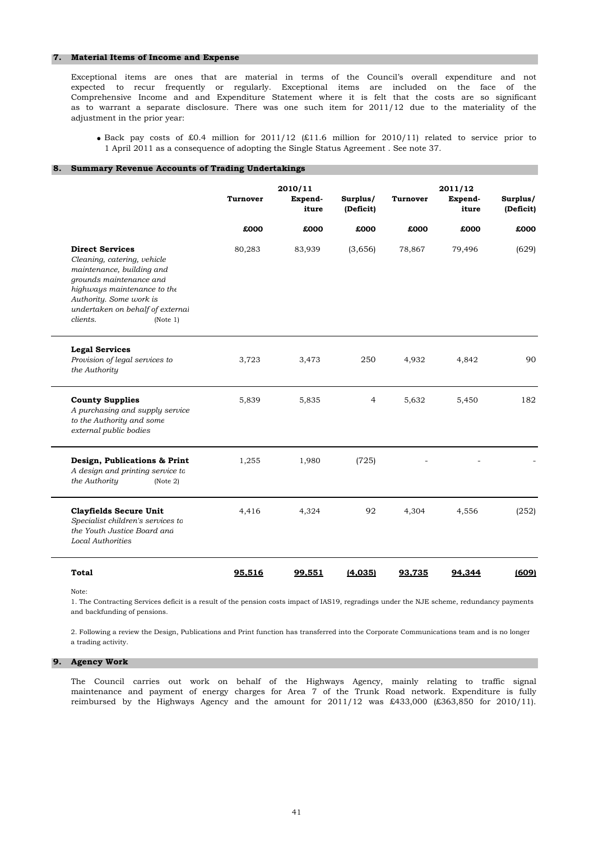### **7. Material Items of Income and Expense**

adjustment in the prior year: Exceptional items are ones that are material in terms of the Council's overall expenditure and not expected to recur frequently or regularly. Exceptional items are included on the face of the Comprehensive Income and and Expenditure Statement where it is felt that the costs are so significant as to warrant a separate disclosure. There was one such item for 2011/12 due to the materiality of the

• Back pay costs of £0.4 million for  $2011/12$  (£11.6 million for  $2010/11$ ) related to service prior to 1 April 2011 as a consequence of adopting the Single Status Agreement . See note 37.

# **8. Summary Revenue Accounts of Trading Undertakings**

|                                                                                                                                                                                                                                     | Turnover | 2010/11<br>Expend-<br>iture | Surplus/<br>(Deficit) | Turnover | 2011/12<br>Expend-<br>iture | Surplus/<br>(Deficit) |
|-------------------------------------------------------------------------------------------------------------------------------------------------------------------------------------------------------------------------------------|----------|-----------------------------|-----------------------|----------|-----------------------------|-----------------------|
|                                                                                                                                                                                                                                     | £000     | £000                        | £000                  | £000     | £000                        | £000                  |
| <b>Direct Services</b><br>Cleaning, catering, vehicle<br>maintenance, building and<br>grounds maintenance and<br>highways maintenance to the<br>Authority. Some work is<br>undertaken on behalf of external<br>clients.<br>(Note 1) | 80,283   | 83,939                      | (3,656)               | 78,867   | 79,496                      | (629)                 |
| <b>Legal Services</b><br>Provision of legal services to<br>the Authority                                                                                                                                                            | 3,723    | 3,473                       | 250                   | 4,932    | 4,842                       | 90                    |
| <b>County Supplies</b><br>A purchasing and supply service<br>to the Authority and some<br>external public bodies                                                                                                                    | 5,839    | 5,835                       | $\overline{4}$        | 5,632    | 5,450                       | 182                   |
| Design, Publications & Print<br>A design and printing service to<br>the Authority<br>(Note 2)                                                                                                                                       | 1,255    | 1,980                       | (725)                 |          |                             |                       |
| <b>Clayfields Secure Unit</b><br>Specialist children's services to<br>the Youth Justice Board and<br><b>Local Authorities</b>                                                                                                       | 4,416    | 4,324                       | 92                    | 4,304    | 4,556                       | (252)                 |
| <b>Total</b>                                                                                                                                                                                                                        | 95,516   | 99,551                      | (4,035)               | 93,735   | 94,344                      | (609)                 |

Note:

1. The Contracting Services deficit is a result of the pension costs impact of IAS19, regradings under the NJE scheme, redundancy payments and backfunding of pensions.

2. Following a review the Design, Publications and Print function has transferred into the Corporate Communications team and is no longer a trading activity.

### **9. Agency Work**

The Council carries out work on behalf of the Highways Agency, mainly relating to traffic signal maintenance and payment of energy charges for Area 7 of the Trunk Road network. Expenditure is fully reimbursed by the Highways Agency and the amount for  $2011/12$  was £433,000 (£363,850 for  $2010/11$ ).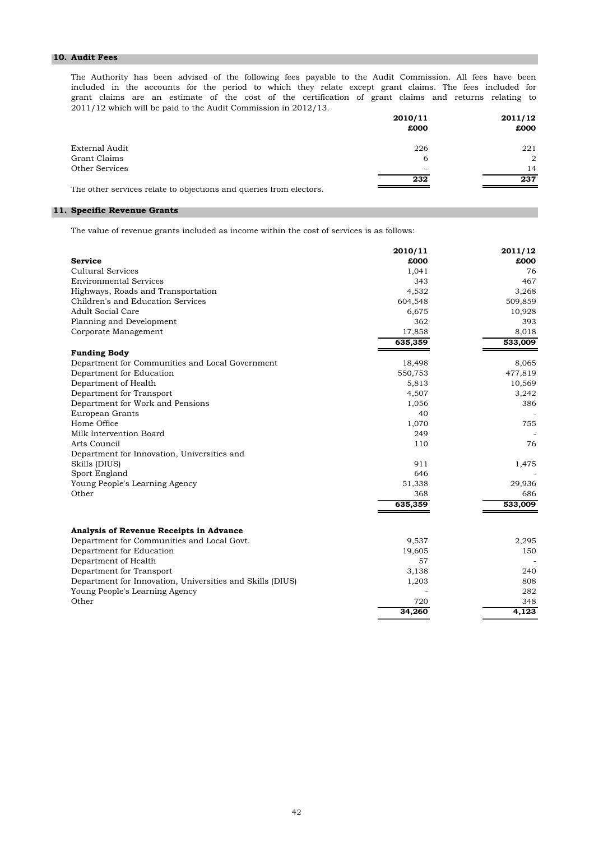# **10. Audit Fees**

2011/12 which will be paid to the Audit Commission in 2012/13. grant claims are an estimate of the cost of the certification of grant claims and returns relating to The Authority has been advised of the following fees payable to the Audit Commission. All fees have been included in the accounts for the period to which they relate except grant claims. The fees included for

|                                                                    | 2010/11 | 2011/12        |
|--------------------------------------------------------------------|---------|----------------|
|                                                                    | £000    | £000           |
| External Audit                                                     | 226     | 221            |
| Grant Claims                                                       | 6       | $\overline{2}$ |
| Other Services                                                     | -       | 14             |
|                                                                    | 232     | 237            |
| The other services relate to objections and queries from electors. |         |                |

# **11. Specific Revenue Grants**

The value of revenue grants included as income within the cost of services is as follows:

|                                                           | 2010/11 | 2011/12 |
|-----------------------------------------------------------|---------|---------|
| <b>Service</b>                                            | £000    | £000    |
| Cultural Services                                         | 1,041   | 76      |
| <b>Environmental Services</b>                             | 343     | 467     |
| Highways, Roads and Transportation                        | 4,532   | 3,268   |
| Children's and Education Services                         | 604,548 | 509,859 |
| <b>Adult Social Care</b>                                  | 6,675   | 10,928  |
| Planning and Development                                  | 362     | 393     |
| Corporate Management                                      | 17,858  | 8,018   |
|                                                           | 635,359 | 533,009 |
| <b>Funding Body</b>                                       |         |         |
| Department for Communities and Local Government           | 18,498  | 8,065   |
| Department for Education                                  | 550,753 | 477,819 |
| Department of Health                                      | 5,813   | 10,569  |
| Department for Transport                                  | 4,507   | 3,242   |
| Department for Work and Pensions                          | 1,056   | 386     |
| European Grants                                           | 40      |         |
| Home Office                                               | 1,070   | 755     |
| Milk Intervention Board                                   | 249     |         |
| Arts Council                                              | 110     | 76      |
| Department for Innovation, Universities and               |         |         |
| Skills (DIUS)                                             | 911     | 1,475   |
| Sport England                                             | 646     |         |
| Young People's Learning Agency                            | 51,338  | 29,936  |
| Other                                                     | 368     | 686     |
|                                                           | 635,359 | 533,009 |
|                                                           |         |         |
| Analysis of Revenue Receipts in Advance                   |         |         |
| Department for Communities and Local Govt.                | 9,537   | 2,295   |
| Department for Education                                  | 19,605  | 150     |
| Department of Health                                      | 57      |         |
| Department for Transport                                  | 3,138   | 240     |
| Department for Innovation, Universities and Skills (DIUS) | 1,203   | 808     |
| Young People's Learning Agency                            |         | 282     |
| Other                                                     | 720     | 348     |
|                                                           | 34,260  | 4,123   |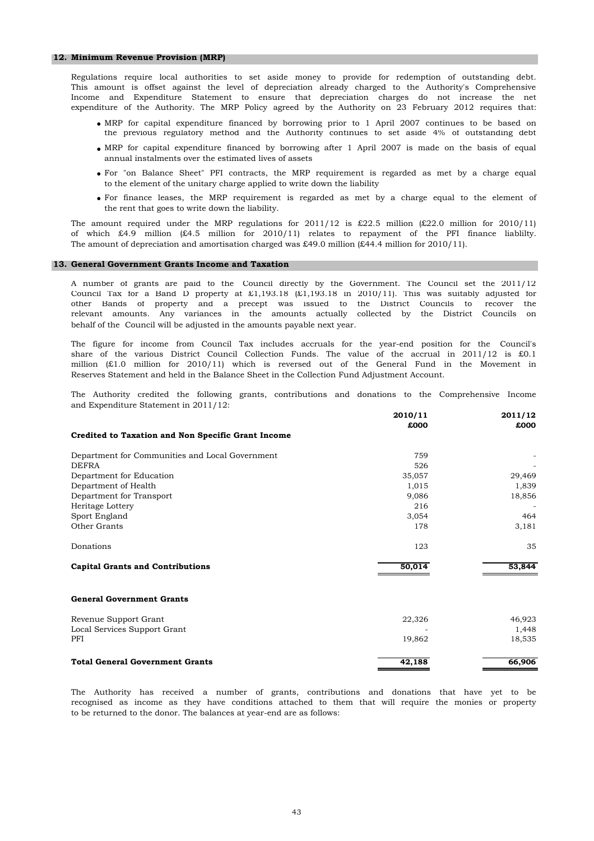#### **12. Minimum Revenue Provision (MRP)**

Regulations require local authorities to set aside money to provide for redemption of outstanding debt. This amount is offset against the level of depreciation already charged to the Authority's Comprehensive Income and Expenditure Statement to ensure that depreciation charges do not increase the net expenditure of the Authority. The MRP Policy agreed by the Authority on 23 February 2012 requires that:

- MRP for capital expenditure financed by borrowing prior to 1 April 2007 continues to be based on the previous regulatory method and the Authority continues to set aside 4% of outstanding debt
- MRP for capital expenditure financed by borrowing after 1 April 2007 is made on the basis of equal annual instalments over the estimated lives of assets
- For "on Balance Sheet" PFI contracts, the MRP requirement is regarded as met by a charge equal to the element of the unitary charge applied to write down the liability
- For finance leases, the MRP requirement is regarded as met by a charge equal to the element of the rent that goes to write down the liability.

The amount of depreciation and amortisation charged was £49.0 million (£44.4 million for 2010/11). The amount required under the MRP regulations for  $2011/12$  is £22.5 million (£22.0 million for 2010/11) of which £4.9 million (£4.5 million for 2010/11) relates to repayment of the PFI finance liablilty.

### **13. General Government Grants Income and Taxation**

behalf of the Council will be adjusted in the amounts payable next year. Council Tax for a Band D property at £1,193.18 (£1,193.18 in 2010/11). This was suitably adjusted for other Bands of property and a precept was issued to the District Councils to recover the relevant amounts. Any variances in the amounts actually collected by the District Councils on A number of grants are paid to the Council directly by the Government. The Council set the 2011/12

Reserves Statement and held in the Balance Sheet in the Collection Fund Adjustment Account. The figure for income from Council Tax includes accruals for the year-end position for the Council's share of the various District Council Collection Funds. The value of the accrual in 2011/12 is £0.1 million (£1.0 million for 2010/11) which is reversed out of the General Fund in the Movement in

and Expenditure Statement in 2011/12: The Authority credited the following grants, contributions and donations to the Comprehensive Income

|                                                    | 2010/11 | 2011/12 |
|----------------------------------------------------|---------|---------|
|                                                    | £000    | £000    |
| Credited to Taxation and Non Specific Grant Income |         |         |
| Department for Communities and Local Government    | 759     |         |
| <b>DEFRA</b>                                       | 526     |         |
| Department for Education                           | 35,057  | 29,469  |
| Department of Health                               | 1,015   | 1,839   |
| Department for Transport                           | 9,086   | 18,856  |
| Heritage Lottery                                   | 216     |         |
| Sport England                                      | 3,054   | 464     |
| Other Grants                                       | 178     | 3,181   |
| Donations                                          | 123     | 35      |
| <b>Capital Grants and Contributions</b>            | 50,014  | 53,844  |
| <b>General Government Grants</b>                   |         |         |
| Revenue Support Grant                              | 22,326  | 46,923  |
| Local Services Support Grant                       |         | 1,448   |
| PFI                                                | 19,862  | 18,535  |
| <b>Total General Government Grants</b>             | 42,188  | 66,906  |

to be returned to the donor. The balances at year-end are as follows: The Authority has received a number of grants, contributions and donations that have yet to be recognised as income as they have conditions attached to them that will require the monies or property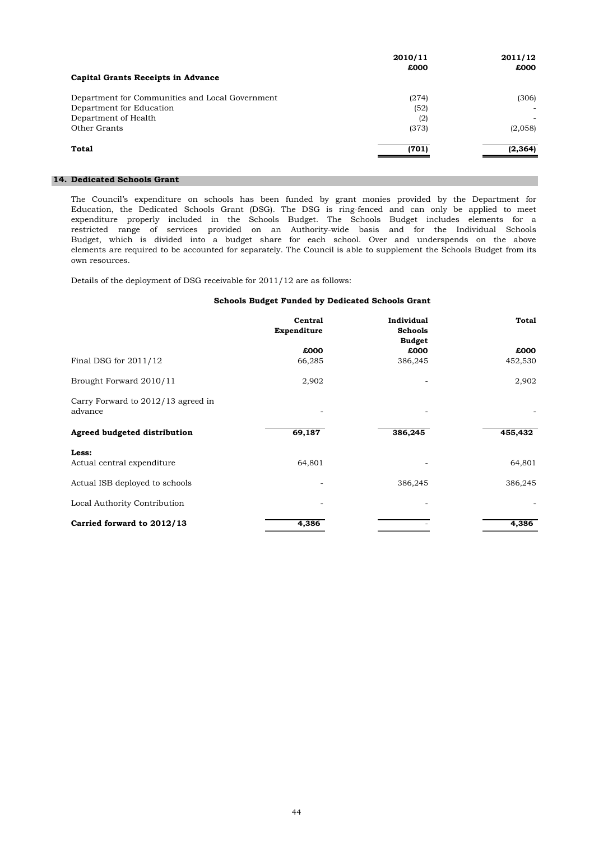|                                                 | 2010/11 | 2011/12  |
|-------------------------------------------------|---------|----------|
|                                                 | £000    | £000     |
| Capital Grants Receipts in Advance              |         |          |
| Department for Communities and Local Government | (274)   | (306)    |
| Department for Education                        | (52)    | ٠        |
| Department of Health                            | (2)     | ۰        |
| Other Grants                                    | (373)   | (2,058)  |
| Total                                           | (701)   | (2, 364) |
|                                                 |         |          |

# **14. Dedicated Schools Grant**

own resources. expenditure properly included in the Schools Budget. The Schools Budget includes elements for a elements are required to be accounted for separately. The Council is able to supplement the Schools Budget from its restricted range of services provided on an Authority-wide basis and for the Individual Schools Budget, which is divided into a budget share for each school. Over and underspends on the above The Council's expenditure on schools has been funded by grant monies provided by the Department for Education, the Dedicated Schools Grant (DSG). The DSG is ring-fenced and can only be applied to meet

Details of the deployment of DSG receivable for 2011/12 are as follows:

# **Schools Budget Funded by Dedicated Schools Grant**

|                                               | Central<br>Expenditure | <b>Individual</b><br><b>Schools</b><br><b>Budget</b> | <b>Total</b> |
|-----------------------------------------------|------------------------|------------------------------------------------------|--------------|
|                                               | £000                   | £000                                                 | £000         |
| Final DSG for $2011/12$                       | 66,285                 | 386,245                                              | 452,530      |
| Brought Forward 2010/11                       | 2,902                  |                                                      | 2,902        |
| Carry Forward to 2012/13 agreed in<br>advance |                        |                                                      |              |
| Agreed budgeted distribution                  | 69,187                 | 386,245                                              | 455,432      |
| Less:                                         |                        |                                                      |              |
| Actual central expenditure                    | 64,801                 |                                                      | 64,801       |
| Actual ISB deployed to schools                |                        | 386,245                                              | 386,245      |
| Local Authority Contribution                  |                        |                                                      |              |
| Carried forward to 2012/13                    | 4,386                  |                                                      | 4,386        |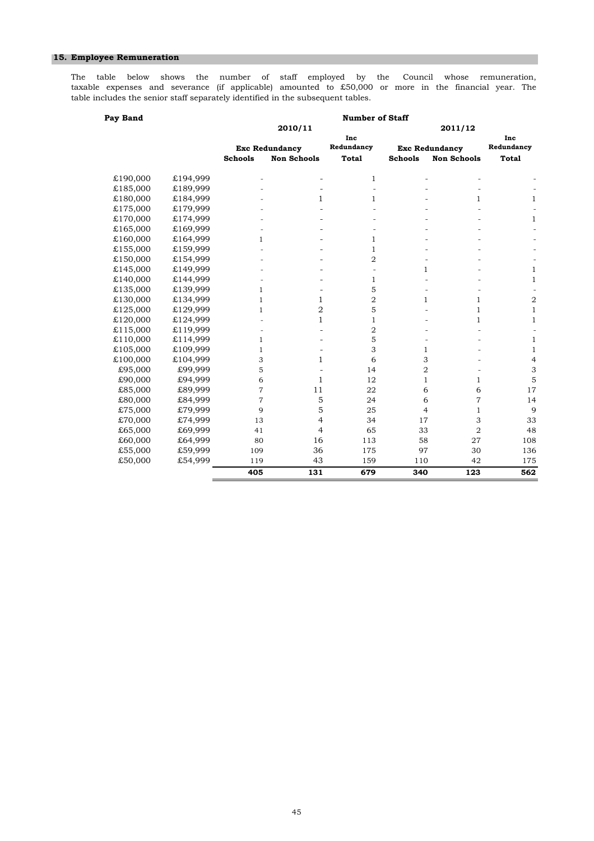# **15. Employee Remuneration**

table includes the senior staff separately identified in the subsequent tables. taxable expenses and severance (if applicable) amounted to £50,000 or more in the financial year. The The table below shows the number of staff employed by the Council whose remuneration,

| Pay Band |          | <b>Number of Staff</b> |                       |                          |                |                       |                          |  |
|----------|----------|------------------------|-----------------------|--------------------------|----------------|-----------------------|--------------------------|--|
|          |          |                        | 2010/11               |                          |                | 2011/12               |                          |  |
|          |          |                        |                       | Inc                      |                |                       | Inc                      |  |
|          |          |                        | <b>Exc Redundancy</b> | Redundancy               |                | <b>Exc Redundancy</b> | Redundancy               |  |
|          |          | <b>Schools</b>         | <b>Non Schools</b>    | <b>Total</b>             | <b>Schools</b> | <b>Non Schools</b>    | <b>Total</b>             |  |
| £190,000 | £194,999 |                        |                       | $\mathbf{1}$             |                |                       |                          |  |
| £185,000 | £189,999 |                        |                       | $\overline{\phantom{a}}$ |                |                       |                          |  |
| £180,000 | £184,999 |                        | $\mathbf{1}$          | 1                        |                | $\mathbf{1}$          | $\mathbf{1}$             |  |
| £175,000 | £179,999 |                        |                       |                          |                |                       |                          |  |
| £170,000 | £174,999 |                        |                       |                          |                |                       | $\mathbf{1}$             |  |
| £165,000 | £169,999 |                        |                       |                          |                |                       |                          |  |
| £160,000 | £164,999 | $\mathbf{1}$           |                       | 1                        |                |                       |                          |  |
| £155,000 | £159,999 |                        |                       | 1                        |                |                       |                          |  |
| £150,000 | £154,999 |                        |                       | $\overline{2}$           |                |                       |                          |  |
| £145,000 | £149,999 |                        |                       | $\overline{\phantom{a}}$ | $\mathbf{1}$   |                       | $\mathbf{1}$             |  |
| £140,000 | £144,999 |                        |                       | 1                        |                |                       | $\mathbf{1}$             |  |
| £135,000 | £139,999 | $\mathbf{1}$           |                       | 5                        |                |                       |                          |  |
| £130,000 | £134,999 | $\mathbf{1}$           | $\mathbf{1}$          | $\overline{2}$           | $\mathbf{1}$   | $\mathbf{1}$          | $\overline{\mathbf{c}}$  |  |
| £125,000 | £129,999 | $\mathbf{1}$           | $\overline{2}$        | 5                        |                | $\mathbf{1}$          | $\mathbf{1}$             |  |
| £120,000 | £124,999 |                        | $\mathbf{1}$          | 1                        |                | 1                     | $\mathbf{1}$             |  |
| £115,000 | £119,999 |                        |                       | 2                        |                |                       | $\overline{\phantom{a}}$ |  |
| £110,000 | £114,999 | $\mathbf{1}$           |                       | 5                        |                |                       | $\mathbf{1}$             |  |
| £105,000 | £109,999 | $\mathbf{1}$           |                       | 3                        | $\mathbf{1}$   |                       | $\mathbf{1}$             |  |
| £100,000 | £104,999 | 3                      | $\mathbf{1}$          | 6                        | 3              |                       | $\overline{4}$           |  |
| £95,000  | £99,999  | 5                      |                       | 14                       | 2              |                       | 3                        |  |
| £90,000  | £94,999  | 6                      | $\mathbf{1}$          | 12                       | $\mathbf{1}$   | $\mathbf{1}$          | 5                        |  |
| £85,000  | £89,999  | $\overline{7}$         | 11                    | 22                       | 6              | 6                     | 17                       |  |
| £80,000  | £84,999  | $\overline{7}$         | 5                     | 24                       | 6              | $\overline{7}$        | 14                       |  |
| £75,000  | £79,999  | 9                      | 5                     | 25                       | $\overline{4}$ | $\mathbf{1}$          | 9                        |  |
| £70,000  | £74,999  | 13                     | $\overline{4}$        | 34                       | 17             | 3                     | 33                       |  |
| £65,000  | £69,999  | 41                     | $\overline{4}$        | 65                       | 33             | $\overline{2}$        | 48                       |  |
| £60,000  | £64,999  | 80                     | 16                    | 113                      | 58             | 27                    | 108                      |  |
| £55,000  | £59,999  | 109                    | 36                    | 175                      | 97             | 30                    | 136                      |  |
| £50,000  | £54,999  | 119                    | 43                    | 159                      | 110            | 42                    | 175                      |  |
|          |          | 405                    | 131                   | 679                      | 340            | 123                   | 562                      |  |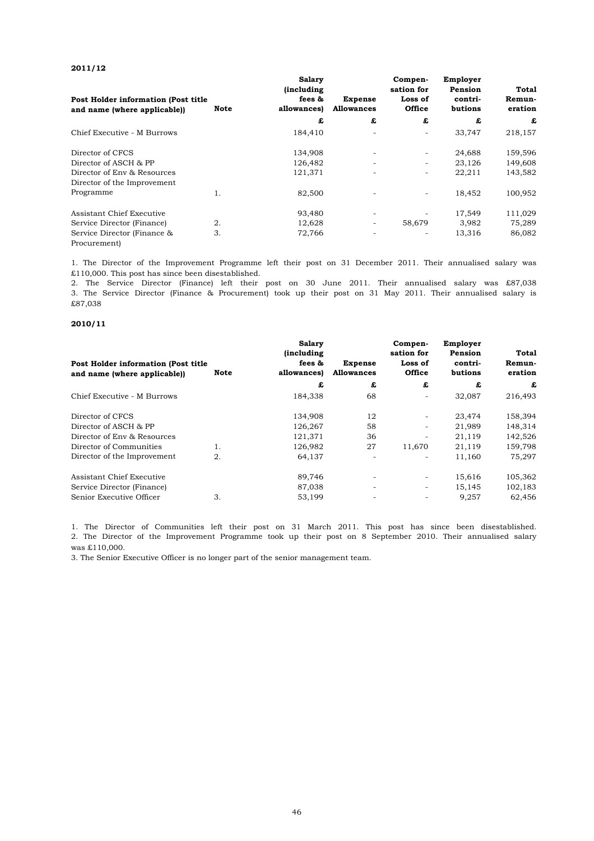## **2011/12**

| Post Holder information (Post title)<br>and name (where applicable)) | Note | <b>Salary</b><br><i>(including)</i><br>fees &<br>allowances) | <b>Expense</b><br><b>Allowances</b> | Compen-<br>sation for<br>Loss of<br><b>Office</b> | Employer<br>Pension<br>contri-<br>butions | Total<br>Remun-<br>eration |
|----------------------------------------------------------------------|------|--------------------------------------------------------------|-------------------------------------|---------------------------------------------------|-------------------------------------------|----------------------------|
|                                                                      |      | £                                                            | £                                   | £                                                 | £                                         | £                          |
| Chief Executive - M Burrows                                          |      | 184,410                                                      |                                     |                                                   | 33,747                                    | 218,157                    |
| Director of CFCS                                                     |      | 134,908                                                      | $\overline{\phantom{a}}$            | -                                                 | 24,688                                    | 159,596                    |
| Director of ASCH & PP                                                |      | 126,482                                                      | $\overline{\phantom{a}}$            |                                                   | 23,126                                    | 149,608                    |
| Director of Env & Resources<br>Director of the Improvement           |      | 121,371                                                      | ٠                                   | ٠                                                 | 22,211                                    | 143,582                    |
| Programme                                                            | 1.   | 82,500                                                       |                                     | $\overline{\phantom{0}}$                          | 18,452                                    | 100,952                    |
| Assistant Chief Executive                                            |      | 93,480                                                       | ٠                                   |                                                   | 17,549                                    | 111,029                    |
| Service Director (Finance)                                           | 2.   | 12,628                                                       | -                                   | 58,679                                            | 3,982                                     | 75,289                     |
| Service Director (Finance &<br>Procurement)                          | 3.   | 72,766                                                       | $\overline{\phantom{a}}$            | ۰.                                                | 13,316                                    | 86,082                     |

£110,000. This post has since been disestablished. 1. The Director of the Improvement Programme left their post on 31 December 2011. Their annualised salary was

£87,038 2. The Service Director (Finance) left their post on 30 June 2011. Their annualised salary was £87,038 3. The Service Director (Finance & Procurement) took up their post on 31 May 2011. Their annualised salary is

# **2010/11**

| Post Holder information (Post title<br>and name (where applicable)) | Note | <b>Salary</b><br><i>(including)</i><br>fees &<br>allowances) | <b>Expense</b><br><b>Allowances</b> | Compen-<br>sation for<br>Loss of<br><b>Office</b> | Employer<br>Pension<br>contri-<br>butions | <b>Total</b><br>Remun-<br>eration |
|---------------------------------------------------------------------|------|--------------------------------------------------------------|-------------------------------------|---------------------------------------------------|-------------------------------------------|-----------------------------------|
|                                                                     |      | £                                                            | £                                   | £                                                 | £                                         | £                                 |
| Chief Executive - M Burrows                                         |      | 184,338                                                      | 68                                  |                                                   | 32,087                                    | 216,493                           |
| Director of CFCS                                                    |      | 134,908                                                      | 12                                  |                                                   | 23,474                                    | 158,394                           |
| Director of ASCH & PP                                               |      | 126.267                                                      | 58                                  |                                                   | 21.989                                    | 148,314                           |
| Director of Env & Resources                                         |      | 121,371                                                      | 36                                  |                                                   | 21,119                                    | 142,526                           |
| Director of Communities                                             | 1.   | 126,982                                                      | 27                                  | 11.670                                            | 21,119                                    | 159,798                           |
| Director of the Improvement                                         | 2.   | 64,137                                                       | ٠                                   | -                                                 | 11,160                                    | 75,297                            |
| Assistant Chief Executive                                           |      | 89,746                                                       | $\overline{\phantom{a}}$            |                                                   | 15,616                                    | 105,362                           |
| Service Director (Finance)                                          |      | 87,038                                                       | $\overline{\phantom{a}}$            | ٠                                                 | 15,145                                    | 102,183                           |
| Senior Executive Officer                                            | 3.   | 53,199                                                       |                                     |                                                   | 9,257                                     | 62,456                            |

was £110,000. 1. The Director of Communities left their post on 31 March 2011. This post has since been disestablished. 2. The Director of the Improvement Programme took up their post on 8 September 2010. Their annualised salary

3. The Senior Executive Officer is no longer part of the senior management team.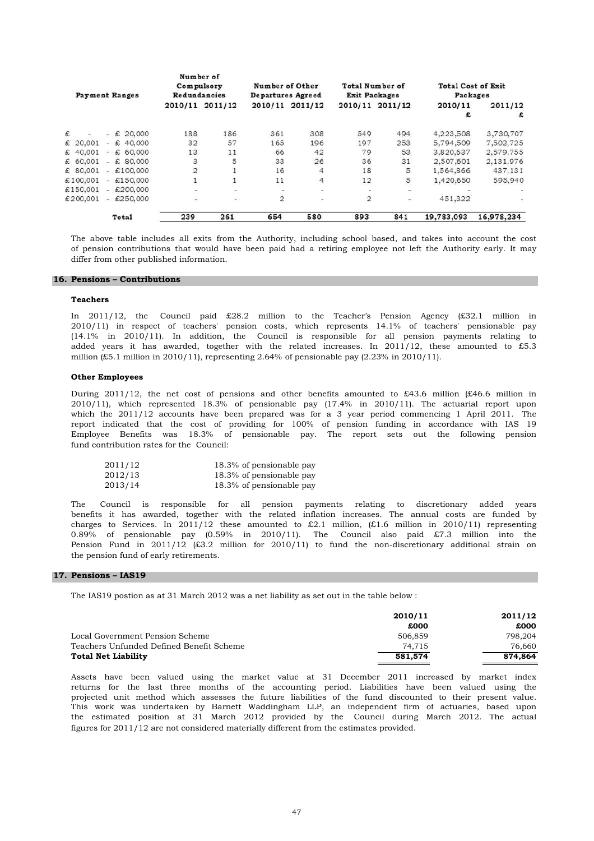|          | <b>Payment Ranges</b> | Number of<br>Redundancies | Compulsory      | Departures Agreed | Number of Other | Total Number of<br><b>Exit Packages</b> |                 | <b>Total Cost of Exit</b><br>Packages |                          |
|----------|-----------------------|---------------------------|-----------------|-------------------|-----------------|-----------------------------------------|-----------------|---------------------------------------|--------------------------|
|          |                       |                           | 2010/11 2011/12 |                   | 2010/11 2011/12 |                                         | 2010/11 2011/12 | 2010/11                               | 2011/12                  |
|          |                       |                           |                 |                   |                 |                                         |                 | £                                     | £                        |
| £        | 20,000<br>- £         | 188                       | 186             | 361               | 308             | 549                                     | 494             | 4,223,508                             | 3,730,707                |
| € 20,001 | 40,000<br>£<br>×.     | 32                        | 57              | 165               | 196             | 197                                     | 253             | 5,794,509                             | 7,502,725                |
| € 40,001 | € 60,000<br>$\sim$    | 13                        | 11              | 66                | 42              | 79                                      | 53              | 3,820,637                             | 2,579,755                |
| € 60,001 | € 80,000<br>٠.        | 3                         | 5               | 33                | 26              | 36                                      | 31              | 2,507,601                             | 2,131,976                |
| € 80,001 | $-$ £100,000          | $\overline{2}$            |                 | 16                | 4               | 18                                      | 5               | 1,564,866                             | 437,131                  |
| €100.001 | $-$ £150,000          |                           | 1               | 11                | 4               | 12                                      | 5               | 1,420,650                             | 595,940                  |
| €150,001 | €200,000<br>٠         | ۰                         | э               | $\,$              | Ö,              | ۰                                       | $\sim$          |                                       |                          |
| €200,001 | $-$ £250,000          | ۰                         | ۰.              | $\overline{2}$    | ۰               | $\overline{2}$                          | $\blacksquare$  | 451.322                               | $\overline{\phantom{m}}$ |
|          | <b>Total</b>          | 239                       | 261             | 654               | 580             | 893                                     | 841             | 19,783,093                            | 16,978,234               |

differ from other published information. The above table includes all exits from the Authority, including school based, and takes into account the cost of pension contributions that would have been paid had a retiring employee not left the Authority early. It may

# **16. Pensions – Contributions**

### **Teachers**

million (£5.1 million in 2010/11), representing 2.64% of pensionable pay  $(2.23\% \text{ in } 2010/11)$ . (14.1% in 2010/11). In addition, the Council is responsible for all pension payments relating to added years it has awarded, together with the related increases. In 2011/12, these amounted to £5.3 In 2011/12, the Council paid £28.2 million to the Teacher's Pension Agency (£32.1 million in 2010/11) in respect of teachers' pension costs, which represents 14.1% of teachers' pensionable pay

### **Other Employees**

fund contribution rates for the Council: which the 2011/12 accounts have been prepared was for a 3 year period commencing 1 April 2011. The report indicated that the cost of providing for 100% of pension funding in accordance with IAS 19 During 2011/12, the net cost of pensions and other benefits amounted to £43.6 million (£46.6 million in 2010/11), which represented 18.3% of pensionable pay (17.4% in 2010/11). The actuarial report upon Employee Benefits was 18.3% of pensionable pay. The report sets out the following pension

| 2011/12 | 18.3% of pensionable pay |
|---------|--------------------------|
| 2012/13 | 18.3% of pensionable pay |
| 2013/14 | 18.3% of pensionable pay |

the pension fund of early retirements. benefits it has awarded, together with the related inflation increases. The annual costs are funded by charges to Services. In 2011/12 these amounted to £2.1 million,  $(E1.6 \text{ million in } 2010/11)$  representing 0.89% of pensionable pay (0.59% in 2010/11). The Council also paid £7.3 million into the Pension Fund in 2011/12 (£3.2 million for 2010/11) to fund the non-discretionary additional strain on The Council is responsible for all pension payments relating to discretionary added years

#### **17. Pensions – IAS19**

The IAS19 postion as at 31 March 2012 was a net liability as set out in the table below :

|                                          | 2010/11 | 2011/12 |
|------------------------------------------|---------|---------|
|                                          | £000    | £000    |
| Local Government Pension Scheme          | 506,859 | 798.204 |
| Teachers Unfunded Defined Benefit Scheme | 74.715  | 76.660  |
| <b>Total Net Liability</b>               | 581,574 | 874,864 |

figures for 2011/12 are not considered materially different from the estimates provided. Assets have been valued using the market value at 31 December 2011 increased by market index returns for the last three months of the accounting period. Liabilities have been valued using the projected unit method which assesses the future liabilities of the fund discounted to their present value. This work was undertaken by Barnett Waddingham LLP, an independent firm of actuaries, based upon the estimated position at 31 March 2012 provided by the Council during March 2012. The actual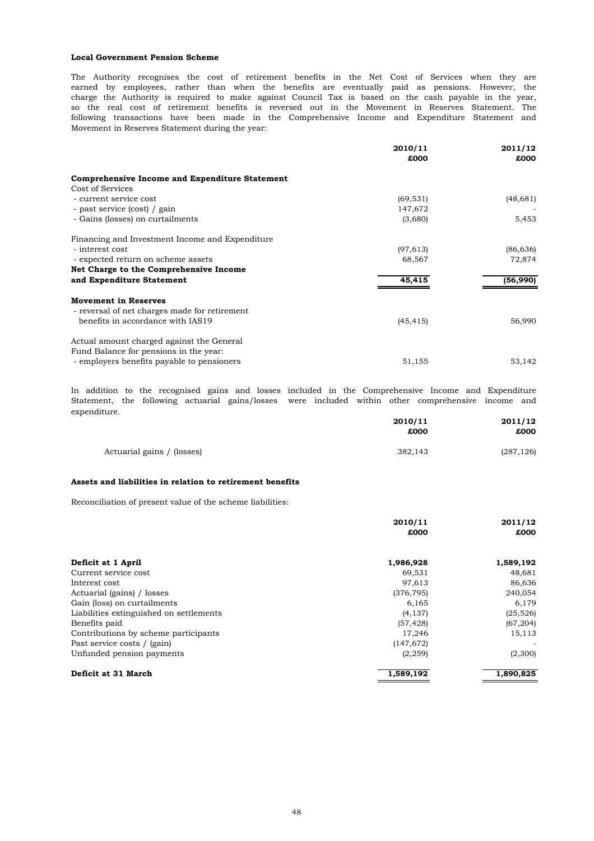#### **Local Government Pension Scheme**

Movement in Reserves Statement during the year: charge the Authority is required to make against Council Tax is based on the cash payable in the year, so the real cost of retirement benefits is reversed out in the Movement in Reserves Statement. The The Authority recognises the cost of retirement benefits in the Net Cost of Services when they are earned by employees, rather than when the benefits are eventually paid as pensions. However, the following transactions have been made in the Comprehensive Income and Expenditure Statement and

|                                                       | 2010/11<br>£000 | 2011/12<br>£000 |
|-------------------------------------------------------|-----------------|-----------------|
| <b>Comprehensive Income and Expenditure Statement</b> |                 |                 |
| Cost of Services                                      |                 |                 |
| - current service cost                                | (69, 531)       | (48, 681)       |
| - past service (cost) / gain                          | 147,672         |                 |
| - Gains (losses) on curtailments                      | (3,680)         | 5,453           |
| Financing and Investment Income and Expenditure       |                 |                 |
| - interest cost                                       | (97, 613)       | (86,636)        |
| - expected return on scheme assets                    | 68,567          | 72,874          |
| Net Charge to the Comprehensive Income                |                 |                 |
| and Expenditure Statement                             | 45,415          | (56,990)        |
| <b>Movement in Reserves</b>                           |                 |                 |
| - reversal of net charges made for retirement         |                 |                 |
| benefits in accordance with IAS19                     | (45, 415)       | 56,990          |
| Actual amount charged against the General             |                 |                 |
| Fund Balance for pensions in the year:                |                 |                 |
| - employers benefits payable to pensioners            | 51,155          | 53,142          |
|                                                       |                 |                 |

expenditure. Statement, the following actuarial gains/losses were included within other comprehensive income and In addition to the recognised gains and losses included in the Comprehensive Income and Expenditure

|                            | 2010/11<br>£000 | 2011/12<br>£000 |
|----------------------------|-----------------|-----------------|
| Actuarial gains / (losses) | 382.143         | (287, 126)      |

## **Assets and liabilities in relation to retirement benefits**

Reconciliation of present value of the scheme liabilities:

|                                         | 2010/11    |           |
|-----------------------------------------|------------|-----------|
|                                         | £000       | £000      |
|                                         |            |           |
| Deficit at 1 April                      | 1,986,928  | 1,589,192 |
| Current service cost                    | 69.531     | 48,681    |
| Interest cost                           | 97,613     | 86,636    |
| Actuarial (gains) / losses              | (376, 795) | 240,054   |
| Gain (loss) on curtailments             | 6,165      | 6,179     |
| Liabilities extinguished on settlements | (4, 137)   | (25, 526) |
| Benefits paid                           | (57, 428)  | (67, 204) |
| Contributions by scheme participants    | 17,246     | 15,113    |
| Past service costs / (gain)             | (147, 672) |           |
| Unfunded pension payments               | (2, 259)   | (2,300)   |
| Deficit at 31 March                     | 1,589,192  | 1,890,825 |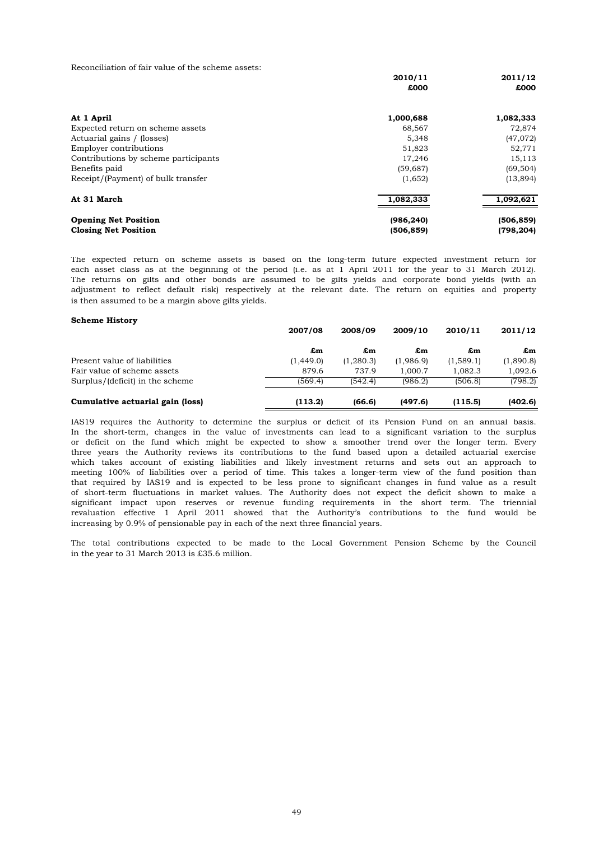Reconciliation of fair value of the scheme assets:

|                                      | 2010/11    | 2011/12    |
|--------------------------------------|------------|------------|
|                                      | £000       | £000       |
| At 1 April                           | 1,000,688  | 1,082,333  |
| Expected return on scheme assets     | 68,567     | 72,874     |
| Actuarial gains / (losses)           | 5,348      | (47,072)   |
| Employer contributions               | 51,823     | 52,771     |
| Contributions by scheme participants | 17,246     | 15,113     |
| Benefits paid                        | (59, 687)  | (69, 504)  |
| Receipt/(Payment) of bulk transfer   | (1,652)    | (13, 894)  |
| At 31 March                          | 1,082,333  | 1,092,621  |
| <b>Opening Net Position</b>          | (986, 240) | (506, 859) |
| <b>Closing Net Position</b>          | (506, 859) | (798, 204) |

is then assumed to be a margin above gilts yields. The returns on gilts and other bonds are assumed to be gilts yields and corporate bond yields (with an adjustment to reflect default risk) respectively at the relevant date. The return on equities and property The expected return on scheme assets is based on the long-term future expected investment return for each asset class as at the beginning of the period (i.e. as at 1 April 2011 for the year to 31 March 2012).

### **Scheme History**

|                                  | 2007/08   | 2008/09    | 2009/10   | 2010/11   | 2011/12   |
|----------------------------------|-----------|------------|-----------|-----------|-----------|
|                                  | £m        | £m         | £m        | £m        | £m        |
| Present value of liabilities     | (1.449.0) | (1, 280.3) | (1,986.9) | (1,589.1) | (1,890.8) |
| Fair value of scheme assets      | 879.6     | 737.9      | 1.000.7   | 1.082.3   | 1.092.6   |
| Surplus/(deficit) in the scheme  | (569.4)   | (542.4)    | (986.2)   | (506.8)   | (798.2)   |
| Cumulative actuarial gain (loss) | (113.2)   | (66.6)     | (497.6)   | (115.5)   | (402.6)   |

revaluation effective 1 April 2011 showed that the Authority's contributions to the fund would be increasing by 0.9% of pensionable pay in each of the next three financial years. significant impact upon reserves or revenue funding requirements in the short term. The triennial that required by IAS19 and is expected to be less prone to significant changes in fund value as a result of short-term fluctuations in market values. The Authority does not expect the deficit shown to make a meeting 100% of liabilities over a period of time. This takes a longer-term view of the fund position than IAS19 requires the Authority to determine the surplus or deficit of its Pension Fund on an annual basis. In the short-term, changes in the value of investments can lead to a significant variation to the surplus or deficit on the fund which might be expected to show a smoother trend over the longer term. Every three years the Authority reviews its contributions to the fund based upon a detailed actuarial exercise which takes account of existing liabilities and likely investment returns and sets out an approach to

in the year to 31 March 2013 is £35.6 million. The total contributions expected to be made to the Local Government Pension Scheme by the Council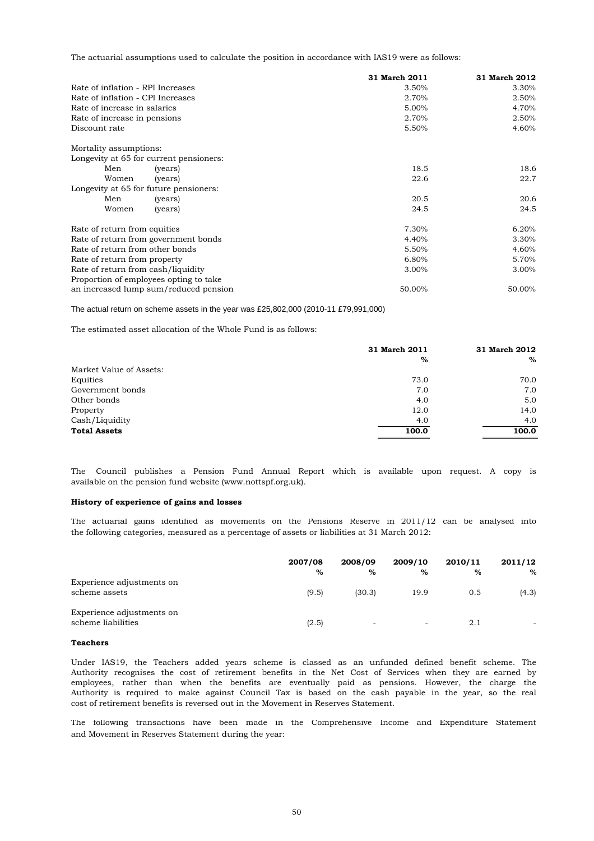The actuarial assumptions used to calculate the position in accordance with IAS19 were as follows:

|                                    |                                         | 31 March 2011 | 31 March 2012 |
|------------------------------------|-----------------------------------------|---------------|---------------|
| Rate of inflation - RPI Increases  |                                         | 3.50%         | 3.30%         |
| Rate of inflation - CPI Increases  |                                         | 2.70%         | 2.50%         |
| Rate of increase in salaries       |                                         | 5.00%         | 4.70%         |
| Rate of increase in pensions       |                                         | 2.70%         | 2.50%         |
| Discount rate                      |                                         | 5.50%         | 4.60%         |
| Mortality assumptions:             |                                         |               |               |
|                                    | Longevity at 65 for current pensioners: |               |               |
| Men                                | (years)                                 | 18.5          | 18.6          |
| Women                              | (years)                                 | 22.6          | 22.7          |
|                                    | Longevity at 65 for future pensioners:  |               |               |
| Men                                | (years)                                 | 20.5          | 20.6          |
| Women                              | (years)                                 | 24.5          | 24.5          |
| Rate of return from equities       |                                         | 7.30%         | 6.20%         |
|                                    | Rate of return from government bonds    | 4.40%         | 3.30%         |
| Rate of return from other bonds    |                                         | 5.50%         | 4.60%         |
| Rate of return from property       |                                         | 6.80%         | 5.70%         |
| Rate of return from cash/liquidity |                                         | 3.00%         | 3.00%         |
|                                    | Proportion of employees opting to take  |               |               |
|                                    | an increased lump sum/reduced pension   | 50.00%        | 50.00%        |

The actual return on scheme assets in the year was £25,802,000 (2010-11 £79,991,000)

The estimated asset allocation of the Whole Fund is as follows:

|                         | 31 March 2011 | 31 March 2012 |
|-------------------------|---------------|---------------|
|                         | %             | $\%$          |
| Market Value of Assets: |               |               |
| Equities                | 73.0          | 70.0          |
| Government bonds        | 7.0           | 7.0           |
| Other bonds             | 4.0           | 5.0           |
| Property                | 12.0          | 14.0          |
| Cash/Liquidity          | 4.0           | 4.0           |
| <b>Total Assets</b>     | 100.0         | 100.0         |
|                         |               |               |

available on the pension fund website (www.nottspf.org.uk). The Council publishes a Pension Fund Annual Report which is available upon request. A copy is

# **History of experience of gains and losses**

the following categories, measured as a percentage of assets or liabilities at 31 March 2012: The actuarial gains identified as movements on the Pensions Reserve in 2011/12 can be analysed into

|                                                 | 2007/08<br>$\%$ | 2008/09<br>$\%$          | 2009/10<br>$\%$ | 2010/11<br>$\%$ | 2011/12<br>$\%$ |
|-------------------------------------------------|-----------------|--------------------------|-----------------|-----------------|-----------------|
| Experience adjustments on<br>scheme assets      | (9.5)           | (30.3)                   | 19.9            | 0.5             | (4.3)           |
| Experience adjustments on<br>scheme liabilities | (2.5)           | $\overline{\phantom{a}}$ | $\sim$          | 2.1             | -               |

### **Teachers**

cost of retirement benefits is reversed out in the Movement in Reserves Statement. Under IAS19, the Teachers added years scheme is classed as an unfunded defined benefit scheme. The Authority recognises the cost of retirement benefits in the Net Cost of Services when they are earned by employees, rather than when the benefits are eventually paid as pensions. However, the charge the Authority is required to make against Council Tax is based on the cash payable in the year, so the real

and Movement in Reserves Statement during the year: The following transactions have been made in the Comprehensive Income and Expenditure Statement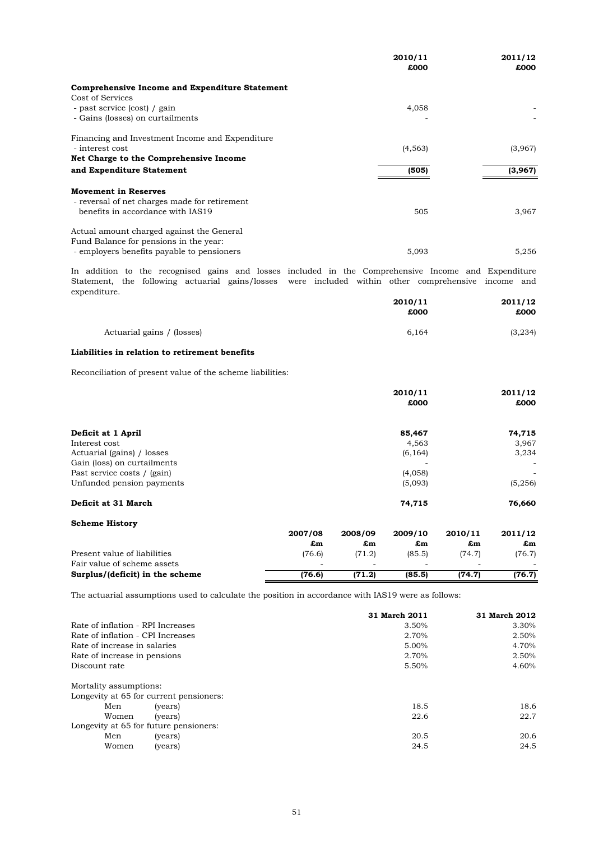|                                                       | 2010/11<br>£000 | 2011/12<br>£000 |
|-------------------------------------------------------|-----------------|-----------------|
| <b>Comprehensive Income and Expenditure Statement</b> |                 |                 |
| Cost of Services                                      |                 |                 |
| - past service (cost) / gain                          | 4,058           |                 |
| - Gains (losses) on curtailments                      |                 |                 |
| Financing and Investment Income and Expenditure       |                 |                 |
| - interest cost                                       | (4, 563)        | (3,967)         |
| Net Charge to the Comprehensive Income                |                 |                 |
| and Expenditure Statement                             | (505)           | (3,967)         |
| <b>Movement in Reserves</b>                           |                 |                 |
| - reversal of net charges made for retirement         |                 |                 |
| benefits in accordance with IAS19                     | 505             | 3,967           |
| Actual amount charged against the General             |                 |                 |
| Fund Balance for pensions in the year:                |                 |                 |
| - employers benefits payable to pensioners            | 5,093           | 5,256           |

expenditure. Statement, the following actuarial gains/losses were included within other comprehensive income and In addition to the recognised gains and losses included in the Comprehensive Income and Expenditure

|                            | 2010/11<br>£000 | 2011/12<br>£000 |
|----------------------------|-----------------|-----------------|
| Actuarial gains / (losses) | 6.164           | (3, 234)        |

# **Liabilities in relation to retirement benefits**

Reconciliation of present value of the scheme liabilities:

|                             |               | 2010/11       |          |         | 2011/12 |
|-----------------------------|---------------|---------------|----------|---------|---------|
|                             |               |               | £000     |         | £000    |
| Deficit at 1 April          |               |               | 85,467   |         | 74,715  |
| Interest cost               |               |               | 4,563    |         | 3,967   |
| Actuarial (gains) / losses  |               |               | (6, 164) |         | 3,234   |
| Gain (loss) on curtailments |               |               |          |         | ٠       |
| Past service costs / (gain) |               |               | (4,058)  |         | ٠       |
| Unfunded pension payments   |               |               | (5,093)  |         | (5,256) |
| Deficit at 31 March         |               |               | 74,715   |         | 76,660  |
| <b>Scheme History</b>       |               |               |          |         |         |
|                             | 2007/08       | 2008/09       | 2009/10  | 2010/11 | 2011/12 |
|                             | $F_{\rm rms}$ | $F_{\rm rms}$ | f.m      | f.m     | f.m     |

|                                 | 2007700                  | 2000709 | 2009/10 | 2010/11 | 2011/12 |
|---------------------------------|--------------------------|---------|---------|---------|---------|
|                                 | £m                       | £m      | £m      | £m      | £m      |
| Present value of liabilities    | (76.6)                   | (71.2)  | (85.5)  | (74.7)  | (76.7)  |
| Fair value of scheme assets     | $\overline{\phantom{a}}$ | $\sim$  |         | ۰       |         |
| Surplus/(deficit) in the scheme | (76.6)                   | (71.2)  | (85.5)  | (74.7)  | (76.7)  |

The actuarial assumptions used to calculate the position in accordance with IAS19 were as follows:

|                                   |                                         | 31 March 2011 | 31 March 2012 |
|-----------------------------------|-----------------------------------------|---------------|---------------|
| Rate of inflation - RPI Increases |                                         | 3.50%         | 3.30%         |
| Rate of inflation - CPI Increases |                                         | 2.70%         | 2.50%         |
| Rate of increase in salaries      |                                         | 5.00%         | 4.70%         |
| Rate of increase in pensions      |                                         | 2.70%         | 2.50%         |
| Discount rate                     |                                         | 5.50%         | 4.60%         |
| Mortality assumptions:            |                                         |               |               |
|                                   | Longevity at 65 for current pensioners: |               |               |
| Men                               | (years)                                 | 18.5          | 18.6          |
| Women                             | (years)                                 | 22.6          | 22.7          |
|                                   | Longevity at 65 for future pensioners:  |               |               |
| Men                               | (years)                                 | 20.5          | 20.6          |
| Women                             | (years)                                 | 24.5          | 24.5          |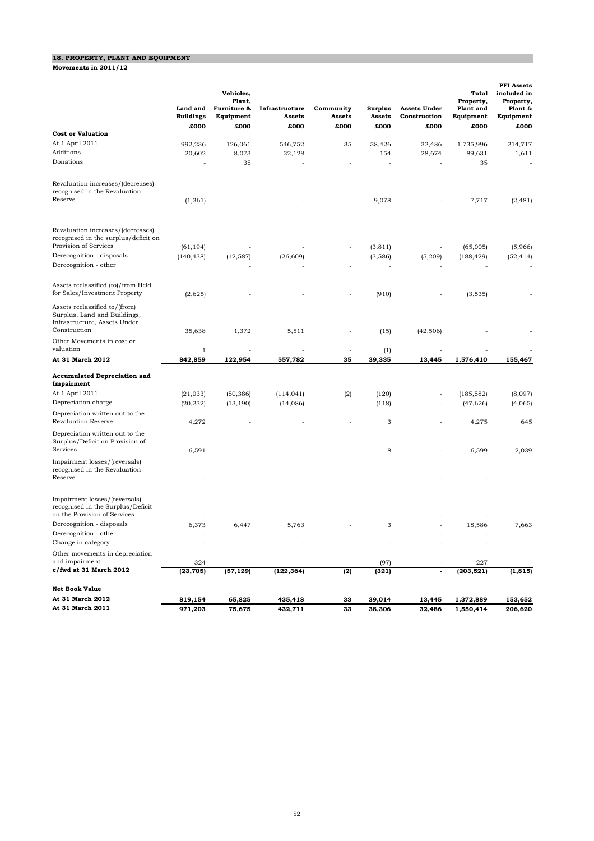# **18. PROPERTY, PLANT AND EQUIPMENT**

**Movements in 2011/12**

|                                                                                                               | Land and<br><b>Buildings</b> | Vehicles,<br>Plant,<br>Furniture &<br>Equipment | Infrastructure<br>Assets | Community<br>Assets      | Surplus<br>Assets | <b>Assets Under</b><br>Construction | Total<br>Property,<br>Plant and<br>Equipment | <b>PFI</b> Assets<br>included in<br>Property,<br>Plant &<br>Equipment |
|---------------------------------------------------------------------------------------------------------------|------------------------------|-------------------------------------------------|--------------------------|--------------------------|-------------------|-------------------------------------|----------------------------------------------|-----------------------------------------------------------------------|
| <b>Cost or Valuation</b>                                                                                      | £000                         | £000                                            | £000                     | £000                     | £000              | £000                                | £000                                         | £000                                                                  |
| At 1 April 2011                                                                                               | 992,236                      | 126,061                                         | 546,752                  | 35                       | 38,426            | 32,486                              | 1,735,996                                    | 214,717                                                               |
| Additions                                                                                                     | 20,602                       | 8,073                                           | 32,128                   |                          | 154               | 28,674                              | 89,631                                       | 1,611                                                                 |
| Donations                                                                                                     |                              | 35                                              |                          |                          |                   |                                     | 35                                           |                                                                       |
|                                                                                                               |                              |                                                 |                          |                          |                   |                                     |                                              |                                                                       |
| Revaluation increases/(decreases)<br>recognised in the Revaluation<br>Reserve                                 | (1, 361)                     |                                                 |                          |                          | 9,078             |                                     | 7,717                                        | (2, 481)                                                              |
| Revaluation increases/(decreases)<br>recognised in the surplus/deficit on<br>Provision of Services            | (61, 194)                    |                                                 |                          |                          | (3, 811)          |                                     | (65,005)                                     | (5,966)                                                               |
| Derecognition - disposals                                                                                     | (140, 438)                   | (12, 587)                                       | (26, 609)                |                          | (3,586)           | (5,209)                             | (188, 429)                                   | (52, 414)                                                             |
| Derecognition - other                                                                                         |                              |                                                 |                          |                          |                   |                                     |                                              |                                                                       |
| Assets reclassified (to)/from Held<br>for Sales/Investment Property                                           | (2,625)                      |                                                 |                          |                          | (910)             |                                     | (3,535)                                      |                                                                       |
| Assets reclassified to/(from)<br>Surplus, Land and Buildings,<br>Infrastructure, Assets Under<br>Construction | 35,638                       | 1,372                                           | 5,511                    |                          | (15)              | (42, 506)                           |                                              |                                                                       |
| Other Movements in cost or<br>valuation                                                                       | $1\,$                        |                                                 |                          | $\overline{\phantom{a}}$ | (1)               |                                     |                                              |                                                                       |
| At 31 March 2012                                                                                              | 842,859                      | 122,954                                         | 557,782                  | 35                       | 39,335            | 13,445                              | 1,576,410                                    | 155,467                                                               |
|                                                                                                               |                              |                                                 |                          |                          |                   |                                     |                                              |                                                                       |
| <b>Accumulated Depreciation and</b><br>Impairment                                                             |                              |                                                 |                          |                          |                   |                                     |                                              |                                                                       |
| At 1 April 2011                                                                                               | (21, 033)                    | (50, 386)                                       | (114, 041)               | (2)                      | (120)             |                                     | (185, 582)                                   | (8,097)                                                               |
| Depreciation charge                                                                                           | (20, 232)                    | (13, 190)                                       | (14,086)                 |                          | (118)             |                                     | (47, 626)                                    | (4,065)                                                               |
| Depreciation written out to the<br><b>Revaluation Reserve</b>                                                 | 4,272                        |                                                 |                          |                          | 3                 |                                     | 4,275                                        | 645                                                                   |
| Depreciation written out to the<br>Surplus/Deficit on Provision of                                            |                              |                                                 |                          |                          |                   |                                     |                                              |                                                                       |
| Services                                                                                                      | 6,591                        |                                                 |                          |                          | 8                 |                                     | 6,599                                        | 2,039                                                                 |
| Impairment losses/(reversals)<br>recognised in the Revaluation<br>Reserve                                     |                              |                                                 |                          |                          |                   |                                     |                                              |                                                                       |
| Impairment losses/(reversals)<br>recognised in the Surplus/Deficit<br>on the Provision of Services            |                              |                                                 |                          |                          |                   |                                     |                                              |                                                                       |
| Derecognition - disposals                                                                                     | 6,373                        | 6,447                                           | 5,763                    |                          | 3                 |                                     | 18,586                                       | 7,663                                                                 |
| Derecognition - other                                                                                         |                              |                                                 |                          |                          |                   |                                     |                                              |                                                                       |
| Change in category                                                                                            |                              |                                                 |                          |                          |                   |                                     |                                              |                                                                       |
| Other movements in depreciation                                                                               |                              |                                                 |                          |                          |                   |                                     |                                              |                                                                       |
| and impairment                                                                                                | 324                          |                                                 |                          |                          | (97)              | $\overline{\phantom{a}}$            | 227                                          |                                                                       |
| c/fwd at 31 March 2012                                                                                        | (23, 705)                    | (57, 129)                                       | (122, 364)               | (2)                      | (321)             |                                     | (203, 521)                                   | (1, 815)                                                              |
| <b>Net Book Value</b>                                                                                         |                              |                                                 |                          |                          |                   |                                     |                                              |                                                                       |
| At 31 March 2012                                                                                              | 819,154                      | 65,825                                          | 435,418                  | 33                       | 39,014            | 13,445                              | 1,372,889                                    | 153,652                                                               |
| At 31 March 2011                                                                                              | 971,203                      | 75,675                                          | 432,711                  | 33                       | 38,306            | 32,486                              | 1,550,414                                    | 206,620                                                               |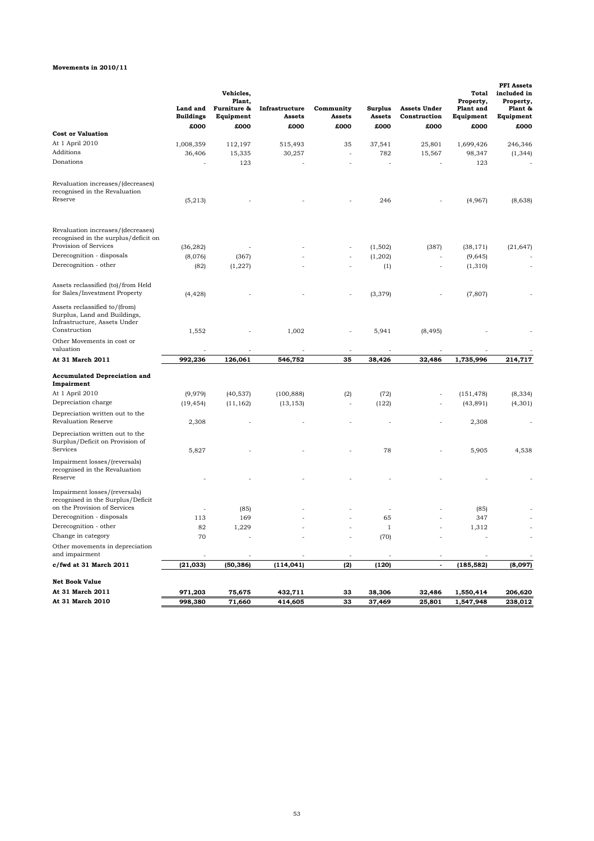# **Movements in 2010/11**

|                                                                                                               | Land and<br><b>Buildings</b> | Vehicles,<br>Plant,<br>Furniture &<br>Equipment | Infrastructure<br><b>Assets</b> | Community<br>Assets | <b>Surplus</b><br>Assets | <b>Assets Under</b><br>Construction | <b>Total</b><br>Property,<br><b>Plant</b> and<br>Equipment | <b>PFI</b> Assets<br>included in<br>Property,<br>Plant &<br>Equipment |
|---------------------------------------------------------------------------------------------------------------|------------------------------|-------------------------------------------------|---------------------------------|---------------------|--------------------------|-------------------------------------|------------------------------------------------------------|-----------------------------------------------------------------------|
| <b>Cost or Valuation</b>                                                                                      | £000                         | £000                                            | £000                            | £000                | £000                     | £000                                | £000                                                       | £000                                                                  |
| At 1 April 2010                                                                                               | 1,008,359                    | 112,197                                         | 515,493                         | 35                  | 37,541                   | 25,801                              | 1,699,426                                                  | 246,346                                                               |
| Additions                                                                                                     |                              |                                                 |                                 | J.                  | 782                      | 15,567                              |                                                            |                                                                       |
| Donations                                                                                                     | 36,406                       | 15,335                                          | 30,257                          |                     |                          |                                     | 98,347                                                     | (1, 344)                                                              |
|                                                                                                               |                              | 123                                             |                                 |                     |                          |                                     | 123                                                        |                                                                       |
| Revaluation increases/(decreases)<br>recognised in the Revaluation<br>Reserve                                 | (5,213)                      |                                                 |                                 |                     | 246                      |                                     | (4,967)                                                    | (8,638)                                                               |
| Revaluation increases/(decreases)<br>recognised in the surplus/deficit on<br>Provision of Services            | (36, 282)                    |                                                 |                                 |                     | (1,502)                  | (387)                               | (38, 171)                                                  | (21, 647)                                                             |
| Derecognition - disposals                                                                                     | (8,076)                      | (367)                                           |                                 |                     | (1, 202)                 |                                     | (9,645)                                                    |                                                                       |
| Derecognition - other                                                                                         | (82)                         |                                                 |                                 |                     |                          |                                     | (1, 310)                                                   |                                                                       |
|                                                                                                               |                              | (1, 227)                                        |                                 |                     | (1)                      |                                     |                                                            |                                                                       |
| Assets reclassified (to)/from Held<br>for Sales/Investment Property                                           | (4, 428)                     |                                                 |                                 |                     | (3, 379)                 |                                     | (7, 807)                                                   |                                                                       |
| Assets reclassified to/(from)<br>Surplus, Land and Buildings,<br>Infrastructure, Assets Under<br>Construction | 1,552                        |                                                 | 1,002                           | ä,                  | 5,941                    | (8, 495)                            |                                                            |                                                                       |
| Other Movements in cost or<br>valuation                                                                       |                              |                                                 |                                 |                     |                          |                                     |                                                            |                                                                       |
| At 31 March 2011                                                                                              | 992,236                      | 126,061                                         | 546,752                         | 35                  | 38,426                   | 32,486                              | 1,735,996                                                  | 214,717                                                               |
| <b>Accumulated Depreciation and</b><br>Impairment                                                             |                              |                                                 |                                 |                     |                          |                                     |                                                            |                                                                       |
| At 1 April 2010                                                                                               | (9,979)                      | (40, 537)                                       | (100, 888)                      | (2)                 | (72)                     |                                     | (151, 478)                                                 | (8, 334)                                                              |
| Depreciation charge                                                                                           | (19, 454)                    | (11, 162)                                       | (13, 153)                       |                     | (122)                    |                                     | (43, 891)                                                  | (4, 301)                                                              |
| Depreciation written out to the<br><b>Revaluation Reserve</b>                                                 | 2,308                        |                                                 |                                 |                     |                          |                                     | 2,308                                                      |                                                                       |
| Depreciation written out to the<br>Surplus/Deficit on Provision of<br>Services                                |                              |                                                 |                                 |                     |                          |                                     |                                                            |                                                                       |
| Impairment losses/(reversals)                                                                                 | 5,827                        |                                                 |                                 |                     | 78                       |                                     | 5,905                                                      | 4,538                                                                 |
| recognised in the Revaluation<br>Reserve                                                                      |                              |                                                 |                                 |                     |                          |                                     |                                                            |                                                                       |
| Impairment losses/(reversals)<br>recognised in the Surplus/Deficit<br>on the Provision of Services            |                              | (85)                                            |                                 |                     |                          |                                     | (85)                                                       |                                                                       |
| Derecognition - disposals                                                                                     | 113                          | 169                                             |                                 |                     | 65                       |                                     | 347                                                        |                                                                       |
| Derecognition - other                                                                                         | 82                           | 1,229                                           |                                 |                     | 1                        |                                     | 1,312                                                      |                                                                       |
| Change in category                                                                                            | 70                           |                                                 |                                 |                     | (70)                     |                                     |                                                            |                                                                       |
| Other movements in depreciation                                                                               |                              |                                                 |                                 |                     |                          |                                     |                                                            |                                                                       |
| and impairment                                                                                                |                              |                                                 |                                 |                     |                          |                                     |                                                            |                                                                       |
| c/fwd at 31 March 2011                                                                                        | (21, 033)                    | (50, 386)                                       | (114, 041)                      | (2)                 | (120)                    | $\tilde{\phantom{a}}$               | (185, 582)                                                 | (8,097)                                                               |
| Net Book Value                                                                                                |                              |                                                 |                                 |                     |                          |                                     |                                                            |                                                                       |
| At 31 March 2011                                                                                              | 971,203                      | 75,675                                          | 432,711                         | 33                  | 38.306                   | 32,486                              | 1,550,414                                                  | 206,620                                                               |
| At 31 March 2010                                                                                              | 998,380                      | 71,660                                          | 414,605                         | 33                  | 37,469                   | 25,801                              | 1,547,948                                                  | 238,012                                                               |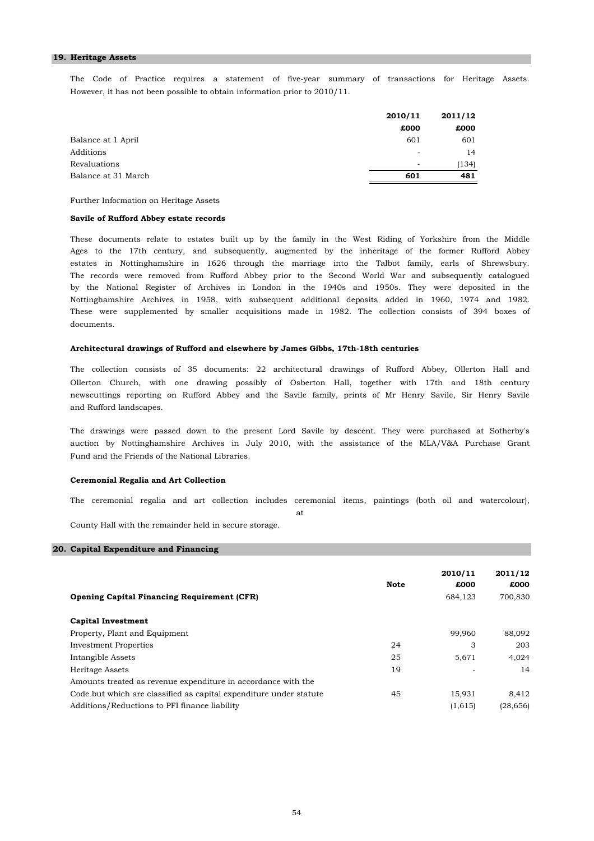#### **19. Heritage Assets**

The Code of Practice requires a statement of five-year summary of transactions for Heritage Assets. However, it has not been possible to obtain information prior to 2010/11.

|                     | 2010/11                  | 2011/12 |
|---------------------|--------------------------|---------|
|                     | £000                     | £000    |
| Balance at 1 April  | 601                      | 601     |
| Additions           | $\overline{\phantom{a}}$ | 14      |
| Revaluations        | $\overline{\phantom{a}}$ | (134)   |
| Balance at 31 March | 601                      | 481     |

Further Information on Heritage Assets

### **Savile of Rufford Abbey estate records**

The records were removed from Rufford Abbey prior to the Second World War and subsequently catalogued by the National Register of Archives in London in the 1940s and 1950s. They were deposited in the Nottinghamshire Archives in 1958, with subsequent additional deposits added in 1960, 1974 and 1982. These were supplemented by smaller acquisitions made in 1982. The collection consists of 394 boxes of documents. These documents relate to estates built up by the family in the West Riding of Yorkshire from the Middle Ages to the 17th century, and subsequently, augmented by the inheritage of the former Rufford Abbey estates in Nottinghamshire in 1626 through the marriage into the Talbot family, earls of Shrewsbury.

# **Architectural drawings of Rufford and elsewhere by James Gibbs, 17th-18th centuries**

Ollerton Church, with one drawing possibly of Osberton Hall, together with 17th and 18th century newscuttings reporting on Rufford Abbey and the Savile family, prints of Mr Henry Savile, Sir Henry Savile and Rufford landscapes. The collection consists of 35 documents: 22 architectural drawings of Rufford Abbey, Ollerton Hall and

The drawings were passed down to the present Lord Savile by descent. They were purchased at Sotherby's auction by Nottinghamshire Archives in July 2010, with the assistance of the MLA/V&A Purchase Grant Fund and the Friends of the National Libraries.

### **Ceremonial Regalia and Art Collection**

The ceremonial regalia and art collection includes ceremonial items, paintings (both oil and watercolour),

at

County Hall with the remainder held in secure storage.

# **20. Capital Expenditure and Financing**

| <b>Opening Capital Financing Requirement (CFR)</b>                 | <b>Note</b> | 2010/11<br>£000<br>684,123 | 2011/12<br>£000<br>700,830 |
|--------------------------------------------------------------------|-------------|----------------------------|----------------------------|
| <b>Capital Investment</b>                                          |             |                            |                            |
| Property, Plant and Equipment                                      |             | 99,960                     | 88,092                     |
| Investment Properties                                              | 24          | 3                          | 203                        |
| Intangible Assets                                                  | 25          | 5.671                      | 4,024                      |
| Heritage Assets                                                    | 19          |                            | 14                         |
| Amounts treated as revenue expenditure in accordance with the      |             |                            |                            |
| Code but which are classified as capital expenditure under statute | 45          | 15,931                     | 8.412                      |
| Additions/Reductions to PFI finance liability                      |             | (1,615)                    | (28, 656)                  |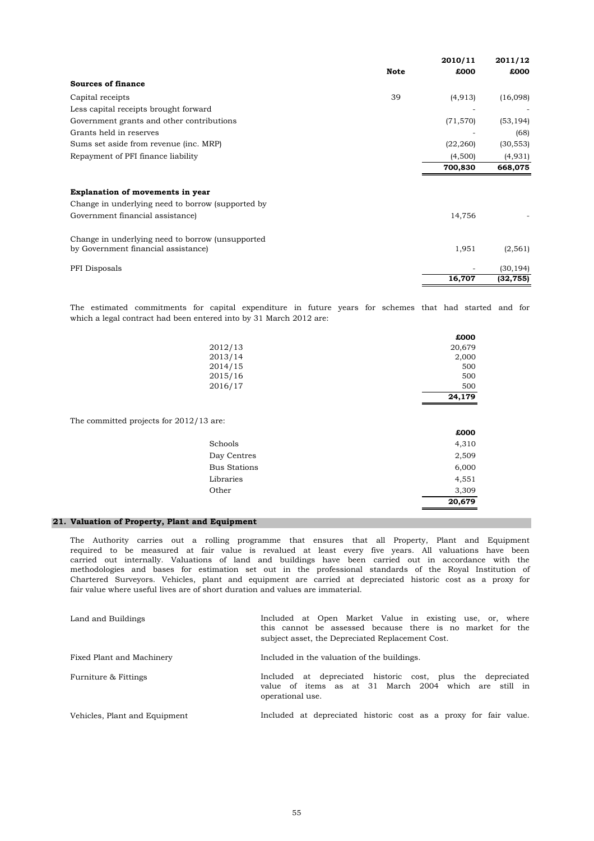|                                                   |             | 2010/11   | 2011/12   |
|---------------------------------------------------|-------------|-----------|-----------|
|                                                   | <b>Note</b> | £000      | £000      |
| <b>Sources of finance</b>                         |             |           |           |
| Capital receipts                                  | 39          | (4, 913)  | (16,098)  |
| Less capital receipts brought forward             |             |           |           |
| Government grants and other contributions         |             | (71, 570) | (53, 194) |
| Grants held in reserves                           |             |           | (68)      |
| Sums set aside from revenue (inc. MRP)            |             | (22, 260) | (30, 553) |
| Repayment of PFI finance liability                |             | (4,500)   | (4,931)   |
|                                                   |             | 700,830   | 668,075   |
|                                                   |             |           |           |
| Explanation of movements in year                  |             |           |           |
| Change in underlying need to borrow (supported by |             |           |           |
| Government financial assistance)                  |             | 14,756    |           |
| Change in underlying need to borrow (unsupported  |             |           |           |
| by Government financial assistance)               |             | 1,951     | (2, 561)  |
| PFI Disposals                                     |             |           | (30, 194) |
|                                                   |             | 16,707    | (32, 755) |

which a legal contract had been entered into by 31 March 2012 are: The estimated commitments for capital expenditure in future years for schemes that had started and for

|         | £000   |
|---------|--------|
| 2012/13 | 20,679 |
| 2013/14 | 2,000  |
| 2014/15 | 500    |
| 2015/16 | 500    |
| 2016/17 | 500    |
|         | 24,179 |

The committed projects for 2012/13 are:

|                     | £000   |
|---------------------|--------|
| Schools             | 4,310  |
| Day Centres         | 2,509  |
| <b>Bus Stations</b> | 6,000  |
| Libraries           | 4,551  |
| Other               | 3,309  |
|                     | 20,679 |

# **21. Valuation of Property, Plant and Equipment**

fair value where useful lives are of short duration and values are immaterial. The Authority carries out a rolling programme that ensures that all Property, Plant and Equipment required to be measured at fair value is revalued at least every five years. All valuations have been carried out internally. Valuations of land and buildings have been carried out in accordance with the methodologies and bases for estimation set out in the professional standards of the Royal Institution of Chartered Surveyors. Vehicles, plant and equipment are carried at depreciated historic cost as a proxy for

| Land and Buildings            | Included at Open Market Value in existing use, or, where<br>this cannot be assessed because there is no market for the<br>subject asset, the Depreciated Replacement Cost. |
|-------------------------------|----------------------------------------------------------------------------------------------------------------------------------------------------------------------------|
| Fixed Plant and Machinery     | Included in the valuation of the buildings.                                                                                                                                |
| Furniture & Fittings          | Included at depreciated historic cost, plus the depreciated<br>value of items as at 31 March 2004 which are still in<br>operational use.                                   |
| Vehicles, Plant and Equipment | Included at depreciated historic cost as a proxy for fair value.                                                                                                           |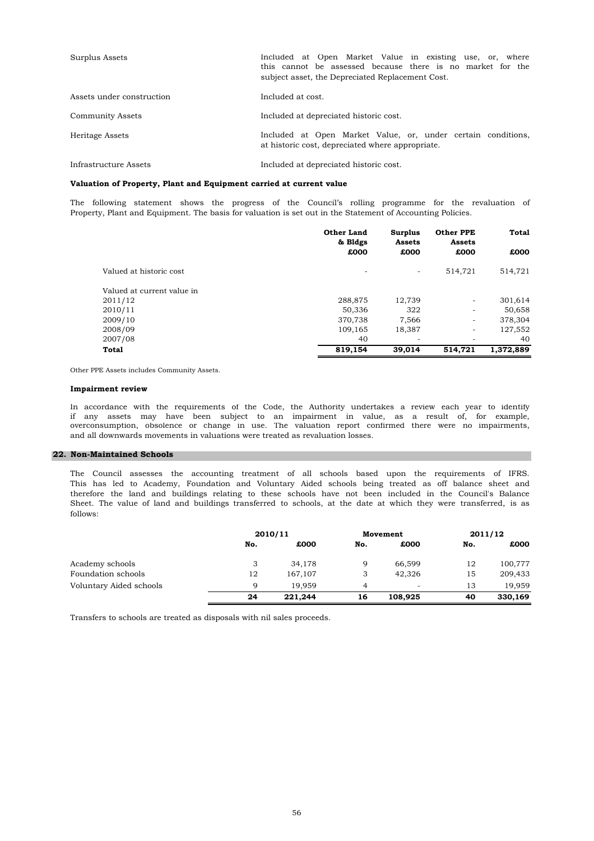| Surplus Assets            | Included at Open Market Value in existing use, or, where<br>this cannot be assessed because there is no market for the<br>subject asset, the Depreciated Replacement Cost. |
|---------------------------|----------------------------------------------------------------------------------------------------------------------------------------------------------------------------|
| Assets under construction | Included at cost.                                                                                                                                                          |
| <b>Community Assets</b>   | Included at depreciated historic cost.                                                                                                                                     |
| Heritage Assets           | Included at Open Market Value, or, under certain conditions,<br>at historic cost, depreciated where appropriate.                                                           |
| Infrastructure Assets     | Included at depreciated historic cost.                                                                                                                                     |

## **Valuation of Property, Plant and Equipment carried at current value**

The following statement shows the progress of the Council's rolling programme for the revaluation of Property, Plant and Equipment. The basis for valuation is set out in the Statement of Accounting Policies.

|                            | <b>Other Land</b><br>& Bldgs | <b>Surplus</b><br>Assets |                          | Total<br><b>Other PPE</b><br>Assets |  |
|----------------------------|------------------------------|--------------------------|--------------------------|-------------------------------------|--|
|                            | £000                         | £000                     | £000                     | £000                                |  |
| Valued at historic cost    |                              | ٠                        | 514,721                  | 514,721                             |  |
| Valued at current value in |                              |                          |                          |                                     |  |
| 2011/12                    | 288,875                      | 12,739                   | $\overline{\phantom{a}}$ | 301,614                             |  |
| 2010/11                    | 50,336                       | 322                      | -                        | 50,658                              |  |
| 2009/10                    | 370,738                      | 7.566                    | $\overline{\phantom{a}}$ | 378,304                             |  |
| 2008/09                    | 109.165                      | 18,387                   | $\overline{\phantom{a}}$ | 127,552                             |  |
| 2007/08                    | 40                           | -                        |                          | 40                                  |  |
| <b>Total</b>               | 819.154                      | 39,014                   | 514.721                  | 1,372,889                           |  |

Other PPE Assets includes Community Assets.

#### **Impairment review**

and all downwards movements in valuations were treated as revaluation losses. In accordance with the requirements of the Code, the Authority undertakes a review each year to identify overconsumption, obsolence or change in use. The valuation report confirmed there were no impairments, if any assets may have been subject to an impairment in value, as a result of, for example,

# **22. Non-Maintained Schools**

follows: The Council assesses the accounting treatment of all schools based upon the requirements of IFRS. This has led to Academy, Foundation and Voluntary Aided schools being treated as off balance sheet and therefore the land and buildings relating to these schools have not been included in the Council's Balance Sheet. The value of land and buildings transferred to schools, at the date at which they were transferred, is as

|                         |     | 2010/11 |                | Movement                 |     | 2011/12 |
|-------------------------|-----|---------|----------------|--------------------------|-----|---------|
|                         | No. | £000    | No.            | £000                     | No. | £000    |
| Academy schools         | 3   | 34,178  | 9              | 66,599                   | 12  | 100,777 |
| Foundation schools      | 12  | 167,107 | 3              | 42,326                   | 15  | 209,433 |
| Voluntary Aided schools | q   | 19.959  | $\overline{4}$ | $\overline{\phantom{a}}$ | 13  | 19.959  |
|                         | 24  | 221.244 | 16             | 108,925                  | 40  | 330,169 |

Transfers to schools are treated as disposals with nil sales proceeds.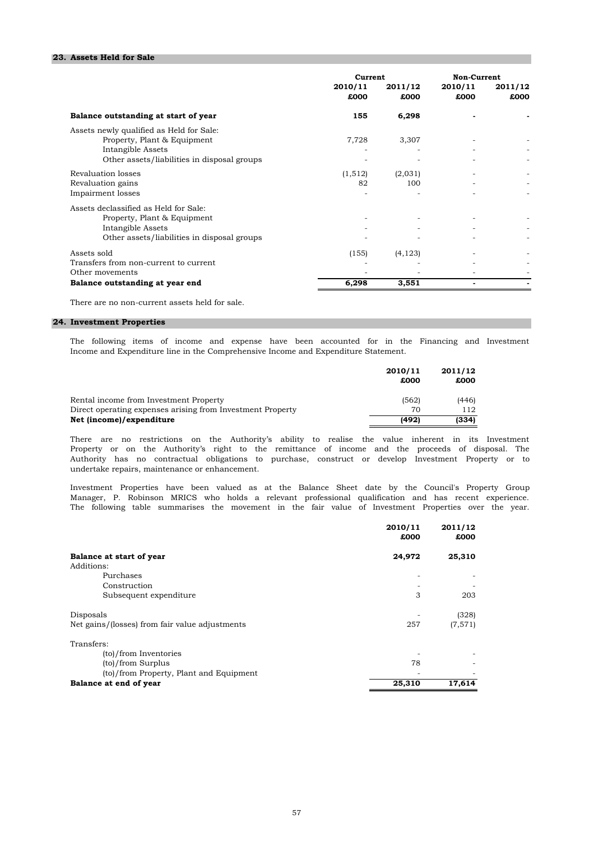### **23. Assets Held for Sale**

|                                                                                                                                             | Current         |                 | Non-Current     |                 |
|---------------------------------------------------------------------------------------------------------------------------------------------|-----------------|-----------------|-----------------|-----------------|
|                                                                                                                                             | 2010/11<br>£000 | 2011/12<br>£000 | 2010/11<br>£000 | 2011/12<br>£000 |
| Balance outstanding at start of year                                                                                                        | 155             | 6,298           |                 |                 |
| Assets newly qualified as Held for Sale:<br>Property, Plant & Equipment<br>Intangible Assets<br>Other assets/liabilities in disposal groups | 7,728           | 3,307           |                 |                 |
| Revaluation losses<br>Revaluation gains<br>Impairment losses                                                                                | (1,512)<br>82   | (2,031)<br>100  |                 |                 |
| Assets declassified as Held for Sale:<br>Property, Plant & Equipment<br>Intangible Assets<br>Other assets/liabilities in disposal groups    |                 |                 |                 |                 |
| Assets sold<br>Transfers from non-current to current<br>Other movements                                                                     | (155)           | (4, 123)        |                 |                 |
| Balance outstanding at year end                                                                                                             | 6,298           | 3,551           |                 |                 |

There are no non-current assets held for sale.

# **24. Investment Properties**

Income and Expenditure line in the Comprehensive Income and Expenditure Statement. The following items of income and expense have been accounted for in the Financing and Investment

|                                                            | 2010/11 | 2011/12 |
|------------------------------------------------------------|---------|---------|
|                                                            | £000    | £000    |
| Rental income from Investment Property                     | (562)   | (446)   |
| Direct operating expenses arising from Investment Property | 70      | 112     |
| Net (income)/expenditure                                   | (492)   | (334)   |

undertake repairs, maintenance or enhancement. There are no restrictions on the Authority's ability to realise the value inherent in its Investment Property or on the Authority's right to the remittance of income and the proceeds of disposal. The Authority has no contractual obligations to purchase, construct or develop Investment Property or to

Manager, P. Robinson MRICS who holds a relevant professional qualification and has recent experience. The following table summarises the movement in the fair value of Investment Properties over the year. Investment Properties have been valued as at the Balance Sheet date by the Council's Property Group

|                                                | 2010/11<br>£000 | 2011/12<br>£000 |
|------------------------------------------------|-----------------|-----------------|
| Balance at start of year<br>Additions:         | 24,972          | 25,310          |
| Purchases                                      |                 |                 |
| Construction                                   |                 |                 |
| Subsequent expenditure                         | 3               | 203             |
| Disposals                                      |                 | (328)           |
| Net gains/(losses) from fair value adjustments | 257             | (7, 571)        |
| Transfers:                                     |                 |                 |
| (to)/from Inventories                          |                 |                 |
| (to)/from Surplus                              | 78              |                 |
| (to)/from Property, Plant and Equipment        |                 |                 |
| Balance at end of year                         | 25,310          | 17,614          |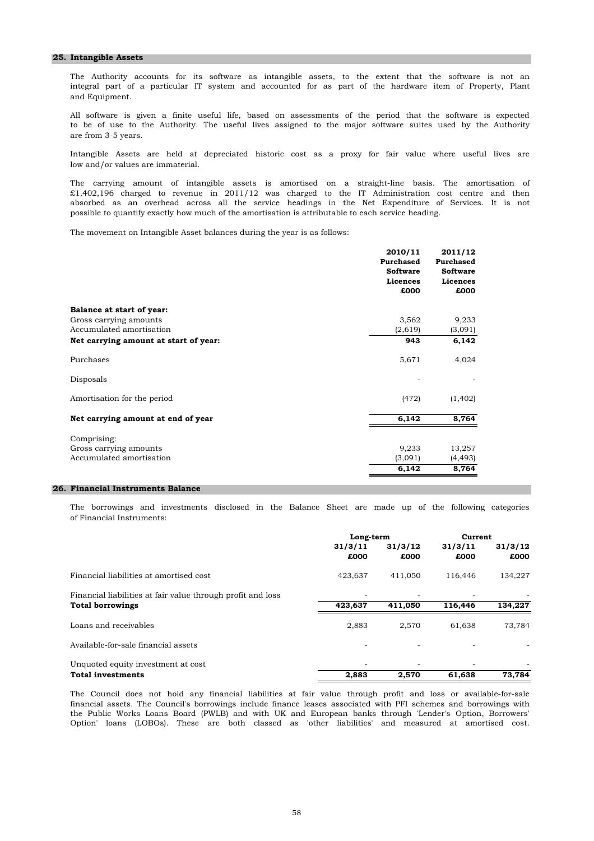#### **25. Intangible Assets**

and Equipment. The Authority accounts for its software as intangible assets, to the extent that the software is not an integral part of a particular IT system and accounted for as part of the hardware item of Property, Plant

are from 3-5 years. All software is given a finite useful life, based on assessments of the period that the software is expected to be of use to the Authority. The useful lives assigned to the major software suites used by the Authority

low and/or values are immaterial. Intangible Assets are held at depreciated historic cost as a proxy for fair value where useful lives are

possible to quantify exactly how much of the amortisation is attributable to each service heading. absorbed as an overhead across all the service headings in the Net Expenditure of Services. It is not £1,402,196 charged to revenue in 2011/12 was charged to the IT Administration cost centre and then The carrying amount of intangible assets is amortised on a straight-line basis. The amortisation of

The movement on Intangible Asset balances during the year is as follows:

|                                       | 2010/11<br>Purchased<br><b>Software</b><br>Licences<br>£000 | 2011/12<br>Purchased<br><b>Software</b><br>Licences<br>£000 |
|---------------------------------------|-------------------------------------------------------------|-------------------------------------------------------------|
| Balance at start of year:             |                                                             |                                                             |
| Gross carrying amounts                | 3,562                                                       | 9,233                                                       |
| Accumulated amortisation              | (2,619)                                                     | (3,091)                                                     |
| Net carrying amount at start of year: | 943                                                         | 6,142                                                       |
| Purchases                             | 5,671                                                       | 4,024                                                       |
| Disposals                             |                                                             |                                                             |
| Amortisation for the period           | (472)                                                       | (1,402)                                                     |
| Net carrying amount at end of year    | 6,142                                                       | 8,764                                                       |
| Comprising:                           |                                                             |                                                             |
| Gross carrying amounts                | 9,233                                                       | 13,257                                                      |
| Accumulated amortisation              | (3,091)                                                     | (4, 493)                                                    |
|                                       | 6,142                                                       | 8,764                                                       |

## **26. Financial Instruments Balance**

of Financial Instruments: The borrowings and investments disclosed in the Balance Sheet are made up of the following categories

|                                                             | Long-term       |                 | Current         |                 |
|-------------------------------------------------------------|-----------------|-----------------|-----------------|-----------------|
|                                                             | 31/3/11<br>£000 | 31/3/12<br>£000 | 31/3/11<br>£000 | 31/3/12<br>£000 |
| Financial liabilities at amortised cost                     | 423,637         | 411,050         | 116,446         | 134,227         |
| Financial liabilities at fair value through profit and loss |                 |                 |                 |                 |
| <b>Total borrowings</b>                                     | 423,637         | 411.050         | 116,446         | 134,227         |
| Loans and receivables                                       | 2,883           | 2,570           | 61,638          | 73,784          |
| Available-for-sale financial assets                         |                 |                 |                 |                 |
| Unquoted equity investment at cost                          |                 |                 |                 |                 |
| <b>Total investments</b>                                    | 2.883           | 2,570           | 61,638          | 73.784          |

the Public Works Loans Board (PWLB) and with UK and European banks through 'Lender's Option, Borrowers' financial assets. The Council's borrowings include finance leases associated with PFI schemes and borrowings with Option' loans (LOBOs). These are both classed as 'other liabilities' and measured at amortised cost. The Council does not hold any financial liabilities at fair value through profit and loss or available-for-sale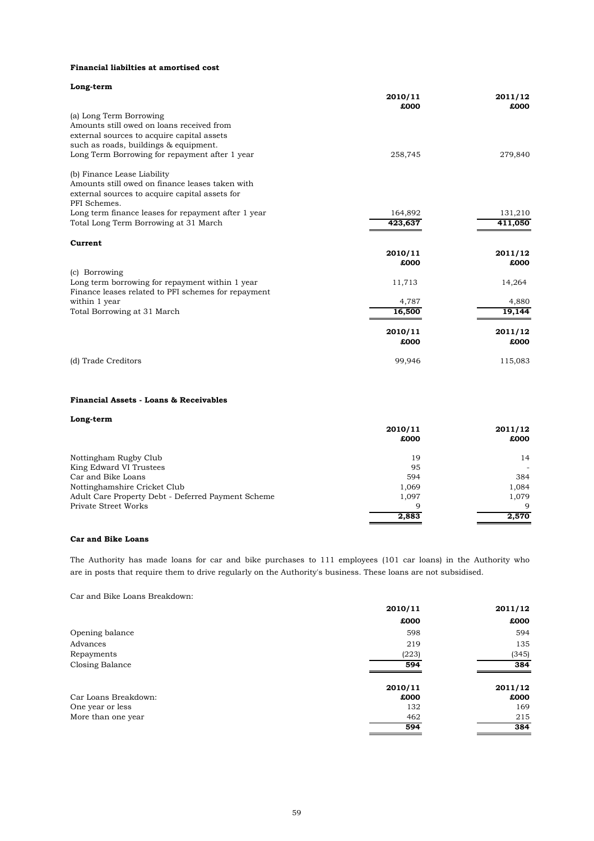### **Financial liabilties at amortised cost**

| Long-term                                           |                 |                 |
|-----------------------------------------------------|-----------------|-----------------|
|                                                     | 2010/11<br>£000 | 2011/12<br>£000 |
| (a) Long Term Borrowing                             |                 |                 |
| Amounts still owed on loans received from           |                 |                 |
| external sources to acquire capital assets          |                 |                 |
| such as roads, buildings & equipment.               |                 |                 |
| Long Term Borrowing for repayment after 1 year      | 258,745         | 279,840         |
| (b) Finance Lease Liability                         |                 |                 |
| Amounts still owed on finance leases taken with     |                 |                 |
| external sources to acquire capital assets for      |                 |                 |
| PFI Schemes.                                        |                 |                 |
| Long term finance leases for repayment after 1 year | 164,892         | 131,210         |
| Total Long Term Borrowing at 31 March               | 423,637         | 411,050         |
| Current                                             |                 |                 |
|                                                     | 2010/11         | 2011/12         |
|                                                     | £000            | £000            |
| (c) Borrowing                                       |                 |                 |
| Long term borrowing for repayment within 1 year     | 11,713          | 14,264          |
| Finance leases related to PFI schemes for repayment |                 |                 |
| within 1 year                                       | 4,787           | 4,880           |
| Total Borrowing at 31 March                         | 16,500          | 19,144          |
|                                                     | 2010/11         | 2011/12         |
|                                                     | £000            | £000            |
| (d) Trade Creditors                                 | 99,946          | 115,083         |

# **Financial Assets - Loans & Receivables**

| Long-term                                          |         |         |
|----------------------------------------------------|---------|---------|
|                                                    | 2010/11 | 2011/12 |
|                                                    | £000    | £000    |
| Nottingham Rugby Club                              | 19      | 14      |
| King Edward VI Trustees                            | 95      |         |
| Car and Bike Loans                                 | 594     | 384     |
| Nottinghamshire Cricket Club                       | 1,069   | 1,084   |
| Adult Care Property Debt - Deferred Payment Scheme | 1,097   | 1.079   |
| Private Street Works                               | 9       | 9       |
|                                                    | 2,883   | 2,570   |

## **Car and Bike Loans**

The Authority has made loans for car and bike purchases to 111 employees (101 car loans) in the Authority who are in posts that require them to drive regularly on the Authority's business. These loans are not subsidised.

Car and Bike Loans Breakdown:

|                      | 2010/11 | 2011/12 |
|----------------------|---------|---------|
|                      | £000    | £000    |
| Opening balance      | 598     | 594     |
| Advances             | 219     | 135     |
| Repayments           | (223)   | (345)   |
| Closing Balance      | 594     | 384     |
|                      | 2010/11 | 2011/12 |
| Car Loans Breakdown: | £000    | £000    |
| One year or less     | 132     | 169     |
| More than one year   | 462     | 215     |
|                      | 594     | 384     |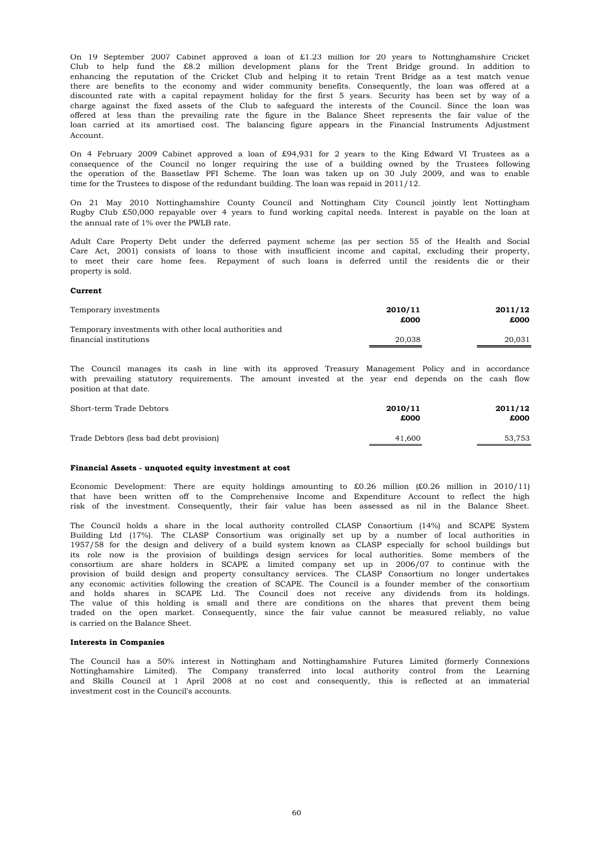Account. offered at less than the prevailing rate the figure in the Balance Sheet represents the fair value of the loan carried at its amortised cost. The balancing figure appears in the Financial Instruments Adjustment enhancing the reputation of the Cricket Club and helping it to retain Trent Bridge as a test match venue there are benefits to the economy and wider community benefits. Consequently, the loan was offered at a Club to help fund the £8.2 million development plans for the Trent Bridge ground. In addition to discounted rate with a capital repayment holiday for the first 5 years. Security has been set by way of a charge against the fixed assets of the Club to safeguard the interests of the Council. Since the loan was On 19 September 2007 Cabinet approved a loan of £1.23 million for 20 years to Nottinghamshire Cricket

time for the Trustees to dispose of the redundant building. The loan was repaid in 2011/12. On 4 February 2009 Cabinet approved a loan of £94,931 for 2 years to the King Edward VI Trustees as a consequence of the Council no longer requiring the use of a building owned by the Trustees following the operation of the Bassetlaw PFI Scheme. The loan was taken up on 30 July 2009, and was to enable

the annual rate of 1% over the PWLB rate. On 21 May 2010 Nottinghamshire County Council and Nottingham City Council jointly lent Nottingham Rugby Club £50,000 repayable over 4 years to fund working capital needs. Interest is payable on the loan at

property is sold. to meet their care home fees. Repayment of such loans is deferred until the residents die or their Adult Care Property Debt under the deferred payment scheme (as per section 55 of the Health and Social Care Act, 2001) consists of loans to those with insufficient income and capital, excluding their property,

#### **Current**

| Temporary investments                                  | 2010/11<br>£000 | 2011/12<br>£000 |
|--------------------------------------------------------|-----------------|-----------------|
| Temporary investments with other local authorities and |                 |                 |
| financial institutions                                 | 20.038          | 20,031          |

position at that date. with prevailing statutory requirements. The amount invested at the year end depends on the cash flow The Council manages its cash in line with its approved Treasury Management Policy and in accordance

| Short-term Trade Debtors                | 2010/11<br>£000 | 2011/12<br>£000 |
|-----------------------------------------|-----------------|-----------------|
| Trade Debtors (less bad debt provision) | 41,600          | 53,753          |

### **Financial Assets - unquoted equity investment at cost**

Economic Development: There are equity holdings amounting to £0.26 million (£0.26 million in 2010/11) that have been written off to the Comprehensive Income and Expenditure Account to reflect the high risk of the investment. Consequently, their fair value has been assessed as nil in the Balance Sheet.

is carried on the Balance Sheet. traded on the open market. Consequently, since the fair value cannot be measured reliably, no value and holds shares in SCAPE Ltd. The Council does not receive any dividends from its holdings. The value of this holding is small and there are conditions on the shares that prevent them being The Council holds a share in the local authority controlled CLASP Consortium (14%) and SCAPE System Building Ltd (17%). The CLASP Consortium was originally set up by a number of local authorities in 1957/58 for the design and delivery of a build system known as CLASP especially for school buildings but provision of build design and property consultancy services. The CLASP Consortium no longer undertakes any economic activities following the creation of SCAPE. The Council is a founder member of the consortium consortium are share holders in SCAPE a limited company set up in 2006/07 to continue with the its role now is the provision of buildings design services for local authorities. Some members of the

### **Interests in Companies**

The Council has a 50% interest in Nottingham and Nottinghamshire Futures Limited (formerly Connexions Nottinghamshire Limited). The Company transferred into local authority control from the Learning and Skills Council at 1 April 2008 at no cost and consequently, this is reflected at an immaterial investment cost in the Council's accounts.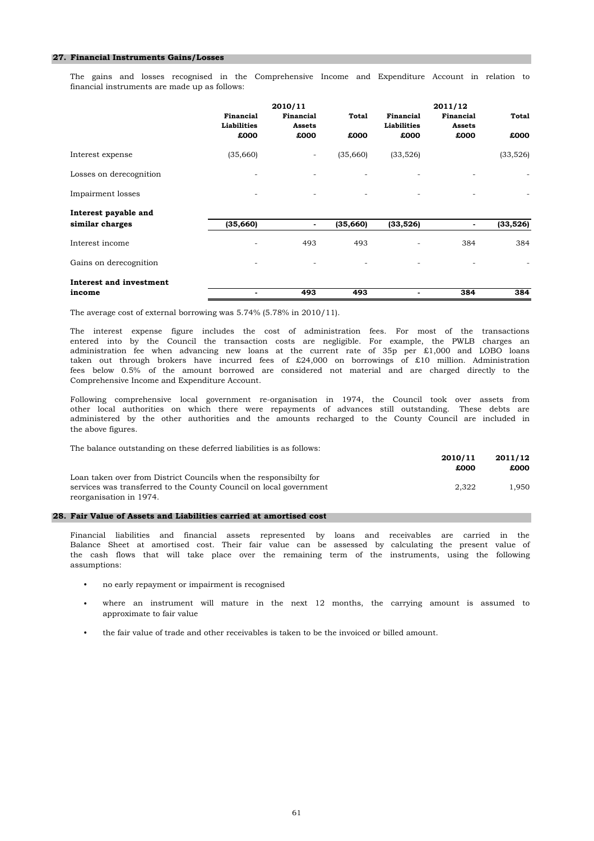### **27. Financial Instruments Gains/Losses**

financial instruments are made up as follows: The gains and losses recognised in the Comprehensive Income and Expenditure Account in relation to

|                         |                                 | 2010/11                  |          |                                 | 2011/12                    |          |
|-------------------------|---------------------------------|--------------------------|----------|---------------------------------|----------------------------|----------|
|                         | Financial<br><b>Liabilities</b> | Financial<br>Assets      | Total    | Financial<br><b>Liabilities</b> | Financial<br><b>Assets</b> | Total    |
|                         | £000                            | £000                     | £000     | £000                            | £000                       | £000     |
| Interest expense        | (35,660)                        | $\overline{\phantom{a}}$ | (35,660) | (33, 526)                       |                            | (33,526) |
| Losses on derecognition |                                 |                          |          |                                 |                            |          |
| Impairment losses       | -                               | $\overline{\phantom{a}}$ | -        | ٠                               |                            |          |
| Interest payable and    |                                 |                          |          |                                 |                            |          |
| similar charges         | (35, 660)                       |                          | (35,660) | (33,526)                        | -                          | (33,526) |
| Interest income         | ۰                               | 493                      | 493      | ۰                               | 384                        | 384      |
| Gains on derecognition  | ۰                               |                          |          | ۰                               |                            |          |
| Interest and investment |                                 |                          |          |                                 |                            |          |
| income                  | $\blacksquare$                  | 493                      | 493      | -                               | 384                        | 384      |

The average cost of external borrowing was 5.74% (5.78% in 2010/11).

Comprehensive Income and Expenditure Account. entered into by the Council the transaction costs are negligible. For example, the PWLB charges an fees below 0.5% of the amount borrowed are considered not material and are charged directly to the The interest expense figure includes the cost of administration fees. For most of the transactions taken out through brokers have incurred fees of £24,000 on borrowings of £10 million. Administration administration fee when advancing new loans at the current rate of 35p per £1,000 and LOBO loans

the above figures. Following comprehensive local government re-organisation in 1974, the Council took over assets from other local authorities on which there were repayments of advances still outstanding. These debts are administered by the other authorities and the amounts recharged to the County Council are included in

The balance outstanding on these deferred liabilities is as follows:

|                                                                    | 2010/11 | 2011/12 |
|--------------------------------------------------------------------|---------|---------|
|                                                                    | £000    | £000    |
| Loan taken over from District Councils when the responsibilty for  |         |         |
| services was transferred to the County Council on local government | 2.322   | 1.950   |
| reorganisation in 1974.                                            |         |         |

#### **28. Fair Value of Assets and Liabilities carried at amortised cost**

assumptions: Balance Sheet at amortised cost. Their fair value can be assessed by calculating the present value of the cash flows that will take place over the remaining term of the instruments, using the following Financial liabilities and financial assets represented by loans and receivables are carried in the

- no early repayment or impairment is recognised
- approximate to fair value where an instrument will mature in the next 12 months, the carrying amount is assumed to
- the fair value of trade and other receivables is taken to be the invoiced or billed amount.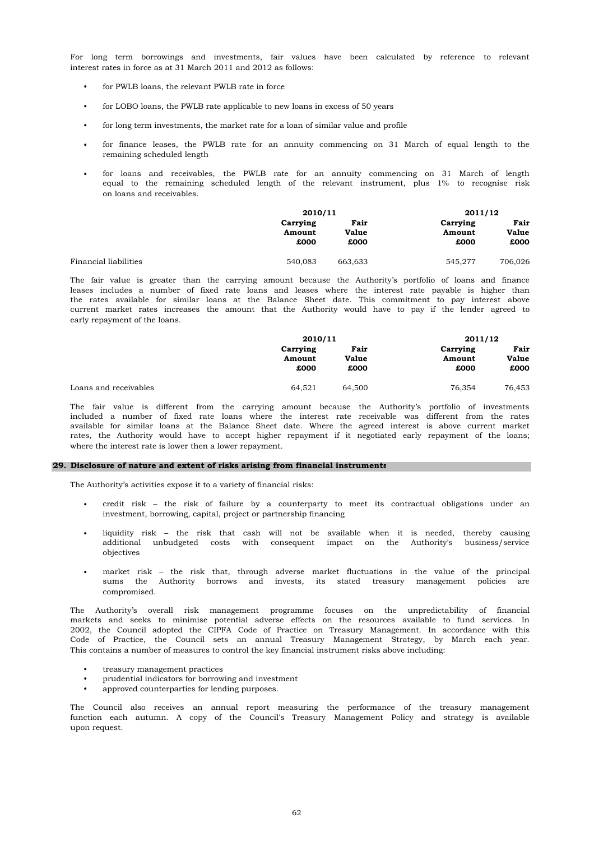interest rates in force as at 31 March 2011 and 2012 as follows: For long term borrowings and investments, fair values have been calculated by reference to relevant

- for PWLB loans, the relevant PWLB rate in force
- for LOBO loans, the PWLB rate applicable to new loans in excess of 50 years
- for long term investments, the market rate for a loan of similar value and profile
- remaining scheduled length for finance leases, the PWLB rate for an annuity commencing on 31 March of equal length to the
- on loans and receivables. for loans and receivables, the PWLB rate for an annuity commencing on 31 March of length equal to the remaining scheduled length of the relevant instrument, plus 1% to recognise risk

|                       | 2010/11  |         |         | 2011/12  |      |
|-----------------------|----------|---------|---------|----------|------|
|                       | Carrying |         | Fair    | Carrying | Fair |
|                       | Amount   | Value   | Amount  | Value    |      |
|                       | £000     | £000    | £000    | £000     |      |
|                       |          |         |         |          |      |
| Financial liabilities | 540,083  | 663,633 | 545.277 | 706,026  |      |

early repayment of the loans. The fair value is greater than the carrying amount because the Authority's portfolio of loans and finance leases includes a number of fixed rate loans and leases where the interest rate payable is higher than the rates available for similar loans at the Balance Sheet date. This commitment to pay interest above current market rates increases the amount that the Authority would have to pay if the lender agreed to

|                       | 2010/11  |        | 2011/12  |        |
|-----------------------|----------|--------|----------|--------|
|                       | Carrying | Fair   | Carrying | Fair   |
|                       | Amount   | Value  | Amount   | Value  |
|                       | £000     | £000   | £000     | £000   |
| Loans and receivables | 64.521   | 64.500 | 76.354   | 76.453 |

where the interest rate is lower then a lower repayment. included a number of fixed rate loans where the interest rate receivable was different from the rates available for similar loans at the Balance Sheet date. Where the agreed interest is above current market rates, the Authority would have to accept higher repayment if it negotiated early repayment of the loans; The fair value is different from the carrying amount because the Authority's portfolio of investments

### **29. Disclosure of nature and extent of risks arising from financial instruments**

The Authority's activities expose it to a variety of financial risks:

- investment, borrowing, capital, project or partnership financing credit risk – the risk of failure by a counterparty to meet its contractual obligations under an
- objectives liquidity risk – the risk that cash will not be available when it is needed, thereby causing additional unbudgeted costs with consequent impact on the Authority's business/service
- compromised. market risk – the risk that, through adverse market fluctuations in the value of the principal sums the Authority borrows and invests, its stated treasury management policies are

The Authority's overall risk management programme focuses on the unpredictability of financial markets and seeks to minimise potential adverse effects on the resources available to fund services. In 2002, the Council adopted the CIPFA Code of Practice on Treasury Management. In accordance with this Code of Practice, the Council sets an annual Treasury Management Strategy, by March each year. This contains a number of measures to control the key financial instrument risks above including:

- treasury management practices
- prudential indicators for borrowing and investment
- approved counterparties for lending purposes.

upon request. The Council also receives an annual report measuring the performance of the treasury management function each autumn. A copy of the Council's Treasury Management Policy and strategy is available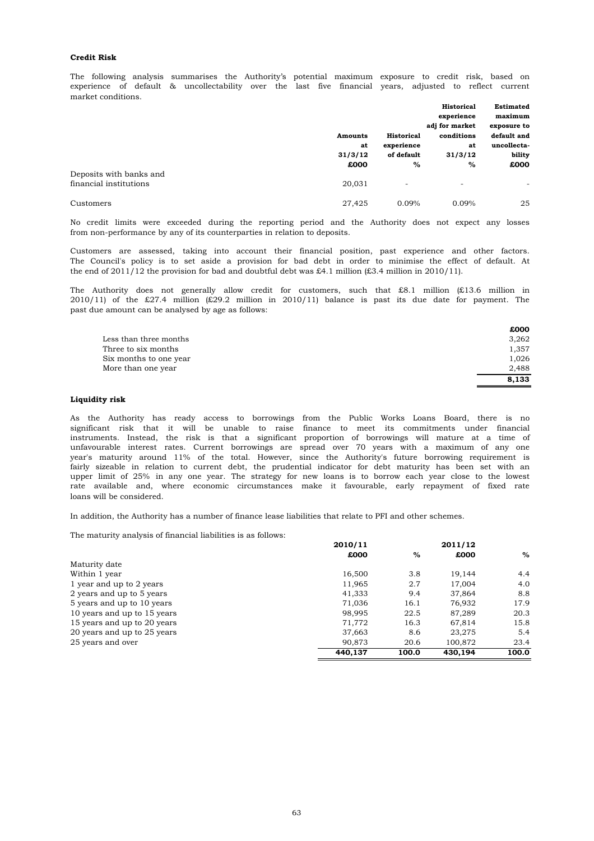### **Credit Risk**

market conditions. experience of default & uncollectability over the last five financial years, adjusted to reflect current The following analysis summarises the Authority's potential maximum exposure to credit risk, based on

|                         |                |                          | Historical     | <b>Estimated</b>         |
|-------------------------|----------------|--------------------------|----------------|--------------------------|
|                         |                |                          | experience     | maximum                  |
|                         |                |                          | adj for market | exposure to              |
|                         | <b>Amounts</b> | <b>Historical</b>        | conditions     | default and              |
|                         | at             | experience               | at             | uncollecta-              |
|                         | 31/3/12        | of default               | 31/3/12        | bility                   |
|                         | £000           | %                        | %              | £000                     |
| Deposits with banks and |                |                          |                |                          |
| financial institutions  | 20,031         | $\overline{\phantom{a}}$ | ٠              | $\overline{\phantom{a}}$ |
| Customers               | 27,425         | 0.09%                    | 0.09%          | 25                       |

from non-performance by any of its counterparties in relation to deposits. No credit limits were exceeded during the reporting period and the Authority does not expect any losses

the end of 2011/12 the provision for bad and doubtful debt was £4.1 million (£3.4 million in 2010/11). Customers are assessed, taking into account their financial position, past experience and other factors. The Council's policy is to set aside a provision for bad debt in order to minimise the effect of default. At

past due amount can be analysed by age as follows: The Authority does not generally allow credit for customers, such that £8.1 million (£13.6 million in  $2010/11$ ) of the £27.4 million (£29.2 million in 2010/11) balance is past its due date for payment. The

|                        | £000  |
|------------------------|-------|
| Less than three months | 3.262 |
| Three to six months    | 1,357 |
| Six months to one year | 1,026 |
| More than one year     | 2.488 |
|                        | 8.133 |

## **Liquidity risk**

loans will be considered. fairly sizeable in relation to current debt, the prudential indicator for debt maturity has been set with an upper limit of 25% in any one year. The strategy for new loans is to borrow each year close to the lowest rate available and, where economic circumstances make it favourable, early repayment of fixed rate instruments. Instead, the risk is that a significant proportion of borrowings will mature at a time of unfavourable interest rates. Current borrowings are spread over 70 years with a maximum of any one year's maturity around 11% of the total. However, since the Authority's future borrowing requirement is As the Authority has ready access to borrowings from the Public Works Loans Board, there is no significant risk that it will be unable to raise finance to meet its commitments under financial

In addition, the Authority has a number of finance lease liabilities that relate to PFI and other schemes.

The maturity analysis of financial liabilities is as follows:

|                             | 2010/11 |       | 2011/12 |       |  |
|-----------------------------|---------|-------|---------|-------|--|
|                             | £000    | $\%$  | £000    | %     |  |
| Maturity date               |         |       |         |       |  |
| Within 1 year               | 16,500  | 3.8   | 19.144  | 4.4   |  |
| 1 year and up to 2 years    | 11.965  | 2.7   | 17,004  | 4.0   |  |
| 2 years and up to 5 years   | 41,333  | 9.4   | 37.864  | 8.8   |  |
| 5 years and up to 10 years  | 71,036  | 16.1  | 76.932  | 17.9  |  |
| 10 years and up to 15 years | 98.995  | 22.5  | 87,289  | 20.3  |  |
| 15 years and up to 20 years | 71.772  | 16.3  | 67,814  | 15.8  |  |
| 20 years and up to 25 years | 37,663  | 8.6   | 23,275  | 5.4   |  |
| 25 years and over           | 90.873  | 20.6  | 100.872 | 23.4  |  |
|                             | 440.137 | 100.0 | 430,194 | 100.0 |  |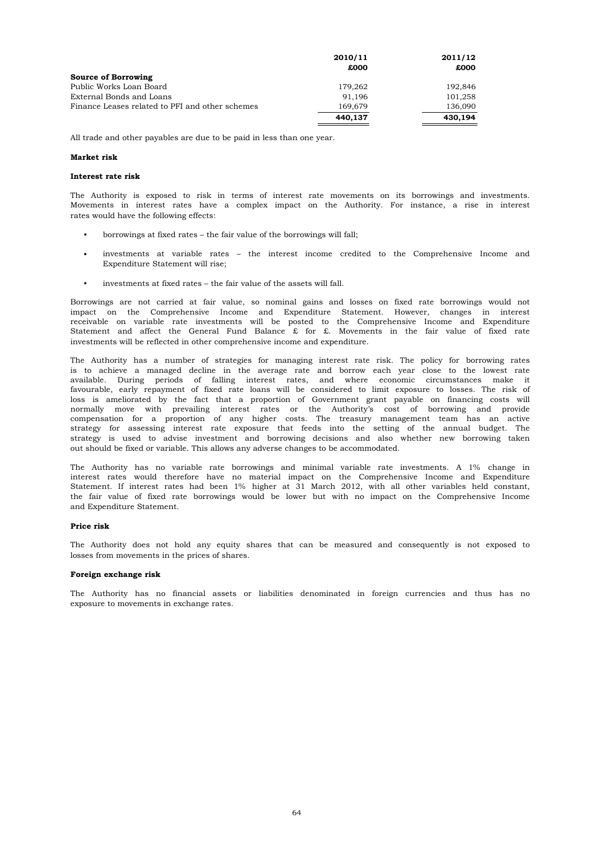|                                                 | 2010/11 | 2011/12 |
|-------------------------------------------------|---------|---------|
|                                                 | £000    | £000    |
| Source of Borrowing                             |         |         |
| Public Works Loan Board                         | 179.262 | 192.846 |
| External Bonds and Loans                        | 91.196  | 101.258 |
| Finance Leases related to PFI and other schemes | 169.679 | 136,090 |
|                                                 | 440.137 | 430.194 |

All trade and other payables are due to be paid in less than one year.

## **Market risk**

### **Interest rate risk**

rates would have the following effects: The Authority is exposed to risk in terms of interest rate movements on its borrowings and investments. Movements in interest rates have a complex impact on the Authority. For instance, a rise in interest

- borrowings at fixed rates the fair value of the borrowings will fall;
- Expenditure Statement will rise; investments at variable rates – the interest income credited to the Comprehensive Income and
- investments at fixed rates the fair value of the assets will fall.

investments will be reflected in other comprehensive income and expenditure. Borrowings are not carried at fair value, so nominal gains and losses on fixed rate borrowings would not impact on the Comprehensive Income and Expenditure Statement. However, changes in interest receivable on variable rate investments will be posted to the Comprehensive Income and Expenditure Statement and affect the General Fund Balance  $\hat{x}$  for  $\hat{x}$ . Movements in the fair value of fixed rate

out should be fixed or variable. This allows any adverse changes to be accommodated. favourable, early repayment of fixed rate loans will be considered to limit exposure to losses. The risk of loss is ameliorated by the fact that a proportion of Government grant payable on financing costs will normally move with prevailing interest rates or the Authority's cost of borrowing and provide compensation for a proportion of any higher costs. The treasury management team has an active The Authority has a number of strategies for managing interest rate risk. The policy for borrowing rates is to achieve a managed decline in the average rate and borrow each year close to the lowest rate available. During periods of falling interest rates, and where economic circumstances make it strategy for assessing interest rate exposure that feeds into the setting of the annual budget. The strategy is used to advise investment and borrowing decisions and also whether new borrowing taken

and Expenditure Statement. interest rates would therefore have no material impact on the Comprehensive Income and Expenditure Statement. If interest rates had been 1% higher at 31 March 2012, with all other variables held constant, the fair value of fixed rate borrowings would be lower but with no impact on the Comprehensive Income The Authority has no variable rate borrowings and minimal variable rate investments. A 1% change in

#### **Price risk**

losses from movements in the prices of shares. The Authority does not hold any equity shares that can be measured and consequently is not exposed to

### **Foreign exchange risk**

exposure to movements in exchange rates. The Authority has no financial assets or liabilities denominated in foreign currencies and thus has no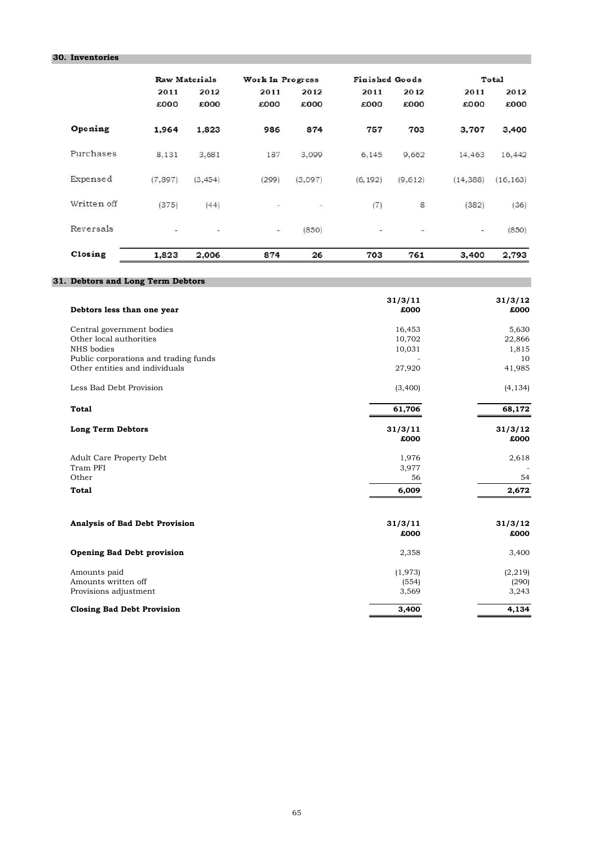# **30. Inventories**

|             |         | Raw Materials            | Work In Progress |         | <b>Finished Goods</b> |                          |           | Total     |
|-------------|---------|--------------------------|------------------|---------|-----------------------|--------------------------|-----------|-----------|
|             | 2011    | 2012                     | 2011             | 2012    | 2011                  | 2012                     | 2011      | 2012      |
|             | £000    | £000                     | £000             | £000    | £000                  | £000                     | £000      | £000      |
| Opening     | 1,964   | 1,823                    | 986              | 874     | 757                   | 703                      | 3,707     | 3,400     |
| Purchases   | 8,131   | 3,681                    | 187              | 3,099   | 6.145                 | 9,662                    | 14,463    | 16,442    |
| Expensed    | (7.897) | (3, 454)                 | (299)            | (3.097) | (6, 192)              | (9.612)                  | (14, 388) | (16, 163) |
| Written off | (375)   | (44)                     |                  | ۰.      | (7)                   | 8                        | (382)     | (36)      |
| Reversals   | a,      | $\overline{\phantom{a}}$ | ÷                | (850)   | ٠                     | $\overline{\phantom{a}}$ | $\sim$    | (850)     |
| Closing     | 1,823   | 2,006                    | 874              | 26      | 703                   | 761                      | 3,400     | 2,793     |

# **31. Debtors and Long Term Debtors**

| Debtors less than one year            | 31/3/11<br>£000 | 31/3/12<br>£000 |
|---------------------------------------|-----------------|-----------------|
| Central government bodies             | 16,453          | 5,630           |
| Other local authorities               | 10,702          | 22,866          |
| NHS bodies                            | 10,031          | 1,815           |
| Public corporations and trading funds |                 | 10              |
| Other entities and individuals        | 27,920          | 41,985          |
| Less Bad Debt Provision               | (3,400)         | (4, 134)        |
| <b>Total</b>                          | 61,706          | 68,172          |
| <b>Long Term Debtors</b>              | 31/3/11         | 31/3/12         |
|                                       | £000            | £000            |
| Adult Care Property Debt              | 1,976           | 2,618           |
| Tram PFI                              | 3,977           |                 |
| Other                                 | 56              | 54              |
| <b>Total</b>                          | 6,009           | 2,672           |
|                                       |                 |                 |
| <b>Analysis of Bad Debt Provision</b> | 31/3/11         | 31/3/12         |
|                                       | £000            | £000            |
| <b>Opening Bad Debt provision</b>     | 2,358           | 3,400           |
| Amounts paid                          | (1,973)         | (2, 219)        |
| Amounts written off                   | (554)           | (290)           |
| Provisions adjustment                 | 3,569           | 3,243           |
| <b>Closing Bad Debt Provision</b>     | 3,400           | 4,134           |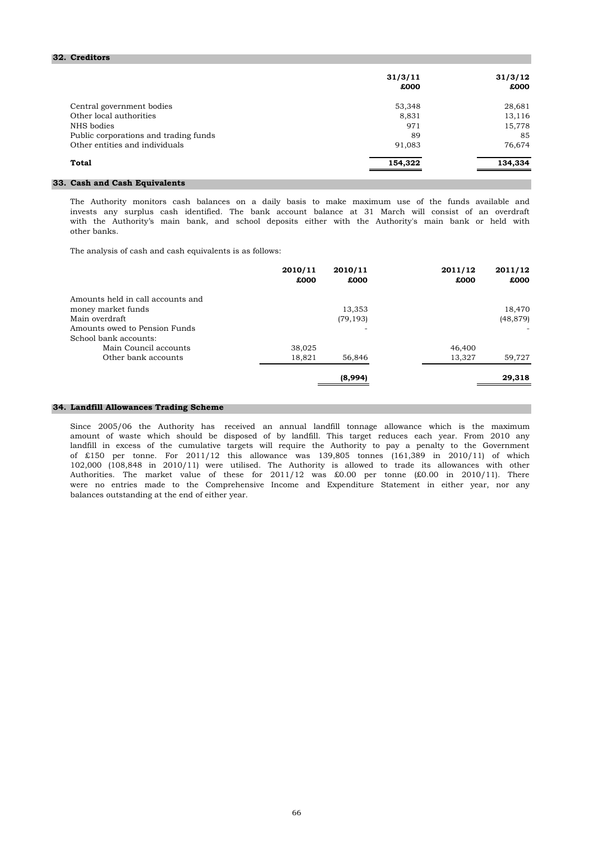### **32. Creditors**

|                                       | 31/3/11<br>£000 | 31/3/12<br>£000 |
|---------------------------------------|-----------------|-----------------|
| Central government bodies             | 53,348          | 28,681          |
| Other local authorities               | 8,831           | 13,116          |
| NHS bodies                            | 971             | 15,778          |
| Public corporations and trading funds | 89              | 85              |
| Other entities and individuals        | 91,083          | 76,674          |
| Total                                 | 154,322         | 134,334         |
|                                       |                 |                 |

# **33. Cash and Cash Equivalents**

with the Authority's main bank, and school deposits either with the Authority's main bank or held with other banks. The Authority monitors cash balances on a daily basis to make maximum use of the funds available and invests any surplus cash identified. The bank account balance at 31 March will consist of an overdraft

The analysis of cash and cash equivalents is as follows:

| 2010/11<br>£000 | 2010/11<br>£000 | 2011/12<br>£000 | 2011/12<br>£000 |
|-----------------|-----------------|-----------------|-----------------|
|                 |                 |                 |                 |
|                 | 13,353          |                 | 18,470          |
|                 | (79, 193)       |                 | (48, 879)       |
|                 |                 |                 |                 |
|                 |                 |                 |                 |
| 38,025          |                 | 46,400          |                 |
| 18,821          | 56,846          | 13,327          | 59,727          |
|                 | (8,994)         |                 | 29,318          |
|                 |                 |                 |                 |

# **34. Landfill Allowances Trading Scheme**

balances outstanding at the end of either year. landfill in excess of the cumulative targets will require the Authority to pay a penalty to the Government of £150 per tonne. For 2011/12 this allowance was 139,805 tonnes (161,389 in 2010/11) of which 102,000 (108,848 in 2010/11) were utilised. The Authority is allowed to trade its allowances with other Authorities. The market value of these for 2011/12 was £0.00 per tonne (£0.00 in 2010/11). There were no entries made to the Comprehensive Income and Expenditure Statement in either year, nor any Since 2005/06 the Authority has received an annual landfill tonnage allowance which is the maximum amount of waste which should be disposed of by landfill. This target reduces each year. From 2010 any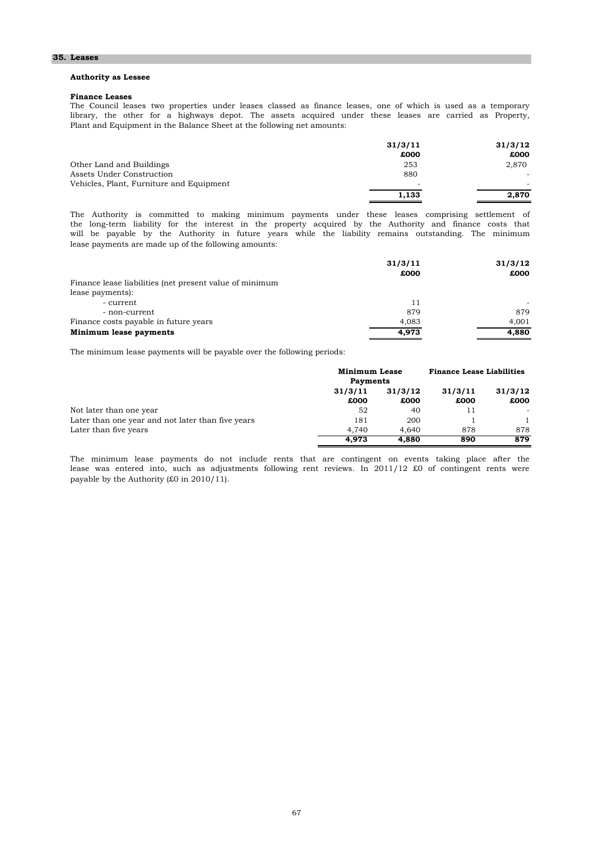### **35. Leases**

### **Authority as Lessee**

### **Finance Leases**

library, the other for a highways depot. The assets acquired under these leases are carried as Property, The Council leases two properties under leases classed as finance leases, one of which is used as a temporary Plant and Equipment in the Balance Sheet at the following net amounts:

|                                          | 31/3/11 | 31/3/12 |
|------------------------------------------|---------|---------|
|                                          | £000    | £000    |
| Other Land and Buildings                 | 253     | 2,870   |
| Assets Under Construction                | 880     |         |
| Vehicles, Plant, Furniture and Equipment | ۰       | -       |
|                                          | 1.133   | 2.870   |

lease payments are made up of the following amounts: The Authority is committed to making minimum payments under these leases comprising settlement of the long-term liability for the interest in the property acquired by the Authority and finance costs that will be payable by the Authority in future years while the liability remains outstanding. The minimum

|                                                         | 31/3/11 | 31/3/12 |
|---------------------------------------------------------|---------|---------|
|                                                         | £000    | £000    |
| Finance lease liabilities (net present value of minimum |         |         |
| lease payments):                                        |         |         |
| - current                                               | 11      |         |
| - non-current                                           | 879     | 879     |
| Finance costs payable in future years                   | 4.083   | 4.001   |
| Minimum lease payments                                  | 4,973   | 4,880   |

The minimum lease payments will be payable over the following periods:

|                                                   | <b>Minimum Lease</b> |                 | <b>Finance Lease Liabilities</b> |                 |
|---------------------------------------------------|----------------------|-----------------|----------------------------------|-----------------|
|                                                   | <b>Payments</b>      |                 |                                  |                 |
|                                                   | 31/3/11<br>£000      | 31/3/12<br>£000 | 31/3/11<br>£000                  | 31/3/12<br>£000 |
| Not later than one year                           | 52                   | 40              |                                  |                 |
| Later than one year and not later than five years | 181                  | 200             |                                  |                 |
| Later than five years                             | 4.740                | 4.640           | 878                              | 878             |
|                                                   | 4.973                | 4.880           | 890                              | 879             |

payable by the Authority (£0 in 2010/11). lease was entered into, such as adjustments following rent reviews. In 2011/12 £0 of contingent rents were The minimum lease payments do not include rents that are contingent on events taking place after the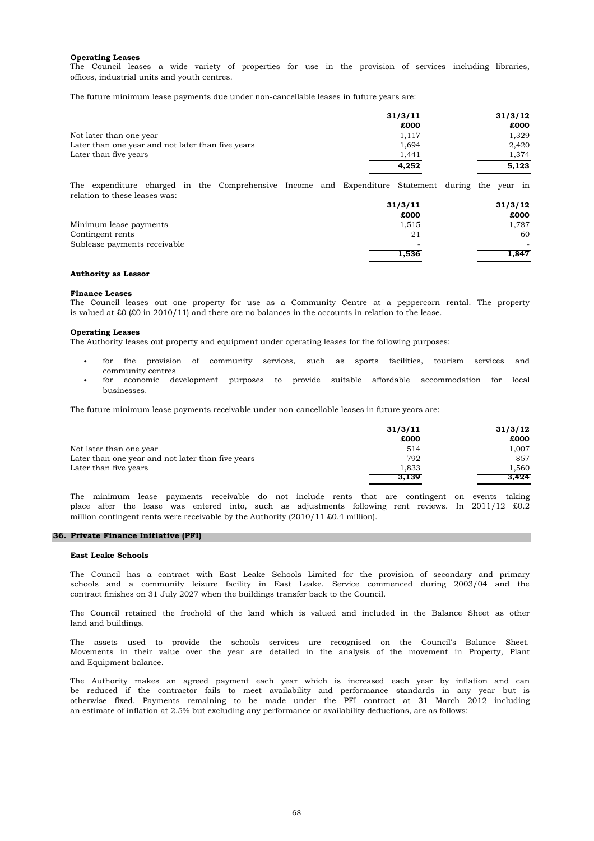### **Operating Leases**

offices, industrial units and youth centres. The Council leases a wide variety of properties for use in the provision of services including libraries,

The future minimum lease payments due under non-cancellable leases in future years are:

| 31/3/11 | 31/3/12 |
|---------|---------|
| £000    | £000    |
| 1,117   | 1,329   |
| 1,694   | 2,420   |
| 1,441   | 1,374   |
| 4,252   | 5,123   |
|         |         |

relation to these leases was: The expenditure charged in the Comprehensive Income and Expenditure Statement during the year in

|                              | 31/3/11                  | 31/3/12 |
|------------------------------|--------------------------|---------|
|                              | £000                     | £000    |
| Minimum lease payments       | 1,515                    | 1,787   |
| Contingent rents             | 21                       | 60      |
| Sublease payments receivable | $\overline{\phantom{a}}$ |         |
|                              | 1,536                    | 1,847   |

#### **Authority as Lessor**

#### **Finance Leases**

The Council leases out one property for use as a Community Centre at a peppercorn rental. The property is valued at £0 (£0 in 2010/11) and there are no balances in the accounts in relation to the lease.

### **Operating Leases**

The Authority leases out property and equipment under operating leases for the following purposes:

- community centres for the provision of community services, such as sports facilities, tourism services and
- businesses. for economic development purposes to provide suitable affordable accommodation for local

The future minimum lease payments receivable under non-cancellable leases in future years are:

|                                                   | 31/3/11 | 31/3/12 |
|---------------------------------------------------|---------|---------|
|                                                   | £000    | £000    |
| Not later than one vear                           | 514     | 1.007   |
| Later than one year and not later than five years | 792     | 857     |
| Later than five years                             | 1,833   | 1.560   |
|                                                   | 3.139   | 3.424   |

million contingent rents were receivable by the Authority (2010/11 £0.4 million). The minimum lease payments receivable do not include rents that are contingent on events taking place after the lease was entered into, such as adjustments following rent reviews. In 2011/12 £0.2

### **36. Private Finance Initiative (PFI)**

#### **East Leake Schools**

contract finishes on 31 July 2027 when the buildings transfer back to the Council. schools and a community leisure facility in East Leake. Service commenced during 2003/04 and the The Council has a contract with East Leake Schools Limited for the provision of secondary and primary

land and buildings. The Council retained the freehold of the land which is valued and included in the Balance Sheet as other

and Equipment balance. The assets used to provide the schools services are recognised on the Council's Balance Sheet. Movements in their value over the year are detailed in the analysis of the movement in Property, Plant

otherwise fixed. Payments remaining to be made under the PFI contract at 31 March 2012 including an estimate of inflation at 2.5% but excluding any performance or availability deductions, are as follows: The Authority makes an agreed payment each year which is increased each year by inflation and can be reduced if the contractor fails to meet availability and performance standards in any year but is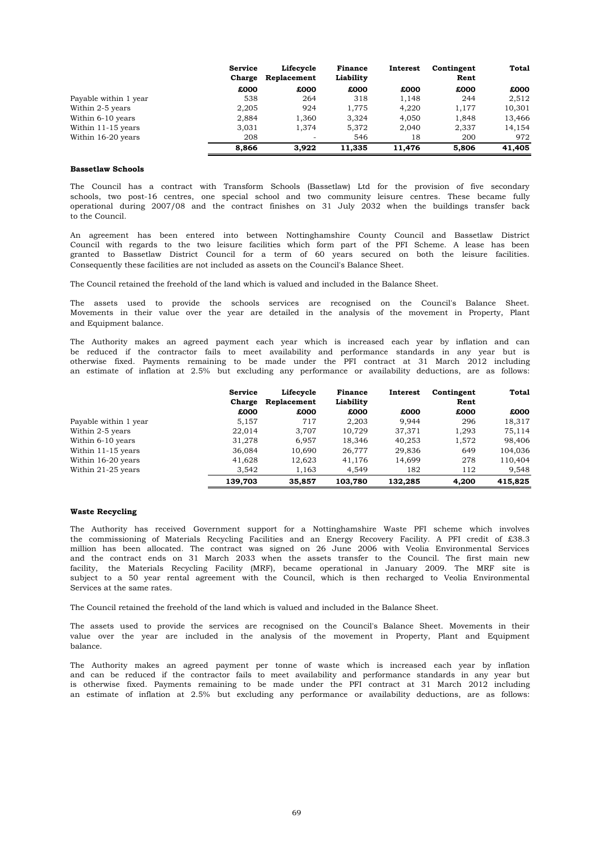|                       | <b>Service</b><br>Charge | Lifecycle<br>Replacement | <b>Finance</b><br>Liability | Interest | Contingent<br>Rent | Total  |
|-----------------------|--------------------------|--------------------------|-----------------------------|----------|--------------------|--------|
|                       | £000                     | £000                     | £000                        | £000     | £000               | £000   |
| Payable within 1 year | 538                      | 264                      | 318                         | 1,148    | 244                | 2,512  |
| Within 2-5 years      | 2.205                    | 924                      | 1.775                       | 4,220    | 1.177              | 10,301 |
| Within 6-10 years     | 2.884                    | 1,360                    | 3.324                       | 4.050    | 1.848              | 13,466 |
| Within 11-15 years    | 3.031                    | 1.374                    | 5,372                       | 2.040    | 2,337              | 14,154 |
| Within 16-20 years    | 208                      | $\overline{\phantom{a}}$ | 546                         | 18       | 200                | 972    |
|                       | 8.866                    | 3.922                    | 11,335                      | 11.476   | 5,806              | 41,405 |

## **Bassetlaw Schools**

to the Council. operational during 2007/08 and the contract finishes on 31 July 2032 when the buildings transfer back The Council has a contract with Transform Schools (Bassetlaw) Ltd for the provision of five secondary schools, two post-16 centres, one special school and two community leisure centres. These became fully

An agreement has been entered into between Nottinghamshire County Council and Bassetlaw District Council with regards to the two leisure facilities which form part of the PFI Scheme. A lease has been granted to Bassetlaw District Council for a term of 60 years secured on both the leisure facilities. Consequently these facilities are not included as assets on the Council's Balance Sheet.

The Council retained the freehold of the land which is valued and included in the Balance Sheet.

and Equipment balance. The assets used to provide the schools services are recognised on the Council's Balance Sheet. Movements in their value over the year are detailed in the analysis of the movement in Property, Plant

otherwise fixed. Payments remaining to be made under the PFI contract at 31 March 2012 including an estimate of inflation at 2.5% but excluding any performance or availability deductions, are as follows: The Authority makes an agreed payment each year which is increased each year by inflation and can be reduced if the contractor fails to meet availability and performance standards in any year but is

|                       | <b>Service</b> | Lifecycle   | <b>Finance</b> | Interest | Contingent | Total   |
|-----------------------|----------------|-------------|----------------|----------|------------|---------|
|                       | Charge         | Replacement | Liability      |          | Rent       |         |
|                       | £000           | £000        | £000           | £000     | £000       | £000    |
| Payable within 1 year | 5,157          | 717         | 2,203          | 9.944    | 296        | 18,317  |
| Within 2-5 years      | 22,014         | 3.707       | 10.729         | 37.371   | 1,293      | 75.114  |
| Within 6-10 years     | 31,278         | 6.957       | 18,346         | 40.253   | 1,572      | 98,406  |
| Within 11-15 years    | 36,084         | 10,690      | 26,777         | 29,836   | 649        | 104,036 |
| Within 16-20 years    | 41,628         | 12,623      | 41.176         | 14.699   | 278        | 110,404 |
| Within 21-25 years    | 3.542          | 1,163       | 4,549          | 182      | 112        | 9,548   |
|                       | 139.703        | 35,857      | 103.780        | 132,285  | 4.200      | 415,825 |

#### **Waste Recycling**

Services at the same rates. million has been allocated. The contract was signed on 26 June 2006 with Veolia Environmental Services and the contract ends on 31 March 2033 when the assets transfer to the Council. The first main new facility, the Materials Recycling Facility (MRF), became operational in January 2009. The MRF site is subject to a 50 year rental agreement with the Council, which is then recharged to Veolia Environmental The Authority has received Government support for a Nottinghamshire Waste PFI scheme which involves the commissioning of Materials Recycling Facilities and an Energy Recovery Facility. A PFI credit of £38.3

The Council retained the freehold of the land which is valued and included in the Balance Sheet.

balance. The assets used to provide the services are recognised on the Council's Balance Sheet. Movements in their value over the year are included in the analysis of the movement in Property, Plant and Equipment

The Authority makes an agreed payment per tonne of waste which is increased each year by inflation and can be reduced if the contractor fails to meet availability and performance standards in any year but is otherwise fixed. Payments remaining to be made under the PFI contract at 31 March 2012 including an estimate of inflation at 2.5% but excluding any performance or availability deductions, are as follows: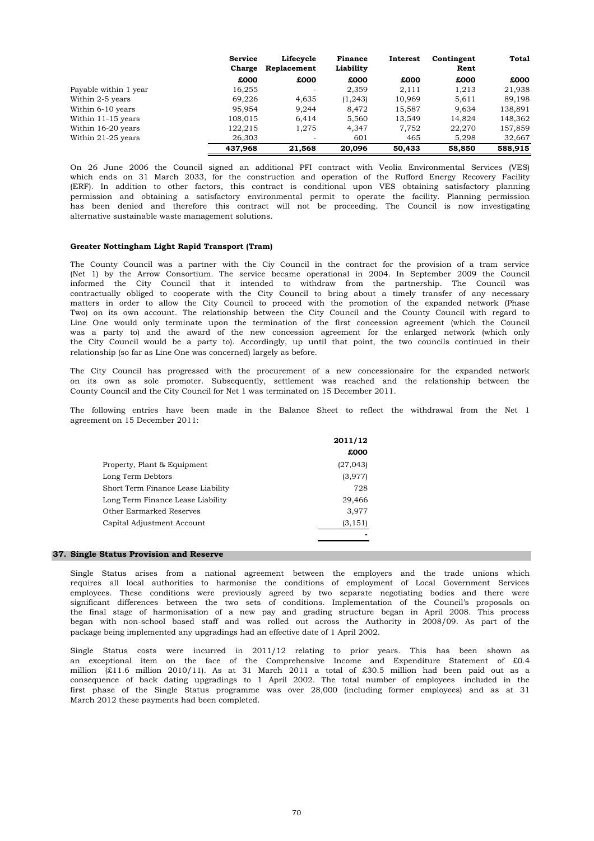|                       | <b>Service</b><br>Charge | Lifecycle<br>Replacement | <b>Finance</b><br>Liability | Interest | Contingent<br>Rent | Total   |
|-----------------------|--------------------------|--------------------------|-----------------------------|----------|--------------------|---------|
|                       | £000                     | £000                     | £000                        | £000     | £000               | £000    |
| Payable within 1 year | 16,255                   |                          | 2,359                       | 2,111    | 1,213              | 21,938  |
| Within 2-5 years      | 69,226                   | 4,635                    | (1, 243)                    | 10,969   | 5,611              | 89,198  |
| Within 6-10 years     | 95,954                   | 9.244                    | 8.472                       | 15.587   | 9.634              | 138,891 |
| Within 11-15 years    | 108,015                  | 6.414                    | 5.560                       | 13,549   | 14,824             | 148,362 |
| Within 16-20 years    | 122,215                  | 1,275                    | 4.347                       | 7,752    | 22,270             | 157,859 |
| Within 21-25 years    | 26,303                   |                          | 601                         | 465      | 5,298              | 32,667  |
|                       | 437,968                  | 21,568                   | 20,096                      | 50,433   | 58,850             | 588,915 |

alternative sustainable waste management solutions. (ERF). In addition to other factors, this contract is conditional upon VES obtaining satisfactory planning permission and obtaining a satisfactory environmental permit to operate the facility. Planning permission has been denied and therefore this contract will not be proceeding. The Council is now investigating On 26 June 2006 the Council signed an additional PFI contract with Veolia Environmental Services (VES) which ends on 31 March 2033, for the construction and operation of the Rufford Energy Recovery Facility

## **Greater Nottingham Light Rapid Transport (Tram)**

Two) on its own account. The relationship between the City Council and the County Council with regard to The County Council was a partner with the Ciy Council in the contract for the provision of a tram service (Net 1) by the Arrow Consortium. The service became operational in 2004. In September 2009 the Council informed the City Council that it intended to withdraw from the partnership. The Council was contractually obliged to cooperate with the City Council to bring about a timely transfer of any necessary matters in order to allow the City Council to proceed with the promotion of the expanded network (Phase Line One would only terminate upon the termination of the first concession agreement (which the Council was a party to) and the award of the new concession agreement for the enlarged network (which only the City Council would be a party to). Accordingly, up until that point, the two councils continued in their relationship (so far as Line One was concerned) largely as before.

The City Council has progressed with the procurement of a new concessionaire for the expanded network on its own as sole promoter. Subsequently, settlement was reached and the relationship between the County Council and the City Council for Net 1 was terminated on 15 December 2011.

agreement on 15 December 2011: The following entries have been made in the Balance Sheet to reflect the withdrawal from the Net 1

|                                    | 2011/12   |
|------------------------------------|-----------|
|                                    | £000      |
| Property, Plant & Equipment        | (27, 043) |
| Long Term Debtors                  | (3,977)   |
| Short Term Finance Lease Liability | 728       |
| Long Term Finance Lease Liability  | 29,466    |
| <b>Other Earmarked Reserves</b>    | 3.977     |
| Capital Adjustment Account         | (3, 151)  |
|                                    |           |

### **37. Single Status Provision and Reserve**

package being implemented any upgradings had an effective date of 1 April 2002. Single Status arises from a national agreement between the employers and the trade unions which requires all local authorities to harmonise the conditions of employment of Local Government Services employees. These conditions were previously agreed by two separate negotiating bodies and there were significant differences between the two sets of conditions. Implementation of the Council's proposals on the final stage of harmonisation of a new pay and grading structure began in April 2008. This process began with non-school based staff and was rolled out across the Authority in 2008/09. As part of the

March 2012 these payments had been completed. first phase of the Single Status programme was over 28,000 (including former employees) and as at 31 an exceptional item on the face of the Comprehensive Income and Expenditure Statement of £0.4 million (£11.6 million 2010/11). As at 31 March 2011 a total of £30.5 million had been paid out as a Single Status costs were incurred in 2011/12 relating to prior years. This has been shown as consequence of back dating upgradings to 1 April 2002. The total number of employees included in the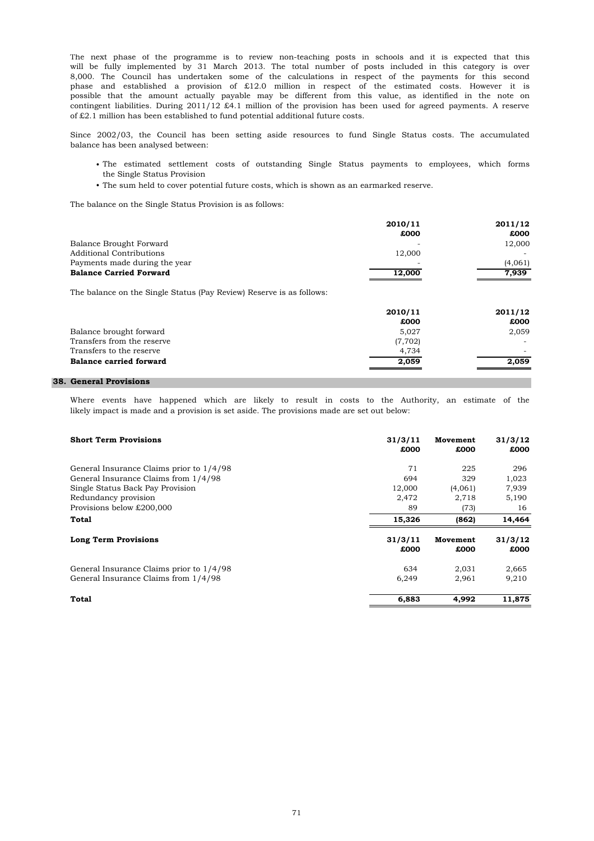of £2.1 million has been established to fund potential additional future costs. The next phase of the programme is to review non-teaching posts in schools and it is expected that this will be fully implemented by 31 March 2013. The total number of posts included in this category is over 8,000. The Council has undertaken some of the calculations in respect of the payments for this second phase and established a provision of £12.0 million in respect of the estimated costs. However it is possible that the amount actually payable may be different from this value, as identified in the note on contingent liabilities. During 2011/12 £4.1 million of the provision has been used for agreed payments. A reserve

balance has been analysed between: Since 2002/03, the Council has been setting aside resources to fund Single Status costs. The accumulated

- The estimated settlement costs of outstanding Single Status payments to employees, which forms the Single Status Provision
- The sum held to cover potential future costs, which is shown as an earmarked reserve.

The balance on the Single Status Provision is as follows:

|                                                                      | 2010/11 | 2011/12 |
|----------------------------------------------------------------------|---------|---------|
|                                                                      | £000    | £000    |
| Balance Brought Forward                                              |         | 12,000  |
| <b>Additional Contributions</b>                                      | 12,000  |         |
| Payments made during the year                                        |         | (4,061) |
| <b>Balance Carried Forward</b>                                       | 12,000  | 7,939   |
| The balance on the Single Status (Pay Review) Reserve is as follows: |         |         |
|                                                                      | 2010/11 | 2011/12 |
|                                                                      | £000    | £000    |
| Balance brought forward                                              | 5,027   | 2,059   |
| Transfers from the reserve                                           | (7,702) |         |
| Transfers to the reserve                                             | 4,734   |         |
| <b>Balance carried forward</b>                                       | 2,059   | 2,059   |

## **38. General Provisions**

likely impact is made and a provision is set aside. The provisions made are set out below: Where events have happened which are likely to result in costs to the Authority, an estimate of the

| <b>Short Term Provisions</b>             | 31/3/11<br>£000 | Movement<br>£000 | 31/3/12<br>£000 |
|------------------------------------------|-----------------|------------------|-----------------|
| General Insurance Claims prior to 1/4/98 | 71              | 225              | 296             |
| General Insurance Claims from 1/4/98     | 694             | 329              | 1,023           |
| Single Status Back Pay Provision         | 12,000          | (4,061)          | 7,939           |
| Redundancy provision                     | 2,472           | 2,718            | 5,190           |
| Provisions below £200,000                | 89              | (73)             | 16              |
| Total                                    | 15,326          | (862)            | 14,464          |
| <b>Long Term Provisions</b>              | 31/3/11<br>£000 | Movement<br>£000 | 31/3/12<br>£000 |
| General Insurance Claims prior to 1/4/98 | 634             | 2,031            | 2,665           |
| General Insurance Claims from 1/4/98     | 6,249           | 2,961            | 9,210           |
| Total                                    | 6,883           | 4,992            | 11,875          |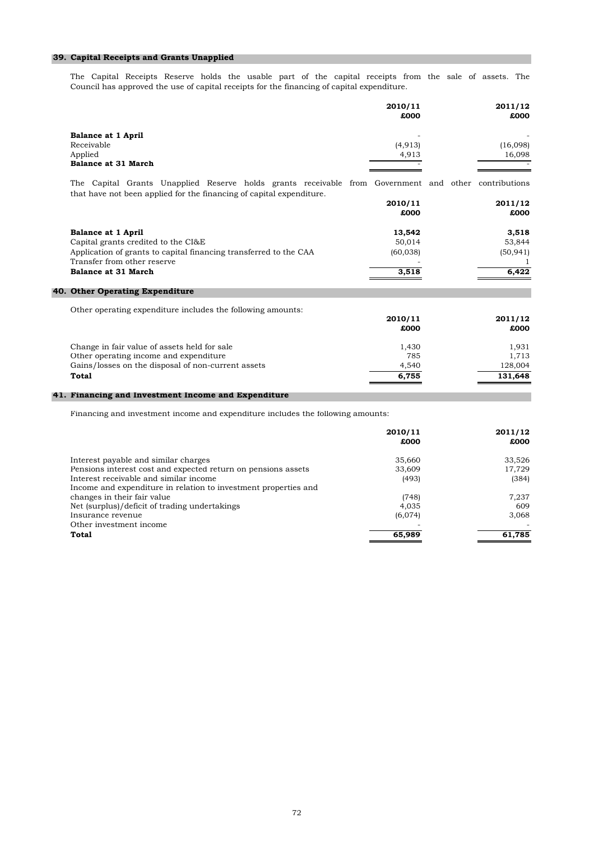# **39. Capital Receipts and Grants Unapplied**

Council has approved the use of capital receipts for the financing of capital expenditure. The Capital Receipts Reserve holds the usable part of the capital receipts from the sale of assets. The

|                                                                                                                                                                                             | 2010/11<br>£000                        | 2011/12<br>£000                            |
|---------------------------------------------------------------------------------------------------------------------------------------------------------------------------------------------|----------------------------------------|--------------------------------------------|
| <b>Balance at 1 April</b><br>Receivable<br>Applied<br>Balance at 31 March                                                                                                                   | (4,913)<br>4,913                       | (16,098)<br>16,098                         |
| The Capital Grants Unapplied Reserve holds grants receivable from Government and other contributions<br>that have not been applied for the financing of capital expenditure.                | 2010/11<br>£000                        | 2011/12<br>£000                            |
| <b>Balance at 1 April</b><br>Capital grants credited to the CI&E<br>Application of grants to capital financing transferred to the CAA<br>Transfer from other reserve<br>Balance at 31 March | 13,542<br>50,014<br>(60, 038)<br>3,518 | 3,518<br>53,844<br>(50, 941)<br>1<br>6,422 |
| 40. Other Operating Expenditure                                                                                                                                                             |                                        |                                            |
| Other operating expenditure includes the following amounts:                                                                                                                                 | 2010/11<br>£000                        | 2011/12<br>£000                            |
| Change in fair value of assets held for sale<br>Other operating income and expenditure<br>Gains/losses on the disposal of non-current assets<br>Total                                       | 1,430<br>785<br>4,540<br>6,755         | 1,931<br>1,713<br>128,004<br>131,648       |
| 41. Financing and Investment Income and Expenditure                                                                                                                                         |                                        |                                            |

Financing and investment income and expenditure includes the following amounts:

| 2010/11<br>£000 | 2011/12<br>£000 |
|-----------------|-----------------|
|                 |                 |
| 35,660          | 33,526          |
| 33,609          | 17,729          |
| (493)           | (384)           |
|                 |                 |
| (748)           | 7,237           |
| 4,035           | 609             |
| (6,074)         | 3,068           |
|                 |                 |
| 65,989          | 61,785          |
|                 |                 |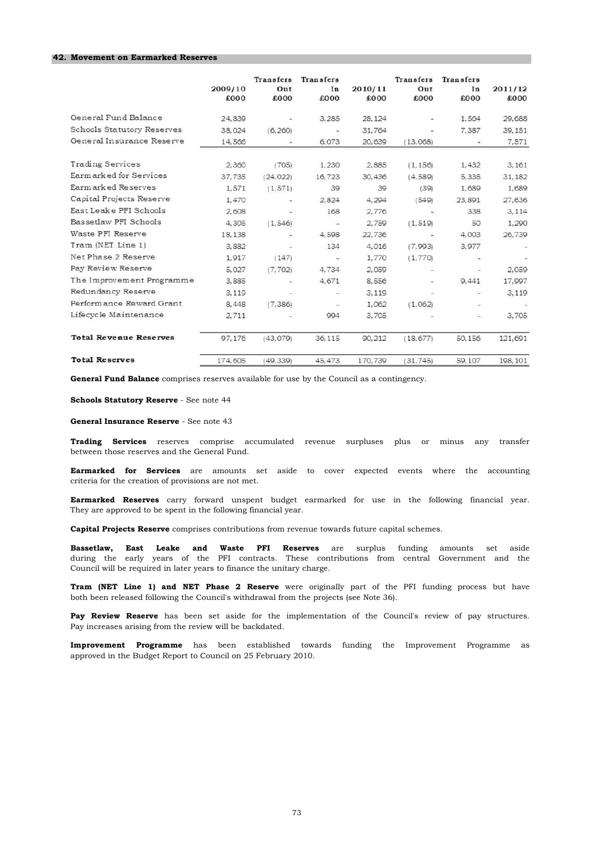#### **42. Movement on Earmarked Reserves**

|                               | 2009/10<br>£000 | <b>Transfers</b><br>Out<br>£000 | Transfers<br>In<br>£000  | 2010/11<br>£000 | <b>Transfers</b><br>Out<br>6003 | <b>Transfers</b><br>In<br>£000 | 2011/12<br>£000 |
|-------------------------------|-----------------|---------------------------------|--------------------------|-----------------|---------------------------------|--------------------------------|-----------------|
| General Fund Balance          | 24,839          |                                 | 3,285                    | 28, 124         |                                 | 1.564                          | 29.688          |
| Schools Statutory Reserves    | 38,024          | (6, 260)                        | $\sim$                   | 31,764          |                                 | 7.387                          | 39.151          |
| General Insurance Reserve     | 14.566          |                                 | 6.073                    | 20.639          | (13.068)                        |                                | 7.571           |
| <b>Trading Services</b>       | 2.360           | (705)                           | 1.230                    | 2.885           | (1.156)                         | 1.432                          | 3.161           |
| Earmarked for Services        | 37,735          | (24, 022)                       | 16.723                   | 30.436          | (4, 589)                        | 5.335                          | 31,182          |
| Earmarked Reserves            | 1.571           | (1, 571)                        | 39                       | 39              | (39)                            | 1.689                          | 1.689           |
| Capital Projects Reserve      | 1,470           | ×,                              | 2.824                    | 4.294           | (549)                           | 23,891                         | 27,636          |
| East Leake PFI Schools        | 2.608           |                                 | 168                      | 2.776           |                                 | 338                            | 3.114           |
| Bassetlaw PFI Schools         | 4,305           | (1, 546)                        | ٠                        | 2.759           | (1.519)                         | 50                             | 1,290           |
| Waste PFI Reserve             | 18.138          |                                 | 4.598                    | 22.736          |                                 | 4.003                          | 26,739          |
| Tram (NET Line 1)             | 3.882           |                                 | 134                      | 4.016           | (7.993)                         | 3,977                          |                 |
| Net Phase 2 Reserve           | 1.917           | (147)                           | $\overline{\phantom{a}}$ | 1,770           | (1,770)                         |                                |                 |
| Pay Review Reserve            | 5.027           | (7, 702)                        | 4,734                    | 2.059           |                                 | ₽                              | 2.059           |
| The Improvement Programme     | 3.885           |                                 | 4.671                    | 8.556           |                                 | 9.441                          | 17.997          |
| Redundancy Reserve            | 3.119           |                                 |                          | 3.119           | 오                               | 嵩                              | 3,119           |
| Performance Reward Grant      | 8.448           | (7, 386)                        | $\overline{\phantom{a}}$ | 1.062           | (1.062)                         | Ξ                              |                 |
| Lifecycle Maintenance         | 2.711           |                                 | 994                      | 3.705           |                                 | $\overline{\phantom{a}}$       | 3,705           |
| <b>Total Revenue Reserves</b> | 97.176          | (43.079)                        | 36,115                   | 90.212          | (18, 677)                       | 50.156                         | 121,691         |
| <b>Total Reserves</b>         | 174,605         | (49, 339)                       | 45, 473                  | 170.739         | (31, 745)                       | 59.107                         | 198.101         |

**General Fund Balance** comprises reserves available for use by the Council as a contingency.

**Schools Statutory Reserve** - See note 44

**General Insurance Reserve** - See note 43

between those reserves and the General Fund. **Trading Services** reserves comprise accumulated revenue surpluses plus or minus any transfer

criteria for the creation of provisions are not met. **Earmarked for Services** are amounts set aside to cover expected events where the accounting

They are approved to be spent in the following financial year. **Earmarked Reserves** carry forward unspent budget earmarked for use in the following financial year.

**Capital Projects Reserve** comprises contributions from revenue towards future capital schemes.

Council will be required in later years to finance the unitary charge. **Bassetlaw, East Leake and Waste PFI Reserves** are surplus funding amounts set aside during the early years of the PFI contracts. These contributions from central Government and the

both been released following the Council's withdrawal from the projects (see Note 36). **Tram (NET Line 1) and NET Phase 2 Reserve** were originally part of the PFI funding process but have

Pay increases arising from the review will be backdated. **Pay Review Reserve** has been set aside for the implementation of the Council's review of pay structures.

approved in the Budget Report to Council on 25 February 2010. **Improvement Programme** has been established towards funding the Improvement Programme as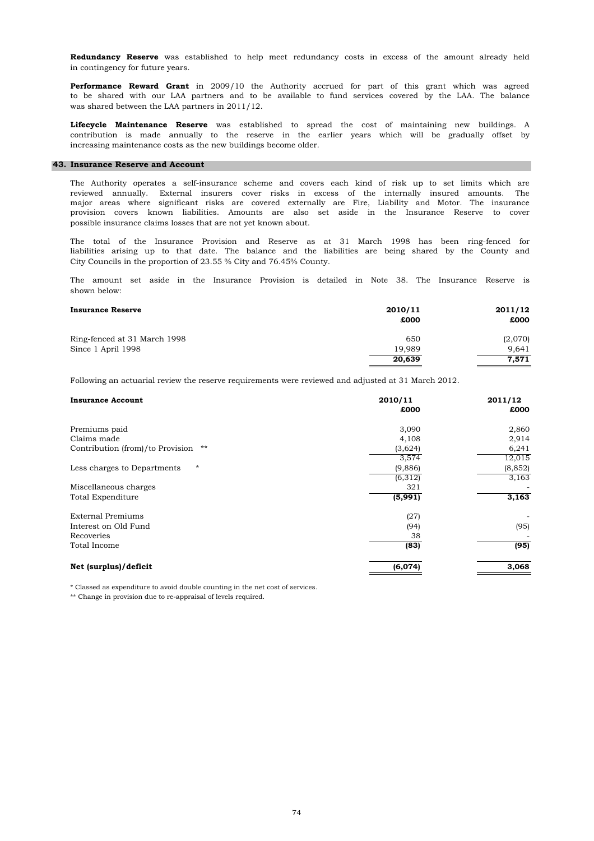in contingency for future years. **Redundancy Reserve** was established to help meet redundancy costs in excess of the amount already held

was shared between the LAA partners in 2011/12. **Performance Reward Grant** in 2009/10 the Authority accrued for part of this grant which was agreed to be shared with our LAA partners and to be available to fund services covered by the LAA. The balance

increasing maintenance costs as the new buildings become older. **Lifecycle Maintenance Reserve** was established to spread the cost of maintaining new buildings. A contribution is made annually to the reserve in the earlier years which will be gradually offset by

#### **43. Insurance Reserve and Account**

possible insurance claims losses that are not yet known about. provision covers known liabilities. Amounts are also set aside in the Insurance Reserve to cover major areas where significant risks are covered externally are Fire, Liability and Motor. The insurance The Authority operates a self-insurance scheme and covers each kind of risk up to set limits which are reviewed annually. External insurers cover risks in excess of the internally insured amounts. The

City Councils in the proportion of 23.55 % City and 76.45% County. The total of the Insurance Provision and Reserve as at 31 March 1998 has been ring-fenced for liabilities arising up to that date. The balance and the liabilities are being shared by the County and

shown below: The amount set aside in the Insurance Provision is detailed in Note 38. The Insurance Reserve is

| <b>Insurance Reserve</b>     | 2010/11<br>£000 | 2011/12<br>£000 |
|------------------------------|-----------------|-----------------|
| Ring-fenced at 31 March 1998 | 650             | (2,070)         |
| Since 1 April 1998           | 19.989          | 9.641           |
|                              | 20,639          | 7,571           |

Following an actuarial review the reserve requirements were reviewed and adjusted at 31 March 2012.

| <b>Insurance Account</b>                 | 2010/11<br>£000 | 2011/12<br>£000 |
|------------------------------------------|-----------------|-----------------|
| Premiums paid                            | 3,090           | 2,860           |
| Claims made                              | 4,108           | 2,914           |
| Contribution (from)/to Provision<br>$**$ | (3,624)         | 6,241           |
|                                          | 3,574           | 12,015          |
| $\star$<br>Less charges to Departments   | (9,886)         | (8, 852)        |
|                                          | (6,312)         | 3,163           |
| Miscellaneous charges                    | 321             |                 |
| Total Expenditure                        | (5,991)         | 3,163           |
| <b>External Premiums</b>                 | (27)            | -               |
| Interest on Old Fund                     | (94)            | (95)            |
| Recoveries                               | 38              |                 |
| Total Income                             | (83)            | (95)            |
| Net (surplus)/deficit                    | (6,074)         | 3,068           |
|                                          |                 |                 |

\* Classed as expenditure to avoid double counting in the net cost of services.

\*\* Change in provision due to re-appraisal of levels required.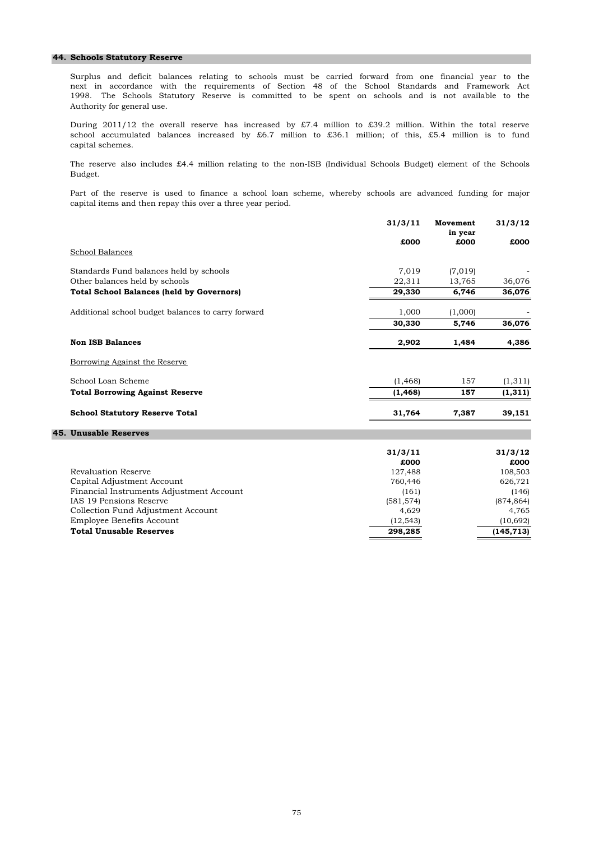#### **44. Schools Statutory Reserve**

Authority for general use. next in accordance with the requirements of Section 48 of the School Standards and Framework Act 1998. The Schools Statutory Reserve is committed to be spent on schools and is not available to the Surplus and deficit balances relating to schools must be carried forward from one financial year to the

During 2011/12 the overall reserve has increased by £7.4 million to £39.2 million. Within the total reserve school accumulated balances increased by £6.7 million to £36.1 million; of this, £5.4 million is to fund capital schemes.

Budget. The reserve also includes £4.4 million relating to the non-ISB (Individual Schools Budget) element of the Schools

capital items and then repay this over a three year period. Part of the reserve is used to finance a school loan scheme, whereby schools are advanced funding for major

|                                                    | 31/3/11  | Movement<br>in year | 31/3/12  |
|----------------------------------------------------|----------|---------------------|----------|
|                                                    | £000     | £000                | £000     |
| School Balances                                    |          |                     |          |
| Standards Fund balances held by schools            | 7,019    | (7,019)             |          |
| Other balances held by schools                     | 22,311   | 13,765              | 36,076   |
| <b>Total School Balances (held by Governors)</b>   | 29,330   | 6,746               | 36,076   |
| Additional school budget balances to carry forward | 1,000    | (1,000)             |          |
|                                                    | 30,330   | 5,746               | 36,076   |
| <b>Non ISB Balances</b>                            | 2,902    | 1,484               | 4,386    |
| Borrowing Against the Reserve                      |          |                     |          |
| School Loan Scheme                                 | (1, 468) | 157                 | (1, 311) |
| <b>Total Borrowing Against Reserve</b>             | (1, 468) | 157                 | (1,311)  |
| <b>School Statutory Reserve Total</b>              | 31,764   | 7,387               | 39,151   |
| <b>45. Unusable Reserves</b>                       |          |                     |          |

|                                          | 31/3/11    | 31/3/12    |
|------------------------------------------|------------|------------|
|                                          | £000       | £000       |
| Revaluation Reserve                      | 127,488    | 108,503    |
| Capital Adjustment Account               | 760,446    | 626,721    |
| Financial Instruments Adjustment Account | (161)      | (146)      |
| IAS 19 Pensions Reserve                  | (581, 574) | (874, 864) |
| Collection Fund Adjustment Account       | 4.629      | 4.765      |
| <b>Employee Benefits Account</b>         | (12, 543)  | (10,692)   |
| <b>Total Unusable Reserves</b>           | 298,285    | (145, 713) |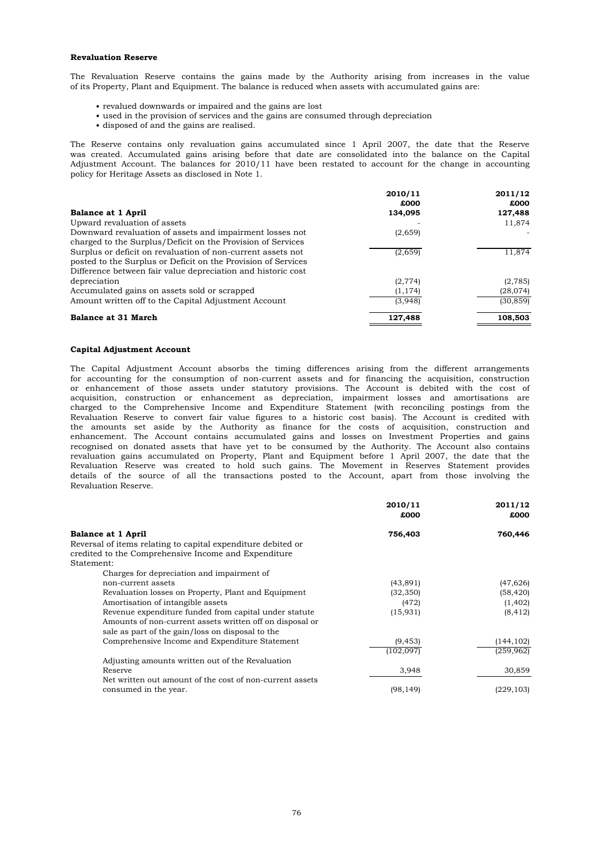#### **Revaluation Reserve**

The Revaluation Reserve contains the gains made by the Authority arising from increases in the value of its Property, Plant and Equipment. The balance is reduced when assets with accumulated gains are:

- revalued downwards or impaired and the gains are lost
- used in the provision of services and the gains are consumed through depreciation
- disposed of and the gains are realised.

policy for Heritage Assets as disclosed in Note 1. Adjustment Account. The balances for 2010/11 have been restated to account for the change in accounting was created. Accumulated gains arising before that date are consolidated into the balance on the Capital The Reserve contains only revaluation gains accumulated since 1 April 2007, the date that the Reserve

| <b>Balance at 1 April</b>                                                                                                                                                                    | 2010/11<br>£000<br>134,095 | 2011/12<br>£000<br>127,488 |
|----------------------------------------------------------------------------------------------------------------------------------------------------------------------------------------------|----------------------------|----------------------------|
| Upward revaluation of assets                                                                                                                                                                 |                            | 11,874                     |
| Downward revaluation of assets and impairment losses not<br>charged to the Surplus/Deficit on the Provision of Services                                                                      | (2,659)                    |                            |
| Surplus or deficit on revaluation of non-current assets not<br>posted to the Surplus or Deficit on the Provision of Services<br>Difference between fair value depreciation and historic cost | (2,659)                    | 11,874                     |
| depreciation                                                                                                                                                                                 | (2, 774)                   | (2,785)                    |
| Accumulated gains on assets sold or scrapped                                                                                                                                                 | (1, 174)                   | (28,074)                   |
| Amount written off to the Capital Adjustment Account                                                                                                                                         | (3,948)                    | (30, 859)                  |
| <b>Balance at 31 March</b>                                                                                                                                                                   | 127,488                    | 108,503                    |

#### **Capital Adjustment Account**

Revaluation Reserve. Revaluation Reserve to convert fair value figures to a historic cost basis). The Account is credited with the amounts set aside by the Authority as finance for the costs of acquisition, construction and The Capital Adjustment Account absorbs the timing differences arising from the different arrangements for accounting for the consumption of non-current assets and for financing the acquisition, construction or enhancement of those assets under statutory provisions. The Account is debited with the cost of acquisition, construction or enhancement as depreciation, impairment losses and amortisations are charged to the Comprehensive Income and Expenditure Statement (with reconciling postings from the enhancement. The Account contains accumulated gains and losses on Investment Properties and gains recognised on donated assets that have yet to be consumed by the Authority. The Account also contains revaluation gains accumulated on Property, Plant and Equipment before 1 April 2007, the date that the Revaluation Reserve was created to hold such gains. The Movement in Reserves Statement provides details of the source of all the transactions posted to the Account, apart from those involving the

|                                                              | 2010/11<br>£000 | 2011/12<br>£000 |
|--------------------------------------------------------------|-----------------|-----------------|
| <b>Balance at 1 April</b>                                    | 756,403         | 760,446         |
| Reversal of items relating to capital expenditure debited or |                 |                 |
| credited to the Comprehensive Income and Expenditure         |                 |                 |
| Statement:                                                   |                 |                 |
| Charges for depreciation and impairment of                   |                 |                 |
| non-current assets                                           | (43, 891)       | (47, 626)       |
| Revaluation losses on Property, Plant and Equipment          | (32, 350)       | (58, 420)       |
| Amortisation of intangible assets                            | (472)           | (1, 402)        |
| Revenue expenditure funded from capital under statute        | (15, 931)       | (8, 412)        |
| Amounts of non-current assets written off on disposal or     |                 |                 |
| sale as part of the gain/loss on disposal to the             |                 |                 |
| Comprehensive Income and Expenditure Statement               | (9, 453)        | (144, 102)      |
|                                                              | (102, 097)      | (259, 962)      |
| Adjusting amounts written out of the Revaluation             |                 |                 |
| Reserve                                                      | 3,948           | 30,859          |
| Net written out amount of the cost of non-current assets     |                 |                 |
| consumed in the year.                                        | (98, 149)       | (229, 103)      |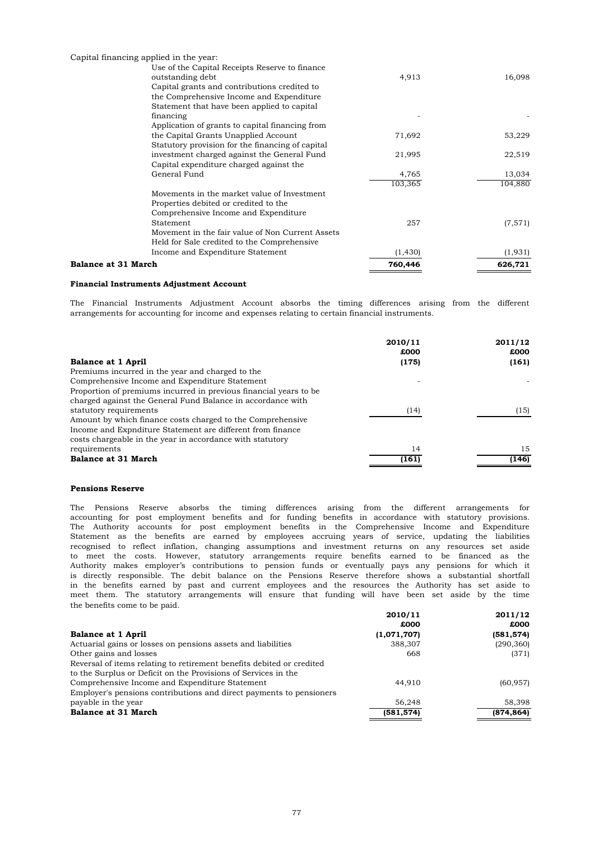| Capital financing applied in the year:           |          |          |
|--------------------------------------------------|----------|----------|
| Use of the Capital Receipts Reserve to finance   |          |          |
| outstanding debt                                 | 4,913    | 16,098   |
| Capital grants and contributions credited to     |          |          |
| the Comprehensive Income and Expenditure         |          |          |
| Statement that have been applied to capital      |          |          |
| financing                                        |          |          |
| Application of grants to capital financing from  |          |          |
| the Capital Grants Unapplied Account             | 71,692   | 53,229   |
| Statutory provision for the financing of capital |          |          |
| investment charged against the General Fund      | 21,995   | 22,519   |
| Capital expenditure charged against the          |          |          |
| General Fund                                     | 4,765    | 13,034   |
|                                                  | 103,365  | 104,880  |
| Movements in the market value of Investment      |          |          |
| Properties debited or credited to the            |          |          |
| Comprehensive Income and Expenditure             |          |          |
| Statement                                        | 257      | (7, 571) |
| Movement in the fair value of Non Current Assets |          |          |
| Held for Sale credited to the Comprehensive      |          |          |
| Income and Expenditure Statement                 | (1, 430) | (1, 931) |
| <b>Balance at 31 March</b>                       | 760,446  | 626,721  |

#### **Financial Instruments Adjustment Account**

arrangements for accounting for income and expenses relating to certain financial instruments. The Financial Instruments Adjustment Account absorbs the timing differences arising from the different

|                                                                   | 2010/11<br>£000 | 2011/12<br>£000 |
|-------------------------------------------------------------------|-----------------|-----------------|
| <b>Balance at 1 April</b>                                         | (175)           | (161)           |
| Premiums incurred in the year and charged to the                  |                 |                 |
| Comprehensive Income and Expenditure Statement                    |                 |                 |
| Proportion of premiums incurred in previous financial years to be |                 |                 |
| charged against the General Fund Balance in accordance with       |                 |                 |
| statutory requirements                                            | (14)            | (15)            |
| Amount by which finance costs charged to the Comprehensive        |                 |                 |
| Income and Expnditure Statement are different from finance        |                 |                 |
| costs chargeable in the year in accordance with statutory         |                 |                 |
| requirements                                                      | 14              | 15              |
| <b>Balance at 31 March</b>                                        | (161)           | (146)           |

### **Pensions Reserve**

the benefits come to be paid. Authority makes employer's contributions to pension funds or eventually pays any pensions for which it is directly responsible. The debit balance on the Pensions Reserve therefore shows a substantial shortfall in the benefits earned by past and current employees and the resources the Authority has set aside to meet them. The statutory arrangements will ensure that funding will have been set aside by the time The Pensions Reserve absorbs the timing differences arising from the different arrangements for accounting for post employment benefits and for funding benefits in accordance with statutory provisions. The Authority accounts for post employment benefits in the Comprehensive Income and Expenditure Statement as the benefits are earned by employees accruing years of service, updating the liabilities recognised to reflect inflation, changing assumptions and investment returns on any resources set aside to meet the costs. However, statutory arrangements require benefits earned to be financed as the

|                                                                       | 2010/11     | 2011/12    |
|-----------------------------------------------------------------------|-------------|------------|
|                                                                       | £000        | £000       |
| <b>Balance at 1 April</b>                                             | (1,071,707) | (581, 574) |
| Actuarial gains or losses on pensions assets and liabilities          | 388,307     | (290, 360) |
| Other gains and losses                                                | 668         | (371)      |
| Reversal of items relating to retirement benefits debited or credited |             |            |
| to the Surplus or Deficit on the Provisions of Services in the        |             |            |
| Comprehensive Income and Expenditure Statement                        | 44.910      | (60, 957)  |
| Employer's pensions contributions and direct payments to pensioners   |             |            |
| payable in the year                                                   | 56,248      | 58,398     |
| Balance at 31 March                                                   | (581, 574)  | (874, 864) |
|                                                                       |             |            |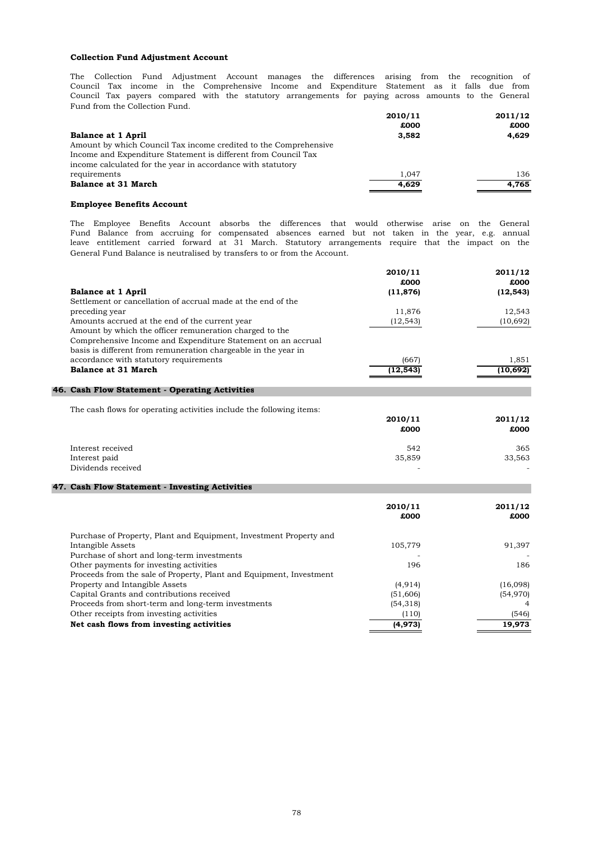#### **Collection Fund Adjustment Account**

Fund from the Collection Fund. The Collection Fund Adjustment Account manages the differences arising from the recognition of Council Tax income in the Comprehensive Income and Expenditure Statement as it falls due from Council Tax payers compared with the statutory arrangements for paying across amounts to the General

|                                                                  | 2010/11 | 2011/12 |
|------------------------------------------------------------------|---------|---------|
|                                                                  | £000    | £000    |
| <b>Balance at 1 April</b>                                        | 3.582   | 4.629   |
| Amount by which Council Tax income credited to the Comprehensive |         |         |
| Income and Expenditure Statement is different from Council Tax   |         |         |
| income calculated for the year in accordance with statutory      |         |         |
| requirements                                                     | 1.047   | 136     |
| Balance at 31 March                                              | 4.629   | 4.765   |
|                                                                  |         |         |

#### **Employee Benefits Account**

General Fund Balance is neutralised by transfers to or from the Account. The Employee Benefits Account absorbs the differences that would otherwise arise on the General Fund Balance from accruing for compensated absences earned but not taken in the year, e.g. annual leave entitlement carried forward at 31 March. Statutory arrangements require that the impact on the

|                                                                | 2010/11   | 2011/12   |
|----------------------------------------------------------------|-----------|-----------|
|                                                                | £000      | £000      |
| <b>Balance at 1 April</b>                                      | (11, 876) | (12, 543) |
| Settlement or cancellation of accrual made at the end of the   |           |           |
| preceding year                                                 | 11,876    | 12,543    |
| Amounts accrued at the end of the current year                 | (12, 543) | (10, 692) |
| Amount by which the officer remuneration charged to the        |           |           |
| Comprehensive Income and Expenditure Statement on an accrual   |           |           |
| basis is different from remuneration chargeable in the year in |           |           |
| accordance with statutory requirements                         | (667)     | 1,851     |
| <b>Balance at 31 March</b>                                     | (12, 543) | (10, 692) |
|                                                                |           |           |

## **46. Cash Flow Statement - Operating Activities**

The cash flows for operating activities include the following items:

|                    | 2010/11 | 2011/12 |
|--------------------|---------|---------|
|                    | £000    | £000    |
| Interest received  | 542     | 365     |
| Interest paid      | 35,859  | 33,563  |
| Dividends received | -       | -       |

#### **47. Cash Flow Statement - Investing Activities**

|                                                                     | 2010/11<br>£000 | 2011/12<br>£000 |
|---------------------------------------------------------------------|-----------------|-----------------|
| Purchase of Property, Plant and Equipment, Investment Property and  |                 |                 |
| Intangible Assets                                                   | 105.779         | 91,397          |
| Purchase of short and long-term investments                         |                 |                 |
| Other payments for investing activities                             | 196             | 186             |
| Proceeds from the sale of Property, Plant and Equipment, Investment |                 |                 |
| Property and Intangible Assets                                      | (4, 914)        | (16,098)        |
| Capital Grants and contributions received                           | (51,606)        | (54, 970)       |
| Proceeds from short-term and long-term investments                  | (54, 318)       | 4               |
| Other receipts from investing activities                            | (110)           | (546)           |
| Net cash flows from investing activities                            | (4, 973)        | 19,973          |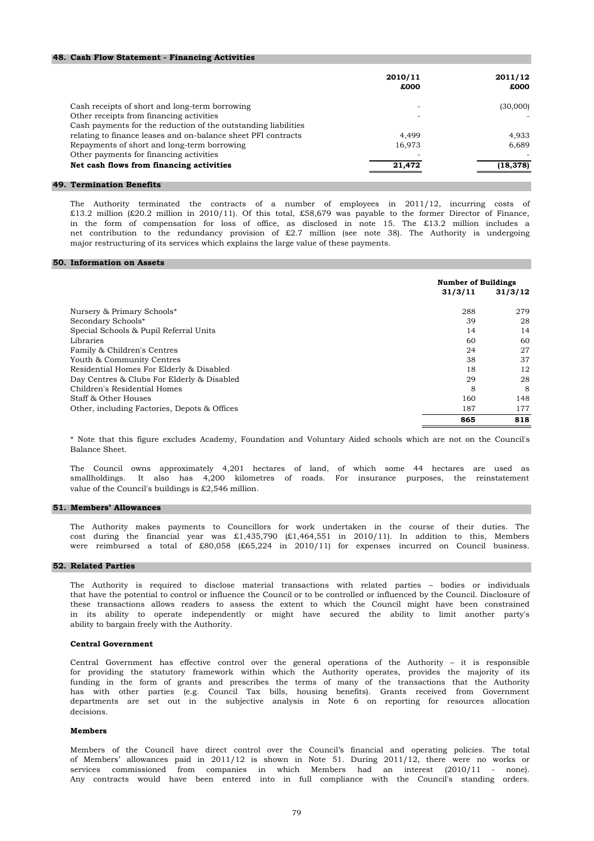#### **48. Cash Flow Statement - Financing Activities**

|                                                                | 2010/11<br>£000 | 2011/12<br>£000 |
|----------------------------------------------------------------|-----------------|-----------------|
|                                                                |                 |                 |
| Cash receipts of short and long-term borrowing                 |                 | (30,000)        |
| Other receipts from financing activities                       |                 |                 |
| Cash payments for the reduction of the outstanding liabilities |                 |                 |
| relating to finance leases and on-balance sheet PFI contracts  | 4.499           | 4,933           |
| Repayments of short and long-term borrowing                    | 16.973          | 6.689           |
| Other payments for financing activities                        |                 |                 |
| Net cash flows from financing activities                       | 21,472          | (18, 378)       |

#### **49. Termination Benefits**

major restructuring of its services which explains the large value of these payments. The Authority terminated the contracts of a number of employees in 2011/12, incurring costs of £13.2 million (£20.2 million in 2010/11). Of this total, £58,679 was payable to the former Director of Finance, in the form of compensation for loss of office, as disclosed in note 15. The £13.2 million includes a net contribution to the redundancy provision of £2.7 million (see note 38). The Authority is undergoing

#### **50. Information on Assets**

|                                              | <b>Number of Buildings</b> |         |
|----------------------------------------------|----------------------------|---------|
|                                              | 31/3/11                    | 31/3/12 |
| Nursery & Primary Schools*                   | 288                        | 279     |
| Secondary Schools*                           | 39                         | 28      |
| Special Schools & Pupil Referral Units       | 14                         | 14      |
| Libraries                                    | 60                         | 60      |
| Family & Children's Centres                  | 24                         | 27      |
| Youth & Community Centres                    | 38                         | 37      |
| Residential Homes For Elderly & Disabled     | 18                         | 12      |
| Day Centres & Clubs For Elderly & Disabled   | 29                         | 28      |
| Children's Residential Homes                 | 8                          | -8      |
| Staff & Other Houses                         | 160                        | 148     |
| Other, including Factories, Depots & Offices | 187                        | 177     |
|                                              | 865                        | 818     |

Balance Sheet. \* Note that this figure excludes Academy, Foundation and Voluntary Aided schools which are not on the Council's

value of the Council's buildings is £2,546 million. The Council owns approximately 4,201 hectares of land, of which some 44 hectares are used as smallholdings. It also has 4,200 kilometres of roads. For insurance purposes, the reinstatement

### **51. Members' Allowances**

The Authority makes payments to Councillors for work undertaken in the course of their duties. The cost during the financial year was £1,435,790 (£1,464,551 in 2010/11). In addition to this, Members were reimbursed a total of £80,058 (£65,224 in 2010/11) for expenses incurred on Council business.

#### **52. Related Parties**

ability to bargain freely with the Authority. in its ability to operate independently or might have secured the ability to limit another party's that have the potential to control or influence the Council or to be controlled or influenced by the Council. Disclosure of these transactions allows readers to assess the extent to which the Council might have been constrained The Authority is required to disclose material transactions with related parties – bodies or individuals

#### **Central Government**

decisions. Central Government has effective control over the general operations of the Authority – it is responsible for providing the statutory framework within which the Authority operates, provides the majority of its funding in the form of grants and prescribes the terms of many of the transactions that the Authority has with other parties (e.g. Council Tax bills, housing benefits). Grants received from Government departments are set out in the subjective analysis in Note 6 on reporting for resources allocation

#### **Members**

services commissioned from companies in which Members had an interest (2010/11 - none). Any contracts would have been entered into in full compliance with the Council's standing orders. Members of the Council have direct control over the Council's financial and operating policies. The total of Members' allowances paid in 2011/12 is shown in Note 51. During 2011/12, there were no works or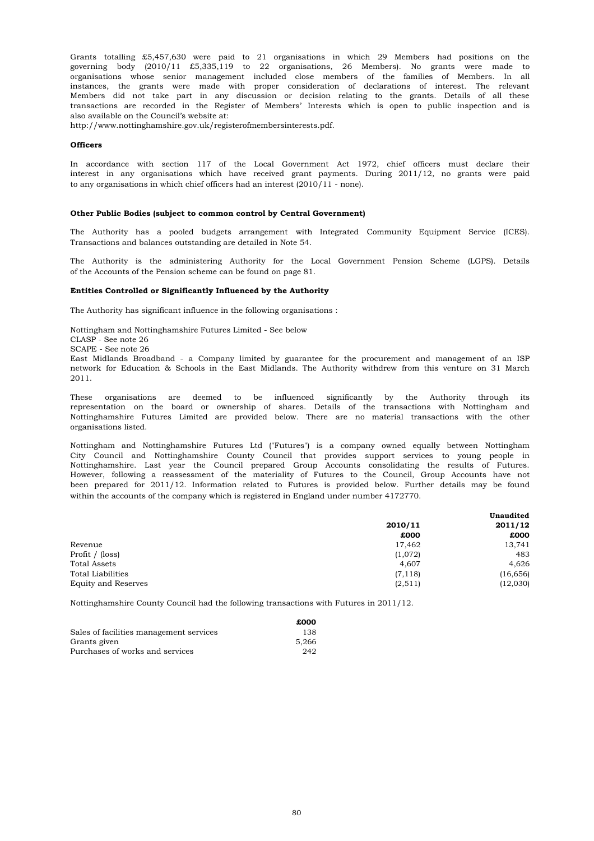also available on the Council's website at: organisations whose senior management included close members of the families of Members. In all Grants totalling £5,457,630 were paid to 21 organisations in which 29 Members had positions on the governing body (2010/11 £5,335,119 to 22 organisations, 26 Members). No grants were made to Members did not take part in any discussion or decision relating to the grants. Details of all these transactions are recorded in the Register of Members' Interests which is open to public inspection and is instances, the grants were made with proper consideration of declarations of interest. The relevant

http://www.nottinghamshire.gov.uk/registerofmembersinterests.pdf.

#### **Officers**

interest in any organisations which have received grant payments. During 2011/12, no grants were paid to any organisations in which chief officers had an interest (2010/11 - none). In accordance with section 117 of the Local Government Act 1972, chief officers must declare their

#### **Other Public Bodies (subject to common control by Central Government)**

Transactions and balances outstanding are detailed in Note 54. The Authority has a pooled budgets arrangement with Integrated Community Equipment Service (ICES).

of the Accounts of the Pension scheme can be found on page 81. The Authority is the administering Authority for the Local Government Pension Scheme (LGPS). Details

#### **Entities Controlled or Significantly Influenced by the Authority**

The Authority has significant influence in the following organisations :

Nottingham and Nottinghamshire Futures Limited - See below CLASP - See note 26 SCAPE - See note 26 2011. East Midlands Broadband - a Company limited by guarantee for the procurement and management of an ISP network for Education & Schools in the East Midlands. The Authority withdrew from this venture on 31 March

organisations listed. These organisations are deemed to be influenced significantly by the Authority through its representation on the board or ownership of shares. Details of the transactions with Nottingham and Nottinghamshire Futures Limited are provided below. There are no material transactions with the other

within the accounts of the company which is registered in England under number 4172770. Nottingham and Nottinghamshire Futures Ltd ("Futures") is a company owned equally between Nottingham City Council and Nottinghamshire County Council that provides support services to young people in Nottinghamshire. Last year the Council prepared Group Accounts consolidating the results of Futures. However, following a reassessment of the materiality of Futures to the Council, Group Accounts have not been prepared for 2011/12. Information related to Futures is provided below. Further details may be found

|          | <b>Unaudited</b> |
|----------|------------------|
| 2010/11  |                  |
| £000     | £000             |
| 17,462   | 13,741           |
| (1,072)  | 483              |
| 4,607    | 4,626            |
| (7, 118) | (16, 656)        |
| (2, 511) | (12,030)         |
|          |                  |

Nottinghamshire County Council had the following transactions with Futures in 2011/12.

|                                         | £000  |
|-----------------------------------------|-------|
| Sales of facilities management services | 138   |
| Grants given                            | 5.266 |
| Purchases of works and services         | 242   |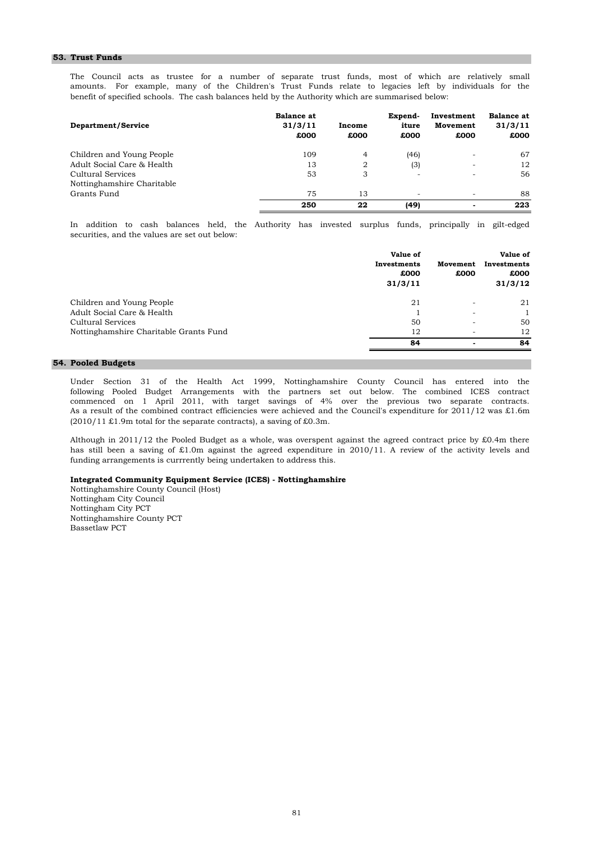#### **53. Trust Funds**

benefit of specified schools. The cash balances held by the Authority which are summarised below: The Council acts as trustee for a number of separate trust funds, most of which are relatively small amounts. For example, many of the Children's Trust Funds relate to legacies left by individuals for the

| Department/Service         | <b>Balance at</b><br>31/3/11<br>£000 | Income<br>£000 | Expend-<br>iture<br>£000 | Investment<br>Movement<br>£000 | <b>Balance at</b><br>31/3/11<br>£000 |
|----------------------------|--------------------------------------|----------------|--------------------------|--------------------------------|--------------------------------------|
| Children and Young People  | 109                                  | $\overline{4}$ | (46)                     | -                              | 67                                   |
| Adult Social Care & Health | 13                                   | 2              | (3)                      | $\sim$                         | 12                                   |
| Cultural Services          | 53                                   | 3              | ۰                        | -                              | 56                                   |
| Nottinghamshire Charitable |                                      |                |                          |                                |                                      |
| Grants Fund                | 75                                   | 13             | ۰                        | -                              | 88                                   |
|                            | 250                                  | 22             | (49)                     | $\blacksquare$                 | 223                                  |

securities, and the values are set out below: In addition to cash balances held, the Authority has invested surplus funds, principally in gilt-edged

|                                        | Value of<br>Investments<br>£000<br>31/3/11 | Movement<br>£000 | Value of<br>Investments<br>£000<br>31/3/12 |
|----------------------------------------|--------------------------------------------|------------------|--------------------------------------------|
| Children and Young People              | 21                                         | -                | 21                                         |
| Adult Social Care & Health             |                                            | -                |                                            |
| Cultural Services                      | 50                                         | -                | 50                                         |
| Nottinghamshire Charitable Grants Fund | 12                                         | -                | 12                                         |
|                                        | 84                                         |                  | 84                                         |

#### **54. Pooled Budgets**

 $(2010/11 \text{ } £1.9 \text{m}$  total for the separate contracts), a saving of £0.3m. Under Section 31 of the Health Act 1999, Nottinghamshire County Council has entered into the following Pooled Budget Arrangements with the partners set out below. The combined ICES contract commenced on 1 April 2011, with target savings of 4% over the previous two separate contracts. As a result of the combined contract efficiencies were achieved and the Council's expenditure for 2011/12 was £1.6m

funding arrangements is currrently being undertaken to address this. Although in 2011/12 the Pooled Budget as a whole, was overspent against the agreed contract price by £0.4m there has still been a saving of £1.0m against the agreed expenditure in 2010/11. A review of the activity levels and

#### **Integrated Community Equipment Service (ICES) - Nottinghamshire**

Nottinghamshire County Council (Host) Nottingham City Council Nottingham City PCT Nottinghamshire County PCT Bassetlaw PCT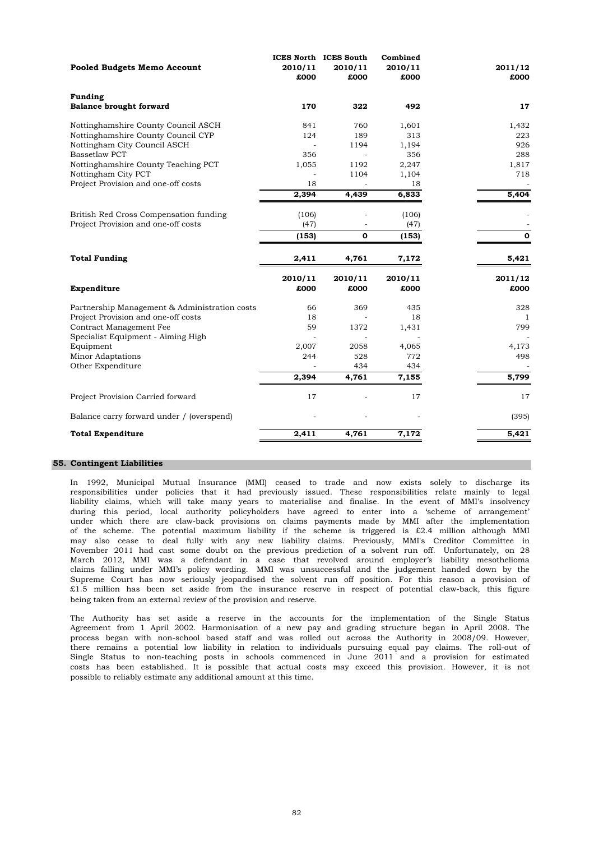| 2010/11<br>£000<br>170<br>841<br>124 | 2010/11<br>£000<br>322<br>760<br>189           | 2010/11<br>£000<br>492<br>1,601 | 2011/12<br>£000<br>17                 |
|--------------------------------------|------------------------------------------------|---------------------------------|---------------------------------------|
|                                      |                                                |                                 |                                       |
|                                      |                                                |                                 |                                       |
|                                      |                                                |                                 |                                       |
|                                      |                                                |                                 |                                       |
|                                      |                                                |                                 | 1,432                                 |
|                                      |                                                | 313                             | 223                                   |
|                                      | 1194                                           | 1,194                           | 926                                   |
|                                      |                                                | 356                             | 288                                   |
| 1,055                                | 1192                                           | 2,247                           | 1,817                                 |
|                                      | 1104                                           | 1,104                           | 718                                   |
|                                      |                                                |                                 |                                       |
| 2,394                                | 4,439                                          |                                 | 5,404                                 |
|                                      |                                                |                                 |                                       |
|                                      |                                                |                                 |                                       |
| (153)                                | 0                                              | (153)                           | $\mathbf 0$                           |
|                                      |                                                |                                 |                                       |
|                                      |                                                |                                 | 5,421                                 |
|                                      | 2010/11                                        | 2010/11                         | 2011/12                               |
| £000                                 | £000                                           | £000                            | £000                                  |
| 66                                   | 369                                            | 435                             | 328                                   |
| 18                                   |                                                | 18                              | 1                                     |
| 59                                   | 1372                                           | 1,431                           | 799                                   |
|                                      |                                                |                                 |                                       |
| 2,007                                | 2058                                           | 4,065                           | 4,173                                 |
| 244                                  | 528                                            | 772                             | 498                                   |
|                                      | 434                                            | 434                             |                                       |
| 2,394                                | 4,761                                          | 7,155                           | 5,799                                 |
| 17                                   |                                                | 17                              | 17                                    |
|                                      |                                                |                                 | (395)                                 |
| 2,411                                | 4,761                                          | 7,172                           | 5,421                                 |
|                                      | 356<br>18<br>(106)<br>(47)<br>2,411<br>2010/11 | 4,761                           | 18<br>6,833<br>(106)<br>(47)<br>7,172 |

## **55. Contingent Liabilities**

In 1992, Municipal Mutual Insurance (MMI) ceased to trade and now exists solely to discharge its responsibilities under policies that it had previously issued. These responsibilities relate mainly to legal liability claims, which will take many years to materialise and finalise. In the event of MMI's insolvency during this period, local authority policyholders have agreed to enter into a 'scheme of arrangement' under which there are claw-back provisions on claims payments made by MMI after the implementation of the scheme. The potential maximum liability if the scheme is triggered is £2.4 million although MMI may also cease to deal fully with any new liability claims. Previously, MMI's Creditor Committee in November 2011 had cast some doubt on the previous prediction of a solvent run off. Unfortunately, on 28 March 2012, MMI was a defendant in a case that revolved around employer's liability mesothelioma claims falling under MMI's policy wording. MMI was unsuccessful and the judgement handed down by the Supreme Court has now seriously jeopardised the solvent run off position. For this reason a provision of £1.5 million has been set aside from the insurance reserve in respect of potential claw-back, this figure being taken from an external review of the provision and reserve.

The Authority has set aside a reserve in the accounts for the implementation of the Single Status Agreement from 1 April 2002. Harmonisation of a new pay and grading structure began in April 2008. The process began with non-school based staff and was rolled out across the Authority in 2008/09. However, there remains a potential low liability in relation to individuals pursuing equal pay claims. The roll-out of Single Status to non-teaching posts in schools commenced in June 2011 and a provision for estimated costs has been established. It is possible that actual costs may exceed this provision. However, it is not possible to reliably estimate any additional amount at this time.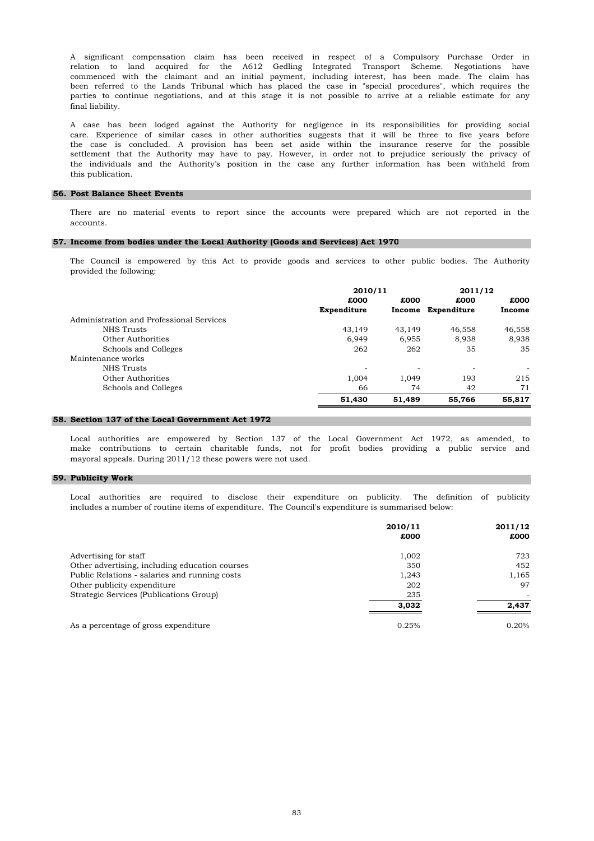A significant compensation claim has been received in respect of a Compulsory Purchase Order in relation to land acquired for the A612 Gedling Integrated Transport Scheme. Negotiations have commenced with the claimant and an initial payment, including interest, has been made. The claim has been referred to the Lands Tribunal which has placed the case in "special procedures", which requires the parties to continue negotiations, and at this stage it is not possible to arrive at a reliable estimate for any final liability.

this publication. A case has been lodged against the Authority for negligence in its responsibilities for providing social care. Experience of similar cases in other authorities suggests that it will be three to five years before the case is concluded. A provision has been set aside within the insurance reserve for the possible settlement that the Authority may have to pay. However, in order not to prejudice seriously the privacy of the individuals and the Authority's position in the case any further information has been withheld from

#### **56. Post Balance Sheet Events**

accounts. There are no material events to report since the accounts were prepared which are not reported in the

#### **57. Income from bodies under the Local Authority (Goods and Services) Act 1970**

provided the following: The Council is empowered by this Act to provide goods and services to other public bodies. The Authority

|                                          | 2010/11      |        | 2011/12     |        |  |
|------------------------------------------|--------------|--------|-------------|--------|--|
|                                          | £000<br>£000 |        | £000        | £000   |  |
|                                          | Expenditure  | Income | Expenditure | Income |  |
| Administration and Professional Services |              |        |             |        |  |
| NHS Trusts                               | 43.149       | 43.149 | 46,558      | 46,558 |  |
| Other Authorities                        | 6.949        | 6,955  | 8,938       | 8,938  |  |
| Schools and Colleges                     | 262          | 262    | 35          | 35     |  |
| Maintenance works                        |              |        |             |        |  |
| NHS Trusts                               | -            | -      | -           |        |  |
| Other Authorities                        | 1,004        | 1.049  | 193         | 215    |  |
| Schools and Colleges                     | 66           | 74     | 42          | 71     |  |
|                                          | 51,430       | 51,489 | 55,766      | 55,817 |  |

#### **58. Section 137 of the Local Government Act 1972**

mayoral appeals. During 2011/12 these powers were not used. Local authorities are empowered by Section 137 of the Local Government Act 1972, as amended, to make contributions to certain charitable funds, not for profit bodies providing a public service and

#### **59. Publicity Work**

Local authorities are required to disclose their expenditure on publicity. The definition of publicity includes a number of routine items of expenditure. The Council's expenditure is summarised below:

|                                                | 2010/11 | 2011/12 |
|------------------------------------------------|---------|---------|
|                                                | £000    | £000    |
| Advertising for staff                          | 1,002   | 723     |
| Other advertising, including education courses | 350     | 452     |
| Public Relations - salaries and running costs  | 1,243   | 1,165   |
| Other publicity expenditure                    | 202     | 97      |
| Strategic Services (Publications Group)        | 235     |         |
|                                                | 3,032   | 2.437   |
| As a percentage of gross expenditure           | 0.25%   | 0.20%   |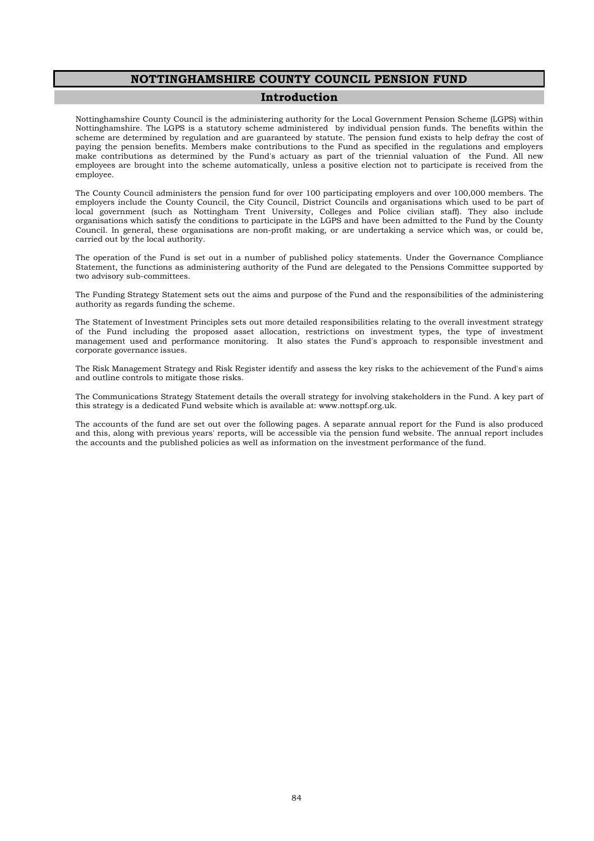## **NOTTINGHAMSHIRE COUNTY COUNCIL PENSION FUND**

## **Introduction**

Nottinghamshire County Council is the administering authority for the Local Government Pension Scheme (LGPS) within Nottinghamshire. The LGPS is a statutory scheme administered by individual pension funds. The benefits within the scheme are determined by regulation and are guaranteed by statute. The pension fund exists to help defray the cost of paying the pension benefits. Members make contributions to the Fund as specified in the regulations and employers make contributions as determined by the Fund's actuary as part of the triennial valuation of the Fund. All new employees are brought into the scheme automatically, unless a positive election not to participate is received from the employee.

The County Council administers the pension fund for over 100 participating employers and over 100,000 members. The employers include the County Council, the City Council, District Councils and organisations which used to be part of local government (such as Nottingham Trent University, Colleges and Police civilian staff). They also include organisations which satisfy the conditions to participate in the LGPS and have been admitted to the Fund by the County Council. In general, these organisations are non-profit making, or are undertaking a service which was, or could be, carried out by the local authority.

The operation of the Fund is set out in a number of published policy statements. Under the Governance Compliance Statement, the functions as administering authority of the Fund are delegated to the Pensions Committee supported by two advisory sub-committees.

The Funding Strategy Statement sets out the aims and purpose of the Fund and the responsibilities of the administering authority as regards funding the scheme.

The Statement of Investment Principles sets out more detailed responsibilities relating to the overall investment strategy of the Fund including the proposed asset allocation, restrictions on investment types, the type of investment management used and performance monitoring. It also states the Fund's approach to responsible investment and corporate governance issues.

The Risk Management Strategy and Risk Register identify and assess the key risks to the achievement of the Fund's aims and outline controls to mitigate those risks.

The Communications Strategy Statement details the overall strategy for involving stakeholders in the Fund. A key part of this strategy is a dedicated Fund website which is available at: www.nottspf.org.uk.

The accounts of the fund are set out over the following pages. A separate annual report for the Fund is also produced and this, along with previous years' reports, will be accessible via the pension fund website. The annual report includes the accounts and the published policies as well as information on the investment performance of the fund.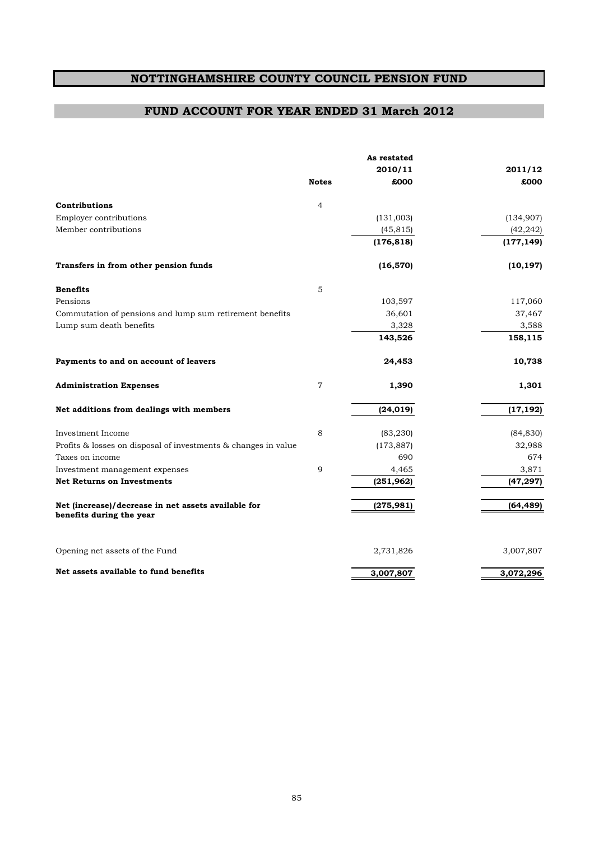# **NOTTINGHAMSHIRE COUNTY COUNCIL PENSION FUND**

## **FUND ACCOUNT FOR YEAR ENDED 31 March 2012**

|                                                                                 |                | As restated |            |
|---------------------------------------------------------------------------------|----------------|-------------|------------|
|                                                                                 |                | 2010/11     | 2011/12    |
|                                                                                 | <b>Notes</b>   | £000        | £000       |
| Contributions                                                                   | $\overline{4}$ |             |            |
| Employer contributions                                                          |                | (131,003)   | (134, 907) |
| Member contributions                                                            |                | (45, 815)   | (42, 242)  |
|                                                                                 |                | (176, 818)  | (177, 149) |
| Transfers in from other pension funds                                           |                | (16, 570)   | (10, 197)  |
| <b>Benefits</b>                                                                 | 5              |             |            |
| Pensions                                                                        |                | 103,597     | 117,060    |
| Commutation of pensions and lump sum retirement benefits                        |                | 36,601      | 37,467     |
| Lump sum death benefits                                                         |                | 3,328       | 3,588      |
|                                                                                 |                | 143,526     | 158,115    |
| Payments to and on account of leavers                                           |                | 24,453      | 10,738     |
| <b>Administration Expenses</b>                                                  | $\overline{7}$ | 1,390       | 1,301      |
| Net additions from dealings with members                                        |                | (24, 019)   | (17, 192)  |
| Investment Income                                                               | 8              | (83, 230)   | (84, 830)  |
| Profits & losses on disposal of investments & changes in value                  |                | (173, 887)  | 32,988     |
| Taxes on income                                                                 |                | 690         | 674        |
| Investment management expenses                                                  | 9              | 4,465       | 3,871      |
| <b>Net Returns on Investments</b>                                               |                | (251, 962)  | (47, 297)  |
| Net (increase)/decrease in net assets available for<br>benefits during the year |                | (275, 981)  | (64, 489)  |
| Opening net assets of the Fund                                                  |                | 2,731,826   | 3,007,807  |
| Net assets available to fund benefits                                           |                | 3,007,807   | 3,072,296  |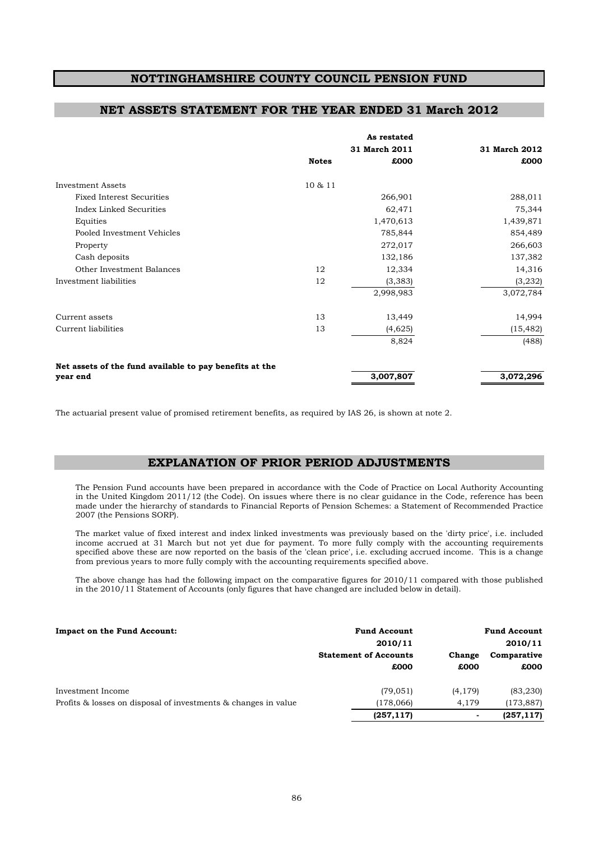## **NOTTINGHAMSHIRE COUNTY COUNCIL PENSION FUND**

## **NET ASSETS STATEMENT FOR THE YEAR ENDED 31 March 2012**

|                                                         |              | As restated   |               |
|---------------------------------------------------------|--------------|---------------|---------------|
|                                                         |              | 31 March 2011 | 31 March 2012 |
|                                                         | <b>Notes</b> | £000          | £000          |
| <b>Investment Assets</b>                                | 10 & 11      |               |               |
| <b>Fixed Interest Securities</b>                        |              | 266,901       | 288,011       |
| Index Linked Securities                                 |              | 62,471        | 75,344        |
| Equities                                                |              | 1,470,613     | 1,439,871     |
| Pooled Investment Vehicles                              |              | 785,844       | 854,489       |
| Property                                                |              | 272,017       | 266,603       |
| Cash deposits                                           |              | 132,186       | 137,382       |
| Other Investment Balances                               | 12           | 12,334        | 14,316        |
| Investment liabilities                                  | 12           | (3, 383)      | (3, 232)      |
|                                                         |              | 2,998,983     | 3,072,784     |
| Current assets                                          | 13           | 13,449        | 14,994        |
| Current liabilities                                     | 13           | (4,625)       | (15, 482)     |
|                                                         |              | 8,824         | (488)         |
| Net assets of the fund available to pay benefits at the |              |               |               |
| year end                                                |              | 3,007,807     | 3,072,296     |

The actuarial present value of promised retirement benefits, as required by IAS 26, is shown at note 2.

## **EXPLANATION OF PRIOR PERIOD ADJUSTMENTS**

The Pension Fund accounts have been prepared in accordance with the Code of Practice on Local Authority Accounting in the United Kingdom 2011/12 (the Code). On issues where there is no clear guidance in the Code, reference has been made under the hierarchy of standards to Financial Reports of Pension Schemes: a Statement of Recommended Practice 2007 (the Pensions SORP).

The market value of fixed interest and index linked investments was previously based on the 'dirty price', i.e. included income accrued at 31 March but not yet due for payment. To more fully comply with the accounting requirements specified above these are now reported on the basis of the 'clean price', i.e. excluding accrued income. This is a change from previous years to more fully comply with the accounting requirements specified above.

The above change has had the following impact on the comparative figures for 2010/11 compared with those published in the 2010/11 Statement of Accounts (only figures that have changed are included below in detail).

#### **Impact on the Fund Account: Fund Account Fund Account**

| impact on the rund Account.                                    | r unu Account                |                | r unu Account |
|----------------------------------------------------------------|------------------------------|----------------|---------------|
|                                                                | 2010/11                      |                | 2010/11       |
|                                                                | <b>Statement of Accounts</b> | Change         | Comparative   |
|                                                                | £000                         | £000           | £000          |
| Investment Income                                              | (79, 051)                    | (4, 179)       | (83, 230)     |
| Profits & losses on disposal of investments & changes in value | (178,066)                    | 4.179          | (173, 887)    |
|                                                                | (257, 117)                   | $\blacksquare$ | (257, 117)    |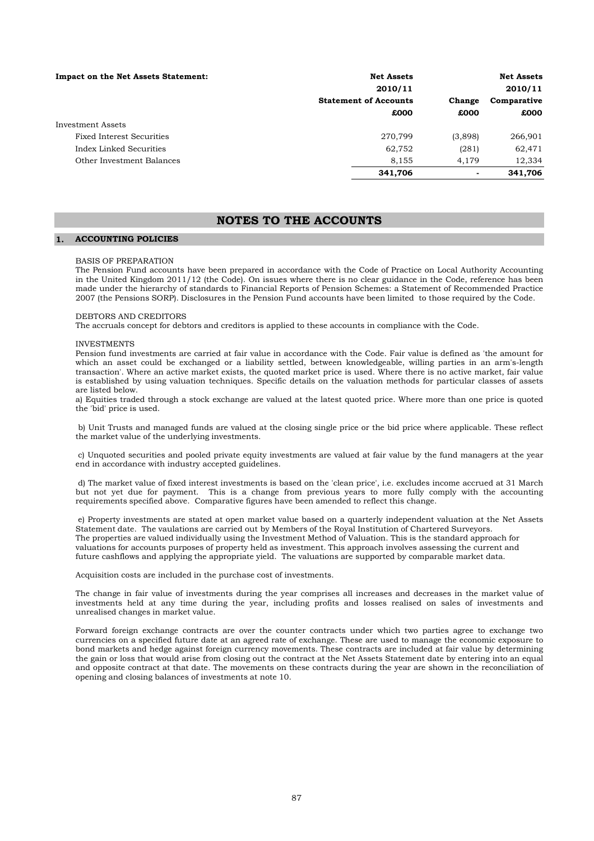| <b>Impact on the Net Assets Statement:</b> | <b>Net Assets</b>            |                          | <b>Net Assets</b> |
|--------------------------------------------|------------------------------|--------------------------|-------------------|
|                                            | 2010/11                      |                          | 2010/11           |
|                                            | <b>Statement of Accounts</b> | Change                   | Comparative       |
|                                            | £000                         | £000                     | £000              |
| Investment Assets                          |                              |                          |                   |
| Fixed Interest Securities                  | 270.799                      | (3,898)                  | 266,901           |
| Index Linked Securities                    | 62.752                       | (281)                    | 62,471            |
| Other Investment Balances                  | 8,155                        | 4.179                    | 12,334            |
|                                            | 341,706                      | $\overline{\phantom{0}}$ | 341,706           |

## **NOTES TO THE ACCOUNTS**

### **1. ACCOUNTING POLICIES**

#### BASIS OF PREPARATION

The Pension Fund accounts have been prepared in accordance with the Code of Practice on Local Authority Accounting in the United Kingdom 2011/12 (the Code). On issues where there is no clear guidance in the Code, reference has been made under the hierarchy of standards to Financial Reports of Pension Schemes: a Statement of Recommended Practice 2007 (the Pensions SORP). Disclosures in the Pension Fund accounts have been limited to those required by the Code.

## DEBTORS AND CREDITORS

The accruals concept for debtors and creditors is applied to these accounts in compliance with the Code.

#### INVESTMENTS

Pension fund investments are carried at fair value in accordance with the Code. Fair value is defined as 'the amount for which an asset could be exchanged or a liability settled, between knowledgeable, willing parties in an arm's-length transaction'. Where an active market exists, the quoted market price is used. Where there is no active market, fair value is established by using valuation techniques. Specific details on the valuation methods for particular classes of assets are listed below.

a) Equities traded through a stock exchange are valued at the latest quoted price. Where more than one price is quoted the 'bid' price is used.

b) Unit Trusts and managed funds are valued at the closing single price or the bid price where applicable. These reflect the market value of the underlying investments.

c) Unquoted securities and pooled private equity investments are valued at fair value by the fund managers at the year end in accordance with industry accepted guidelines.

d) The market value of fixed interest investments is based on the 'clean price', i.e. excludes income accrued at 31 March but not yet due for payment. This is a change from previous years to more fully comply with the accounting requirements specified above. Comparative figures have been amended to reflect this change.

e) Property investments are stated at open market value based on a quarterly independent valuation at the Net Assets Statement date. The vaulations are carried out by Members of the Royal Institution of Chartered Surveyors. The properties are valued individually using the Investment Method of Valuation. This is the standard approach for valuations for accounts purposes of property held as investment. This approach involves assessing the current and future cashflows and applying the appropriate yield. The valuations are supported by comparable market data.

Acquisition costs are included in the purchase cost of investments.

The change in fair value of investments during the year comprises all increases and decreases in the market value of investments held at any time during the year, including profits and losses realised on sales of investments and unrealised changes in market value.

Forward foreign exchange contracts are over the counter contracts under which two parties agree to exchange two currencies on a specified future date at an agreed rate of exchange. These are used to manage the economic exposure to bond markets and hedge against foreign currency movements. These contracts are included at fair value by determining the gain or loss that would arise from closing out the contract at the Net Assets Statement date by entering into an equal and opposite contract at that date. The movements on these contracts during the year are shown in the reconciliation of opening and closing balances of investments at note 10.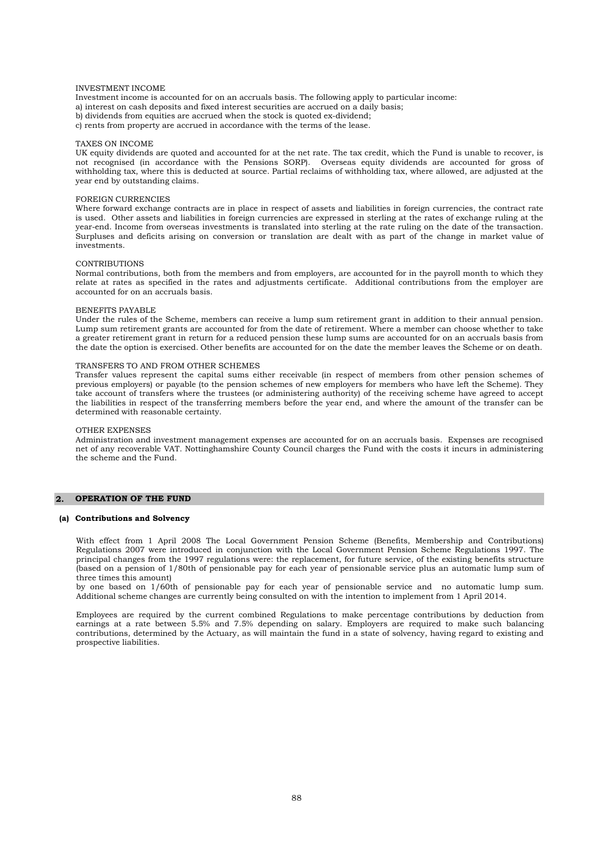#### INVESTMENT INCOME

- Investment income is accounted for on an accruals basis. The following apply to particular income:
- a) interest on cash deposits and fixed interest securities are accrued on a daily basis;
- b) dividends from equities are accrued when the stock is quoted ex-dividend;
- c) rents from property are accrued in accordance with the terms of the lease.

#### TAXES ON INCOME

UK equity dividends are quoted and accounted for at the net rate. The tax credit, which the Fund is unable to recover, is not recognised (in accordance with the Pensions SORP). Overseas equity dividends are accounted for gross of withholding tax, where this is deducted at source. Partial reclaims of withholding tax, where allowed, are adjusted at the year end by outstanding claims.

#### FOREIGN CURRENCIES

Where forward exchange contracts are in place in respect of assets and liabilities in foreign currencies, the contract rate is used. Other assets and liabilities in foreign currencies are expressed in sterling at the rates of exchange ruling at the year-end. Income from overseas investments is translated into sterling at the rate ruling on the date of the transaction. Surpluses and deficits arising on conversion or translation are dealt with as part of the change in market value of investments.

#### CONTRIBUTIONS

Normal contributions, both from the members and from employers, are accounted for in the payroll month to which they relate at rates as specified in the rates and adjustments certificate. Additional contributions from the employer are accounted for on an accruals basis.

#### BENEFITS PAYABLE

Under the rules of the Scheme, members can receive a lump sum retirement grant in addition to their annual pension. Lump sum retirement grants are accounted for from the date of retirement. Where a member can choose whether to take a greater retirement grant in return for a reduced pension these lump sums are accounted for on an accruals basis from the date the option is exercised. Other benefits are accounted for on the date the member leaves the Scheme or on death.

### TRANSFERS TO AND FROM OTHER SCHEMES

Transfer values represent the capital sums either receivable (in respect of members from other pension schemes of previous employers) or payable (to the pension schemes of new employers for members who have left the Scheme). They take account of transfers where the trustees (or administering authority) of the receiving scheme have agreed to accept the liabilities in respect of the transferring members before the year end, and where the amount of the transfer can be determined with reasonable certainty.

#### OTHER EXPENSES

Administration and investment management expenses are accounted for on an accruals basis. Expenses are recognised net of any recoverable VAT. Nottinghamshire County Council charges the Fund with the costs it incurs in administering the scheme and the Fund.

#### **2. OPERATION OF THE FUND**

#### **(a) Contributions and Solvency**

With effect from 1 April 2008 The Local Government Pension Scheme (Benefits, Membership and Contributions) Regulations 2007 were introduced in conjunction with the Local Government Pension Scheme Regulations 1997. The principal changes from the 1997 regulations were: the replacement, for future service, of the existing benefits structure (based on a pension of 1/80th of pensionable pay for each year of pensionable service plus an automatic lump sum of three times this amount)

by one based on 1/60th of pensionable pay for each year of pensionable service and no automatic lump sum. Additional scheme changes are currently being consulted on with the intention to implement from 1 April 2014.

Employees are required by the current combined Regulations to make percentage contributions by deduction from earnings at a rate between 5.5% and 7.5% depending on salary. Employers are required to make such balancing contributions, determined by the Actuary, as will maintain the fund in a state of solvency, having regard to existing and prospective liabilities.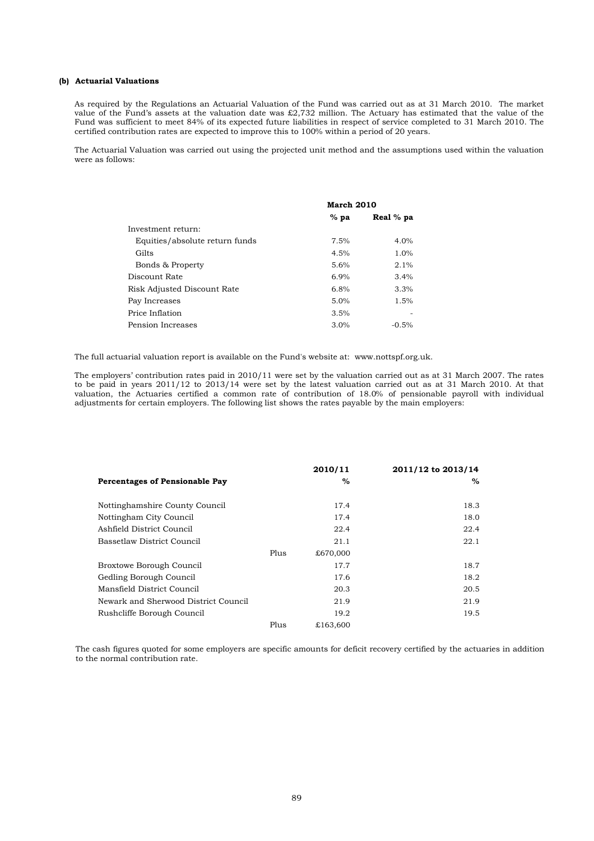### **(b) Actuarial Valuations**

As required by the Regulations an Actuarial Valuation of the Fund was carried out as at 31 March 2010. The market value of the Fund's assets at the valuation date was £2,732 million. The Actuary has estimated that the value of the Fund was sufficient to meet 84% of its expected future liabilities in respect of service completed to 31 March 2010. The certified contribution rates are expected to improve this to 100% within a period of 20 years.

The Actuarial Valuation was carried out using the projected unit method and the assumptions used within the valuation were as follows:

|                                | March 2010 |           |  |
|--------------------------------|------------|-----------|--|
|                                | $%$ pa     | Real % pa |  |
| Investment return:             |            |           |  |
| Equities/absolute return funds | 7.5%       | 4.0%      |  |
| Gilts                          | 4.5%       | 1.0%      |  |
| Bonds & Property               | 5.6%       | 2.1%      |  |
| Discount Rate                  | 6.9%       | 3.4%      |  |
| Risk Adjusted Discount Rate    | 6.8%       | 3.3%      |  |
| Pay Increases                  | 5.0%       | 1.5%      |  |
| Price Inflation                | 3.5%       |           |  |
| Pension Increases              | 3.0%       | $-0.5%$   |  |

The full actuarial valuation report is available on the Fund's website at: www.nottspf.org.uk.

The employers' contribution rates paid in 2010/11 were set by the valuation carried out as at 31 March 2007. The rates to be paid in years 2011/12 to 2013/14 were set by the latest valuation carried out as at 31 March 2010. At that valuation, the Actuaries certified a common rate of contribution of 18.0% of pensionable payroll with individual adjustments for certain employers. The following list shows the rates payable by the main employers:

|                                       |      | 2010/11  | 2011/12 to 2013/14 |
|---------------------------------------|------|----------|--------------------|
| <b>Percentages of Pensionable Pay</b> |      | $\%$     | %                  |
| Nottinghamshire County Council        |      | 17.4     | 18.3               |
| Nottingham City Council               |      | 17.4     | 18.0               |
| Ashfield District Council             |      | 22.4     | 22.4               |
| Bassetlaw District Council            |      | 21.1     | 22.1               |
|                                       | Plus | £670,000 |                    |
| Broxtowe Borough Council              |      | 17.7     | 18.7               |
| Gedling Borough Council               |      | 17.6     | 18.2               |
| Mansfield District Council            |      | 20.3     | 20.5               |
| Newark and Sherwood District Council  |      | 21.9     | 21.9               |
| Rushcliffe Borough Council            |      | 19.2     | 19.5               |
|                                       | Plus | £163,600 |                    |

The cash figures quoted for some employers are specific amounts for deficit recovery certified by the actuaries in addition to the normal contribution rate.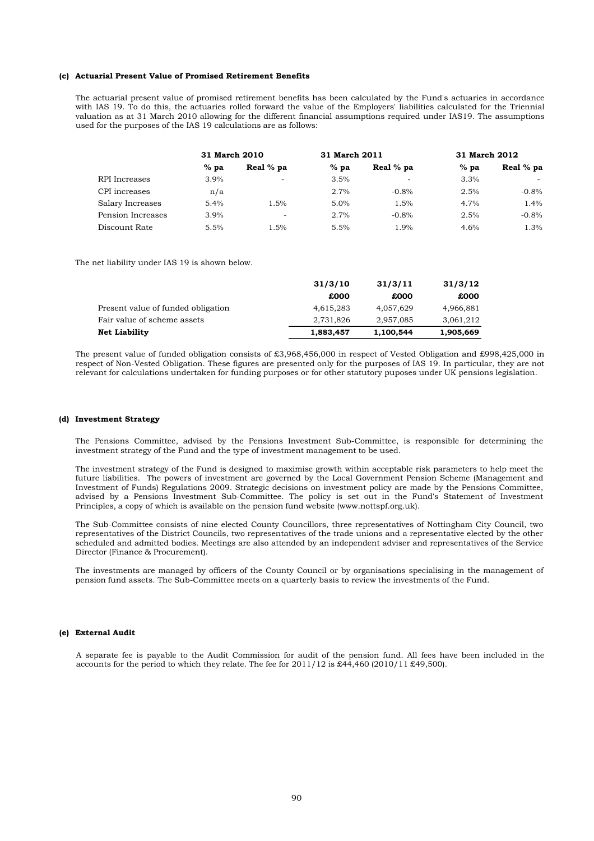#### **(c) Actuarial Present Value of Promised Retirement Benefits**

The actuarial present value of promised retirement benefits has been calculated by the Fund's actuaries in accordance with IAS 19. To do this, the actuaries rolled forward the value of the Employers' liabilities calculated for the Triennial valuation as at 31 March 2010 allowing for the different financial assumptions required under IAS19. The assumptions used for the purposes of the IAS 19 calculations are as follows:

|                   | 31 March 2010 |                          | 31 March 2011 |           | 31 March 2012 |           |
|-------------------|---------------|--------------------------|---------------|-----------|---------------|-----------|
|                   | $%$ pa        | Real % pa                | $%$ pa        | Real % pa | $%$ pa        | Real % pa |
| RPI Increases     | 3.9%          | $\overline{\phantom{a}}$ | 3.5%          | ٠         | 3.3%          |           |
| CPI increases     | n/a           |                          | 2.7%          | $-0.8\%$  | 2.5%          | $-0.8%$   |
| Salary Increases  | 5.4%          | 1.5%                     | $5.0\%$       | 1.5%      | 4.7%          | 1.4%      |
| Pension Increases | 3.9%          | ۰                        | 2.7%          | $-0.8%$   | 2.5%          | $-0.8%$   |
| Discount Rate     | 5.5%          | 1.5%                     | 5.5%          | 1.9%      | 4.6%          | 1.3%      |

The net liability under IAS 19 is shown below.

|                                    | 31/3/10   | 31/3/11   | 31/3/12   |
|------------------------------------|-----------|-----------|-----------|
|                                    | £000      | £000      | £000      |
| Present value of funded obligation | 4,615,283 | 4.057.629 | 4,966,881 |
| Fair value of scheme assets        | 2,731,826 | 2,957,085 | 3,061,212 |
| <b>Net Liability</b>               | 1,883,457 | 1,100,544 | 1,905,669 |

The present value of funded obligation consists of £3,968,456,000 in respect of Vested Obligation and £998,425,000 in respect of Non-Vested Obligation. These figures are presented only for the purposes of IAS 19. In particular, they are not relevant for calculations undertaken for funding purposes or for other statutory puposes under UK pensions legislation.

#### **(d) Investment Strategy**

The Pensions Committee, advised by the Pensions Investment Sub-Committee, is responsible for determining the investment strategy of the Fund and the type of investment management to be used.

The investment strategy of the Fund is designed to maximise growth within acceptable risk parameters to help meet the future liabilities. The powers of investment are governed by the Local Government Pension Scheme (Management and Investment of Funds) Regulations 2009. Strategic decisions on investment policy are made by the Pensions Committee, advised by a Pensions Investment Sub-Committee. The policy is set out in the Fund's Statement of Investment Principles, a copy of which is available on the pension fund website (www.nottspf.org.uk).

The Sub-Committee consists of nine elected County Councillors, three representatives of Nottingham City Council, two representatives of the District Councils, two representatives of the trade unions and a representative elected by the other scheduled and admitted bodies. Meetings are also attended by an independent adviser and representatives of the Service Director (Finance & Procurement).

The investments are managed by officers of the County Council or by organisations specialising in the management of pension fund assets. The Sub-Committee meets on a quarterly basis to review the investments of the Fund.

#### **(e) External Audit**

A separate fee is payable to the Audit Commission for audit of the pension fund. All fees have been included in the accounts for the period to which they relate. The fee for 2011/12 is £44,460 (2010/11 £49,500).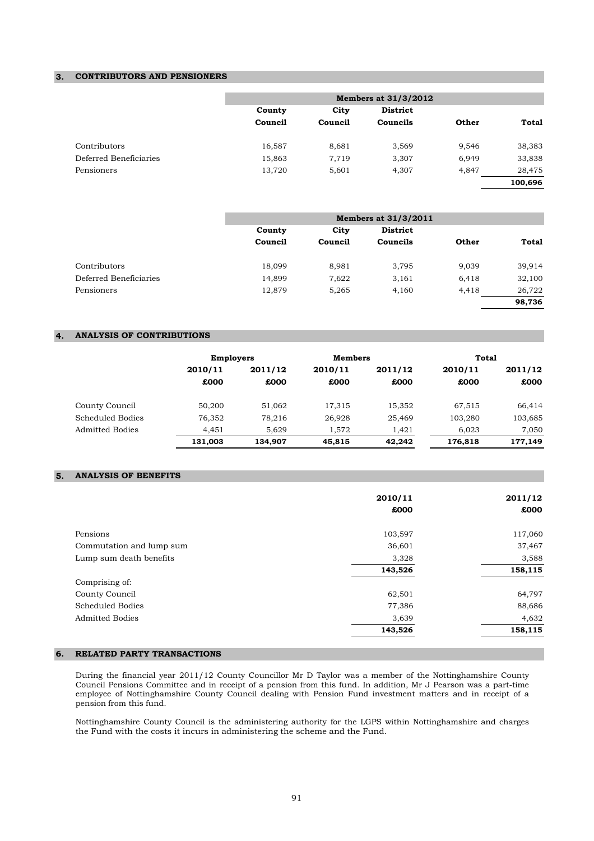## **3. CONTRIBUTORS AND PENSIONERS**

|                        |         |         | Members at 31/3/2012 |       |         |
|------------------------|---------|---------|----------------------|-------|---------|
|                        | County  | City    | <b>District</b>      |       |         |
|                        | Council | Council | Councils             | Other | Total   |
| Contributors           | 16,587  | 8,681   | 3,569                | 9,546 | 38,383  |
| Deferred Beneficiaries | 15,863  | 7,719   | 3,307                | 6,949 | 33,838  |
| Pensioners             | 13,720  | 5,601   | 4,307                | 4,847 | 28,475  |
|                        |         |         |                      |       | 100,696 |

|                        |         |         | Members at 31/3/2011 |       |              |
|------------------------|---------|---------|----------------------|-------|--------------|
|                        | County  | City    | <b>District</b>      |       |              |
|                        | Council | Council | Councils             | Other | <b>Total</b> |
| Contributors           | 18,099  | 8,981   | 3,795                | 9,039 | 39,914       |
| Deferred Beneficiaries | 14,899  | 7,622   | 3,161                | 6,418 | 32,100       |
| Pensioners             | 12,879  | 5,265   | 4,160                | 4,418 | 26,722       |
|                        |         |         |                      |       | 98,736       |

## **4. ANALYSIS OF CONTRIBUTIONS**

|                        | <b>Employers</b> |         | <b>Members</b> |         | Total   |         |
|------------------------|------------------|---------|----------------|---------|---------|---------|
|                        | 2010/11          | 2011/12 | 2010/11        | 2011/12 | 2010/11 | 2011/12 |
|                        | £000             | £000    | £000           | £000    | £000    | £000    |
| County Council         | 50.200           | 51,062  | 17,315         | 15,352  | 67,515  | 66,414  |
| Scheduled Bodies       | 76,352           | 78,216  | 26,928         | 25,469  | 103,280 | 103,685 |
| <b>Admitted Bodies</b> | 4.451            | 5.629   | 1,572          | 1,421   | 6.023   | 7,050   |
|                        | 131,003          | 134.907 | 45,815         | 42,242  | 176,818 | 177,149 |

## **5. ANALYSIS OF BENEFITS**

|                          | 2010/11 | 2011/12 |
|--------------------------|---------|---------|
|                          | £000    | £000    |
| Pensions                 | 103,597 | 117,060 |
| Commutation and lump sum | 36,601  | 37,467  |
| Lump sum death benefits  | 3,328   | 3,588   |
|                          | 143,526 | 158,115 |
| Comprising of:           |         |         |
| County Council           | 62,501  | 64,797  |
| <b>Scheduled Bodies</b>  | 77,386  | 88,686  |
| <b>Admitted Bodies</b>   | 3,639   | 4,632   |
|                          | 143,526 | 158,115 |

## **6. RELATED PARTY TRANSACTIONS**

During the financial year 2011/12 County Councillor Mr D Taylor was a member of the Nottinghamshire County Council Pensions Committee and in receipt of a pension from this fund. In addition, Mr J Pearson was a part-time employee of Nottinghamshire County Council dealing with Pension Fund investment matters and in receipt of a pension from this fund.

Nottinghamshire County Council is the administering authority for the LGPS within Nottinghamshire and charges the Fund with the costs it incurs in administering the scheme and the Fund.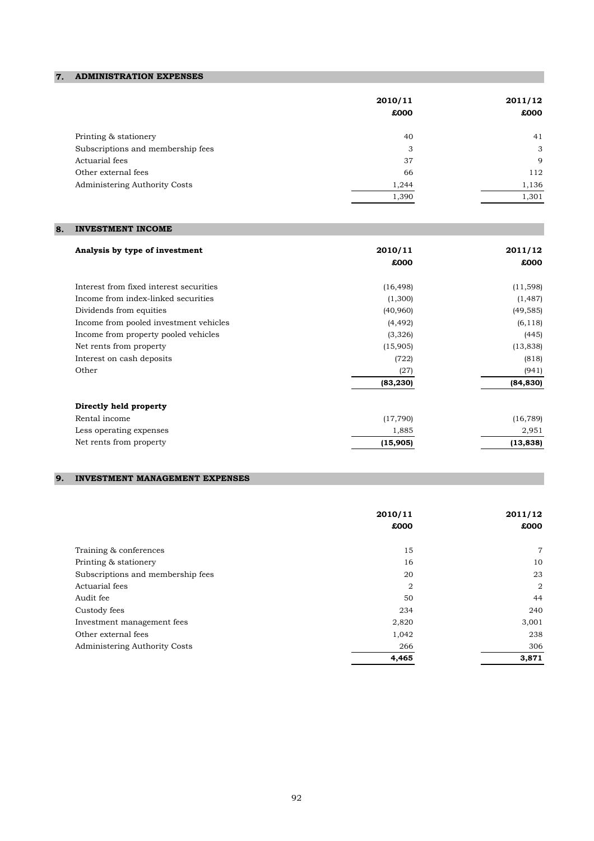## **7. ADMINISTRATION EXPENSES**

|                                   | 2010/11<br>£000 | 2011/12<br>£000 |
|-----------------------------------|-----------------|-----------------|
| Printing & stationery             | 40              | 41              |
| Subscriptions and membership fees | 3               | 3               |
| Actuarial fees                    | 37              | 9               |
| Other external fees               | 66              | 112             |
| Administering Authority Costs     | 1,244           | 1,136           |
|                                   | 1,390           | 1,301           |
|                                   |                 |                 |

## **8. INVESTMENT INCOME**

| Analysis by type of investment          | 2010/11   | 2011/12   |
|-----------------------------------------|-----------|-----------|
|                                         | £000      | £000      |
| Interest from fixed interest securities | (16, 498) | (11,598)  |
| Income from index-linked securities     | (1,300)   | (1, 487)  |
| Dividends from equities                 | (40,960)  | (49, 585) |
| Income from pooled investment vehicles  | (4, 492)  | (6, 118)  |
| Income from property pooled vehicles    | (3,326)   | (445)     |
| Net rents from property                 | (15,905)  | (13, 838) |
| Interest on cash deposits               | (722)     | (818)     |
| Other                                   | (27)      | (941)     |
|                                         | (83, 230) | (84, 830) |
| Directly held property                  |           |           |
| Rental income                           | (17, 790) | (16, 789) |
| Less operating expenses                 | 1,885     | 2,951     |
| Net rents from property                 | (15,905)  | (13, 838) |

## **9. INVESTMENT MANAGEMENT EXPENSES**

|                                   | 2010/11<br>£000 | 2011/12<br>£000 |
|-----------------------------------|-----------------|-----------------|
| Training & conferences            | 15              | $\overline{7}$  |
| Printing & stationery             | 16              | 10              |
| Subscriptions and membership fees | 20              | 23              |
| Actuarial fees                    | $\overline{2}$  | $\overline{2}$  |
| Audit fee                         | 50              | 44              |
| Custody fees                      | 234             | 240             |
| Investment management fees        | 2,820           | 3,001           |
| Other external fees               | 1,042           | 238             |
| Administering Authority Costs     | 266             | 306             |
|                                   | 4,465           | 3,871           |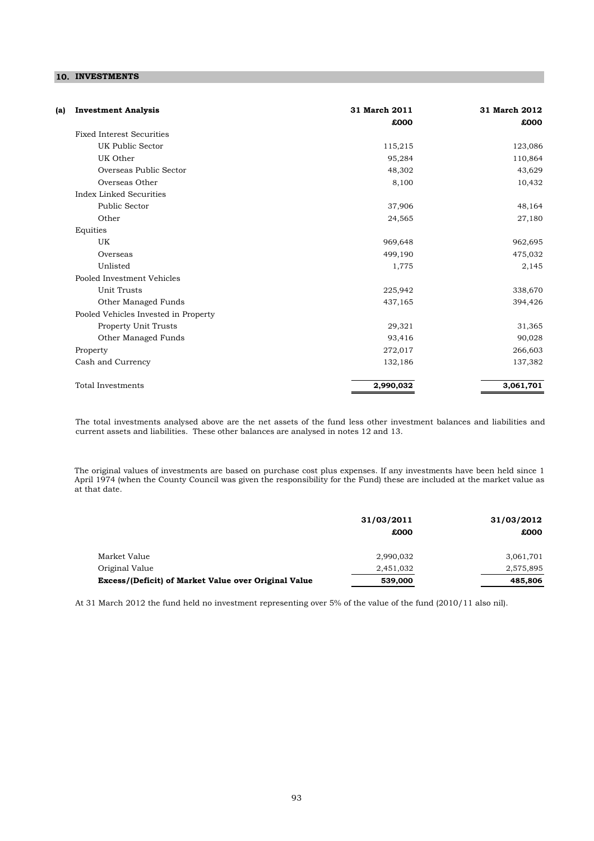## **10. INVESTMENTS**

| <b>Investment Analysis</b><br>(a)    | 31 March 2011<br>£000 | 31 March 2012<br>£000 |
|--------------------------------------|-----------------------|-----------------------|
| <b>Fixed Interest Securities</b>     |                       |                       |
| UK Public Sector                     | 115,215               | 123,086               |
| UK Other                             | 95,284                | 110,864               |
| Overseas Public Sector               | 48,302                | 43,629                |
| Overseas Other                       | 8,100                 | 10,432                |
| Index Linked Securities              |                       |                       |
| Public Sector                        | 37,906                | 48,164                |
| Other                                | 24,565                | 27,180                |
| Equities                             |                       |                       |
| UK                                   | 969,648               | 962,695               |
| Overseas                             | 499,190               | 475,032               |
| Unlisted                             | 1,775                 | 2,145                 |
| Pooled Investment Vehicles           |                       |                       |
| <b>Unit Trusts</b>                   | 225,942               | 338,670               |
| Other Managed Funds                  | 437,165               | 394,426               |
| Pooled Vehicles Invested in Property |                       |                       |
| Property Unit Trusts                 | 29,321                | 31,365                |
| Other Managed Funds                  | 93,416                | 90,028                |
| Property                             | 272,017               | 266,603               |
| Cash and Currency                    | 132,186               | 137,382               |
| <b>Total Investments</b>             | 2,990,032             | 3,061,701             |

The total investments analysed above are the net assets of the fund less other investment balances and liabilities and current assets and liabilities. These other balances are analysed in notes 12 and 13.

The original values of investments are based on purchase cost plus expenses. If any investments have been held since 1 April 1974 (when the County Council was given the responsibility for the Fund) these are included at the market value as at that date.

|                                                      | 31/03/2011 | 31/03/2012 |
|------------------------------------------------------|------------|------------|
|                                                      | £000       | £000       |
| Market Value                                         | 2,990,032  | 3,061,701  |
| Original Value                                       | 2,451,032  | 2,575,895  |
| Excess/(Deficit) of Market Value over Original Value | 539,000    | 485,806    |

At 31 March 2012 the fund held no investment representing over 5% of the value of the fund (2010/11 also nil).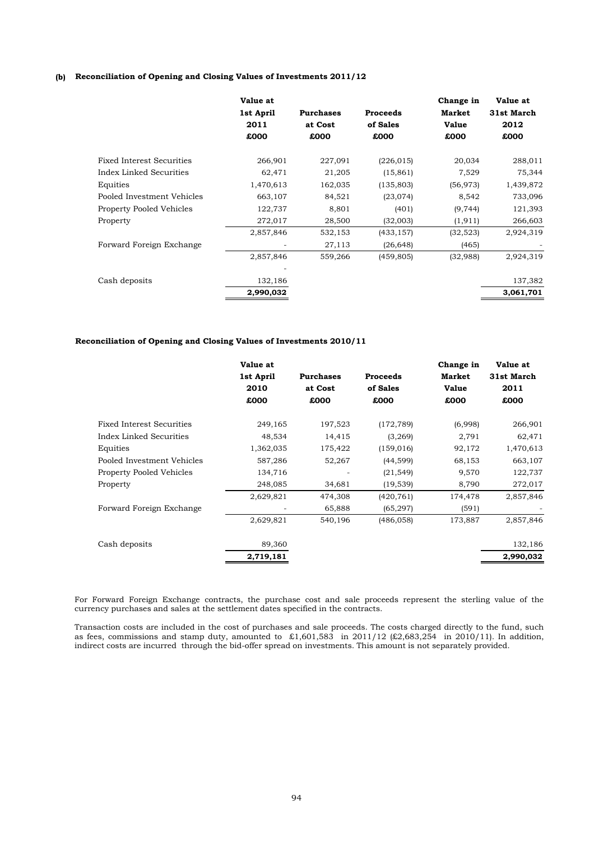## **(b) Reconciliation of Opening and Closing Values of Investments 2011/12**

|                                  | Value at<br>1st April<br>2011<br>£000 | <b>Purchases</b><br>at Cost<br>£000 | <b>Proceeds</b><br>of Sales<br>£000 | Change in<br>Market<br><b>Value</b><br>£000 | Value at<br>31st March<br>2012<br>£000 |
|----------------------------------|---------------------------------------|-------------------------------------|-------------------------------------|---------------------------------------------|----------------------------------------|
| <b>Fixed Interest Securities</b> | 266,901                               | 227,091                             | (226, 015)                          | 20,034                                      | 288,011                                |
| Index Linked Securities          | 62,471                                | 21,205                              | (15, 861)                           | 7,529                                       | 75,344                                 |
| Equities                         | 1,470,613                             | 162,035                             | (135, 803)                          | (56, 973)                                   | 1,439,872                              |
| Pooled Investment Vehicles       | 663,107                               | 84,521                              | (23, 074)                           | 8,542                                       | 733,096                                |
| <b>Property Pooled Vehicles</b>  | 122,737                               | 8,801                               | (401)                               | (9, 744)                                    | 121,393                                |
| Property                         | 272,017                               | 28,500                              | (32,003)                            | (1, 911)                                    | 266,603                                |
|                                  | 2,857,846                             | 532,153                             | (433, 157)                          | (32, 523)                                   | 2,924,319                              |
| Forward Foreign Exchange         |                                       | 27,113                              | (26, 648)                           | (465)                                       |                                        |
|                                  | 2,857,846                             | 559,266                             | (459, 805)                          | (32,988)                                    | 2,924,319                              |
|                                  |                                       |                                     |                                     |                                             |                                        |
| Cash deposits                    | 132,186                               |                                     |                                     |                                             | 137,382                                |
|                                  | 2,990,032                             |                                     |                                     |                                             | 3,061,701                              |
|                                  |                                       |                                     |                                     |                                             |                                        |

### **Reconciliation of Opening and Closing Values of Investments 2010/11**

|                                  | Value at  |                  |                 | Change in    | Value at   |
|----------------------------------|-----------|------------------|-----------------|--------------|------------|
|                                  | 1st April | <b>Purchases</b> | <b>Proceeds</b> | Market       | 31st March |
|                                  | 2010      | at Cost          | of Sales        | <b>Value</b> | 2011       |
|                                  | £000      | £000             | £000            | £000         | £000       |
| <b>Fixed Interest Securities</b> | 249,165   | 197,523          | (172, 789)      | (6,998)      | 266,901    |
| Index Linked Securities          | 48,534    | 14,415           | (3,269)         | 2,791        | 62,471     |
| Equities                         | 1,362,035 | 175,422          | (159, 016)      | 92,172       | 1,470,613  |
| Pooled Investment Vehicles       | 587,286   | 52,267           | (44, 599)       | 68,153       | 663,107    |
| <b>Property Pooled Vehicles</b>  | 134,716   |                  | (21, 549)       | 9,570        | 122,737    |
| Property                         | 248,085   | 34,681           | (19, 539)       | 8,790        | 272,017    |
|                                  | 2,629,821 | 474,308          | (420, 761)      | 174,478      | 2,857,846  |
| Forward Foreign Exchange         |           | 65,888           | (65, 297)       | (591)        |            |
|                                  | 2,629,821 | 540,196          | (486, 058)      | 173,887      | 2,857,846  |
| Cash deposits                    | 89,360    |                  |                 |              | 132,186    |
|                                  | 2,719,181 |                  |                 |              | 2,990,032  |
|                                  |           |                  |                 |              |            |

For Forward Foreign Exchange contracts, the purchase cost and sale proceeds represent the sterling value of the currency purchases and sales at the settlement dates specified in the contracts.

Transaction costs are included in the cost of purchases and sale proceeds. The costs charged directly to the fund, such as fees, commissions and stamp duty, amounted to  $\pounds1,601,583$  in 2011/12 ( $\pounds2,683,254$  in 2010/11). In addition, indirect costs are incurred through the bid-offer spread on investments. This amount is not separately provided.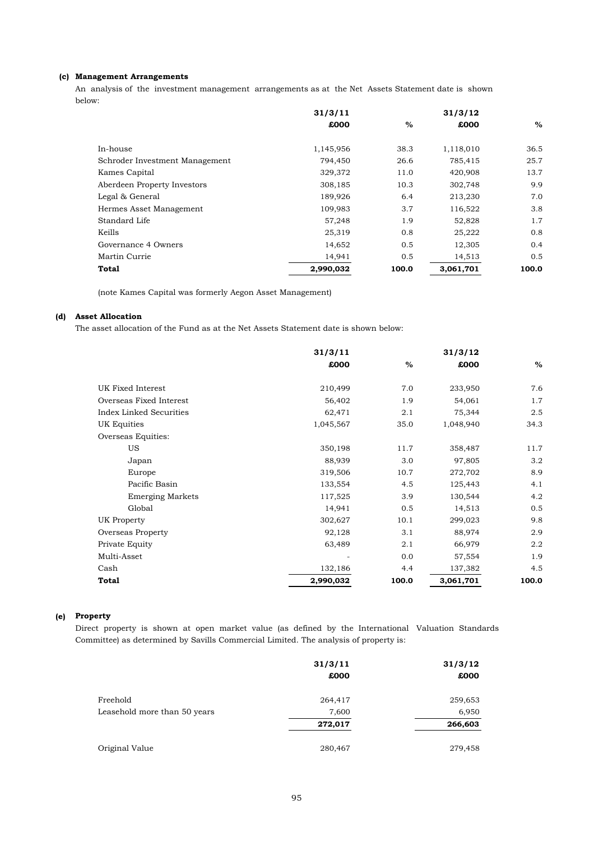## **(c) Management Arrangements**

An analysis of the investment management arrangements as at the Net Assets Statement date is shown below:

|                                | 31/3/11   |       | 31/3/12   |       |
|--------------------------------|-----------|-------|-----------|-------|
|                                | £000      | $\%$  | £000      | $\%$  |
| In-house                       | 1,145,956 | 38.3  | 1,118,010 | 36.5  |
| Schroder Investment Management | 794,450   | 26.6  | 785,415   | 25.7  |
| Kames Capital                  | 329,372   | 11.0  | 420,908   | 13.7  |
| Aberdeen Property Investors    | 308,185   | 10.3  | 302,748   | 9.9   |
| Legal & General                | 189,926   | 6.4   | 213,230   | 7.0   |
| Hermes Asset Management        | 109,983   | 3.7   | 116,522   | 3.8   |
| Standard Life                  | 57,248    | 1.9   | 52,828    | 1.7   |
| Keills                         | 25,319    | 0.8   | 25,222    | 0.8   |
| Governance 4 Owners            | 14,652    | 0.5   | 12,305    | 0.4   |
| Martin Currie                  | 14,941    | 0.5   | 14,513    | 0.5   |
| Total                          | 2,990,032 | 100.0 | 3,061,701 | 100.0 |

(note Kames Capital was formerly Aegon Asset Management)

### **(d) Asset Allocation**

The asset allocation of the Fund as at the Net Assets Statement date is shown below:

|                                | 31/3/11   |       | 31/3/12   |       |
|--------------------------------|-----------|-------|-----------|-------|
|                                | £000      | $\%$  | £000      | %     |
| UK Fixed Interest              | 210,499   | 7.0   | 233,950   | 7.6   |
| Overseas Fixed Interest        | 56,402    | 1.9   | 54,061    | 1.7   |
| <b>Index Linked Securities</b> | 62,471    | 2.1   | 75,344    | 2.5   |
| UK Equities                    | 1,045,567 | 35.0  | 1,048,940 | 34.3  |
| Overseas Equities:             |           |       |           |       |
| US                             | 350,198   | 11.7  | 358,487   | 11.7  |
| Japan                          | 88,939    | 3.0   | 97,805    | 3.2   |
| Europe                         | 319,506   | 10.7  | 272,702   | 8.9   |
| Pacific Basin                  | 133,554   | 4.5   | 125,443   | 4.1   |
| <b>Emerging Markets</b>        | 117,525   | 3.9   | 130,544   | 4.2   |
| Global                         | 14,941    | 0.5   | 14,513    | 0.5   |
| UK Property                    | 302,627   | 10.1  | 299,023   | 9.8   |
| Overseas Property              | 92,128    | 3.1   | 88,974    | 2.9   |
| Private Equity                 | 63,489    | 2.1   | 66,979    | 2.2   |
| Multi-Asset                    |           | 0.0   | 57,554    | 1.9   |
| Cash                           | 132,186   | 4.4   | 137,382   | 4.5   |
| <b>Total</b>                   | 2,990,032 | 100.0 | 3,061,701 | 100.0 |

## **(e) Property**

Direct property is shown at open market value (as defined by the International Valuation Standards Committee) as determined by Savills Commercial Limited. The analysis of property is:

|                              | 31/3/11<br>£000 | 31/3/12<br>£000 |
|------------------------------|-----------------|-----------------|
| Freehold                     | 264,417         | 259,653         |
| Leasehold more than 50 years | 7,600           | 6,950           |
|                              | 272,017         | 266,603         |
| Original Value               | 280,467         | 279,458         |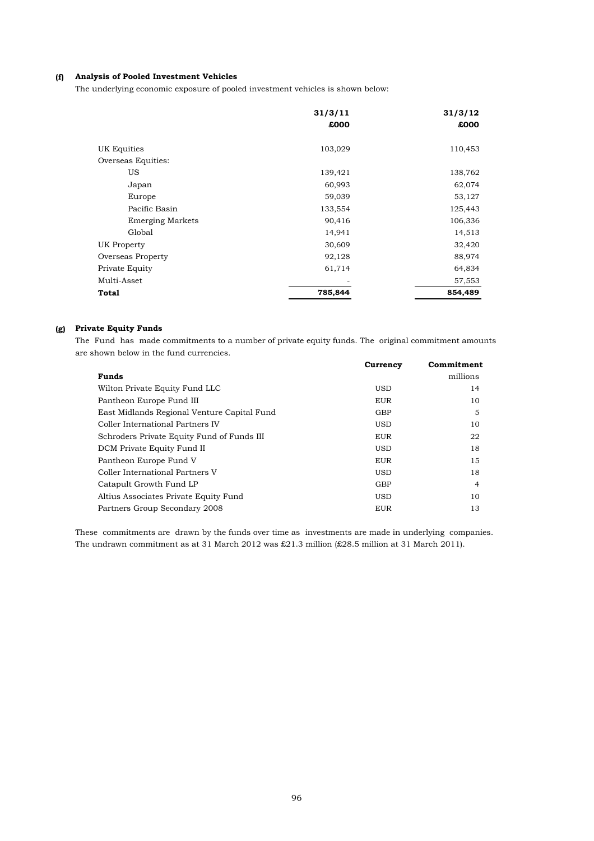## **(f) Analysis of Pooled Investment Vehicles**

The underlying economic exposure of pooled investment vehicles is shown below:

|                         | 31/3/11 | 31/3/12 |
|-------------------------|---------|---------|
|                         | £000    | £000    |
| UK Equities             | 103,029 | 110,453 |
| Overseas Equities:      |         |         |
| US                      | 139,421 | 138,762 |
| Japan                   | 60,993  | 62,074  |
| Europe                  | 59,039  | 53,127  |
| Pacific Basin           | 133,554 | 125,443 |
| <b>Emerging Markets</b> | 90,416  | 106,336 |
| Global                  | 14,941  | 14,513  |
| UK Property             | 30,609  | 32,420  |
| Overseas Property       | 92,128  | 88,974  |
| Private Equity          | 61,714  | 64,834  |
| Multi-Asset             |         | 57,553  |
| Total                   | 785,844 | 854,489 |

## **(g) Private Equity Funds**

The Fund has made commitments to a number of private equity funds. The original commitment amounts are shown below in the fund currencies.

|                                             | Currency   | Commitment |
|---------------------------------------------|------------|------------|
| <b>Funds</b>                                |            | millions   |
| Wilton Private Equity Fund LLC              | <b>USD</b> | 14         |
| Pantheon Europe Fund III                    | <b>EUR</b> | 10         |
| East Midlands Regional Venture Capital Fund | <b>GBP</b> | 5          |
| Coller International Partners IV            | <b>USD</b> | 10         |
| Schroders Private Equity Fund of Funds III  | <b>EUR</b> | 22         |
| DCM Private Equity Fund II                  | USD        | 18         |
| Pantheon Europe Fund V                      | EUR        | 15         |
| Coller International Partners V             | <b>USD</b> | 18         |
| Catapult Growth Fund LP                     | <b>GBP</b> | 4          |
| Altius Associates Private Equity Fund       | <b>USD</b> | 10         |
| Partners Group Secondary 2008               | <b>EUR</b> | 13         |

These commitments are drawn by the funds over time as investments are made in underlying companies. The undrawn commitment as at 31 March 2012 was £21.3 million (£28.5 million at 31 March 2011).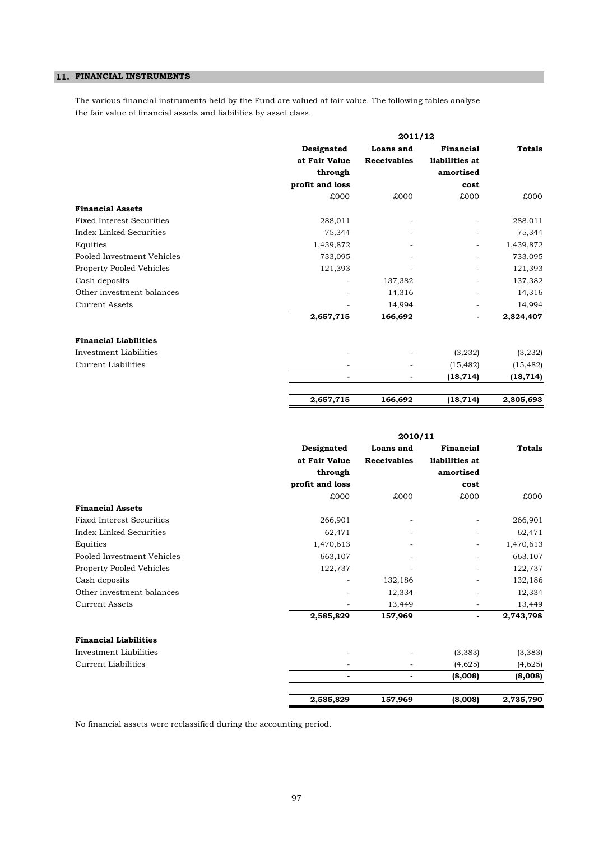## **11. FINANCIAL INSTRUMENTS**

The various financial instruments held by the Fund are valued at fair value. The following tables analyse the fair value of financial assets and liabilities by asset class.

|                                  | 2011/12         |                    |                          |               |
|----------------------------------|-----------------|--------------------|--------------------------|---------------|
|                                  | Designated      | Loans and          | Financial                | <b>Totals</b> |
|                                  | at Fair Value   | <b>Receivables</b> | liabilities at           |               |
|                                  | through         |                    | amortised                |               |
|                                  | profit and loss |                    | cost                     |               |
|                                  | £000            | 000x               | £000                     | £000          |
| <b>Financial Assets</b>          |                 |                    |                          |               |
| <b>Fixed Interest Securities</b> | 288,011         |                    |                          | 288,011       |
| <b>Index Linked Securities</b>   | 75,344          |                    |                          | 75,344        |
| Equities                         | 1,439,872       |                    |                          | 1,439,872     |
| Pooled Investment Vehicles       | 733,095         |                    |                          | 733,095       |
| Property Pooled Vehicles         | 121,393         |                    | $\overline{\phantom{0}}$ | 121,393       |
| Cash deposits                    |                 | 137,382            |                          | 137,382       |
| Other investment balances        |                 | 14,316             |                          | 14,316        |
| <b>Current Assets</b>            |                 | 14,994             | $\overline{\phantom{0}}$ | 14,994        |
|                                  | 2,657,715       | 166,692            | $\frac{1}{2}$            | 2,824,407     |
| <b>Financial Liabilities</b>     |                 |                    |                          |               |
| Investment Liabilities           |                 |                    | (3,232)                  | (3,232)       |
| <b>Current Liabilities</b>       |                 |                    | (15, 482)                | (15, 482)     |
|                                  |                 |                    | (18, 714)                | (18, 714)     |
|                                  | 2,657,715       | 166,692            | (18, 714)                | 2,805,693     |

|                                  |                 | 2010/11            |                |               |
|----------------------------------|-----------------|--------------------|----------------|---------------|
|                                  | Designated      | Loans and          | Financial      | <b>Totals</b> |
|                                  | at Fair Value   | <b>Receivables</b> | liabilities at |               |
|                                  | through         |                    | amortised      |               |
|                                  | profit and loss |                    | cost           |               |
|                                  | £000            | £000               | £000           | £000          |
| <b>Financial Assets</b>          |                 |                    |                |               |
| <b>Fixed Interest Securities</b> | 266,901         |                    |                | 266,901       |
| Index Linked Securities          | 62,471          |                    |                | 62,471        |
| Equities                         | 1,470,613       |                    |                | 1,470,613     |
| Pooled Investment Vehicles       | 663,107         |                    |                | 663,107       |
| Property Pooled Vehicles         | 122,737         |                    |                | 122,737       |
| Cash deposits                    | ۰               | 132,186            |                | 132,186       |
| Other investment balances        |                 | 12,334             |                | 12,334        |
| <b>Current Assets</b>            |                 | 13,449             |                | 13,449        |
|                                  | 2,585,829       | 157,969            | $\blacksquare$ | 2,743,798     |
| <b>Financial Liabilities</b>     |                 |                    |                |               |
| Investment Liabilities           |                 |                    | (3, 383)       | (3, 383)      |
| Current Liabilities              | ۰               | ۰                  | (4,625)        | (4,625)       |
|                                  |                 |                    | (8,008)        | (8,008)       |
|                                  | 2,585,829       | 157,969            | (8,008)        | 2,735,790     |

No financial assets were reclassified during the accounting period.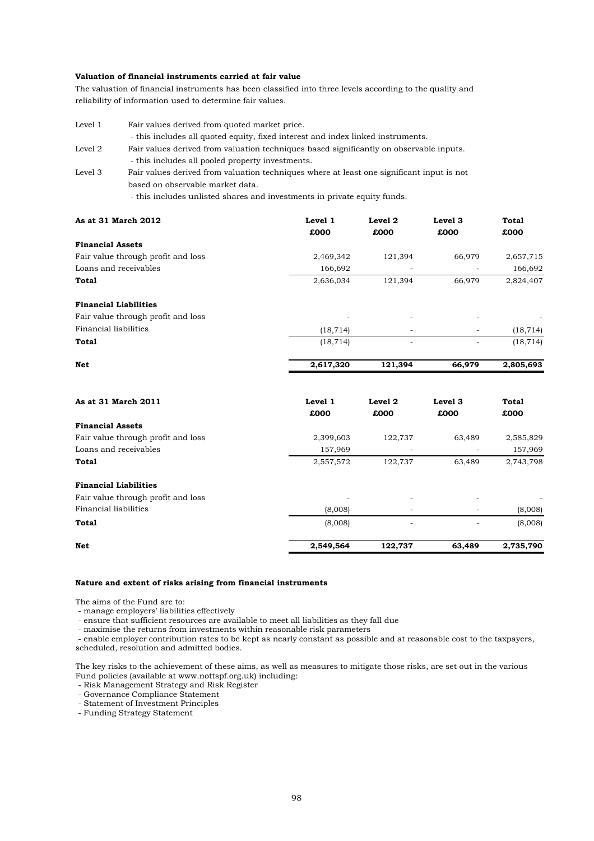## **Valuation of financial instruments carried at fair value**

The valuation of financial instruments has been classified into three levels according to the quality and reliability of information used to determine fair values.

| Level 1 | Fair values derived from quoted market price.                                             |
|---------|-------------------------------------------------------------------------------------------|
|         | - this includes all quoted equity, fixed interest and index linked instruments.           |
| Level 2 | Fair values derived from valuation techniques based significantly on observable inputs.   |
|         | - this includes all pooled property investments.                                          |
| Level 3 | Fair values derived from valuation techniques where at least one significant input is not |
|         | based on observable market data.                                                          |
|         | - this includes unlisted shares and investments in private equity funds.                  |

| As at 31 March 2012                | Level 1   | Level 2 | Level <sub>3</sub>       | <b>Total</b> |
|------------------------------------|-----------|---------|--------------------------|--------------|
|                                    | £000      | £000    | £000                     | £000         |
| <b>Financial Assets</b>            |           |         |                          |              |
| Fair value through profit and loss | 2,469,342 | 121,394 | 66,979                   | 2,657,715    |
| Loans and receivables              | 166,692   |         | ٠                        | 166,692      |
| Total                              | 2,636,034 | 121,394 | 66,979                   | 2,824,407    |
| <b>Financial Liabilities</b>       |           |         |                          |              |
| Fair value through profit and loss | ٠         | ۰       | $\overline{\phantom{a}}$ |              |
| Financial liabilities              | (18, 714) | ۰       | -                        | (18, 714)    |
| <b>Total</b>                       | (18, 714) | ٠       | -                        | (18, 714)    |
|                                    |           |         |                          |              |

| Net | 2,617,320 | 121,394 | 66,979 | 2,805,693 |
|-----|-----------|---------|--------|-----------|
|     |           |         |        |           |

| As at 31 March 2011                | Level 1<br>£000          | Level 2<br>£000 | Level 3<br>£000 | <b>Total</b><br>£000 |
|------------------------------------|--------------------------|-----------------|-----------------|----------------------|
| <b>Financial Assets</b>            |                          |                 |                 |                      |
| Fair value through profit and loss | 2,399,603                | 122,737         | 63,489          | 2,585,829            |
| Loans and receivables              | 157,969                  | ٠               |                 | 157,969              |
| Total                              | 2,557,572                | 122,737         | 63,489          | 2,743,798            |
| <b>Financial Liabilities</b>       |                          |                 |                 |                      |
| Fair value through profit and loss | $\overline{\phantom{a}}$ | ٠               | ٠               | ۰                    |
| Financial liabilities              | (8,008)                  | -               |                 | (8,008)              |
| <b>Total</b>                       | (8,008)                  |                 |                 | (8,008)              |
| <b>Net</b>                         | 2,549,564                | 122,737         | 63,489          | 2,735,790            |

### **Nature and extent of risks arising from financial instruments**

The aims of the Fund are to:

- manage employers' liabilities effectively

- ensure that sufficient resources are available to meet all liabilities as they fall due

- maximise the returns from investments within reasonable risk parameters

- enable employer contribution rates to be kept as nearly constant as possible and at reasonable cost to the taxpayers, scheduled, resolution and admitted bodies.

The key risks to the achievement of these aims, as well as measures to mitigate those risks, are set out in the various Fund policies (available at www.nottspf.org.uk) including:

- Risk Management Strategy and Risk Register

- Governance Compliance Statement

- Statement of Investment Principles

- Funding Strategy Statement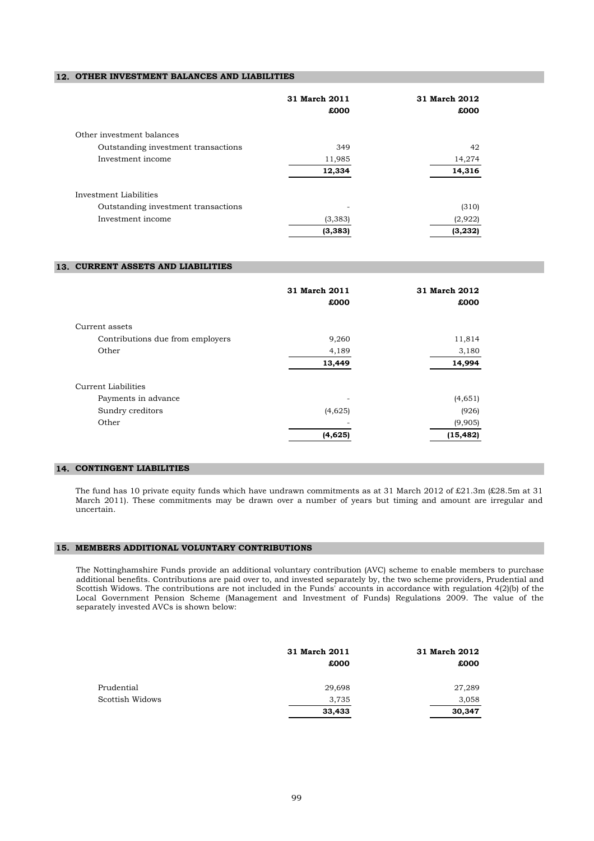## **12. OTHER INVESTMENT BALANCES AND LIABILITIES**

|                                     | 31 March 2011 | 31 March 2012 |  |
|-------------------------------------|---------------|---------------|--|
|                                     | £000          | £000          |  |
| Other investment balances           |               |               |  |
| Outstanding investment transactions | 349           | 42            |  |
| Investment income                   | 11,985        | 14,274        |  |
|                                     | 12,334        | 14,316        |  |
| Investment Liabilities              |               |               |  |
| Outstanding investment transactions |               | (310)         |  |
| Investment income                   | (3, 383)      | (2,922)       |  |
|                                     | (3, 383)      | (3, 232)      |  |

## **13. CURRENT ASSETS AND LIABILITIES**

|                                  | 31 March 2011<br>£000 | 31 March 2012<br>£000 |
|----------------------------------|-----------------------|-----------------------|
| Current assets                   |                       |                       |
| Contributions due from employers | 9,260                 | 11,814                |
| Other                            | 4,189                 | 3,180                 |
|                                  | 13,449                | 14,994                |
| Current Liabilities              |                       |                       |
| Payments in advance              |                       | (4,651)               |
| Sundry creditors                 | (4,625)               | (926)                 |
| Other                            |                       | (9,905)               |
|                                  | (4,625)               | (15, 482)             |

### **14. CONTINGENT LIABILITIES**

The fund has 10 private equity funds which have undrawn commitments as at 31 March 2012 of £21.3m (£28.5m at 31 March 2011). These commitments may be drawn over a number of years but timing and amount are irregular and uncertain.

### **15. MEMBERS ADDITIONAL VOLUNTARY CONTRIBUTIONS**

The Nottinghamshire Funds provide an additional voluntary contribution (AVC) scheme to enable members to purchase additional benefits. Contributions are paid over to, and invested separately by, the two scheme providers, Prudential and Scottish Widows. The contributions are not included in the Funds' accounts in accordance with regulation 4(2)(b) of the Local Government Pension Scheme (Management and Investment of Funds) Regulations 2009. The value of the separately invested AVCs is shown below:

|                 | 31 March 2011 | 31 March 2012 |
|-----------------|---------------|---------------|
|                 | £000          | £000          |
| Prudential      | 29,698        | 27,289        |
| Scottish Widows | 3,735         | 3,058         |
|                 | 33,433        | 30,347        |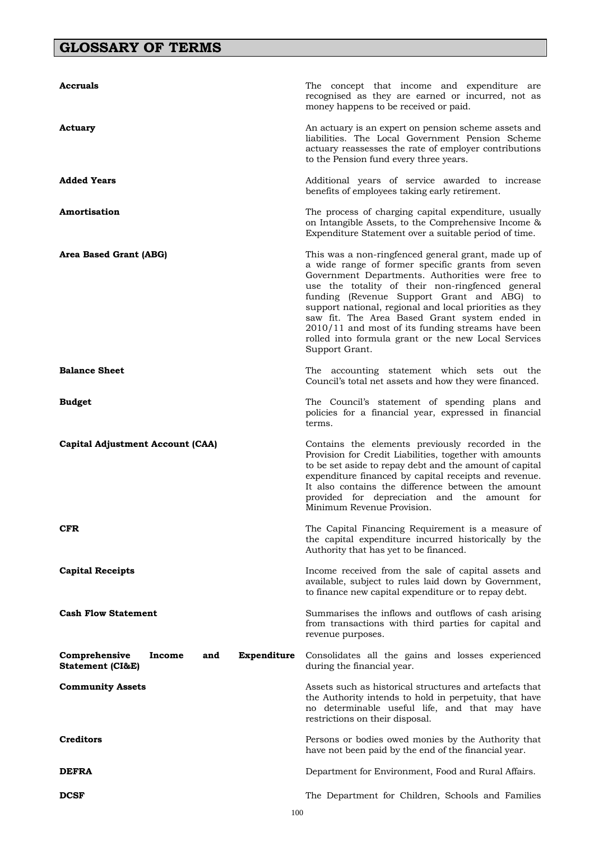# **GLOSSARY OF TERMS**

| Accruals                                                                     | The concept that income and expenditure are<br>recognised as they are earned or incurred, not as<br>money happens to be received or paid.                                                                                                                                                                                                                                                                                                                                                                |
|------------------------------------------------------------------------------|----------------------------------------------------------------------------------------------------------------------------------------------------------------------------------------------------------------------------------------------------------------------------------------------------------------------------------------------------------------------------------------------------------------------------------------------------------------------------------------------------------|
| Actuary                                                                      | An actuary is an expert on pension scheme assets and<br>liabilities. The Local Government Pension Scheme<br>actuary reassesses the rate of employer contributions<br>to the Pension fund every three years.                                                                                                                                                                                                                                                                                              |
| <b>Added Years</b>                                                           | Additional years of service awarded to increase<br>benefits of employees taking early retirement.                                                                                                                                                                                                                                                                                                                                                                                                        |
| Amortisation                                                                 | The process of charging capital expenditure, usually<br>on Intangible Assets, to the Comprehensive Income &<br>Expenditure Statement over a suitable period of time.                                                                                                                                                                                                                                                                                                                                     |
| Area Based Grant (ABG)                                                       | This was a non-ringfenced general grant, made up of<br>a wide range of former specific grants from seven<br>Government Departments. Authorities were free to<br>use the totality of their non-ringfenced general<br>funding (Revenue Support Grant and ABG) to<br>support national, regional and local priorities as they<br>saw fit. The Area Based Grant system ended in<br>2010/11 and most of its funding streams have been<br>rolled into formula grant or the new Local Services<br>Support Grant. |
| <b>Balance Sheet</b>                                                         | The accounting statement which sets out the<br>Council's total net assets and how they were financed.                                                                                                                                                                                                                                                                                                                                                                                                    |
| Budget                                                                       | The Council's statement of spending plans and<br>policies for a financial year, expressed in financial<br>terms.                                                                                                                                                                                                                                                                                                                                                                                         |
| Capital Adjustment Account (CAA)                                             | Contains the elements previously recorded in the<br>Provision for Credit Liabilities, together with amounts<br>to be set aside to repay debt and the amount of capital<br>expenditure financed by capital receipts and revenue.<br>It also contains the difference between the amount<br>provided for depreciation and the amount for<br>Minimum Revenue Provision.                                                                                                                                      |
| <b>CFR</b>                                                                   | The Capital Financing Requirement is a measure of<br>the capital expenditure incurred historically by the<br>Authority that has yet to be financed.                                                                                                                                                                                                                                                                                                                                                      |
| <b>Capital Receipts</b>                                                      | Income received from the sale of capital assets and<br>available, subject to rules laid down by Government,<br>to finance new capital expenditure or to repay debt.                                                                                                                                                                                                                                                                                                                                      |
| <b>Cash Flow Statement</b>                                                   | Summarises the inflows and outflows of cash arising<br>from transactions with third parties for capital and<br>revenue purposes.                                                                                                                                                                                                                                                                                                                                                                         |
| Comprehensive<br>Expenditure<br>Income<br>and<br><b>Statement (CI&amp;E)</b> | Consolidates all the gains and losses experienced<br>during the financial year.                                                                                                                                                                                                                                                                                                                                                                                                                          |
| <b>Community Assets</b>                                                      | Assets such as historical structures and artefacts that<br>the Authority intends to hold in perpetuity, that have<br>no determinable useful life, and that may have<br>restrictions on their disposal.                                                                                                                                                                                                                                                                                                   |
| <b>Creditors</b>                                                             | Persons or bodies owed monies by the Authority that<br>have not been paid by the end of the financial year.                                                                                                                                                                                                                                                                                                                                                                                              |
| DEFRA                                                                        | Department for Environment, Food and Rural Affairs.                                                                                                                                                                                                                                                                                                                                                                                                                                                      |
| <b>DCSF</b>                                                                  | The Department for Children, Schools and Families                                                                                                                                                                                                                                                                                                                                                                                                                                                        |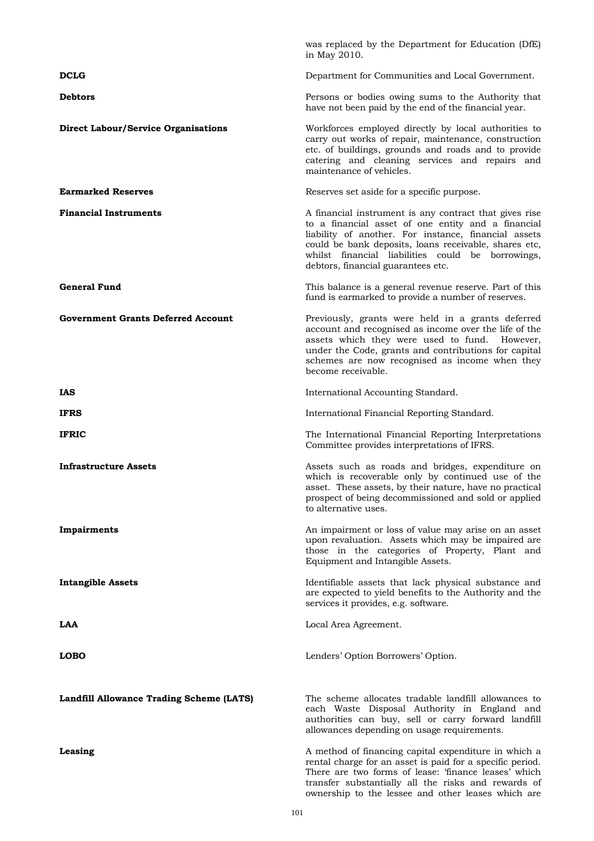|                                                 | was replaced by the Department for Education (DfE)<br>in May 2010.                                                                                                                                                                                                                                                       |
|-------------------------------------------------|--------------------------------------------------------------------------------------------------------------------------------------------------------------------------------------------------------------------------------------------------------------------------------------------------------------------------|
| <b>DCLG</b>                                     | Department for Communities and Local Government.                                                                                                                                                                                                                                                                         |
| <b>Debtors</b>                                  | Persons or bodies owing sums to the Authority that<br>have not been paid by the end of the financial year.                                                                                                                                                                                                               |
| <b>Direct Labour/Service Organisations</b>      | Workforces employed directly by local authorities to<br>carry out works of repair, maintenance, construction<br>etc. of buildings, grounds and roads and to provide<br>catering and cleaning services and repairs and<br>maintenance of vehicles.                                                                        |
| <b>Earmarked Reserves</b>                       | Reserves set aside for a specific purpose.                                                                                                                                                                                                                                                                               |
| <b>Financial Instruments</b>                    | A financial instrument is any contract that gives rise<br>to a financial asset of one entity and a financial<br>liability of another. For instance, financial assets<br>could be bank deposits, loans receivable, shares etc,<br>whilst financial liabilities could be borrowings,<br>debtors, financial guarantees etc. |
| <b>General Fund</b>                             | This balance is a general revenue reserve. Part of this<br>fund is earmarked to provide a number of reserves.                                                                                                                                                                                                            |
| <b>Government Grants Deferred Account</b>       | Previously, grants were held in a grants deferred<br>account and recognised as income over the life of the<br>assets which they were used to fund. However,<br>under the Code, grants and contributions for capital<br>schemes are now recognised as income when they<br>become receivable.                              |
| IAS                                             | International Accounting Standard.                                                                                                                                                                                                                                                                                       |
| <b>IFRS</b>                                     | International Financial Reporting Standard.                                                                                                                                                                                                                                                                              |
| <b>IFRIC</b>                                    | The International Financial Reporting Interpretations<br>Committee provides interpretations of IFRS.                                                                                                                                                                                                                     |
| <b>Infrastructure Assets</b>                    | Assets such as roads and bridges, expenditure on<br>which is recoverable only by continued use of the<br>asset. These assets, by their nature, have no practical<br>prospect of being decommissioned and sold or applied<br>to alternative uses.                                                                         |
| Impairments                                     | An impairment or loss of value may arise on an asset<br>upon revaluation. Assets which may be impaired are<br>those in the categories of Property, Plant and<br>Equipment and Intangible Assets.                                                                                                                         |
| <b>Intangible Assets</b>                        | Identifiable assets that lack physical substance and<br>are expected to yield benefits to the Authority and the<br>services it provides, e.g. software.                                                                                                                                                                  |
| LAA                                             | Local Area Agreement.                                                                                                                                                                                                                                                                                                    |
| <b>LOBO</b>                                     | Lenders' Option Borrowers' Option.                                                                                                                                                                                                                                                                                       |
| <b>Landfill Allowance Trading Scheme (LATS)</b> | The scheme allocates tradable landfill allowances to<br>each Waste Disposal Authority in England and<br>authorities can buy, sell or carry forward landfill<br>allowances depending on usage requirements.                                                                                                               |
| Leasing                                         | A method of financing capital expenditure in which a<br>rental charge for an asset is paid for a specific period.<br>There are two forms of lease: 'finance leases' which<br>transfer substantially all the risks and rewards of<br>ownership to the lessee and other leases which are                                   |